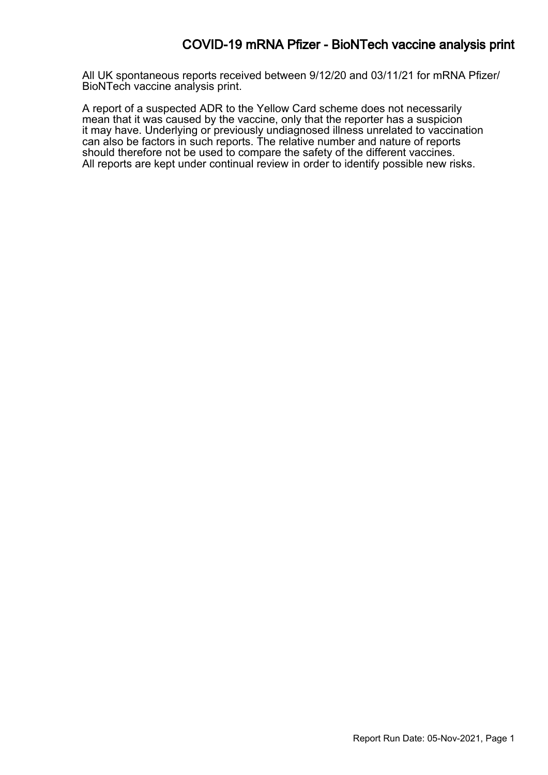## COVID-19 mRNA Pfizer - BioNTech vaccine analysis print

All UK spontaneous reports received between 9/12/20 and 03/11/21 for mRNA Pfizer/ BioNTech vaccine analysis print.

A report of a suspected ADR to the Yellow Card scheme does not necessarily mean that it was caused by the vaccine, only that the reporter has a suspicion it may have. Underlying or previously undiagnosed illness unrelated to vaccination can also be factors in such reports. The relative number and nature of reports should therefore not be used to compare the safety of the different vaccines. All reports are kept under continual review in order to identify possible new risks.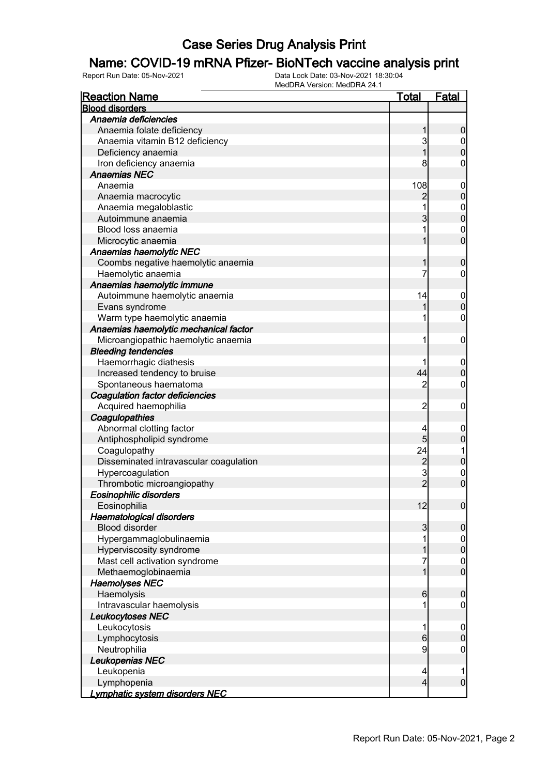## Name: COVID-19 mRNA Pfizer- BioNTech vaccine analysis print

| <b>Reaction Name</b>                   | <u>Total</u>   | <u>Fatal</u>                     |
|----------------------------------------|----------------|----------------------------------|
| <b>Blood disorders</b>                 |                |                                  |
| Anaemia deficiencies                   |                |                                  |
| Anaemia folate deficiency              | 1              | $\boldsymbol{0}$                 |
| Anaemia vitamin B12 deficiency         | 3              |                                  |
| Deficiency anaemia                     | $\overline{1}$ | $0$<br>0                         |
| Iron deficiency anaemia                | 8              | 0                                |
| <b>Anaemias NEC</b>                    |                |                                  |
| Anaemia                                | 108            | $\boldsymbol{0}$                 |
| Anaemia macrocytic                     | 2              | $\mathbf 0$                      |
| Anaemia megaloblastic                  | 1              |                                  |
| Autoimmune anaemia                     | 3              | 0<br>0                           |
| Blood loss anaemia                     | 1              |                                  |
| Microcytic anaemia                     | 1              | $\begin{matrix}0\\0\end{matrix}$ |
| Anaemias haemolytic NEC                |                |                                  |
| Coombs negative haemolytic anaemia     | 1              | $\mathbf 0$                      |
| Haemolytic anaemia                     | 7              | $\mathbf 0$                      |
| Anaemias haemolytic immune             |                |                                  |
| Autoimmune haemolytic anaemia          | 14             | $\mathbf{0}$                     |
| Evans syndrome                         | 1              | $\overline{0}$                   |
| Warm type haemolytic anaemia           | 1              | 0                                |
| Anaemias haemolytic mechanical factor  |                |                                  |
| Microangiopathic haemolytic anaemia    | 1              | $\boldsymbol{0}$                 |
| <b>Bleeding tendencies</b>             |                |                                  |
| Haemorrhagic diathesis                 |                | $\boldsymbol{0}$                 |
| Increased tendency to bruise           | 44             | $\overline{0}$                   |
| Spontaneous haematoma                  | $\overline{2}$ | 0                                |
| <b>Coagulation factor deficiencies</b> |                |                                  |
| Acquired haemophilia                   | $\overline{2}$ | $\boldsymbol{0}$                 |
| Coagulopathies                         |                |                                  |
| Abnormal clotting factor               | 4              | $\mathbf{0}$                     |
| Antiphospholipid syndrome              | 5              | $\boldsymbol{0}$                 |
| Coagulopathy                           | 24             | 1                                |
| Disseminated intravascular coagulation |                | $\mathbf 0$                      |
| Hypercoagulation                       | $\frac{2}{3}$  |                                  |
| Thrombotic microangiopathy             | $\overline{2}$ | $\begin{matrix}0\\0\end{matrix}$ |
| Eosinophilic disorders                 |                |                                  |
| Eosinophilia                           | 12             | $\overline{0}$                   |
| <b>Haematological disorders</b>        |                |                                  |
| <b>Blood disorder</b>                  | 3              | $\mathbf 0$                      |
| Hypergammaglobulinaemia                | 1              | $\boldsymbol{0}$                 |
| Hyperviscosity syndrome                | 1              | $\mathbf 0$                      |
| Mast cell activation syndrome          | 7              |                                  |
| Methaemoglobinaemia                    | $\mathbf{1}$   | $\begin{matrix}0\\0\end{matrix}$ |
| <b>Haemolyses NEC</b>                  |                |                                  |
| Haemolysis                             | 6              | $\mathbf 0$                      |
| Intravascular haemolysis               | 1              | $\boldsymbol{0}$                 |
| <b>Leukocytoses NEC</b>                |                |                                  |
| Leukocytosis                           | 1              | $\mathbf 0$                      |
| Lymphocytosis                          | $6\phantom{.}$ | $\boldsymbol{0}$                 |
| Neutrophilia                           | $\overline{9}$ | $\boldsymbol{0}$                 |
| Leukopenias NEC                        |                |                                  |
| Leukopenia                             | 4              | 1                                |
| Lymphopenia                            | $\overline{4}$ | $\mathbf 0$                      |
| <u>Lymphatic system disorders NEC</u>  |                |                                  |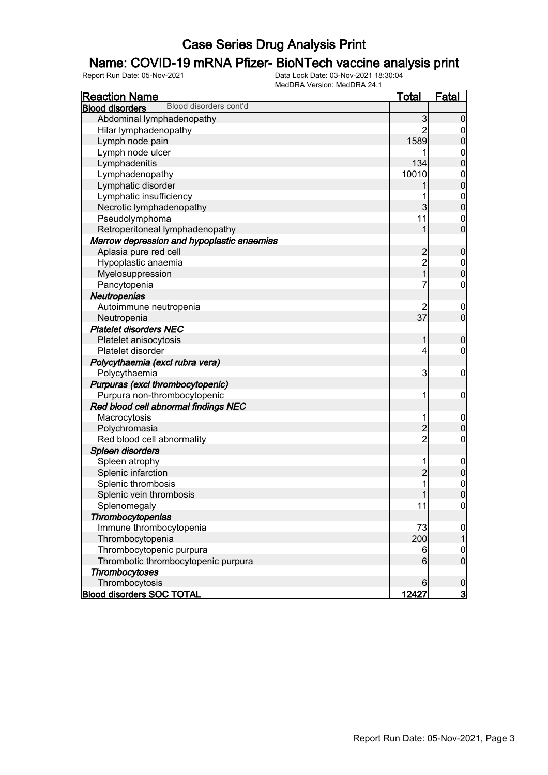## Name: COVID-19 mRNA Pfizer- BioNTech vaccine analysis print

| <b>Reaction Name</b>                             | <u>Total</u>   | <b>Fatal</b>                         |
|--------------------------------------------------|----------------|--------------------------------------|
| Blood disorders cont'd<br><b>Blood disorders</b> |                |                                      |
| Abdominal lymphadenopathy                        | 3              | $\overline{0}$                       |
| Hilar lymphadenopathy                            | $\overline{2}$ | $\mathbf 0$                          |
| Lymph node pain                                  | 1589           | $\mathbf 0$                          |
| Lymph node ulcer                                 | 1              |                                      |
| Lymphadenitis                                    | 134            | $0\atop 0$                           |
| Lymphadenopathy                                  | 10010          |                                      |
| Lymphatic disorder                               |                | $\begin{matrix}0\\0\end{matrix}$     |
| Lymphatic insufficiency                          | 1              |                                      |
| Necrotic lymphadenopathy                         | 3              | $\begin{matrix} 0 \\ 0 \end{matrix}$ |
| Pseudolymphoma                                   | 11             |                                      |
| Retroperitoneal lymphadenopathy                  | 1              | $\begin{matrix} 0 \\ 0 \end{matrix}$ |
| Marrow depression and hypoplastic anaemias       |                |                                      |
| Aplasia pure red cell                            |                | $\pmb{0}$                            |
| Hypoplastic anaemia                              | 2<br>2<br>1    |                                      |
| Myelosuppression                                 |                | $\begin{matrix} 0 \\ 0 \end{matrix}$ |
| Pancytopenia                                     | 7              | $\pmb{0}$                            |
| Neutropenias                                     |                |                                      |
| Autoimmune neutropenia                           | 2              | $\mathbf 0$                          |
| Neutropenia                                      | 37             | $\overline{0}$                       |
| <b>Platelet disorders NEC</b>                    |                |                                      |
| Platelet anisocytosis                            | 1              | $\mathbf 0$                          |
| Platelet disorder                                | 4              | $\mathbf 0$                          |
| Polycythaemia (excl rubra vera)                  |                |                                      |
| Polycythaemia                                    | 3              | $\boldsymbol{0}$                     |
| Purpuras (excl thrombocytopenic)                 |                |                                      |
| Purpura non-thrombocytopenic                     | 1              | $\boldsymbol{0}$                     |
| Red blood cell abnormal findings NEC             |                |                                      |
| Macrocytosis                                     | 1              | $\boldsymbol{0}$                     |
| Polychromasia                                    |                | $\boldsymbol{0}$                     |
| Red blood cell abnormality                       | $\frac{2}{2}$  | $\pmb{0}$                            |
| Spleen disorders                                 |                |                                      |
| Spleen atrophy                                   | 1              | $\boldsymbol{0}$                     |
| Splenic infarction                               | $\overline{c}$ | $\mathbf 0$                          |
| Splenic thrombosis                               | 1              | $\begin{matrix}0\\0\end{matrix}$     |
| Splenic vein thrombosis                          | 1              |                                      |
| Splenomegaly                                     | 11             | 0                                    |
| Thrombocytopenias                                |                |                                      |
| Immune thrombocytopenia                          | 73             | $\overline{0}$                       |
| Thrombocytopenia                                 | 200            | 1                                    |
| Thrombocytopenic purpura                         | 6              | $\mathbf 0$                          |
| Thrombotic thrombocytopenic purpura              | 6              | $\overline{0}$                       |
| <b>Thrombocytoses</b>                            |                |                                      |
| Thrombocytosis                                   | 6              | $\mathbf 0$                          |
| <b>Blood disorders SOC TOTAL</b>                 | 12427          | $\overline{3}$                       |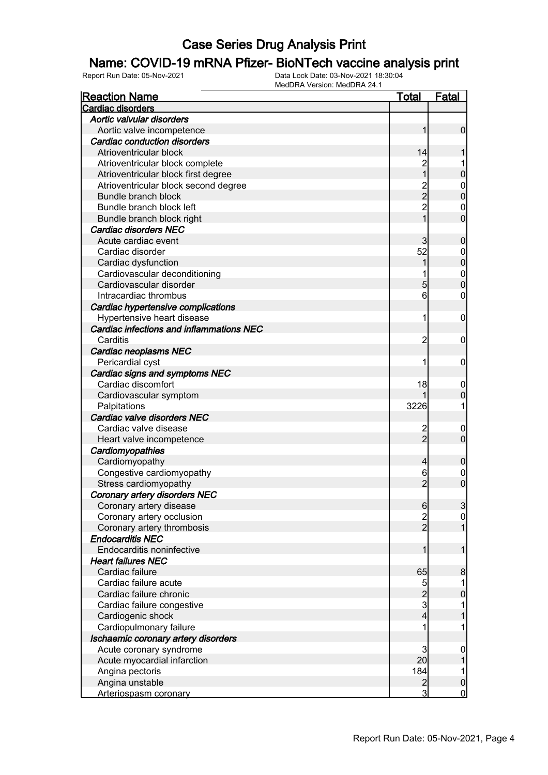## Name: COVID-19 mRNA Pfizer- BioNTech vaccine analysis print

| <b>Reaction Name</b>                     | <u>Total</u>   | <b>Fatal</b>     |
|------------------------------------------|----------------|------------------|
| Cardiac disorders                        |                |                  |
| Aortic valvular disorders                |                |                  |
| Aortic valve incompetence                | 1              | $\mathbf 0$      |
| Cardiac conduction disorders             |                |                  |
| Atrioventricular block                   | 14             |                  |
| Atrioventricular block complete          |                |                  |
| Atrioventricular block first degree      |                | $\mathbf 0$      |
| Atrioventricular block second degree     |                | $\mathbf{0}$     |
| Bundle branch block                      | 2<br>2<br>2    | $\mathbf 0$      |
| Bundle branch block left                 |                | $\mathbf 0$      |
| Bundle branch block right                | $\overline{1}$ | $\overline{0}$   |
| <b>Cardiac disorders NEC</b>             |                |                  |
| Acute cardiac event                      | 3              | $\boldsymbol{0}$ |
| Cardiac disorder                         | 52             | $\mathbf 0$      |
| Cardiac dysfunction                      |                | $\mathbf 0$      |
| Cardiovascular deconditioning            |                | $\mathbf{0}$     |
| Cardiovascular disorder                  | 5              | $\overline{0}$   |
| Intracardiac thrombus                    | 6              | $\mathbf 0$      |
| Cardiac hypertensive complications       |                |                  |
| Hypertensive heart disease               | 1              | $\mathbf 0$      |
| Cardiac infections and inflammations NEC |                |                  |
| Carditis                                 | $\overline{c}$ | $\mathbf 0$      |
| Cardiac neoplasms NEC                    |                |                  |
| Pericardial cyst                         |                | $\mathbf 0$      |
| Cardiac signs and symptoms NEC           |                |                  |
| Cardiac discomfort                       | 18             | $\overline{0}$   |
| Cardiovascular symptom                   |                | $\mathbf 0$      |
| Palpitations                             | 3226           | 1                |
| Cardiac valve disorders NEC              |                |                  |
| Cardiac valve disease                    | $\overline{c}$ | $\mathbf 0$      |
| Heart valve incompetence                 | $\overline{2}$ | $\overline{0}$   |
| Cardiomyopathies                         |                |                  |
| Cardiomyopathy                           | 4              | $\boldsymbol{0}$ |
| Congestive cardiomyopathy                | 6              | $\mathbf 0$      |
| Stress cardiomyopathy                    | $\overline{2}$ | $\overline{0}$   |
| <b>Coronary artery disorders NEC</b>     |                |                  |
| Coronary artery disease                  | $6 \,$         | $\frac{3}{2}$    |
| Coronary artery occlusion                |                | $\overline{0}$   |
| Coronary artery thrombosis               | $\frac{2}{2}$  | $\mathbf{1}$     |
| <b>Endocarditis NEC</b>                  |                |                  |
| Endocarditis noninfective                | 1              | 1                |
| <b>Heart failures NEC</b>                |                |                  |
| Cardiac failure                          | 65             | 8                |
| Cardiac failure acute                    | 5              | 1                |
| Cardiac failure chronic                  |                | $\mathbf 0$      |
| Cardiac failure congestive               | $\frac{2}{3}$  | 1                |
| Cardiogenic shock                        | 4              | 1                |
| Cardiopulmonary failure                  | 1              | 1                |
| Ischaemic coronary artery disorders      |                |                  |
| Acute coronary syndrome                  | 3              | $\mathbf{0}$     |
| Acute myocardial infarction              | 20             | 1                |
| Angina pectoris                          | 184            | 1                |
| Angina unstable                          | $\overline{c}$ | $\mathbf 0$      |
| Arteriospasm coronary                    | $\overline{3}$ | $\overline{0}$   |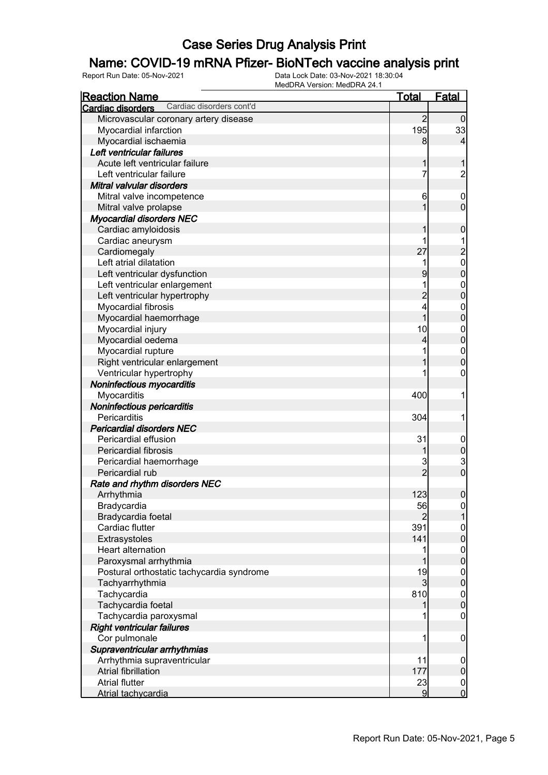## Name: COVID-19 mRNA Pfizer- BioNTech vaccine analysis print

| <b>Reaction Name</b>                          | <b>Total</b>   | <b>Fatal</b>     |
|-----------------------------------------------|----------------|------------------|
| Cardiac disorders cont'd<br>Cardiac disorders |                |                  |
| Microvascular coronary artery disease         | $\overline{2}$ | $\overline{0}$   |
| Myocardial infarction                         | 195            | 33               |
| Myocardial ischaemia                          | 8              | 4                |
| Left ventricular failures                     |                |                  |
| Acute left ventricular failure                | 1              | 1                |
| Left ventricular failure                      | 7              | $\overline{c}$   |
| Mitral valvular disorders                     |                |                  |
| Mitral valve incompetence                     | 6              | $\boldsymbol{0}$ |
| Mitral valve prolapse                         | 1              | $\mathbf 0$      |
| <b>Myocardial disorders NEC</b>               |                |                  |
| Cardiac amyloidosis                           | 1              | $\boldsymbol{0}$ |
| Cardiac aneurysm                              |                |                  |
| Cardiomegaly                                  | 27             | $\overline{c}$   |
| Left atrial dilatation                        |                | $\mathbf{0}$     |
| Left ventricular dysfunction                  | 9              | $\overline{0}$   |
| Left ventricular enlargement                  | 1              | $\boldsymbol{0}$ |
| Left ventricular hypertrophy                  | $\overline{c}$ | $\mathbf 0$      |
| Myocardial fibrosis                           | 4              | $\mathbf 0$      |
| Myocardial haemorrhage                        | 1              | $\mathbf 0$      |
| Myocardial injury                             | 10             | $\boldsymbol{0}$ |
| Myocardial oedema                             | 4              | $\mathbf 0$      |
| Myocardial rupture                            |                | $\boldsymbol{0}$ |
| Right ventricular enlargement                 |                | $\mathbf 0$      |
| Ventricular hypertrophy                       |                | $\mathbf 0$      |
| Noninfectious myocarditis                     |                |                  |
| Myocarditis                                   | 400            | 1                |
| Noninfectious pericarditis                    |                |                  |
| Pericarditis                                  | 304            | 1                |
| <b>Pericardial disorders NEC</b>              |                |                  |
| Pericardial effusion                          | 31             | $\mathbf 0$      |
| Pericardial fibrosis                          | 1              | $\overline{0}$   |
| Pericardial haemorrhage                       | 3              |                  |
| Pericardial rub                               | $\overline{2}$ | $\frac{3}{0}$    |
| Rate and rhythm disorders NEC                 |                |                  |
| Arrhythmia                                    | 123            | $\boldsymbol{0}$ |
| Bradycardia                                   | 56             | $\overline{0}$   |
| Bradycardia foetal                            | 2              |                  |
| Cardiac flutter                               | 391            | $\mathbf{0}$     |
| Extrasystoles                                 | 141            | $\mathbf 0$      |
| Heart alternation                             |                | $\boldsymbol{0}$ |
| Paroxysmal arrhythmia                         |                | $\mathbf 0$      |
| Postural orthostatic tachycardia syndrome     | 19             | $\overline{0}$   |
| Tachyarrhythmia                               | 3              | $\mathbf 0$      |
| Tachycardia                                   | 810            | $\boldsymbol{0}$ |
| Tachycardia foetal                            |                | $\pmb{0}$        |
| Tachycardia paroxysmal                        |                | $\boldsymbol{0}$ |
| <b>Right ventricular failures</b>             |                |                  |
| Cor pulmonale                                 |                | $\mathbf 0$      |
| Supraventricular arrhythmias                  |                |                  |
| Arrhythmia supraventricular                   | 11             | $\mathbf 0$      |
| Atrial fibrillation                           | 177            | $\pmb{0}$        |
| <b>Atrial flutter</b>                         | 23             | $\overline{0}$   |
| <b>Atrial tachycardia</b>                     | 9              | $\mathbf 0$      |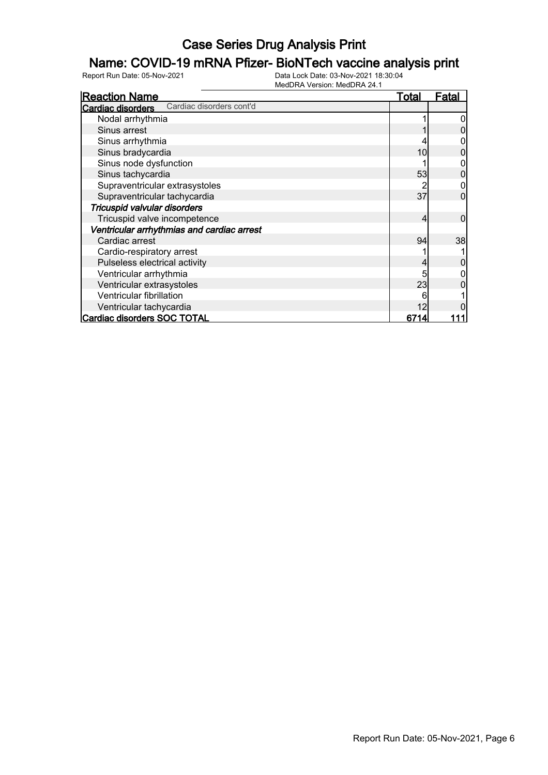## Name: COVID-19 mRNA Pfizer- BioNTech vaccine analysis print

| <b>Reaction Name</b>                                 | <b>Total</b> | Fatal |
|------------------------------------------------------|--------------|-------|
| Cardiac disorders cont'd<br><b>Cardiac disorders</b> |              |       |
| Nodal arrhythmia                                     |              |       |
| Sinus arrest                                         |              |       |
| Sinus arrhythmia                                     |              |       |
| Sinus bradycardia                                    | 10           |       |
| Sinus node dysfunction                               |              |       |
| Sinus tachycardia                                    | 53           |       |
| Supraventricular extrasystoles                       |              |       |
| Supraventricular tachycardia                         | 37           |       |
| Tricuspid valvular disorders                         |              |       |
| Tricuspid valve incompetence                         | 4            | 0     |
| Ventricular arrhythmias and cardiac arrest           |              |       |
| Cardiac arrest                                       | 94           | 38    |
| Cardio-respiratory arrest                            |              |       |
| Pulseless electrical activity                        |              |       |
| Ventricular arrhythmia                               |              |       |
| Ventricular extrasystoles                            | 23           |       |
| Ventricular fibrillation                             | 6            |       |
| Ventricular tachycardia                              |              |       |
| Cardiac disorders SOC TOTAL                          | 6714         |       |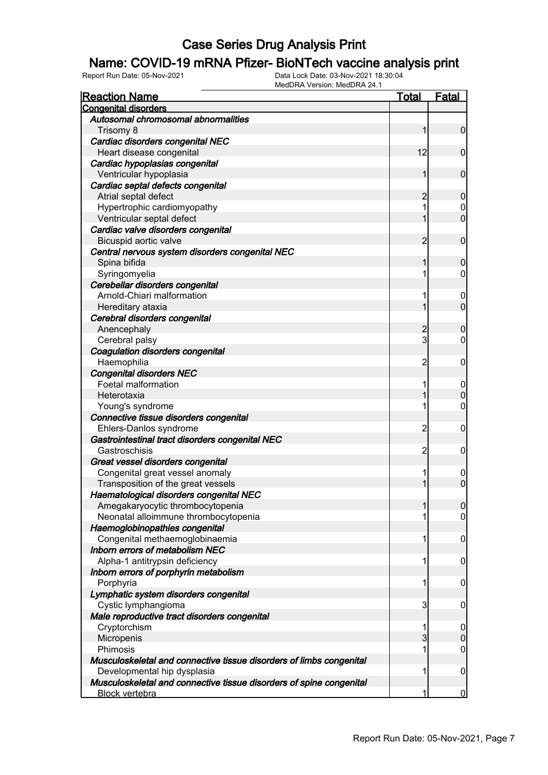## Name: COVID-19 mRNA Pfizer- BioNTech vaccine analysis print

| <b>Reaction Name</b>                                                | Total          | <b>Fatal</b>     |
|---------------------------------------------------------------------|----------------|------------------|
| <b>Congenital disorders</b>                                         |                |                  |
| Autosomal chromosomal abnormalities                                 |                |                  |
| Trisomy 8                                                           |                | $\mathbf 0$      |
| Cardiac disorders congenital NEC                                    |                |                  |
| Heart disease congenital                                            | 12             | $\mathbf 0$      |
| Cardiac hypoplasias congenital                                      |                |                  |
| Ventricular hypoplasia                                              |                | 0                |
| Cardiac septal defects congenital                                   |                |                  |
| Atrial septal defect                                                | 2              | 0                |
| Hypertrophic cardiomyopathy                                         | 1              | $\mathbf 0$      |
| Ventricular septal defect                                           |                | $\overline{0}$   |
| Cardiac valve disorders congenital                                  |                |                  |
| Bicuspid aortic valve                                               | 2              | $\mathbf 0$      |
| Central nervous system disorders congenital NEC                     |                |                  |
| Spina bifida                                                        |                | 0                |
| Syringomyelia                                                       | 1              | 0                |
| Cerebellar disorders congenital                                     |                |                  |
| Arnold-Chiari malformation                                          | 1              | $\boldsymbol{0}$ |
| Hereditary ataxia                                                   |                | 0                |
| Cerebral disorders congenital                                       |                |                  |
| Anencephaly                                                         | 2              | 0                |
| Cerebral palsy                                                      | 3              | 0                |
| Coagulation disorders congenital                                    |                |                  |
| Haemophilia                                                         | $\overline{c}$ | 0                |
| <b>Congenital disorders NEC</b>                                     |                |                  |
| Foetal malformation                                                 | 1              | $\overline{0}$   |
| Heterotaxia                                                         |                | 0                |
| Young's syndrome                                                    | 1              | 0                |
| Connective tissue disorders congenital                              |                |                  |
| Ehlers-Danlos syndrome                                              | $\overline{c}$ | 0                |
| Gastrointestinal tract disorders congenital NEC                     |                |                  |
| Gastroschisis                                                       | $\overline{c}$ | 0                |
| Great vessel disorders congenital                                   |                |                  |
| Congenital great vessel anomaly                                     | 1              | $\mathbf 0$      |
| Transposition of the great vessels                                  |                | $\overline{0}$   |
| Haematological disorders congenital NEC                             |                |                  |
| Amegakaryocytic thrombocytopenia                                    |                | U                |
| Neonatal alloimmune thrombocytopenia                                | 1              | $\overline{0}$   |
| Haemoglobinopathies congenital                                      |                |                  |
| Congenital methaemoglobinaemia                                      | 1              | 0                |
| Inborn errors of metabolism NEC                                     |                |                  |
| Alpha-1 antitrypsin deficiency                                      | 1              | 0                |
| Inborn errors of porphyrin metabolism                               |                |                  |
| Porphyria                                                           | 1              | 0                |
| Lymphatic system disorders congenital                               |                |                  |
| Cystic lymphangioma                                                 | 3              | 0                |
| Male reproductive tract disorders congenital                        |                |                  |
| Cryptorchism                                                        | 1              | $\boldsymbol{0}$ |
| Micropenis                                                          | $\overline{3}$ | $\mathbf 0$      |
| Phimosis                                                            | 1              | 0                |
| Musculoskeletal and connective tissue disorders of limbs congenital |                |                  |
| Developmental hip dysplasia                                         | 1              | 0                |
| Musculoskeletal and connective tissue disorders of spine congenital |                |                  |
| <b>Block vertebra</b>                                               | 1              | $\bf{0}$         |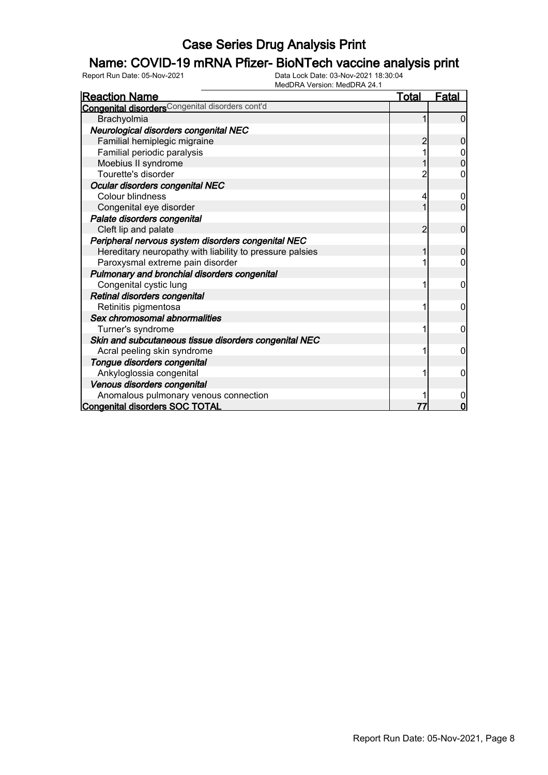## Name: COVID-19 mRNA Pfizer- BioNTech vaccine analysis print

| <b>Reaction Name</b>                                        | <u>Total</u> | <u>Fatal</u>     |
|-------------------------------------------------------------|--------------|------------------|
| Congenital disorders <sup>Congenital disorders cont'd</sup> |              |                  |
| Brachyolmia                                                 |              | $\Omega$         |
| Neurological disorders congenital NEC                       |              |                  |
| Familial hemiplegic migraine                                |              | 0                |
| Familial periodic paralysis                                 |              |                  |
| Moebius II syndrome                                         |              | $\overline{0}$   |
| Tourette's disorder                                         |              | 0                |
| Ocular disorders congenital NEC                             |              |                  |
| <b>Colour blindness</b>                                     | 4            | $\boldsymbol{0}$ |
| Congenital eye disorder                                     |              | 0                |
| Palate disorders congenital                                 |              |                  |
| Cleft lip and palate                                        | 2            | 0                |
| Peripheral nervous system disorders congenital NEC          |              |                  |
| Hereditary neuropathy with liability to pressure palsies    |              | 0                |
| Paroxysmal extreme pain disorder                            |              | 0                |
| Pulmonary and bronchial disorders congenital                |              |                  |
| Congenital cystic lung                                      |              | 0                |
| Retinal disorders congenital                                |              |                  |
| Retinitis pigmentosa                                        |              | 0                |
| Sex chromosomal abnormalities                               |              |                  |
| Turner's syndrome                                           |              | 0                |
| Skin and subcutaneous tissue disorders congenital NEC       |              |                  |
| Acral peeling skin syndrome                                 |              | 0                |
| Tongue disorders congenital                                 |              |                  |
| Ankyloglossia congenital                                    |              | 0                |
| Venous disorders congenital                                 |              |                  |
| Anomalous pulmonary venous connection                       |              |                  |
| <b>Congenital disorders SOC TOTAL</b>                       |              | O                |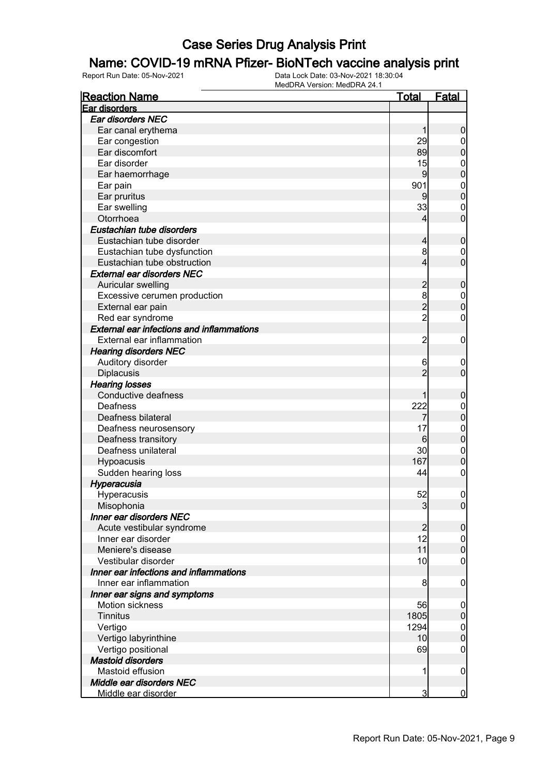## Name: COVID-19 mRNA Pfizer- BioNTech vaccine analysis print

| <b>Reaction Name</b>                             | <u>Total</u>         | <b>Fatal</b>                  |
|--------------------------------------------------|----------------------|-------------------------------|
| Ear disorders                                    |                      |                               |
| Ear disorders NEC                                |                      |                               |
| Ear canal erythema                               |                      | 0                             |
| Ear congestion                                   | 29                   | $\boldsymbol{0}$              |
| Ear discomfort                                   | 89                   | 0                             |
| Ear disorder                                     | 15                   | $\mathbf{0}$                  |
| Ear haemorrhage                                  | 9                    | $\mathbf 0$                   |
| Ear pain                                         | 901                  | $\mathbf{0}$                  |
| Ear pruritus                                     | 9                    | $\mathbf 0$                   |
| Ear swelling                                     | 33                   | $\mathbf{0}$                  |
| Otorrhoea                                        | 4                    | $\overline{0}$                |
| Eustachian tube disorders                        |                      |                               |
| Eustachian tube disorder                         | 4                    | $\boldsymbol{0}$              |
| Eustachian tube dysfunction                      | 8                    | $\mathbf 0$                   |
| Eustachian tube obstruction                      | 4                    | $\overline{0}$                |
| <b>External ear disorders NEC</b>                |                      |                               |
| Auricular swelling                               | $\overline{c}$       | $\boldsymbol{0}$              |
| Excessive cerumen production                     | 8                    | $\boldsymbol{0}$              |
| External ear pain                                | $\overline{c}$       | $\overline{0}$                |
| Red ear syndrome                                 | $\overline{2}$       | $\mathbf 0$                   |
| <b>External ear infections and inflammations</b> |                      |                               |
| External ear inflammation                        | 2                    | $\mathbf 0$                   |
| <b>Hearing disorders NEC</b>                     |                      |                               |
| Auditory disorder                                | 6                    |                               |
| <b>Diplacusis</b>                                | $\overline{c}$       | $\mathbf 0$<br>$\mathbf 0$    |
| <b>Hearing losses</b>                            |                      |                               |
| Conductive deafness                              |                      |                               |
| Deafness                                         | 222                  | 0                             |
| Deafness bilateral                               |                      | $\mathbf 0$<br>$\mathbf 0$    |
|                                                  | 17                   |                               |
| Deafness neurosensory<br>Deafness transitory     | 6                    | $\mathbf{0}$<br>$\mathbf 0$   |
| Deafness unilateral                              | 30                   |                               |
|                                                  | 167                  | $\mathbf{0}$<br>$\mathbf 0$   |
| Hypoacusis                                       | 44                   | $\boldsymbol{0}$              |
| Sudden hearing loss                              |                      |                               |
| Hyperacusia                                      |                      |                               |
| Hyperacusis                                      | 52                   | $\mathbf 0$                   |
| Misophonia                                       | 3                    | 0                             |
| <b>Inner ear disorders NEC</b>                   |                      |                               |
| Acute vestibular syndrome<br>Inner ear disorder  | $\overline{2}$<br>12 | $\boldsymbol{0}$              |
| Meniere's disease                                | 11                   | $\overline{0}$<br>$\mathbf 0$ |
| Vestibular disorder                              |                      |                               |
| Inner ear infections and inflammations           | 10                   | $\boldsymbol{0}$              |
|                                                  |                      |                               |
| Inner ear inflammation                           | 8                    | $\mathbf 0$                   |
| Inner ear signs and symptoms                     |                      |                               |
| Motion sickness                                  | 56                   | $\mathbf 0$                   |
| <b>Tinnitus</b>                                  | 1805                 | 0                             |
| Vertigo                                          | 1294                 | $\mathbf 0$                   |
| Vertigo labyrinthine                             | 10                   | $\mathbf 0$                   |
| Vertigo positional                               | 69                   | $\boldsymbol{0}$              |
| <b>Mastoid disorders</b>                         |                      |                               |
| Mastoid effusion                                 | 1                    | $\mathbf 0$                   |
| Middle ear disorders NEC                         |                      |                               |
| Middle ear disorder                              | $\overline{3}$       | $\overline{0}$                |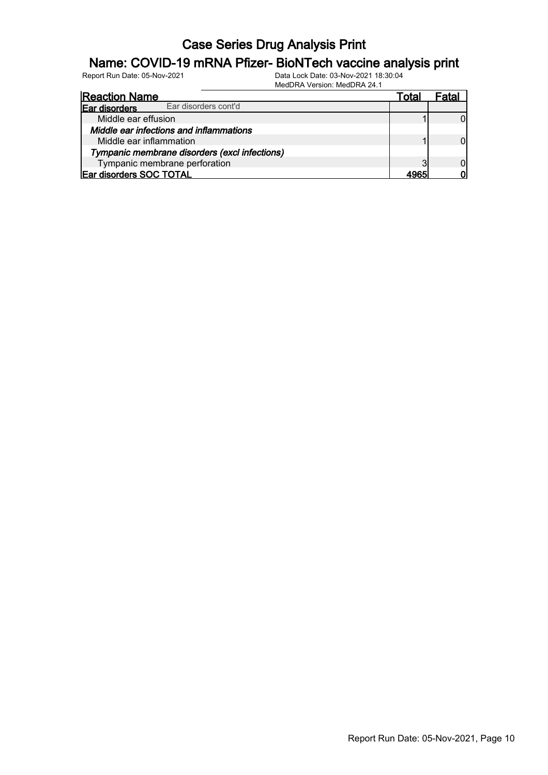## Name: COVID-19 mRNA Pfizer- BioNTech vaccine analysis print

| <b>Reaction Name</b>                          | Γotal | ata |
|-----------------------------------------------|-------|-----|
| Ear disorders cont'd<br>Ear disorders         |       |     |
| Middle ear effusion                           |       |     |
| Middle ear infections and inflammations       |       |     |
| Middle ear inflammation                       |       |     |
| Tympanic membrane disorders (excl infections) |       |     |
| Tympanic membrane perforation                 |       |     |
| Ear disorders SOC TOTAL                       |       |     |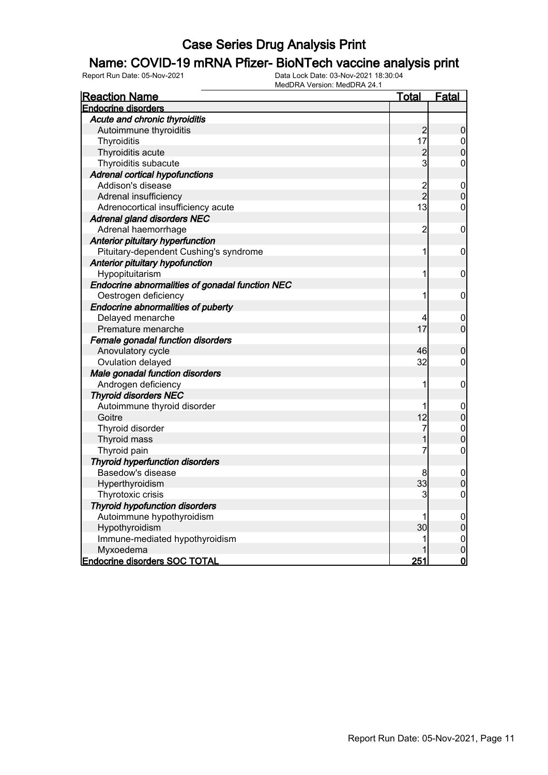#### Name: COVID-19 mRNA Pfizer- BioNTech vaccine analysis print

| <b>Reaction Name</b>                            | <u>Total</u>   | Fatal            |
|-------------------------------------------------|----------------|------------------|
| <b>Endocrine disorders</b>                      |                |                  |
| Acute and chronic thyroiditis                   |                |                  |
| Autoimmune thyroiditis                          | $\frac{2}{17}$ | $\boldsymbol{0}$ |
| Thyroiditis                                     |                | $\pmb{0}$        |
| Thyroiditis acute                               | $\overline{c}$ | $\mathbf 0$      |
| Thyroiditis subacute                            | 3              | $\overline{0}$   |
| <b>Adrenal cortical hypofunctions</b>           |                |                  |
| Addison's disease                               | $\frac{2}{2}$  | $\mathbf 0$      |
| Adrenal insufficiency                           |                | $\mathbf 0$      |
| Adrenocortical insufficiency acute              | 13             | $\overline{0}$   |
| <b>Adrenal gland disorders NEC</b>              |                |                  |
| Adrenal haemorrhage                             | $\overline{c}$ | $\boldsymbol{0}$ |
| Anterior pituitary hyperfunction                |                |                  |
| Pituitary-dependent Cushing's syndrome          | 1              | $\boldsymbol{0}$ |
| Anterior pituitary hypofunction                 |                |                  |
| Hypopituitarism                                 | 1              | $\mathbf 0$      |
| Endocrine abnormalities of gonadal function NEC |                |                  |
| Oestrogen deficiency                            | 1              | $\mathbf 0$      |
| <b>Endocrine abnormalities of puberty</b>       |                |                  |
| Delayed menarche                                |                | $\mathbf 0$      |
| Premature menarche                              | 17             | $\overline{0}$   |
| Female gonadal function disorders               |                |                  |
| Anovulatory cycle                               | 46             | $\mathbf 0$      |
| Ovulation delayed                               | 32             | $\boldsymbol{0}$ |
| Male gonadal function disorders                 |                |                  |
| Androgen deficiency                             | 1              | 0                |
| <b>Thyroid disorders NEC</b>                    |                |                  |
| Autoimmune thyroid disorder                     | 1              | $\mathbf 0$      |
| Goitre                                          | 12             | $\mathbf 0$      |
| Thyroid disorder                                | 7              | $\mathbf{0}$     |
| Thyroid mass                                    | 1              | $\overline{0}$   |
| Thyroid pain                                    | 7              | $\mathbf 0$      |
| <b>Thyroid hyperfunction disorders</b>          |                |                  |
| Basedow's disease                               | 8              | $\mathbf 0$      |
| Hyperthyroidism                                 | 33             | $\overline{0}$   |
| Thyrotoxic crisis                               | 3              | $\pmb{0}$        |
| <b>Thyroid hypofunction disorders</b>           |                |                  |
| Autoimmune hypothyroidism                       |                | $\mathbf 0$      |
| Hypothyroidism                                  | 30             | $\mathbf 0$      |
| Immune-mediated hypothyroidism                  | 1              | $\mathbf{0}$     |
| Myxoedema                                       |                | $\overline{0}$   |
| <b>Endocrine disorders SOC TOTAL</b>            | 251            | $\mathbf 0$      |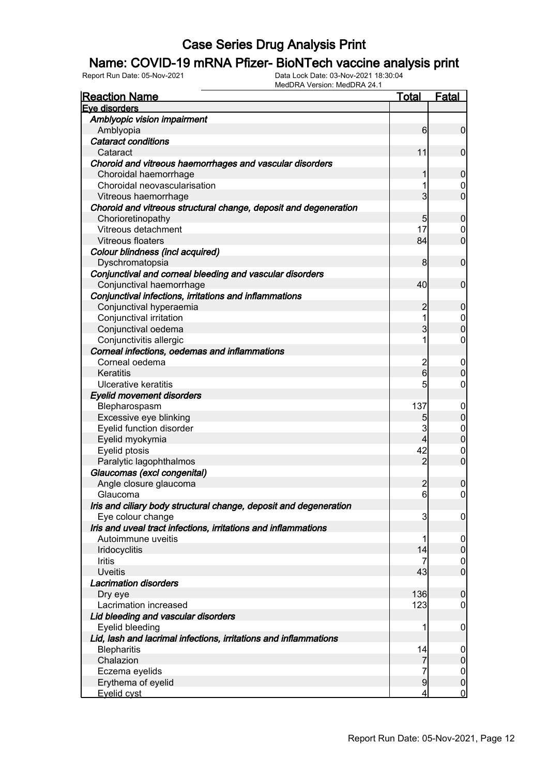## Name: COVID-19 mRNA Pfizer- BioNTech vaccine analysis print

| <b>Reaction Name</b>                                              | <b>Total</b>            | <b>Fatal</b>                     |
|-------------------------------------------------------------------|-------------------------|----------------------------------|
| Eve disorders                                                     |                         |                                  |
| Amblyopic vision impairment                                       |                         |                                  |
| Amblyopia                                                         | 6                       | $\overline{0}$                   |
| <b>Cataract conditions</b>                                        |                         |                                  |
| Cataract                                                          | 11                      | $\mathbf 0$                      |
| Choroid and vitreous haemorrhages and vascular disorders          |                         |                                  |
| Choroidal haemorrhage                                             | 1                       | $\mathbf 0$                      |
| Choroidal neovascularisation                                      | 1                       | 0                                |
| Vitreous haemorrhage                                              | 3                       | $\mathbf 0$                      |
| Choroid and vitreous structural change, deposit and degeneration  |                         |                                  |
| Chorioretinopathy                                                 | 5                       | $\mathbf 0$                      |
| Vitreous detachment                                               | 17                      | $\mathbf 0$                      |
| <b>Vitreous floaters</b>                                          | 84                      | $\mathbf 0$                      |
| Colour blindness (incl acquired)                                  |                         |                                  |
| Dyschromatopsia                                                   | 8                       | $\mathbf 0$                      |
| Conjunctival and corneal bleeding and vascular disorders          |                         |                                  |
| Conjunctival haemorrhage                                          | 40                      | $\mathbf 0$                      |
| Conjunctival infections, irritations and inflammations            |                         |                                  |
| Conjunctival hyperaemia                                           | $\overline{c}$          | $\mathbf 0$                      |
| Conjunctival irritation                                           | 1                       | $\mathbf 0$                      |
| Conjunctival oedema                                               | 3                       | $\mathbf 0$                      |
| Conjunctivitis allergic                                           | 1                       | $\boldsymbol{0}$                 |
| Corneal infections, oedemas and inflammations                     |                         |                                  |
| Corneal oedema                                                    | $\overline{\mathbf{c}}$ | $\mathbf 0$                      |
| Keratitis                                                         | $6\overline{6}$         | $\boldsymbol{0}$                 |
| Ulcerative keratitis                                              | 5                       | $\mathbf 0$                      |
| <b>Eyelid movement disorders</b>                                  |                         |                                  |
| Blepharospasm                                                     | 137                     | $\mathbf 0$                      |
| Excessive eye blinking                                            | 5                       | $\pmb{0}$                        |
| Eyelid function disorder                                          | 3                       | $\mathbf 0$                      |
| Eyelid myokymia                                                   | 4                       | $\mathbf 0$                      |
| Eyelid ptosis                                                     | 42                      | $\mathbf 0$                      |
| Paralytic lagophthalmos                                           | $\overline{2}$          | $\overline{0}$                   |
| Glaucomas (excl congenital)                                       |                         |                                  |
| Angle closure glaucoma                                            | 2                       | $\boldsymbol{0}$                 |
| Glaucoma                                                          | $6 \mid$                | $\mathbf 0$                      |
| Iris and ciliary body structural change, deposit and degeneration |                         |                                  |
| Eye colour change                                                 | 3                       |                                  |
| Iris and uveal tract infections, irritations and inflammations    |                         | $\overline{0}$                   |
| Autoimmune uveitis                                                | 1                       |                                  |
|                                                                   | 14                      | $\overline{0}$<br>$\overline{0}$ |
| Iridocyclitis<br>Iritis                                           | 7                       |                                  |
| <b>Uveitis</b>                                                    | 43                      | $\mathbf 0$<br>$\overline{0}$    |
| <b>Lacrimation disorders</b>                                      |                         |                                  |
|                                                                   | 136                     |                                  |
| Dry eye<br>Lacrimation increased                                  | 123                     | $\boldsymbol{0}$                 |
|                                                                   |                         | $\boldsymbol{0}$                 |
| Lid bleeding and vascular disorders                               |                         |                                  |
| Eyelid bleeding                                                   | 1                       | $\mathbf 0$                      |
| Lid, lash and lacrimal infections, irritations and inflammations  |                         |                                  |
| <b>Blepharitis</b>                                                | 14                      | $\mathbf 0$                      |
| Chalazion                                                         | 7                       | $\mathbf 0$                      |
| Eczema eyelids                                                    | 7                       | $\mathbf 0$                      |
| Erythema of eyelid                                                | 9                       | $\mathbf 0$                      |
| Eyelid cyst                                                       | 4                       | $\overline{0}$                   |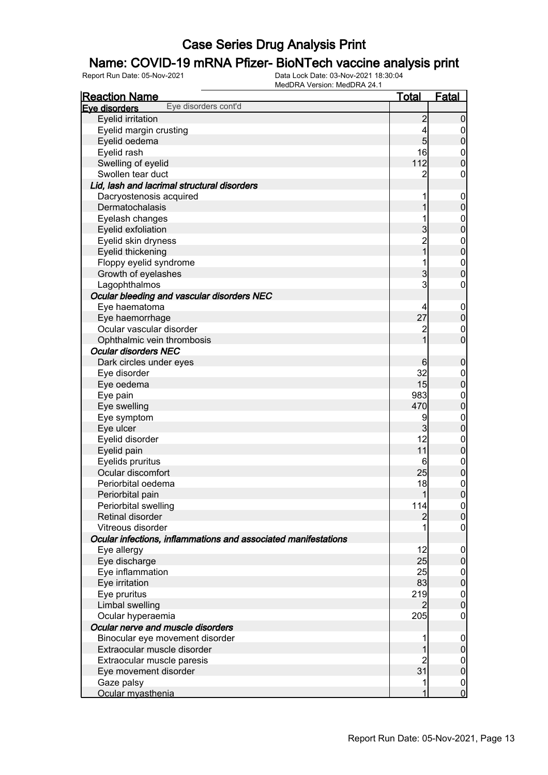## Name: COVID-19 mRNA Pfizer- BioNTech vaccine analysis print

| <u>Reaction Name</u>                                           | <b>Total</b>    | <b>Fatal</b>     |
|----------------------------------------------------------------|-----------------|------------------|
| Eye disorders cont'd<br>Eve disorders                          |                 |                  |
| Eyelid irritation                                              | $\overline{2}$  | $\mathbf 0$      |
| Eyelid margin crusting                                         | 4               | $\boldsymbol{0}$ |
| Eyelid oedema                                                  | $5\overline{)}$ | $\pmb{0}$        |
| Eyelid rash                                                    | 16              | $\mathbf 0$      |
| Swelling of eyelid                                             | 112             | $\mathbf 0$      |
| Swollen tear duct                                              | 2               | $\mathbf 0$      |
| Lid, lash and lacrimal structural disorders                    |                 |                  |
| Dacryostenosis acquired                                        | 1               | $\mathbf 0$      |
| Dermatochalasis                                                | 1               | $\mathbf 0$      |
| Eyelash changes                                                | 1               | $\boldsymbol{0}$ |
| Eyelid exfoliation                                             | 3               | $\mathbf 0$      |
| Eyelid skin dryness                                            |                 | $\boldsymbol{0}$ |
| Eyelid thickening                                              | 2<br>1          | $\overline{0}$   |
| Floppy eyelid syndrome                                         | 1               | $\boldsymbol{0}$ |
| Growth of eyelashes                                            | 3               | $\mathbf 0$      |
| Lagophthalmos                                                  | 3               | $\boldsymbol{0}$ |
| Ocular bleeding and vascular disorders NEC                     |                 |                  |
| Eye haematoma                                                  | 4               | $\mathbf 0$      |
| Eye haemorrhage                                                | 27              | $\mathbf 0$      |
| Ocular vascular disorder                                       | $\overline{c}$  | $\mathbf 0$      |
| Ophthalmic vein thrombosis                                     | $\overline{1}$  | $\overline{0}$   |
| <b>Ocular disorders NEC</b>                                    |                 |                  |
| Dark circles under eyes                                        | 6               | $\mathbf 0$      |
| Eye disorder                                                   | 32              | $\mathbf 0$      |
| Eye oedema                                                     | 15              | $\mathbf 0$      |
| Eye pain                                                       | 983             | $\boldsymbol{0}$ |
| Eye swelling                                                   | 470             | $\pmb{0}$        |
| Eye symptom                                                    | 9               | $\boldsymbol{0}$ |
| Eye ulcer                                                      | $\mathbf{3}$    | $\mathbf 0$      |
| Eyelid disorder                                                | 12              | $\boldsymbol{0}$ |
| Eyelid pain                                                    | 11              | $\pmb{0}$        |
| Eyelids pruritus                                               | 6               | $\boldsymbol{0}$ |
| Ocular discomfort                                              | 25              | $\pmb{0}$        |
| Periorbital oedema                                             | 18              | $\mathbf{0}$     |
| Periorbital pain                                               | 1               | $\overline{0}$   |
| Periorbital swelling                                           | 114             | 0                |
| Retinal disorder                                               | $\overline{2}$  | 0                |
| Vitreous disorder                                              |                 | $\mathbf 0$      |
| Ocular infections, inflammations and associated manifestations |                 |                  |
| Eye allergy                                                    | 12              | $\mathbf 0$      |
| Eye discharge                                                  | 25              | $\pmb{0}$        |
| Eye inflammation                                               | 25              | $\overline{0}$   |
| Eye irritation                                                 | 83              | $\mathbf 0$      |
| Eye pruritus                                                   | 219             | $\boldsymbol{0}$ |
| Limbal swelling                                                | $\overline{2}$  | $\overline{0}$   |
| Ocular hyperaemia                                              | 205             | $\mathbf 0$      |
| Ocular nerve and muscle disorders                              |                 |                  |
| Binocular eye movement disorder                                |                 | $\mathbf 0$      |
| Extraocular muscle disorder                                    |                 | $\pmb{0}$        |
| Extraocular muscle paresis                                     | $\overline{c}$  | $\overline{0}$   |
| Eye movement disorder                                          | 31              | $\mathbf 0$      |
| Gaze palsy                                                     | 1               | $\boldsymbol{0}$ |
| Ocular myasthenia                                              | 1               | $\overline{0}$   |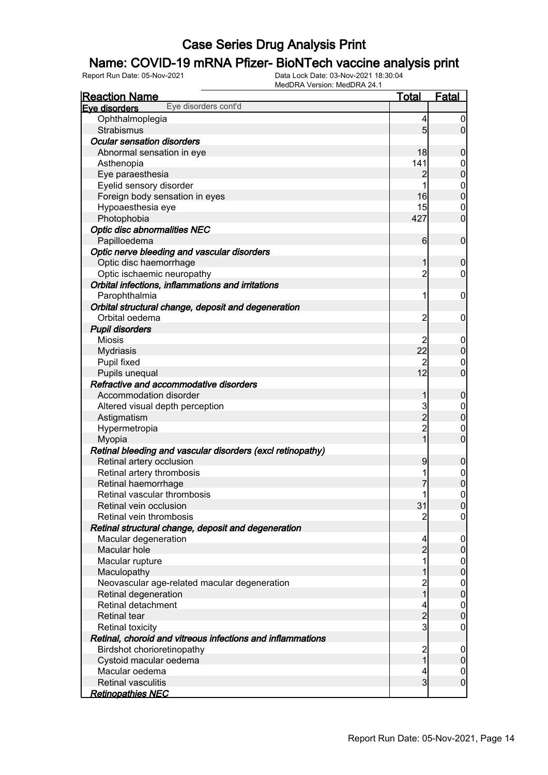## Name: COVID-19 mRNA Pfizer- BioNTech vaccine analysis print

| <b>Reaction Name</b>                                       | Total           | Fatal                            |
|------------------------------------------------------------|-----------------|----------------------------------|
| Eye disorders cont'd<br>Eye disorders                      |                 |                                  |
| Ophthalmoplegia                                            | 4               | $\boldsymbol{0}$                 |
| Strabismus                                                 | $5\overline{)}$ | $\overline{0}$                   |
| <b>Ocular sensation disorders</b>                          |                 |                                  |
| Abnormal sensation in eye                                  | 18              | $\mathbf 0$                      |
| Asthenopia                                                 | 141             | $\boldsymbol{0}$                 |
| Eye paraesthesia                                           | 2               | $\overline{0}$                   |
| Eyelid sensory disorder                                    | 1               |                                  |
| Foreign body sensation in eyes                             | 16              | $\begin{matrix}0\\0\end{matrix}$ |
| Hypoaesthesia eye                                          | 15              | $\mathbf 0$                      |
| Photophobia                                                | 427             | $\overline{0}$                   |
| <b>Optic disc abnormalities NEC</b>                        |                 |                                  |
| Papilloedema                                               | 6               | $\mathbf 0$                      |
| Optic nerve bleeding and vascular disorders                |                 |                                  |
| Optic disc haemorrhage                                     | 1               | $\mathbf 0$                      |
| Optic ischaemic neuropathy                                 | $\overline{2}$  | $\mathbf 0$                      |
| Orbital infections, inflammations and irritations          |                 |                                  |
| Parophthalmia                                              | 1               | $\mathbf 0$                      |
| Orbital structural change, deposit and degeneration        |                 |                                  |
| Orbital oedema                                             | $\overline{2}$  | 0                                |
| <b>Pupil disorders</b>                                     |                 |                                  |
| <b>Miosis</b>                                              | 2               | $\mathbf 0$                      |
| <b>Mydriasis</b>                                           | 22              | $\boldsymbol{0}$                 |
| Pupil fixed                                                | $\overline{2}$  | $\mathbf 0$                      |
| Pupils unequal                                             | 12              | $\overline{0}$                   |
| Refractive and accommodative disorders                     |                 |                                  |
| Accommodation disorder                                     | 1               | $\mathbf 0$                      |
| Altered visual depth perception                            |                 |                                  |
| Astigmatism                                                | $\frac{3}{2}$   | $0\atop 0$                       |
| Hypermetropia                                              |                 | $\mathbf 0$                      |
| Myopia                                                     | $\overline{1}$  | $\overline{0}$                   |
| Retinal bleeding and vascular disorders (excl retinopathy) |                 |                                  |
| Retinal artery occlusion                                   | 9               | $\mathbf 0$                      |
| Retinal artery thrombosis                                  | 1               |                                  |
| Retinal haemorrhage                                        |                 | $0\atop 0$                       |
| Retinal vascular thrombosis                                | 1               | $\overline{0}$                   |
| Retinal vein occlusion                                     | 31              | 0                                |
| Retinal vein thrombosis                                    | 2               | $\overline{0}$                   |
| Retinal structural change, deposit and degeneration        |                 |                                  |
| Macular degeneration                                       | 4               | $\boldsymbol{0}$                 |
| Macular hole                                               | $\overline{2}$  | $\boldsymbol{0}$                 |
| Macular rupture                                            | 1               | $\boldsymbol{0}$                 |
| Maculopathy                                                | 1               | $\pmb{0}$                        |
| Neovascular age-related macular degeneration               | $\overline{c}$  | $\boldsymbol{0}$                 |
| Retinal degeneration                                       | $\mathbf{1}$    | $\pmb{0}$                        |
| Retinal detachment                                         | 4               | $\boldsymbol{0}$                 |
| <b>Retinal tear</b>                                        | $\overline{c}$  | $\mathbf 0$                      |
| <b>Retinal toxicity</b>                                    | $\overline{3}$  | $\mathbf 0$                      |
| Retinal, choroid and vitreous infections and inflammations |                 |                                  |
| Birdshot chorioretinopathy                                 | $\overline{c}$  | $\boldsymbol{0}$                 |
| Cystoid macular oedema                                     | $\mathbf{1}$    | $\pmb{0}$                        |
| Macular oedema                                             | 4               | $\overline{0}$                   |
| <b>Retinal vasculitis</b>                                  | $\overline{3}$  | $\boldsymbol{0}$                 |
| <b>Retinopathies NEC</b>                                   |                 |                                  |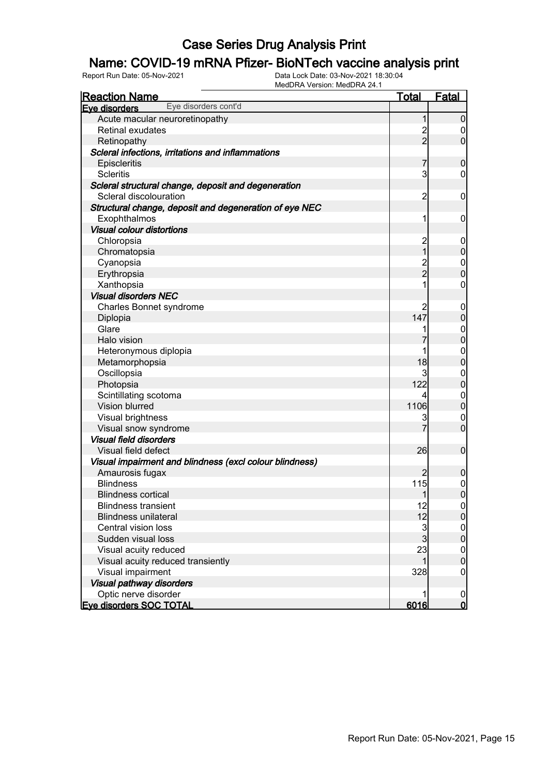## Name: COVID-19 mRNA Pfizer- BioNTech vaccine analysis print

| <b>Reaction Name</b>                                    | <u>Total</u>            | Fatal            |
|---------------------------------------------------------|-------------------------|------------------|
| Eye disorders cont'd<br>Eye disorders                   |                         |                  |
| Acute macular neuroretinopathy                          | 1                       | $\overline{0}$   |
| Retinal exudates                                        | $\frac{2}{2}$           | $\boldsymbol{0}$ |
| Retinopathy                                             |                         | $\overline{0}$   |
| Scleral infections, irritations and inflammations       |                         |                  |
| Episcleritis                                            | $\overline{7}$          | $\boldsymbol{0}$ |
| <b>Scleritis</b>                                        | 3                       | 0                |
| Scleral structural change, deposit and degeneration     |                         |                  |
| Scleral discolouration                                  | $\overline{c}$          | $\mathbf 0$      |
| Structural change, deposit and degeneration of eye NEC  |                         |                  |
| Exophthalmos                                            | 1                       | $\mathbf 0$      |
| <b>Visual colour distortions</b>                        |                         |                  |
| Chloropsia                                              | $\overline{\mathbf{c}}$ | $\mathbf 0$      |
| Chromatopsia                                            | $\overline{1}$          | $\mathbf 0$      |
| Cyanopsia                                               | $\frac{2}{2}$           | $\boldsymbol{0}$ |
| Erythropsia                                             |                         | $\overline{0}$   |
| Xanthopsia                                              | 1                       | $\boldsymbol{0}$ |
| <b>Visual disorders NEC</b>                             |                         |                  |
| <b>Charles Bonnet syndrome</b>                          | $\overline{c}$          | $\mathbf 0$      |
| Diplopia                                                | 147                     | $\pmb{0}$        |
| Glare                                                   |                         | $\boldsymbol{0}$ |
| Halo vision                                             | 7                       | $\overline{0}$   |
| Heteronymous diplopia                                   | 1                       | $\mathbf{0}$     |
| Metamorphopsia                                          | 18                      | $\overline{0}$   |
| Oscillopsia                                             | 3                       | $\mathbf{0}$     |
| Photopsia                                               | 122                     | $\overline{0}$   |
| Scintillating scotoma                                   | 4                       | $\boldsymbol{0}$ |
| Vision blurred                                          | 1106                    | $\overline{0}$   |
| Visual brightness                                       | 3                       | $\mathbf 0$      |
| Visual snow syndrome                                    | 7                       | $\overline{0}$   |
| <b>Visual field disorders</b>                           |                         |                  |
| Visual field defect                                     | 26                      | $\mathbf 0$      |
| Visual impairment and blindness (excl colour blindness) |                         |                  |
| Amaurosis fugax                                         | $\overline{2}$          | $\mathbf 0$      |
| <b>Blindness</b>                                        | 115                     | $\boldsymbol{0}$ |
| <b>Blindness cortical</b>                               | $\mathbf{1}$            | $\overline{0}$   |
| <b>Blindness transient</b>                              | 12                      | 0                |
| <b>Blindness unilateral</b>                             | 12                      | $\overline{0}$   |
| Central vision loss                                     | $\frac{3}{3}$           | $\mathbf 0$      |
| Sudden visual loss                                      |                         | $\overline{0}$   |
| Visual acuity reduced                                   | 23                      | $\boldsymbol{0}$ |
| Visual acuity reduced transiently                       | 1                       | $\overline{0}$   |
| Visual impairment                                       | 328                     | $\mathbf 0$      |
| Visual pathway disorders                                |                         |                  |
| Optic nerve disorder                                    |                         | $\overline{0}$   |
| <b>Eve disorders SOC TOTAL</b>                          | 6016                    | $\mathbf{0}$     |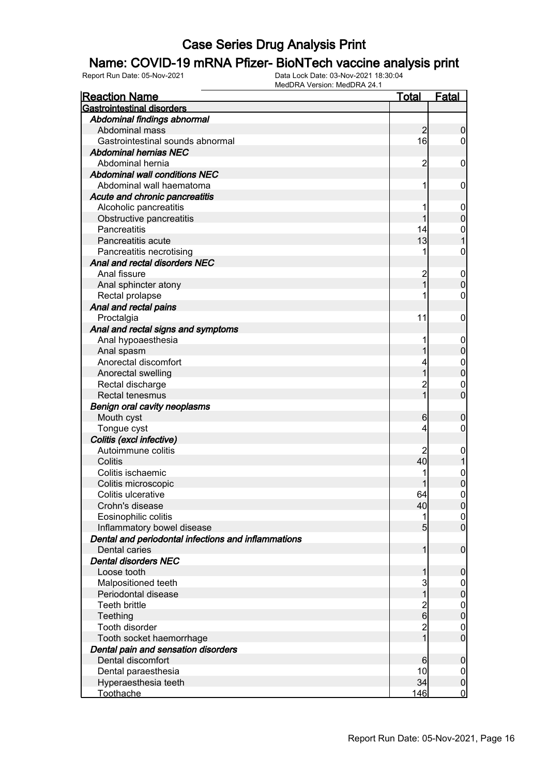## Name: COVID-19 mRNA Pfizer- BioNTech vaccine analysis print

| <b>Reaction Name</b>                                | <b>Total</b>                     | <b>Fatal</b>                  |
|-----------------------------------------------------|----------------------------------|-------------------------------|
| <b>Gastrointestinal disorders</b>                   |                                  |                               |
| Abdominal findings abnormal                         |                                  |                               |
| Abdominal mass                                      | $\overline{2}$                   | $\boldsymbol{0}$              |
| Gastrointestinal sounds abnormal                    | 16                               | $\overline{0}$                |
| <b>Abdominal hernias NEC</b>                        |                                  |                               |
| Abdominal hernia                                    | 2                                | $\mathbf 0$                   |
| <b>Abdominal wall conditions NEC</b>                |                                  |                               |
| Abdominal wall haematoma                            | 1                                | $\mathbf 0$                   |
| Acute and chronic pancreatitis                      |                                  |                               |
| Alcoholic pancreatitis                              |                                  | $\mathbf 0$                   |
| Obstructive pancreatitis                            |                                  | $\mathbf 0$                   |
| Pancreatitis                                        | 14                               | $\mathbf 0$                   |
| Pancreatitis acute                                  | 13                               | 1                             |
| Pancreatitis necrotising                            |                                  | $\boldsymbol{0}$              |
| Anal and rectal disorders NEC                       |                                  |                               |
| Anal fissure                                        | $\overline{c}$                   | $\mathbf 0$                   |
| Anal sphincter atony                                | $\overline{1}$                   | $\pmb{0}$                     |
| Rectal prolapse                                     |                                  | 0                             |
| Anal and rectal pains                               |                                  |                               |
| Proctalgia                                          | 11                               | $\mathbf 0$                   |
| Anal and rectal signs and symptoms                  |                                  |                               |
| Anal hypoaesthesia                                  |                                  |                               |
| Anal spasm                                          |                                  | $\mathbf 0$<br>$\mathbf 0$    |
| Anorectal discomfort                                |                                  |                               |
|                                                     | 1                                | $\mathbf{0}$                  |
| Anorectal swelling                                  |                                  | $\mathbf 0$                   |
| Rectal discharge                                    | $\overline{c}$<br>$\overline{1}$ | $\mathbf 0$<br>$\overline{0}$ |
| <b>Rectal tenesmus</b>                              |                                  |                               |
| <b>Benign oral cavity neoplasms</b>                 |                                  |                               |
| Mouth cyst                                          | 6                                | $\boldsymbol{0}$              |
| Tongue cyst                                         | 4                                | 0                             |
| Colitis (excl infective)                            |                                  |                               |
| Autoimmune colitis                                  |                                  | $\boldsymbol{0}$              |
| Colitis                                             | 40                               | 1                             |
| Colitis ischaemic                                   |                                  | $\mathbf{0}$                  |
| Colitis microscopic                                 |                                  | $\overline{0}$                |
| Colitis ulcerative                                  | 64                               | 0                             |
| Crohn's disease                                     | 40                               | 0                             |
| Eosinophilic colitis                                | 1                                | $\overline{0}$                |
| Inflammatory bowel disease                          | $5\overline{)}$                  | $\boldsymbol{0}$              |
| Dental and periodontal infections and inflammations |                                  |                               |
| Dental caries                                       | $\mathbf{1}$                     | $\boldsymbol{0}$              |
| <b>Dental disorders NEC</b>                         |                                  |                               |
| Loose tooth                                         | 1                                | $\boldsymbol{0}$              |
| Malpositioned teeth                                 | 3                                | $\overline{0}$                |
| Periodontal disease                                 | 1                                | $\pmb{0}$                     |
| Teeth brittle                                       | $\frac{2}{6}$                    | $\boldsymbol{0}$              |
| Teething                                            |                                  | $\mathbf 0$                   |
| Tooth disorder                                      | $\overline{c}$                   | $\boldsymbol{0}$              |
| Tooth socket haemorrhage                            | $\overline{1}$                   | $\boldsymbol{0}$              |
| Dental pain and sensation disorders                 |                                  |                               |
| Dental discomfort                                   | 6                                | $\boldsymbol{0}$              |
| Dental paraesthesia                                 | 10                               | $\overline{0}$                |
| Hyperaesthesia teeth                                | 34                               | $\pmb{0}$                     |
| Toothache                                           | 146                              | $\overline{0}$                |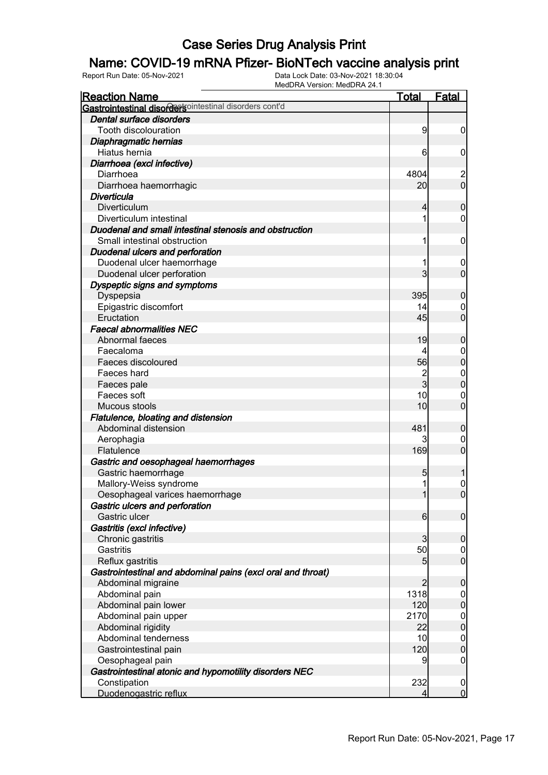#### Name: COVID-19 mRNA Pfizer- BioNTech vaccine analysis print

| <b>Reaction Name</b>                                        | <b>Total</b>                     | <b>Fatal</b>                          |
|-------------------------------------------------------------|----------------------------------|---------------------------------------|
| Gastrointestinal disordersointestinal disorders cont'd      |                                  |                                       |
| Dental surface disorders                                    |                                  |                                       |
| Tooth discolouration                                        | 9                                | $\boldsymbol{0}$                      |
| Diaphragmatic hernias                                       |                                  |                                       |
| Hiatus hernia                                               | 6                                | $\mathbf 0$                           |
| Diarrhoea (excl infective)                                  |                                  |                                       |
| Diarrhoea                                                   | 4804                             | $\begin{array}{c} 2 \\ 0 \end{array}$ |
| Diarrhoea haemorrhagic                                      | 20                               |                                       |
| Diverticula                                                 |                                  |                                       |
| Diverticulum                                                | 4                                | $\mathbf 0$                           |
| Diverticulum intestinal                                     |                                  | $\mathbf 0$                           |
| Duodenal and small intestinal stenosis and obstruction      |                                  |                                       |
| Small intestinal obstruction                                |                                  | $\mathbf 0$                           |
| <b>Duodenal ulcers and perforation</b>                      |                                  |                                       |
| Duodenal ulcer haemorrhage                                  |                                  | $\mathbf 0$                           |
| Duodenal ulcer perforation                                  | 3                                | $\mathbf 0$                           |
| Dyspeptic signs and symptoms                                |                                  |                                       |
| Dyspepsia                                                   | 395                              | $\boldsymbol{0}$                      |
| Epigastric discomfort                                       | 14                               | 0                                     |
| Eructation                                                  | 45                               | $\mathbf 0$                           |
| <b>Faecal abnormalities NEC</b>                             |                                  |                                       |
| Abnormal faeces                                             | 19                               | $\boldsymbol{0}$                      |
| Faecaloma                                                   |                                  | $\mathbf 0$                           |
| Faeces discoloured                                          | 56                               | $\mathbf 0$                           |
| Faeces hard                                                 | $\overline{c}$<br>$\overline{3}$ | $\mathbf{0}$                          |
| Faeces pale                                                 | 10                               | $\mathbf 0$                           |
| Faeces soft                                                 | 10                               | $\mathbf 0$<br>$\overline{0}$         |
| Mucous stools                                               |                                  |                                       |
| Flatulence, bloating and distension<br>Abdominal distension | 481                              |                                       |
|                                                             |                                  | $\boldsymbol{0}$                      |
| Aerophagia<br>Flatulence                                    | 169                              | 0<br>$\mathbf 0$                      |
| Gastric and oesophageal haemorrhages                        |                                  |                                       |
| Gastric haemorrhage                                         | 5                                | 1                                     |
| Mallory-Weiss syndrome                                      |                                  | $\mathbf{0}$                          |
| Oesophageal varices haemorrhage                             | 1                                | $\overline{0}$                        |
| Gastric ulcers and perforation                              |                                  |                                       |
| Gastric ulcer                                               | $6 \mid$                         | $\mathbf 0$                           |
| Gastritis (excl infective)                                  |                                  |                                       |
| Chronic gastritis                                           | 3                                | $\mathbf 0$                           |
| Gastritis                                                   | 50                               | $\overline{0}$                        |
| Reflux gastritis                                            | 5                                | $\boldsymbol{0}$                      |
| Gastrointestinal and abdominal pains (excl oral and throat) |                                  |                                       |
| Abdominal migraine                                          | $\overline{2}$                   | $\mathbf 0$                           |
| Abdominal pain                                              | 1318                             | $\mathbf 0$                           |
| Abdominal pain lower                                        | 120                              | $\pmb{0}$                             |
| Abdominal pain upper                                        | 2170                             | $\boldsymbol{0}$                      |
| Abdominal rigidity                                          | 22                               | $\mathbf 0$                           |
| Abdominal tenderness                                        | 10                               | $\mathbf 0$                           |
| Gastrointestinal pain                                       | 120                              | $\mathbf 0$                           |
| Oesophageal pain                                            | 9                                | $\mathbf 0$                           |
| Gastrointestinal atonic and hypomotility disorders NEC      |                                  |                                       |
| Constipation                                                | 232                              | $\mathbf 0$                           |
| Duodenogastric reflux                                       | 4                                | $\overline{0}$                        |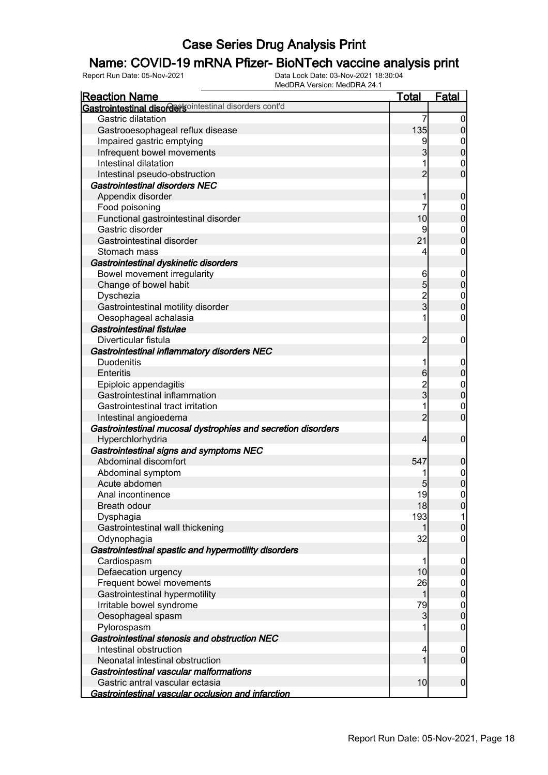## Name: COVID-19 mRNA Pfizer- BioNTech vaccine analysis print

| <b>Reaction Name</b>                                            | <b>Total</b>   | <b>Fatal</b>               |
|-----------------------------------------------------------------|----------------|----------------------------|
| Gastrointestinal disordersointestinal disorders cont'd          |                |                            |
| Gastric dilatation                                              | 7              | $\boldsymbol{0}$           |
| Gastrooesophageal reflux disease                                | 135            | $\pmb{0}$                  |
| Impaired gastric emptying                                       | 9              | 0                          |
| Infrequent bowel movements                                      | 3              | $\mathbf 0$                |
| Intestinal dilatation                                           |                | $\mathbf 0$                |
| Intestinal pseudo-obstruction                                   | $\overline{2}$ | $\mathbf 0$                |
| Gastrointestinal disorders NEC                                  |                |                            |
| Appendix disorder                                               | 1              | $\mathbf 0$                |
| Food poisoning                                                  | 7              | $\mathbf 0$                |
| Functional gastrointestinal disorder                            | 10             | $\mathbf 0$                |
| Gastric disorder                                                | 9              | $\boldsymbol{0}$           |
| Gastrointestinal disorder                                       | 21             | $\mathbf 0$                |
| Stomach mass                                                    | 4              | $\boldsymbol{0}$           |
| Gastrointestinal dyskinetic disorders                           |                |                            |
| Bowel movement irregularity                                     | 6              | $\mathbf 0$                |
| Change of bowel habit                                           | 5              | $\pmb{0}$                  |
| Dyschezia                                                       |                | $\boldsymbol{0}$           |
| Gastrointestinal motility disorder                              | $\frac{2}{3}$  | $\mathbf 0$                |
| Oesophageal achalasia                                           | 1              | $\boldsymbol{0}$           |
| Gastrointestinal fistulae                                       |                |                            |
| Diverticular fistula                                            | $\overline{c}$ | $\mathbf 0$                |
| Gastrointestinal inflammatory disorders NEC                     |                |                            |
| <b>Duodenitis</b>                                               | 1              | $\mathbf 0$                |
| <b>Enteritis</b>                                                | 6              | $\pmb{0}$                  |
| Epiploic appendagitis                                           |                | $\mathbf{0}$               |
| Gastrointestinal inflammation                                   | 2<br>3         | $\mathbf 0$                |
| Gastrointestinal tract irritation                               | 1              |                            |
|                                                                 | $\overline{2}$ | $\mathbf 0$<br>$\mathbf 0$ |
| Intestinal angioedema                                           |                |                            |
| Gastrointestinal mucosal dystrophies and secretion disorders    | 4              | $\boldsymbol{0}$           |
| Hyperchlorhydria                                                |                |                            |
| Gastrointestinal signs and symptoms NEC<br>Abdominal discomfort | 547            |                            |
| Abdominal symptom                                               |                | $\mathbf 0$                |
| Acute abdomen                                                   |                | $0\atop 0$                 |
|                                                                 | 5              |                            |
| Anal incontinence                                               | 19             | $\pmb{0}$                  |
| <b>Breath odour</b>                                             | 18             | 0                          |
| Dysphagia                                                       | 193            | 11                         |
| Gastrointestinal wall thickening                                | 1              | $\pmb{0}$                  |
| Odynophagia                                                     | 32             | $\mathbf 0$                |
| Gastrointestinal spastic and hypermotility disorders            |                |                            |
| Cardiospasm                                                     | 1              | $\mathbf 0$                |
| Defaecation urgency                                             | 10             | $\pmb{0}$                  |
| Frequent bowel movements                                        | 26             | $\overline{0}$             |
| Gastrointestinal hypermotility                                  | 1              | $\mathbf 0$                |
| Irritable bowel syndrome                                        | 79             | $\boldsymbol{0}$           |
| Oesophageal spasm                                               | 3              | $\pmb{0}$                  |
| Pylorospasm                                                     |                | $\mathbf 0$                |
| Gastrointestinal stenosis and obstruction NEC                   |                |                            |
| Intestinal obstruction                                          | 4              | $\mathbf 0$                |
| Neonatal intestinal obstruction                                 | 1              | $\overline{0}$             |
| Gastrointestinal vascular malformations                         |                |                            |
| Gastric antral vascular ectasia                                 | 10             | $\boldsymbol{0}$           |
| Gastrointestinal vascular occlusion and infarction              |                |                            |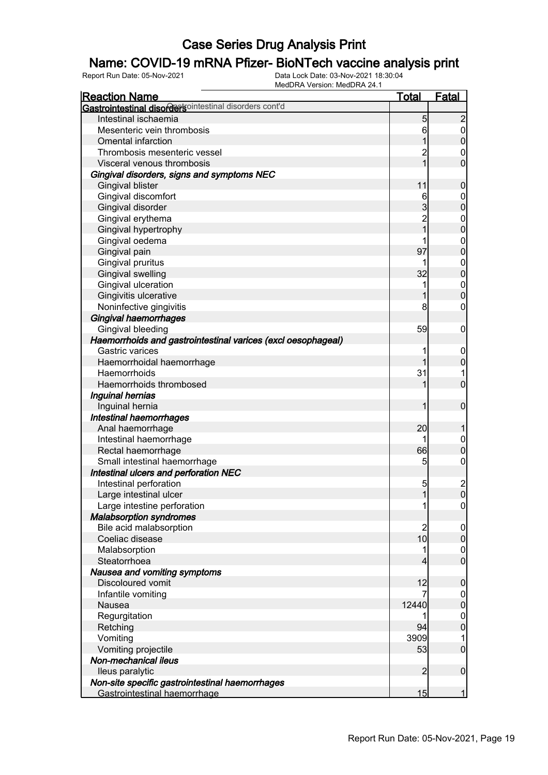## Name: COVID-19 mRNA Pfizer- BioNTech vaccine analysis print

| <u>Reaction Name</u>                                         | Total          | <u>Fatal</u>     |
|--------------------------------------------------------------|----------------|------------------|
| Gastrointestinal disordersointestinal disorders cont'd       |                |                  |
| Intestinal ischaemia                                         | 5              | $\overline{c}$   |
| Mesenteric vein thrombosis                                   | 6              | $\overline{0}$   |
| <b>Omental infarction</b>                                    | 1              | $\mathbf 0$      |
| Thrombosis mesenteric vessel                                 | $\overline{c}$ | $\mathbf 0$      |
| Visceral venous thrombosis                                   | $\overline{1}$ | $\overline{0}$   |
| Gingival disorders, signs and symptoms NEC                   |                |                  |
| Gingival blister                                             | 11             | $\mathbf 0$      |
| Gingival discomfort                                          | 6              | $\mathbf 0$      |
| Gingival disorder                                            | $\overline{3}$ | $\overline{0}$   |
| Gingival erythema                                            | $\overline{c}$ | $\mathbf 0$      |
| Gingival hypertrophy                                         | $\overline{1}$ | $\overline{0}$   |
| Gingival oedema                                              | 1              | $\mathbf 0$      |
| Gingival pain                                                | 97             | $\overline{0}$   |
| Gingival pruritus                                            | 1              | $\mathbf 0$      |
| Gingival swelling                                            | 32             | $\overline{0}$   |
| Gingival ulceration                                          | 1              | $\mathbf{0}$     |
| Gingivitis ulcerative                                        | 1              | $\overline{0}$   |
|                                                              | 8              |                  |
| Noninfective gingivitis                                      |                | 0                |
| Gingival haemorrhages                                        |                |                  |
| Gingival bleeding                                            | 59             | $\boldsymbol{0}$ |
| Haemorrhoids and gastrointestinal varices (excl oesophageal) |                |                  |
| Gastric varices                                              |                | $\mathbf 0$      |
| Haemorrhoidal haemorrhage                                    |                | $\mathbf 0$      |
| Haemorrhoids                                                 | 31             | 1                |
| Haemorrhoids thrombosed                                      |                | $\overline{0}$   |
| Inguinal hernias                                             |                |                  |
| Inguinal hernia                                              | 1              | $\mathbf 0$      |
| <b>Intestinal haemorrhages</b>                               |                |                  |
| Anal haemorrhage                                             | 20             |                  |
| Intestinal haemorrhage                                       | 1              | $\mathbf 0$      |
| Rectal haemorrhage                                           | 66             | $\overline{0}$   |
| Small intestinal haemorrhage                                 | 5              | $\boldsymbol{0}$ |
| Intestinal ulcers and perforation NEC                        |                |                  |
| Intestinal perforation                                       | 5              | $\frac{2}{0}$    |
| Large intestinal ulcer                                       | $\mathbf{1}$   |                  |
| Large intestine perforation                                  | 1              | $\overline{0}$   |
| <b>Malabsorption syndromes</b>                               |                |                  |
| Bile acid malabsorption                                      | $\overline{c}$ | $\overline{0}$   |
| Coeliac disease                                              | 10             | $\mathbf 0$      |
| Malabsorption                                                | 1              | $\mathbf 0$      |
| Steatorrhoea                                                 | 4              | $\overline{0}$   |
| Nausea and vomiting symptoms                                 |                |                  |
| Discoloured vomit                                            | 12             | $\boldsymbol{0}$ |
| Infantile vomiting                                           | 7              | $\overline{0}$   |
| Nausea                                                       | 12440          | $\overline{0}$   |
| Regurgitation                                                |                | $\mathbf 0$      |
| Retching                                                     | 94             | $\overline{0}$   |
| Vomiting                                                     | 3909           | 1                |
| Vomiting projectile                                          | 53             | $\overline{0}$   |
| Non-mechanical ileus                                         |                |                  |
| lleus paralytic                                              | $\overline{2}$ |                  |
|                                                              |                | $\boldsymbol{0}$ |
| Non-site specific gastrointestinal haemorrhages              | 15             | 1                |
| Gastrointestinal haemorrhage                                 |                |                  |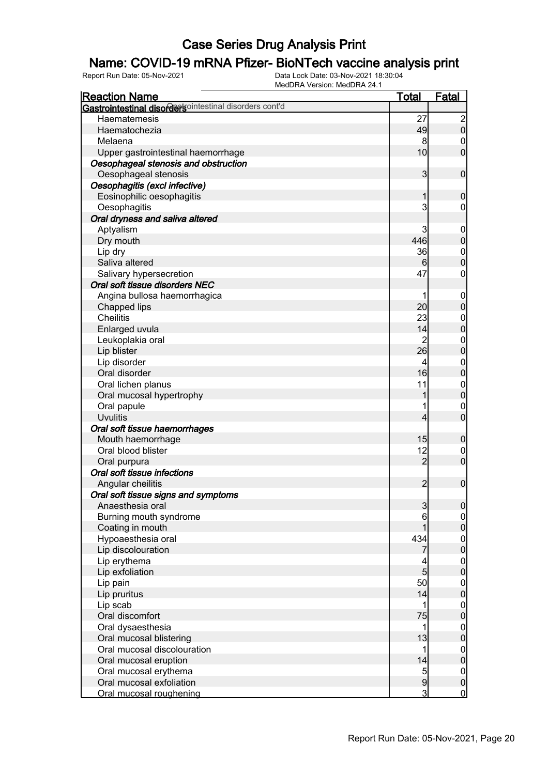## Name: COVID-19 mRNA Pfizer- BioNTech vaccine analysis print

| <b>Reaction Name</b>                                    | <u>Total</u>   | <b>Fatal</b>                                   |
|---------------------------------------------------------|----------------|------------------------------------------------|
| Gastrointestinal disordertsointestinal disorders cont'd |                |                                                |
| Haematemesis                                            | 27             |                                                |
| Haematochezia                                           | 49             | $\begin{smallmatrix} 2 \\ 0 \end{smallmatrix}$ |
| Melaena                                                 | 8              | $\mathbf 0$                                    |
| Upper gastrointestinal haemorrhage                      | 10             | $\overline{0}$                                 |
| Oesophageal stenosis and obstruction                    |                |                                                |
| Oesophageal stenosis                                    | $\mathbf{3}$   | $\mathbf 0$                                    |
| Oesophagitis (excl infective)                           |                |                                                |
| Eosinophilic oesophagitis                               | 1              | $\boldsymbol{0}$                               |
| Oesophagitis                                            | 3              | $\mathbf 0$                                    |
| Oral dryness and saliva altered                         |                |                                                |
| Aptyalism                                               | 3              | $\mathbf 0$                                    |
| Dry mouth                                               | 446            | $\boldsymbol{0}$                               |
| Lip dry                                                 | 36             | $\mathbf{0}$                                   |
| Saliva altered                                          | 6              | $\overline{0}$                                 |
| Salivary hypersecretion                                 | 47             | $\mathbf 0$                                    |
| Oral soft tissue disorders NEC                          |                |                                                |
| Angina bullosa haemorrhagica                            |                | $\mathbf 0$                                    |
| Chapped lips                                            | 20             | $\mathbf 0$                                    |
| <b>Cheilitis</b>                                        | 23             |                                                |
| Enlarged uvula                                          | 14             | $0\atop 0$                                     |
| Leukoplakia oral                                        | $\overline{c}$ |                                                |
| Lip blister                                             | 26             | $0\atop 0$                                     |
| Lip disorder                                            | 4              |                                                |
| Oral disorder                                           | 16             | $0\atop 0$                                     |
| Oral lichen planus                                      | 11             |                                                |
| Oral mucosal hypertrophy                                |                | $0\atop 0$                                     |
| Oral papule                                             |                | $\mathbf 0$                                    |
| <b>Uvulitis</b>                                         | 4              | $\overline{0}$                                 |
| Oral soft tissue haemorrhages                           |                |                                                |
| Mouth haemorrhage                                       | 15             | $\boldsymbol{0}$                               |
| Oral blood blister                                      | 12             | $\mathbf 0$                                    |
| Oral purpura                                            | $\overline{2}$ | $\mathbf 0$                                    |
| Oral soft tissue infections                             |                |                                                |
| Angular cheilitis                                       | $\overline{2}$ | $\mathbf 0$                                    |
| Oral soft tissue signs and symptoms                     |                |                                                |
| Anaesthesia oral                                        | 3              | $\overline{0}$                                 |
| Burning mouth syndrome                                  | 6              | $\overline{0}$                                 |
| Coating in mouth                                        |                | $\pmb{0}$                                      |
| Hypoaesthesia oral                                      | 434            |                                                |
| Lip discolouration                                      |                | $0\atop 0$                                     |
| Lip erythema                                            |                |                                                |
| Lip exfoliation                                         | $\overline{5}$ | $\begin{matrix} 0 \\ 0 \end{matrix}$           |
| Lip pain                                                | 50             | $\mathbf 0$                                    |
| Lip pruritus                                            | 14             | $\mathbf 0$                                    |
| Lip scab                                                | 1              | $\boldsymbol{0}$                               |
| Oral discomfort                                         | 75             | $\mathbf 0$                                    |
| Oral dysaesthesia                                       | 1              |                                                |
| Oral mucosal blistering                                 | 13             | $0\atop 0$                                     |
| Oral mucosal discolouration                             | 1              | $\mathbf 0$                                    |
| Oral mucosal eruption                                   | 14             | $\mathbf 0$                                    |
| Oral mucosal erythema                                   |                | $\overline{0}$                                 |
| Oral mucosal exfoliation                                | $\frac{5}{9}$  | $\pmb{0}$                                      |
| Oral mucosal roughening                                 | $\mathbf{3}$   | $\overline{0}$                                 |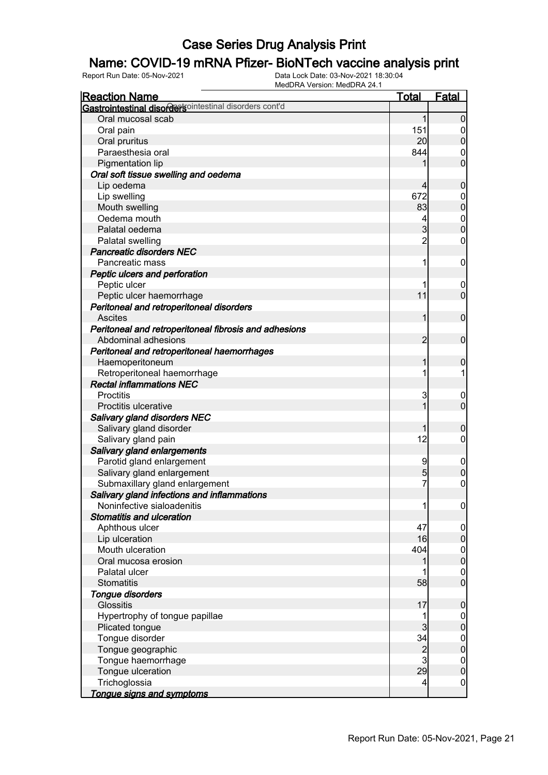## Name: COVID-19 mRNA Pfizer- BioNTech vaccine analysis print

| <b>Reaction Name</b>                                   | <b>Total</b>   | <b>Fatal</b>                         |
|--------------------------------------------------------|----------------|--------------------------------------|
| Gastrointestinal disordersointestinal disorders cont'd |                |                                      |
| Oral mucosal scab                                      | 1              | $\overline{0}$                       |
| Oral pain                                              | 151            | $\overline{0}$                       |
| Oral pruritus                                          | 20             | $\boldsymbol{0}$                     |
| Paraesthesia oral                                      | 844            | $\mathbf 0$                          |
| Pigmentation lip                                       |                | $\overline{0}$                       |
| Oral soft tissue swelling and oedema                   |                |                                      |
| Lip oedema                                             | 4              | $\mathbf 0$                          |
| Lip swelling                                           | 672            | $\boldsymbol{0}$                     |
| Mouth swelling                                         | 83             | $\overline{0}$                       |
| Oedema mouth                                           | 4              | $\begin{matrix} 0 \\ 0 \end{matrix}$ |
| Palatal oedema                                         | $\overline{3}$ |                                      |
| Palatal swelling                                       | $\overline{2}$ | $\pmb{0}$                            |
| <b>Pancreatic disorders NEC</b>                        |                |                                      |
| Pancreatic mass                                        | 1              | $\boldsymbol{0}$                     |
| Peptic ulcers and perforation                          |                |                                      |
| Peptic ulcer                                           |                | $\mathbf 0$                          |
| Peptic ulcer haemorrhage                               | 11             | $\mathbf 0$                          |
| Peritoneal and retroperitoneal disorders               |                |                                      |
| <b>Ascites</b>                                         | 1              | $\mathbf 0$                          |
| Peritoneal and retroperitoneal fibrosis and adhesions  |                |                                      |
| Abdominal adhesions                                    | 2              | $\mathbf 0$                          |
| Peritoneal and retroperitoneal haemorrhages            |                |                                      |
| Haemoperitoneum                                        | 1              | 0                                    |
| Retroperitoneal haemorrhage                            | 1              | 1                                    |
| <b>Rectal inflammations NEC</b>                        |                |                                      |
| Proctitis                                              | 3              | $\mathbf 0$                          |
| Proctitis ulcerative                                   | 1              | $\overline{0}$                       |
| <b>Salivary gland disorders NEC</b>                    |                |                                      |
| Salivary gland disorder                                |                | $\mathbf 0$                          |
| Salivary gland pain                                    | 12             | $\overline{0}$                       |
| Salivary gland enlargements                            |                |                                      |
| Parotid gland enlargement                              | 9              | $\mathbf 0$                          |
| Salivary gland enlargement                             | 5              | $\mathbf 0$                          |
| Submaxillary gland enlargement                         | 7              | $\mathbf 0$                          |
| Salivary gland infections and inflammations            |                |                                      |
| Noninfective sialoadenitis                             | 11             | 0                                    |
| <b>Stomatitis and ulceration</b>                       |                |                                      |
| Aphthous ulcer                                         | 47             | $\overline{0}$                       |
| Lip ulceration                                         | 16             | $\pmb{0}$                            |
| Mouth ulceration                                       | 404            | $\boldsymbol{0}$                     |
| Oral mucosa erosion                                    | 1              | $\mathbf 0$                          |
| Palatal ulcer                                          |                | $\boldsymbol{0}$                     |
| <b>Stomatitis</b>                                      | 58             | $\mathbf 0$                          |
| Tongue disorders<br><b>Glossitis</b>                   |                |                                      |
|                                                        | 17             | $\boldsymbol{0}$                     |
| Hypertrophy of tongue papillae                         | 1<br>3         | $\overline{0}$                       |
| Plicated tongue                                        |                | $\pmb{0}$                            |
| Tongue disorder                                        | 34             | $\boldsymbol{0}$                     |
| Tongue geographic                                      | $\frac{2}{3}$  | $\mathbf 0$                          |
| Tongue haemorrhage                                     | 29             | $\boldsymbol{0}$                     |
| Tongue ulceration                                      |                | $\mathbf 0$                          |
| Trichoglossia                                          | $\overline{4}$ | $\mathbf 0$                          |
| Tongue signs and symptoms                              |                |                                      |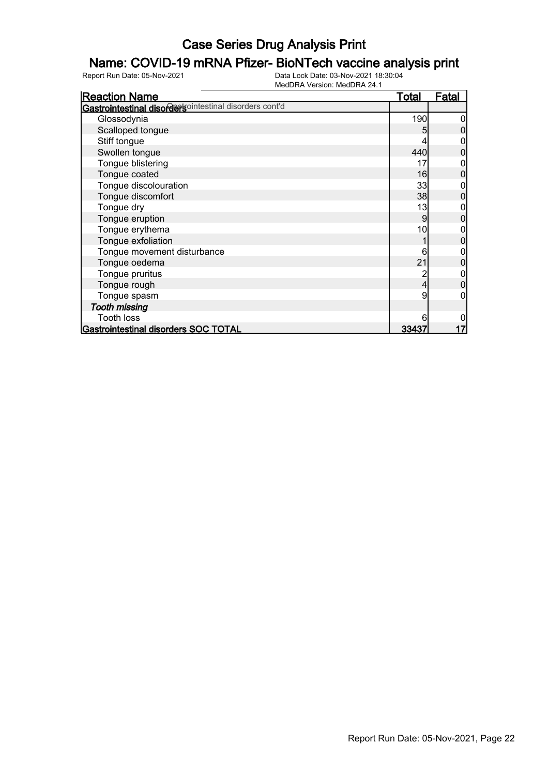## Name: COVID-19 mRNA Pfizer- BioNTech vaccine analysis print

| <b>Reaction Name</b>                                   | <u>Total</u> | <b>Fatal</b> |
|--------------------------------------------------------|--------------|--------------|
| Gastrointestinal disordersointestinal disorders cont'd |              |              |
| Glossodynia                                            | 190          |              |
| Scalloped tongue                                       | 5            |              |
| Stiff tongue                                           |              |              |
| Swollen tongue                                         | 440          |              |
| Tongue blistering                                      | 17           |              |
| Tongue coated                                          | 16           |              |
| Tongue discolouration                                  | 33           |              |
| Tongue discomfort                                      | 38           |              |
| Tongue dry                                             | 13           |              |
| Tongue eruption                                        | 9            | 0            |
| Tongue erythema                                        | 10           |              |
| Tongue exfoliation                                     |              |              |
| Tongue movement disturbance                            | 6            |              |
| Tongue oedema                                          | 21           |              |
| Tongue pruritus                                        |              |              |
| Tongue rough                                           | 4            | 0            |
| Tongue spasm                                           | 9            |              |
| <b>Tooth missing</b>                                   |              |              |
| <b>Tooth loss</b>                                      |              |              |
| Gastrointestinal disorders SOC TOTAL                   | <u>33437</u> |              |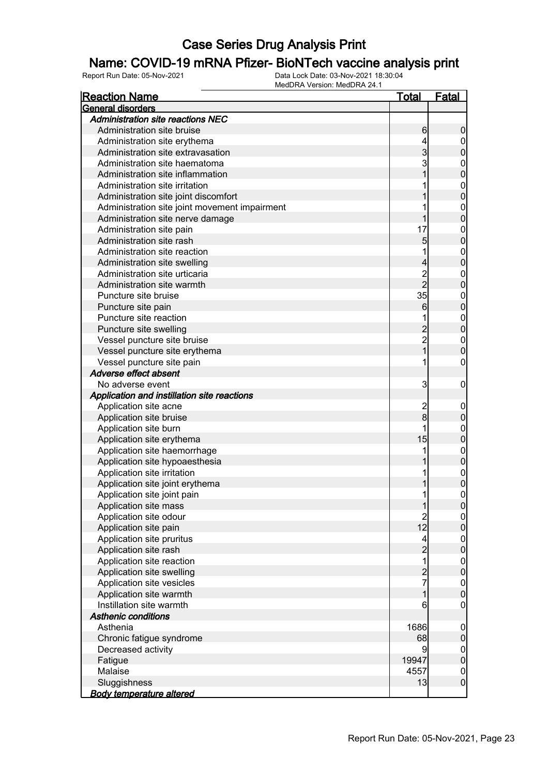## Name: COVID-19 mRNA Pfizer- BioNTech vaccine analysis print

| <b>Reaction Name</b>                                | <u>Total</u>   | <u>Fatal</u>                    |
|-----------------------------------------------------|----------------|---------------------------------|
| General disorders                                   |                |                                 |
| <b>Administration site reactions NEC</b>            |                |                                 |
| Administration site bruise                          | 6              | $\boldsymbol{0}$                |
| Administration site erythema                        | 4              | $\overline{0}$                  |
| Administration site extravasation                   | $\mathbf{3}$   | $\boldsymbol{0}$                |
| Administration site haematoma                       | 3              | $\mathbf{0}$                    |
| Administration site inflammation                    |                | $\overline{0}$                  |
| Administration site irritation                      |                | $\mathbf{0}$                    |
| Administration site joint discomfort                |                | $\overline{0}$                  |
| Administration site joint movement impairment       |                | $\mathbf{0}$                    |
| Administration site nerve damage                    | 1              | $\overline{0}$                  |
| Administration site pain                            | 17             | $\mathbf{0}$                    |
| Administration site rash                            | 5              | $\overline{0}$                  |
| Administration site reaction                        | 1              | $\mathbf{0}$                    |
| Administration site swelling                        | $\overline{4}$ | $\overline{0}$                  |
| Administration site urticaria                       |                | $\mathbf{0}$                    |
| Administration site warmth                          | 2<br>2         | $\overline{0}$                  |
| Puncture site bruise                                | 35             | $\mathbf{0}$                    |
| Puncture site pain                                  | 6              | $\overline{0}$                  |
| Puncture site reaction                              |                | $\mathbf{0}$                    |
| Puncture site swelling                              |                | $\overline{0}$                  |
| Vessel puncture site bruise                         |                | $\mathbf{0}$                    |
| Vessel puncture site erythema                       | 2<br>2<br>1    | $\overline{0}$                  |
| Vessel puncture site pain                           | 1              | $\boldsymbol{0}$                |
| Adverse effect absent                               |                |                                 |
| No adverse event                                    | 3              | $\boldsymbol{0}$                |
| Application and instillation site reactions         |                |                                 |
| Application site acne                               |                | $\mathbf 0$                     |
| Application site bruise                             | $\frac{2}{8}$  | $\mathbf 0$                     |
| Application site burn                               | 1              | $\mathbf{0}$                    |
| Application site erythema                           | 15             | $\mathbf 0$                     |
| Application site haemorrhage                        | 1              | $\mathbf{0}$                    |
| Application site hypoaesthesia                      |                | $\mathbf 0$                     |
| Application site irritation                         | 1              | $\boldsymbol{0}$                |
| Application site joint erythema                     | 1              | $\overline{0}$                  |
| Application site joint pain                         | 1              | $\boldsymbol{0}$                |
| Application site mass                               | 1              | 0                               |
| Application site odour                              | $\overline{c}$ | $\overline{0}$                  |
| Application site pain                               | 12             | $\overline{0}$                  |
| Application site pruritus                           | 4              |                                 |
| Application site rash                               |                | $\boldsymbol{0}$<br>$\pmb{0}$   |
| Application site reaction                           | $\frac{2}{1}$  |                                 |
|                                                     |                | $\boldsymbol{0}$<br>$\mathbf 0$ |
| Application site swelling                           | $\frac{2}{7}$  |                                 |
| Application site vesicles                           |                | $\boldsymbol{0}$                |
| Application site warmth<br>Instillation site warmth | 1              | $\pmb{0}$                       |
|                                                     | 6              | $\mathbf 0$                     |
| <b>Asthenic conditions</b>                          |                |                                 |
| Asthenia                                            | 1686           | $\boldsymbol{0}$                |
| Chronic fatigue syndrome                            | 68             | $\pmb{0}$                       |
| Decreased activity                                  | 9              | $\boldsymbol{0}$                |
| Fatigue                                             | 19947          | $\pmb{0}$                       |
| Malaise                                             | 4557           | $\boldsymbol{0}$                |
| Sluggishness                                        | 13             | $\boldsymbol{0}$                |
| <b>Body temperature altered</b>                     |                |                                 |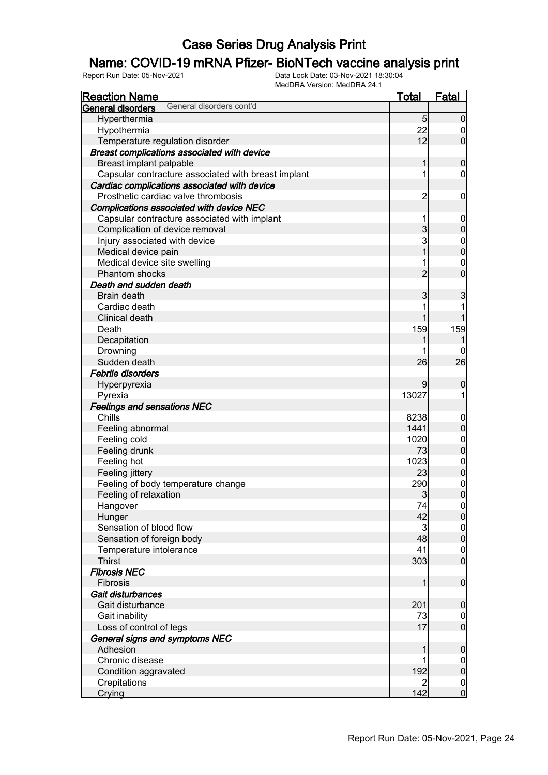## Name: COVID-19 mRNA Pfizer- BioNTech vaccine analysis print

| <b>Reaction Name</b>                                 | <b>Total</b>   | <b>Fatal</b>                         |
|------------------------------------------------------|----------------|--------------------------------------|
| General disorders cont'd<br><b>General disorders</b> |                |                                      |
| Hyperthermia                                         | 5              | $\mathbf 0$                          |
| Hypothermia                                          | 22             | $\boldsymbol{0}$                     |
| Temperature regulation disorder                      | 12             | $\overline{0}$                       |
| Breast complications associated with device          |                |                                      |
| Breast implant palpable                              | 1              | $\boldsymbol{0}$                     |
| Capsular contracture associated with breast implant  | 1              | $\mathbf 0$                          |
| Cardiac complications associated with device         |                |                                      |
| Prosthetic cardiac valve thrombosis                  | $\overline{2}$ | $\mathbf 0$                          |
| Complications associated with device NEC             |                |                                      |
| Capsular contracture associated with implant         | 1              | $\mathbf 0$                          |
| Complication of device removal                       | 3              | $\mathbf 0$                          |
| Injury associated with device                        | 3              |                                      |
| Medical device pain                                  | 1              | $0\atop 0$                           |
| Medical device site swelling                         | 1              | $\mathbf{0}$                         |
| Phantom shocks                                       | $\overline{2}$ | $\overline{0}$                       |
| Death and sudden death                               |                |                                      |
| Brain death                                          | 3              |                                      |
| Cardiac death                                        |                | 3                                    |
| Clinical death                                       | 1              |                                      |
|                                                      | 159            |                                      |
| Death                                                |                | 159                                  |
| Decapitation                                         |                |                                      |
| Drowning                                             |                | 0                                    |
| Sudden death                                         | 26             | 26                                   |
| <b>Febrile disorders</b>                             |                |                                      |
| Hyperpyrexia                                         | 9              | 0                                    |
| Pyrexia                                              | 13027          | 1                                    |
| <b>Feelings and sensations NEC</b>                   |                |                                      |
| Chills                                               | 8238           | $\mathbf 0$                          |
| Feeling abnormal                                     | 1441           | $\pmb{0}$                            |
| Feeling cold                                         | 1020           | $\boldsymbol{0}$                     |
| Feeling drunk                                        | 73             | $\mathbf 0$                          |
| Feeling hot                                          | 1023           | $\boldsymbol{0}$                     |
| Feeling jittery                                      | 23             | $\mathbf 0$                          |
| Feeling of body temperature change                   | 290            | $\begin{matrix} 0 \\ 0 \end{matrix}$ |
| Feeling of relaxation                                | 3              |                                      |
| Hangover                                             | 74             | 0                                    |
| Hunger                                               | 42             | $\overline{0}$                       |
| Sensation of blood flow                              | 3              | $\overline{0}$                       |
| Sensation of foreign body                            | 48             | $\mathbf 0$                          |
| Temperature intolerance                              | 41             | $\boldsymbol{0}$                     |
| <b>Thirst</b>                                        | 303            | $\mathbf 0$                          |
| <b>Fibrosis NEC</b>                                  |                |                                      |
| Fibrosis                                             | 1              | $\boldsymbol{0}$                     |
| Gait disturbances                                    |                |                                      |
| Gait disturbance                                     | 201            | $\mathbf 0$                          |
| Gait inability                                       | 73             | $\overline{0}$                       |
| Loss of control of legs                              | 17             | $\boldsymbol{0}$                     |
| General signs and symptoms NEC                       |                |                                      |
| Adhesion                                             | 1              | $\boldsymbol{0}$                     |
| Chronic disease                                      |                | $\overline{0}$                       |
| Condition aggravated                                 | 192            | $\pmb{0}$                            |
| Crepitations                                         | 2              | $\boldsymbol{0}$                     |
| Crying                                               | 142            | $\overline{0}$                       |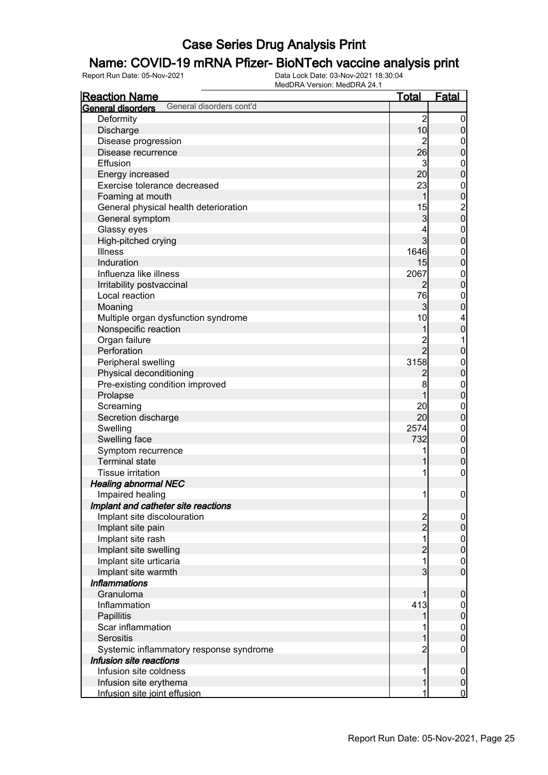## Name: COVID-19 mRNA Pfizer- BioNTech vaccine analysis print

| <u>Reaction Name</u>                          | <u>Total</u>                     | <u>Fatal</u>                         |
|-----------------------------------------------|----------------------------------|--------------------------------------|
| General disorders cont'd<br>General disorders |                                  |                                      |
| Deformity                                     | $\overline{c}$                   | $\boldsymbol{0}$                     |
| Discharge                                     | 10                               | $\mathbf 0$                          |
| Disease progression                           | $\overline{2}$                   | $\boldsymbol{0}$                     |
| Disease recurrence                            | 26                               | $\mathbf 0$                          |
| Effusion                                      | 3                                | $\mathbf{0}$                         |
| Energy increased                              | 20                               | $\overline{0}$                       |
| Exercise tolerance decreased                  | 23                               |                                      |
| Foaming at mouth                              | 1                                |                                      |
| General physical health deterioration         | 15                               | 0<br>0<br>0<br>0                     |
| General symptom                               | 3                                |                                      |
| Glassy eyes                                   | 4                                |                                      |
| High-pitched crying                           | $\overline{3}$                   | $\begin{matrix} 0 \\ 0 \end{matrix}$ |
| <b>Illness</b>                                | 1646                             |                                      |
| Induration                                    | 15                               | $\begin{matrix}0\\0\end{matrix}$     |
| Influenza like illness                        | 2067                             |                                      |
|                                               | $\overline{2}$                   | $\begin{matrix}0\\0\end{matrix}$     |
| Irritability postvaccinal<br>Local reaction   | 76                               |                                      |
|                                               | $\overline{3}$                   | $\mathbf{0}$<br>$\overline{0}$       |
| Moaning                                       | 10                               |                                      |
| Multiple organ dysfunction syndrome           |                                  | $\overline{\mathcal{L}}$             |
| Nonspecific reaction                          | 1                                | $\overline{0}$                       |
| Organ failure                                 | $\overline{c}$<br>$\overline{2}$ | 1                                    |
| Perforation                                   |                                  | $\mathbf 0$                          |
| Peripheral swelling                           | 3158                             | $0\atop 0$                           |
| Physical deconditioning                       | $\overline{c}$                   |                                      |
| Pre-existing condition improved               | 8                                | $0\atop 0$                           |
| Prolapse                                      |                                  |                                      |
| Screaming                                     | 20                               | $0\atop 0$                           |
| Secretion discharge                           | 20                               |                                      |
| Swelling                                      | 2574                             | $0\atop 0$                           |
| Swelling face                                 | 732                              |                                      |
| Symptom recurrence                            | 1                                | $\begin{matrix}0\\0\end{matrix}$     |
| <b>Terminal state</b>                         | 1                                |                                      |
| <b>Tissue irritation</b>                      | 1                                | $\boldsymbol{0}$                     |
| <b>Healing abnormal NEC</b>                   |                                  |                                      |
| Impaired healing                              | 1                                | $\mathbf 0$                          |
| Implant and catheter site reactions           |                                  |                                      |
| Implant site discolouration                   | $\frac{2}{2}$                    | $\overline{0}$                       |
| Implant site pain                             |                                  | $\mathsf{O}\xspace$                  |
| Implant site rash                             | 1                                | $\boldsymbol{0}$                     |
| Implant site swelling                         | $\overline{c}$                   | $\overline{0}$                       |
| Implant site urticaria                        | $\overline{1}$                   | $\mathbf 0$                          |
| Implant site warmth                           | $\overline{3}$                   | $\overline{0}$                       |
| <b>Inflammations</b>                          |                                  |                                      |
| Granuloma                                     | 1                                | $\mathbf 0$                          |
| Inflammation                                  | 413                              | $\mathbf 0$                          |
| Papillitis                                    | 1                                | $\mathbf 0$                          |
| Scar inflammation                             |                                  | $\boldsymbol{0}$                     |
| <b>Serositis</b>                              | 1                                | $\overline{0}$                       |
| Systemic inflammatory response syndrome       | $\overline{2}$                   | $\boldsymbol{0}$                     |
| Infusion site reactions                       |                                  |                                      |
| Infusion site coldness                        | 1                                | $\mathbf 0$                          |
| Infusion site erythema                        | 1                                | $\pmb{0}$                            |
| Infusion site joint effusion                  | 1                                | $\overline{0}$                       |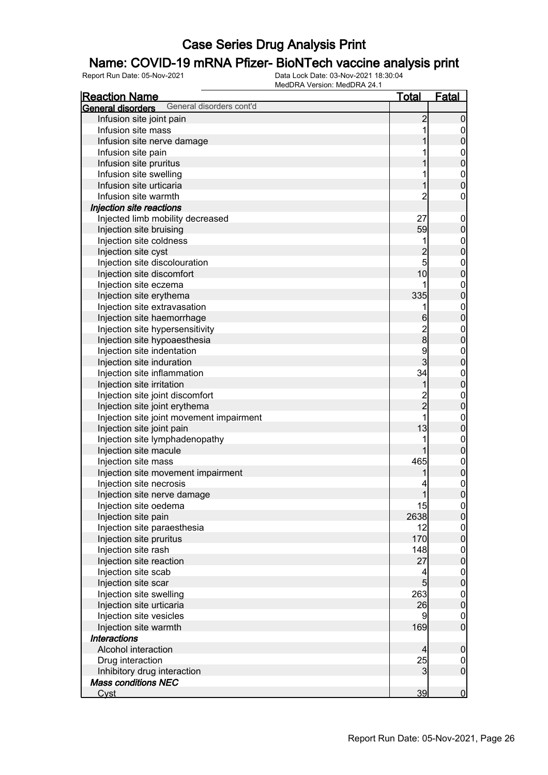## Name: COVID-19 mRNA Pfizer- BioNTech vaccine analysis print

| <b>General disorders</b><br>Infusion site joint pain<br>$\overline{c}$<br>$\mathbf 0$<br>1<br>Infusion site mass<br>$\mathbf 0$<br>$\bf{0}$<br>Infusion site nerve damage<br>1<br>Infusion site pain<br>$0\atop 0$<br>Infusion site pruritus<br>Infusion site swelling<br>$\mathbf{0}$<br>$\overline{0}$<br>Infusion site urticaria<br>1<br>$\overline{2}$<br>Infusion site warmth<br>$\boldsymbol{0}$<br>Injection site reactions<br>27<br>Injected limb mobility decreased<br>$\mathbf 0$<br>$\pmb{0}$<br>59<br>Injection site bruising<br>Injection site coldness<br>1<br>$\boldsymbol{0}$<br>$\overline{0}$<br>$\overline{c}$<br>Injection site cyst<br>5<br>Injection site discolouration<br>$\boldsymbol{0}$<br>$\mathbf 0$<br>10<br>Injection site discomfort<br>Injection site eczema<br>1<br>$\boldsymbol{0}$<br>$\mathbf 0$<br>335<br>Injection site erythema<br>Injection site extravasation<br>$\mathbf{0}$<br>1<br>$\mathbf 0$<br>Injection site haemorrhage<br>6<br>$\frac{2}{8}$<br>Injection site hypersensitivity<br>$\boldsymbol{0}$<br>$\mathbf 0$<br>Injection site hypoaesthesia<br>9<br>Injection site indentation<br>$\boldsymbol{0}$<br>3<br>$\mathbf 0$<br>Injection site induration<br>34<br>Injection site inflammation<br>$\boldsymbol{0}$<br>$\mathbf 0$<br>Injection site irritation<br>1<br>$\frac{2}{2}$<br>Injection site joint discomfort<br>$\boldsymbol{0}$<br>$\mathbf 0$<br>Injection site joint erythema<br>$\overline{1}$<br>Injection site joint movement impairment<br>$\boldsymbol{0}$<br>$\mathbf 0$<br>13<br>Injection site joint pain<br>Injection site lymphadenopathy<br>1<br>$\boldsymbol{0}$<br>$\mathbf 0$<br>1<br>Injection site macule<br>465<br>Injection site mass<br>$0\atop 0$<br>Injection site movement impairment<br>$\begin{matrix}0\\0\end{matrix}$<br>Injection site necrosis<br>1<br>Injection site nerve damage<br>Injection site oedema<br>15<br> 0 <br>$\overline{0}$<br>2638<br>Injection site pain<br>Injection site paraesthesia<br>12<br>$\overline{0}$<br>$\mathbf 0$<br>Injection site pruritus<br>170<br>Injection site rash<br>148<br>$\boldsymbol{0}$<br>$\mathbf 0$<br>27<br>Injection site reaction<br>Injection site scab<br>4<br>$\boldsymbol{0}$<br>$\mathbf 0$<br>$5\overline{)}$<br>Injection site scar<br>263<br>Injection site swelling<br>$\boldsymbol{0}$<br>$\mathbf 0$<br>26<br>Injection site urticaria<br>Injection site vesicles<br>9<br>$\boldsymbol{0}$<br>$\mathbf 0$<br>169<br>Injection site warmth<br><b>Interactions</b><br>Alcohol interaction<br>$\overline{4}$<br>$\mathbf 0$<br>25<br>Drug interaction<br>$\overline{0}$<br>$\mathbf 0$<br>Inhibitory drug interaction<br>3<br><b>Mass conditions NEC</b><br>39<br>$\overline{0}$<br>Cyst | <b>Reaction Name</b>     | <u>Total</u> | <b>Fatal</b> |
|--------------------------------------------------------------------------------------------------------------------------------------------------------------------------------------------------------------------------------------------------------------------------------------------------------------------------------------------------------------------------------------------------------------------------------------------------------------------------------------------------------------------------------------------------------------------------------------------------------------------------------------------------------------------------------------------------------------------------------------------------------------------------------------------------------------------------------------------------------------------------------------------------------------------------------------------------------------------------------------------------------------------------------------------------------------------------------------------------------------------------------------------------------------------------------------------------------------------------------------------------------------------------------------------------------------------------------------------------------------------------------------------------------------------------------------------------------------------------------------------------------------------------------------------------------------------------------------------------------------------------------------------------------------------------------------------------------------------------------------------------------------------------------------------------------------------------------------------------------------------------------------------------------------------------------------------------------------------------------------------------------------------------------------------------------------------------------------------------------------------------------------------------------------------------------------------------------------------------------------------------------------------------------------------------------------------------------------------------------------------------------------------------------------------------------------------------------------------------------------------------------------------------------------------------------------------------------------------------------------------------------------------------------------------------------------------------------------------------------------------------|--------------------------|--------------|--------------|
|                                                                                                                                                                                                                                                                                                                                                                                                                                                                                                                                                                                                                                                                                                                                                                                                                                                                                                                                                                                                                                                                                                                                                                                                                                                                                                                                                                                                                                                                                                                                                                                                                                                                                                                                                                                                                                                                                                                                                                                                                                                                                                                                                                                                                                                                                                                                                                                                                                                                                                                                                                                                                                                                                                                                                  | General disorders cont'd |              |              |
|                                                                                                                                                                                                                                                                                                                                                                                                                                                                                                                                                                                                                                                                                                                                                                                                                                                                                                                                                                                                                                                                                                                                                                                                                                                                                                                                                                                                                                                                                                                                                                                                                                                                                                                                                                                                                                                                                                                                                                                                                                                                                                                                                                                                                                                                                                                                                                                                                                                                                                                                                                                                                                                                                                                                                  |                          |              |              |
|                                                                                                                                                                                                                                                                                                                                                                                                                                                                                                                                                                                                                                                                                                                                                                                                                                                                                                                                                                                                                                                                                                                                                                                                                                                                                                                                                                                                                                                                                                                                                                                                                                                                                                                                                                                                                                                                                                                                                                                                                                                                                                                                                                                                                                                                                                                                                                                                                                                                                                                                                                                                                                                                                                                                                  |                          |              |              |
|                                                                                                                                                                                                                                                                                                                                                                                                                                                                                                                                                                                                                                                                                                                                                                                                                                                                                                                                                                                                                                                                                                                                                                                                                                                                                                                                                                                                                                                                                                                                                                                                                                                                                                                                                                                                                                                                                                                                                                                                                                                                                                                                                                                                                                                                                                                                                                                                                                                                                                                                                                                                                                                                                                                                                  |                          |              |              |
|                                                                                                                                                                                                                                                                                                                                                                                                                                                                                                                                                                                                                                                                                                                                                                                                                                                                                                                                                                                                                                                                                                                                                                                                                                                                                                                                                                                                                                                                                                                                                                                                                                                                                                                                                                                                                                                                                                                                                                                                                                                                                                                                                                                                                                                                                                                                                                                                                                                                                                                                                                                                                                                                                                                                                  |                          |              |              |
|                                                                                                                                                                                                                                                                                                                                                                                                                                                                                                                                                                                                                                                                                                                                                                                                                                                                                                                                                                                                                                                                                                                                                                                                                                                                                                                                                                                                                                                                                                                                                                                                                                                                                                                                                                                                                                                                                                                                                                                                                                                                                                                                                                                                                                                                                                                                                                                                                                                                                                                                                                                                                                                                                                                                                  |                          |              |              |
|                                                                                                                                                                                                                                                                                                                                                                                                                                                                                                                                                                                                                                                                                                                                                                                                                                                                                                                                                                                                                                                                                                                                                                                                                                                                                                                                                                                                                                                                                                                                                                                                                                                                                                                                                                                                                                                                                                                                                                                                                                                                                                                                                                                                                                                                                                                                                                                                                                                                                                                                                                                                                                                                                                                                                  |                          |              |              |
|                                                                                                                                                                                                                                                                                                                                                                                                                                                                                                                                                                                                                                                                                                                                                                                                                                                                                                                                                                                                                                                                                                                                                                                                                                                                                                                                                                                                                                                                                                                                                                                                                                                                                                                                                                                                                                                                                                                                                                                                                                                                                                                                                                                                                                                                                                                                                                                                                                                                                                                                                                                                                                                                                                                                                  |                          |              |              |
|                                                                                                                                                                                                                                                                                                                                                                                                                                                                                                                                                                                                                                                                                                                                                                                                                                                                                                                                                                                                                                                                                                                                                                                                                                                                                                                                                                                                                                                                                                                                                                                                                                                                                                                                                                                                                                                                                                                                                                                                                                                                                                                                                                                                                                                                                                                                                                                                                                                                                                                                                                                                                                                                                                                                                  |                          |              |              |
|                                                                                                                                                                                                                                                                                                                                                                                                                                                                                                                                                                                                                                                                                                                                                                                                                                                                                                                                                                                                                                                                                                                                                                                                                                                                                                                                                                                                                                                                                                                                                                                                                                                                                                                                                                                                                                                                                                                                                                                                                                                                                                                                                                                                                                                                                                                                                                                                                                                                                                                                                                                                                                                                                                                                                  |                          |              |              |
|                                                                                                                                                                                                                                                                                                                                                                                                                                                                                                                                                                                                                                                                                                                                                                                                                                                                                                                                                                                                                                                                                                                                                                                                                                                                                                                                                                                                                                                                                                                                                                                                                                                                                                                                                                                                                                                                                                                                                                                                                                                                                                                                                                                                                                                                                                                                                                                                                                                                                                                                                                                                                                                                                                                                                  |                          |              |              |
|                                                                                                                                                                                                                                                                                                                                                                                                                                                                                                                                                                                                                                                                                                                                                                                                                                                                                                                                                                                                                                                                                                                                                                                                                                                                                                                                                                                                                                                                                                                                                                                                                                                                                                                                                                                                                                                                                                                                                                                                                                                                                                                                                                                                                                                                                                                                                                                                                                                                                                                                                                                                                                                                                                                                                  |                          |              |              |
|                                                                                                                                                                                                                                                                                                                                                                                                                                                                                                                                                                                                                                                                                                                                                                                                                                                                                                                                                                                                                                                                                                                                                                                                                                                                                                                                                                                                                                                                                                                                                                                                                                                                                                                                                                                                                                                                                                                                                                                                                                                                                                                                                                                                                                                                                                                                                                                                                                                                                                                                                                                                                                                                                                                                                  |                          |              |              |
|                                                                                                                                                                                                                                                                                                                                                                                                                                                                                                                                                                                                                                                                                                                                                                                                                                                                                                                                                                                                                                                                                                                                                                                                                                                                                                                                                                                                                                                                                                                                                                                                                                                                                                                                                                                                                                                                                                                                                                                                                                                                                                                                                                                                                                                                                                                                                                                                                                                                                                                                                                                                                                                                                                                                                  |                          |              |              |
|                                                                                                                                                                                                                                                                                                                                                                                                                                                                                                                                                                                                                                                                                                                                                                                                                                                                                                                                                                                                                                                                                                                                                                                                                                                                                                                                                                                                                                                                                                                                                                                                                                                                                                                                                                                                                                                                                                                                                                                                                                                                                                                                                                                                                                                                                                                                                                                                                                                                                                                                                                                                                                                                                                                                                  |                          |              |              |
|                                                                                                                                                                                                                                                                                                                                                                                                                                                                                                                                                                                                                                                                                                                                                                                                                                                                                                                                                                                                                                                                                                                                                                                                                                                                                                                                                                                                                                                                                                                                                                                                                                                                                                                                                                                                                                                                                                                                                                                                                                                                                                                                                                                                                                                                                                                                                                                                                                                                                                                                                                                                                                                                                                                                                  |                          |              |              |
|                                                                                                                                                                                                                                                                                                                                                                                                                                                                                                                                                                                                                                                                                                                                                                                                                                                                                                                                                                                                                                                                                                                                                                                                                                                                                                                                                                                                                                                                                                                                                                                                                                                                                                                                                                                                                                                                                                                                                                                                                                                                                                                                                                                                                                                                                                                                                                                                                                                                                                                                                                                                                                                                                                                                                  |                          |              |              |
|                                                                                                                                                                                                                                                                                                                                                                                                                                                                                                                                                                                                                                                                                                                                                                                                                                                                                                                                                                                                                                                                                                                                                                                                                                                                                                                                                                                                                                                                                                                                                                                                                                                                                                                                                                                                                                                                                                                                                                                                                                                                                                                                                                                                                                                                                                                                                                                                                                                                                                                                                                                                                                                                                                                                                  |                          |              |              |
|                                                                                                                                                                                                                                                                                                                                                                                                                                                                                                                                                                                                                                                                                                                                                                                                                                                                                                                                                                                                                                                                                                                                                                                                                                                                                                                                                                                                                                                                                                                                                                                                                                                                                                                                                                                                                                                                                                                                                                                                                                                                                                                                                                                                                                                                                                                                                                                                                                                                                                                                                                                                                                                                                                                                                  |                          |              |              |
|                                                                                                                                                                                                                                                                                                                                                                                                                                                                                                                                                                                                                                                                                                                                                                                                                                                                                                                                                                                                                                                                                                                                                                                                                                                                                                                                                                                                                                                                                                                                                                                                                                                                                                                                                                                                                                                                                                                                                                                                                                                                                                                                                                                                                                                                                                                                                                                                                                                                                                                                                                                                                                                                                                                                                  |                          |              |              |
|                                                                                                                                                                                                                                                                                                                                                                                                                                                                                                                                                                                                                                                                                                                                                                                                                                                                                                                                                                                                                                                                                                                                                                                                                                                                                                                                                                                                                                                                                                                                                                                                                                                                                                                                                                                                                                                                                                                                                                                                                                                                                                                                                                                                                                                                                                                                                                                                                                                                                                                                                                                                                                                                                                                                                  |                          |              |              |
|                                                                                                                                                                                                                                                                                                                                                                                                                                                                                                                                                                                                                                                                                                                                                                                                                                                                                                                                                                                                                                                                                                                                                                                                                                                                                                                                                                                                                                                                                                                                                                                                                                                                                                                                                                                                                                                                                                                                                                                                                                                                                                                                                                                                                                                                                                                                                                                                                                                                                                                                                                                                                                                                                                                                                  |                          |              |              |
|                                                                                                                                                                                                                                                                                                                                                                                                                                                                                                                                                                                                                                                                                                                                                                                                                                                                                                                                                                                                                                                                                                                                                                                                                                                                                                                                                                                                                                                                                                                                                                                                                                                                                                                                                                                                                                                                                                                                                                                                                                                                                                                                                                                                                                                                                                                                                                                                                                                                                                                                                                                                                                                                                                                                                  |                          |              |              |
|                                                                                                                                                                                                                                                                                                                                                                                                                                                                                                                                                                                                                                                                                                                                                                                                                                                                                                                                                                                                                                                                                                                                                                                                                                                                                                                                                                                                                                                                                                                                                                                                                                                                                                                                                                                                                                                                                                                                                                                                                                                                                                                                                                                                                                                                                                                                                                                                                                                                                                                                                                                                                                                                                                                                                  |                          |              |              |
|                                                                                                                                                                                                                                                                                                                                                                                                                                                                                                                                                                                                                                                                                                                                                                                                                                                                                                                                                                                                                                                                                                                                                                                                                                                                                                                                                                                                                                                                                                                                                                                                                                                                                                                                                                                                                                                                                                                                                                                                                                                                                                                                                                                                                                                                                                                                                                                                                                                                                                                                                                                                                                                                                                                                                  |                          |              |              |
|                                                                                                                                                                                                                                                                                                                                                                                                                                                                                                                                                                                                                                                                                                                                                                                                                                                                                                                                                                                                                                                                                                                                                                                                                                                                                                                                                                                                                                                                                                                                                                                                                                                                                                                                                                                                                                                                                                                                                                                                                                                                                                                                                                                                                                                                                                                                                                                                                                                                                                                                                                                                                                                                                                                                                  |                          |              |              |
|                                                                                                                                                                                                                                                                                                                                                                                                                                                                                                                                                                                                                                                                                                                                                                                                                                                                                                                                                                                                                                                                                                                                                                                                                                                                                                                                                                                                                                                                                                                                                                                                                                                                                                                                                                                                                                                                                                                                                                                                                                                                                                                                                                                                                                                                                                                                                                                                                                                                                                                                                                                                                                                                                                                                                  |                          |              |              |
|                                                                                                                                                                                                                                                                                                                                                                                                                                                                                                                                                                                                                                                                                                                                                                                                                                                                                                                                                                                                                                                                                                                                                                                                                                                                                                                                                                                                                                                                                                                                                                                                                                                                                                                                                                                                                                                                                                                                                                                                                                                                                                                                                                                                                                                                                                                                                                                                                                                                                                                                                                                                                                                                                                                                                  |                          |              |              |
|                                                                                                                                                                                                                                                                                                                                                                                                                                                                                                                                                                                                                                                                                                                                                                                                                                                                                                                                                                                                                                                                                                                                                                                                                                                                                                                                                                                                                                                                                                                                                                                                                                                                                                                                                                                                                                                                                                                                                                                                                                                                                                                                                                                                                                                                                                                                                                                                                                                                                                                                                                                                                                                                                                                                                  |                          |              |              |
|                                                                                                                                                                                                                                                                                                                                                                                                                                                                                                                                                                                                                                                                                                                                                                                                                                                                                                                                                                                                                                                                                                                                                                                                                                                                                                                                                                                                                                                                                                                                                                                                                                                                                                                                                                                                                                                                                                                                                                                                                                                                                                                                                                                                                                                                                                                                                                                                                                                                                                                                                                                                                                                                                                                                                  |                          |              |              |
|                                                                                                                                                                                                                                                                                                                                                                                                                                                                                                                                                                                                                                                                                                                                                                                                                                                                                                                                                                                                                                                                                                                                                                                                                                                                                                                                                                                                                                                                                                                                                                                                                                                                                                                                                                                                                                                                                                                                                                                                                                                                                                                                                                                                                                                                                                                                                                                                                                                                                                                                                                                                                                                                                                                                                  |                          |              |              |
|                                                                                                                                                                                                                                                                                                                                                                                                                                                                                                                                                                                                                                                                                                                                                                                                                                                                                                                                                                                                                                                                                                                                                                                                                                                                                                                                                                                                                                                                                                                                                                                                                                                                                                                                                                                                                                                                                                                                                                                                                                                                                                                                                                                                                                                                                                                                                                                                                                                                                                                                                                                                                                                                                                                                                  |                          |              |              |
|                                                                                                                                                                                                                                                                                                                                                                                                                                                                                                                                                                                                                                                                                                                                                                                                                                                                                                                                                                                                                                                                                                                                                                                                                                                                                                                                                                                                                                                                                                                                                                                                                                                                                                                                                                                                                                                                                                                                                                                                                                                                                                                                                                                                                                                                                                                                                                                                                                                                                                                                                                                                                                                                                                                                                  |                          |              |              |
|                                                                                                                                                                                                                                                                                                                                                                                                                                                                                                                                                                                                                                                                                                                                                                                                                                                                                                                                                                                                                                                                                                                                                                                                                                                                                                                                                                                                                                                                                                                                                                                                                                                                                                                                                                                                                                                                                                                                                                                                                                                                                                                                                                                                                                                                                                                                                                                                                                                                                                                                                                                                                                                                                                                                                  |                          |              |              |
|                                                                                                                                                                                                                                                                                                                                                                                                                                                                                                                                                                                                                                                                                                                                                                                                                                                                                                                                                                                                                                                                                                                                                                                                                                                                                                                                                                                                                                                                                                                                                                                                                                                                                                                                                                                                                                                                                                                                                                                                                                                                                                                                                                                                                                                                                                                                                                                                                                                                                                                                                                                                                                                                                                                                                  |                          |              |              |
|                                                                                                                                                                                                                                                                                                                                                                                                                                                                                                                                                                                                                                                                                                                                                                                                                                                                                                                                                                                                                                                                                                                                                                                                                                                                                                                                                                                                                                                                                                                                                                                                                                                                                                                                                                                                                                                                                                                                                                                                                                                                                                                                                                                                                                                                                                                                                                                                                                                                                                                                                                                                                                                                                                                                                  |                          |              |              |
|                                                                                                                                                                                                                                                                                                                                                                                                                                                                                                                                                                                                                                                                                                                                                                                                                                                                                                                                                                                                                                                                                                                                                                                                                                                                                                                                                                                                                                                                                                                                                                                                                                                                                                                                                                                                                                                                                                                                                                                                                                                                                                                                                                                                                                                                                                                                                                                                                                                                                                                                                                                                                                                                                                                                                  |                          |              |              |
|                                                                                                                                                                                                                                                                                                                                                                                                                                                                                                                                                                                                                                                                                                                                                                                                                                                                                                                                                                                                                                                                                                                                                                                                                                                                                                                                                                                                                                                                                                                                                                                                                                                                                                                                                                                                                                                                                                                                                                                                                                                                                                                                                                                                                                                                                                                                                                                                                                                                                                                                                                                                                                                                                                                                                  |                          |              |              |
|                                                                                                                                                                                                                                                                                                                                                                                                                                                                                                                                                                                                                                                                                                                                                                                                                                                                                                                                                                                                                                                                                                                                                                                                                                                                                                                                                                                                                                                                                                                                                                                                                                                                                                                                                                                                                                                                                                                                                                                                                                                                                                                                                                                                                                                                                                                                                                                                                                                                                                                                                                                                                                                                                                                                                  |                          |              |              |
|                                                                                                                                                                                                                                                                                                                                                                                                                                                                                                                                                                                                                                                                                                                                                                                                                                                                                                                                                                                                                                                                                                                                                                                                                                                                                                                                                                                                                                                                                                                                                                                                                                                                                                                                                                                                                                                                                                                                                                                                                                                                                                                                                                                                                                                                                                                                                                                                                                                                                                                                                                                                                                                                                                                                                  |                          |              |              |
|                                                                                                                                                                                                                                                                                                                                                                                                                                                                                                                                                                                                                                                                                                                                                                                                                                                                                                                                                                                                                                                                                                                                                                                                                                                                                                                                                                                                                                                                                                                                                                                                                                                                                                                                                                                                                                                                                                                                                                                                                                                                                                                                                                                                                                                                                                                                                                                                                                                                                                                                                                                                                                                                                                                                                  |                          |              |              |
|                                                                                                                                                                                                                                                                                                                                                                                                                                                                                                                                                                                                                                                                                                                                                                                                                                                                                                                                                                                                                                                                                                                                                                                                                                                                                                                                                                                                                                                                                                                                                                                                                                                                                                                                                                                                                                                                                                                                                                                                                                                                                                                                                                                                                                                                                                                                                                                                                                                                                                                                                                                                                                                                                                                                                  |                          |              |              |
|                                                                                                                                                                                                                                                                                                                                                                                                                                                                                                                                                                                                                                                                                                                                                                                                                                                                                                                                                                                                                                                                                                                                                                                                                                                                                                                                                                                                                                                                                                                                                                                                                                                                                                                                                                                                                                                                                                                                                                                                                                                                                                                                                                                                                                                                                                                                                                                                                                                                                                                                                                                                                                                                                                                                                  |                          |              |              |
|                                                                                                                                                                                                                                                                                                                                                                                                                                                                                                                                                                                                                                                                                                                                                                                                                                                                                                                                                                                                                                                                                                                                                                                                                                                                                                                                                                                                                                                                                                                                                                                                                                                                                                                                                                                                                                                                                                                                                                                                                                                                                                                                                                                                                                                                                                                                                                                                                                                                                                                                                                                                                                                                                                                                                  |                          |              |              |
|                                                                                                                                                                                                                                                                                                                                                                                                                                                                                                                                                                                                                                                                                                                                                                                                                                                                                                                                                                                                                                                                                                                                                                                                                                                                                                                                                                                                                                                                                                                                                                                                                                                                                                                                                                                                                                                                                                                                                                                                                                                                                                                                                                                                                                                                                                                                                                                                                                                                                                                                                                                                                                                                                                                                                  |                          |              |              |
|                                                                                                                                                                                                                                                                                                                                                                                                                                                                                                                                                                                                                                                                                                                                                                                                                                                                                                                                                                                                                                                                                                                                                                                                                                                                                                                                                                                                                                                                                                                                                                                                                                                                                                                                                                                                                                                                                                                                                                                                                                                                                                                                                                                                                                                                                                                                                                                                                                                                                                                                                                                                                                                                                                                                                  |                          |              |              |
|                                                                                                                                                                                                                                                                                                                                                                                                                                                                                                                                                                                                                                                                                                                                                                                                                                                                                                                                                                                                                                                                                                                                                                                                                                                                                                                                                                                                                                                                                                                                                                                                                                                                                                                                                                                                                                                                                                                                                                                                                                                                                                                                                                                                                                                                                                                                                                                                                                                                                                                                                                                                                                                                                                                                                  |                          |              |              |
|                                                                                                                                                                                                                                                                                                                                                                                                                                                                                                                                                                                                                                                                                                                                                                                                                                                                                                                                                                                                                                                                                                                                                                                                                                                                                                                                                                                                                                                                                                                                                                                                                                                                                                                                                                                                                                                                                                                                                                                                                                                                                                                                                                                                                                                                                                                                                                                                                                                                                                                                                                                                                                                                                                                                                  |                          |              |              |
|                                                                                                                                                                                                                                                                                                                                                                                                                                                                                                                                                                                                                                                                                                                                                                                                                                                                                                                                                                                                                                                                                                                                                                                                                                                                                                                                                                                                                                                                                                                                                                                                                                                                                                                                                                                                                                                                                                                                                                                                                                                                                                                                                                                                                                                                                                                                                                                                                                                                                                                                                                                                                                                                                                                                                  |                          |              |              |
|                                                                                                                                                                                                                                                                                                                                                                                                                                                                                                                                                                                                                                                                                                                                                                                                                                                                                                                                                                                                                                                                                                                                                                                                                                                                                                                                                                                                                                                                                                                                                                                                                                                                                                                                                                                                                                                                                                                                                                                                                                                                                                                                                                                                                                                                                                                                                                                                                                                                                                                                                                                                                                                                                                                                                  |                          |              |              |
|                                                                                                                                                                                                                                                                                                                                                                                                                                                                                                                                                                                                                                                                                                                                                                                                                                                                                                                                                                                                                                                                                                                                                                                                                                                                                                                                                                                                                                                                                                                                                                                                                                                                                                                                                                                                                                                                                                                                                                                                                                                                                                                                                                                                                                                                                                                                                                                                                                                                                                                                                                                                                                                                                                                                                  |                          |              |              |
|                                                                                                                                                                                                                                                                                                                                                                                                                                                                                                                                                                                                                                                                                                                                                                                                                                                                                                                                                                                                                                                                                                                                                                                                                                                                                                                                                                                                                                                                                                                                                                                                                                                                                                                                                                                                                                                                                                                                                                                                                                                                                                                                                                                                                                                                                                                                                                                                                                                                                                                                                                                                                                                                                                                                                  |                          |              |              |
|                                                                                                                                                                                                                                                                                                                                                                                                                                                                                                                                                                                                                                                                                                                                                                                                                                                                                                                                                                                                                                                                                                                                                                                                                                                                                                                                                                                                                                                                                                                                                                                                                                                                                                                                                                                                                                                                                                                                                                                                                                                                                                                                                                                                                                                                                                                                                                                                                                                                                                                                                                                                                                                                                                                                                  |                          |              |              |
|                                                                                                                                                                                                                                                                                                                                                                                                                                                                                                                                                                                                                                                                                                                                                                                                                                                                                                                                                                                                                                                                                                                                                                                                                                                                                                                                                                                                                                                                                                                                                                                                                                                                                                                                                                                                                                                                                                                                                                                                                                                                                                                                                                                                                                                                                                                                                                                                                                                                                                                                                                                                                                                                                                                                                  |                          |              |              |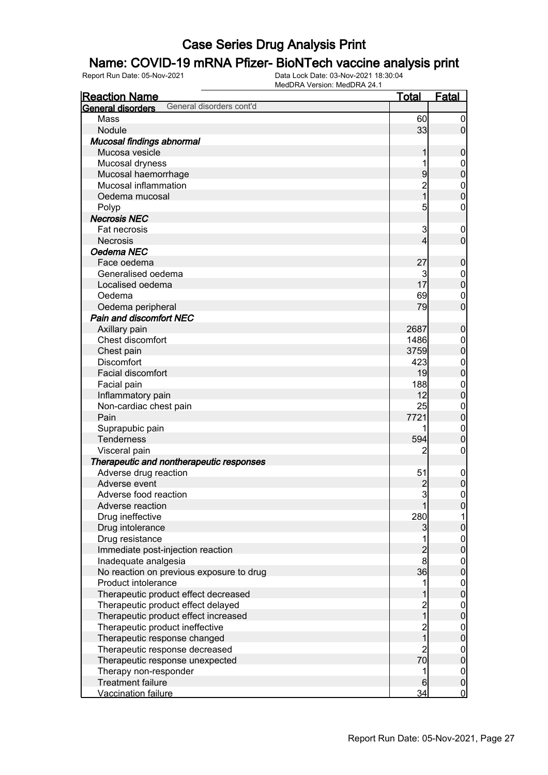## Name: COVID-19 mRNA Pfizer- BioNTech vaccine analysis print

| <b>Reaction Name</b>                          | <u>Total</u>                          | <b>Fatal</b>                     |
|-----------------------------------------------|---------------------------------------|----------------------------------|
| General disorders cont'd<br>General disorders |                                       |                                  |
| Mass                                          | 60                                    | $\boldsymbol{0}$                 |
| Nodule                                        | 33                                    | $\overline{0}$                   |
| Mucosal findings abnormal                     |                                       |                                  |
| Mucosa vesicle                                |                                       | $\boldsymbol{0}$                 |
| Mucosal dryness                               | 1                                     | $\boldsymbol{0}$                 |
| Mucosal haemorrhage                           | 9                                     | $\overline{0}$                   |
| Mucosal inflammation                          |                                       |                                  |
| Oedema mucosal                                | $\frac{2}{1}$                         | $\begin{matrix}0\\0\end{matrix}$ |
| Polyp                                         | 5                                     | $\boldsymbol{0}$                 |
| <b>Necrosis NEC</b>                           |                                       |                                  |
| Fat necrosis                                  | 3                                     | $\mathbf 0$                      |
| <b>Necrosis</b>                               | 4                                     | $\mathbf 0$                      |
| Oedema NEC                                    |                                       |                                  |
| Face oedema                                   | 27                                    | $\mathbf 0$                      |
| Generalised oedema                            | 3                                     | $\boldsymbol{0}$                 |
| Localised oedema                              | 17                                    | $\overline{0}$                   |
| Oedema                                        | 69                                    | $\mathbf 0$                      |
| Oedema peripheral                             | 79                                    | $\overline{0}$                   |
| Pain and discomfort NEC                       |                                       |                                  |
| Axillary pain                                 | 2687                                  | $\mathbf 0$                      |
| Chest discomfort                              | 1486                                  | $\mathbf{0}$                     |
| Chest pain                                    | 3759                                  | $\overline{0}$                   |
| <b>Discomfort</b>                             | 423                                   | $\mathbf{0}$                     |
| Facial discomfort                             | 19                                    | $\overline{0}$                   |
| Facial pain                                   | 188                                   | $\mathbf{0}$                     |
| Inflammatory pain                             | 12                                    | $\overline{0}$                   |
| Non-cardiac chest pain                        | 25                                    | $\mathbf{0}$                     |
| Pain                                          | 7721                                  | $\overline{0}$                   |
| Suprapubic pain                               | 1                                     | $\mathbf 0$                      |
| <b>Tenderness</b>                             | 594                                   | $\overline{0}$                   |
| Visceral pain                                 | 2                                     | $\boldsymbol{0}$                 |
| Therapeutic and nontherapeutic responses      |                                       |                                  |
| Adverse drug reaction                         | 51                                    | $\mathbf 0$                      |
| Adverse event                                 | $\overline{c}$                        | $\boldsymbol{0}$                 |
| Adverse food reaction                         | $\overline{3}$                        | $\mathbf 0$                      |
| Adverse reaction                              |                                       | <sup>0</sup>                     |
| Drug ineffective                              | 280                                   | 1                                |
| Drug intolerance                              | 3                                     | 0                                |
| Drug resistance                               |                                       | $\mathbf 0$                      |
| Immediate post-injection reaction             | $\overline{c}$                        | $\overline{0}$                   |
| Inadequate analgesia                          | $\bf{8}$                              |                                  |
| No reaction on previous exposure to drug      | 36                                    | $0\atop 0$                       |
| Product intolerance                           | 1                                     |                                  |
| Therapeutic product effect decreased          |                                       | $0\atop 0$                       |
| Therapeutic product effect delayed            |                                       |                                  |
| Therapeutic product effect increased          | $\begin{array}{c} 2 \\ 1 \end{array}$ | $0\atop 0$                       |
| Therapeutic product ineffective               |                                       | $\boldsymbol{0}$                 |
| Therapeutic response changed                  | $\begin{array}{c} 2 \\ 1 \end{array}$ | $\overline{0}$                   |
| Therapeutic response decreased                | $\overline{c}$                        | $\mathbf{0}$                     |
| Therapeutic response unexpected               | 70                                    | $\overline{0}$                   |
| Therapy non-responder                         | 1                                     | $\boldsymbol{0}$                 |
| <b>Treatment failure</b>                      | 6                                     | $\pmb{0}$                        |
| Vaccination failure                           | 34                                    | $\mathbf 0$                      |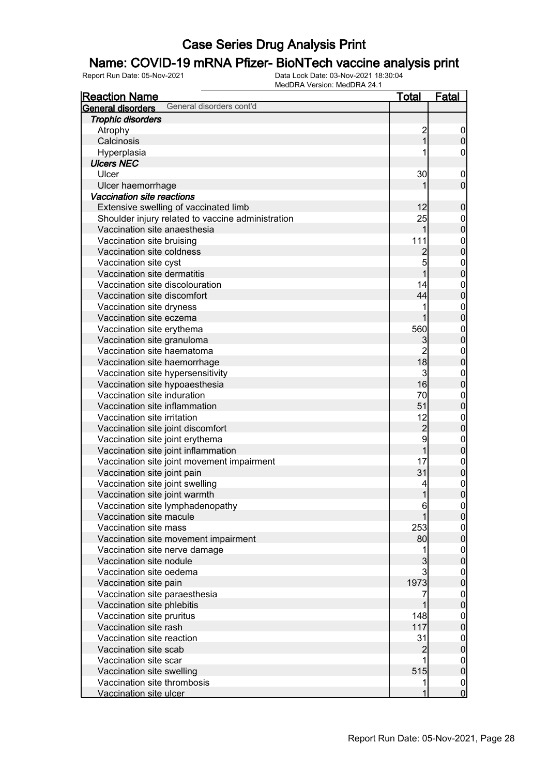#### Name: COVID-19 mRNA Pfizer- BioNTech vaccine analysis print

| <b>Reaction Name</b>                                          | Total          | <b>Fatal</b>                   |
|---------------------------------------------------------------|----------------|--------------------------------|
| General disorders cont'd<br>General disorders                 |                |                                |
| <b>Trophic disorders</b>                                      |                |                                |
| Atrophy                                                       | $\overline{c}$ | 0                              |
| Calcinosis                                                    | $\overline{1}$ | $\pmb{0}$                      |
| Hyperplasia                                                   |                | 0                              |
| <b>Ulcers NEC</b>                                             |                |                                |
| Ulcer                                                         | 30             | $\mathbf 0$                    |
| Ulcer haemorrhage                                             |                | $\mathbf 0$                    |
| Vaccination site reactions                                    |                |                                |
| Extensive swelling of vaccinated limb                         | 12             | $\boldsymbol{0}$               |
| Shoulder injury related to vaccine administration             | 25             | $\mathbf{0}$                   |
| Vaccination site anaesthesia                                  | 1              | $\overline{0}$                 |
| Vaccination site bruising                                     | 111            | $\mathbf{0}$                   |
| Vaccination site coldness                                     | $\overline{c}$ | $\overline{0}$                 |
| Vaccination site cyst                                         | 5              | $\mathbf{0}$                   |
| Vaccination site dermatitis                                   | 1              | $\overline{0}$                 |
| Vaccination site discolouration                               | 14             | $\mathbf{0}$                   |
| Vaccination site discomfort                                   | 44             | $\overline{0}$                 |
| Vaccination site dryness                                      |                | $\mathbf{0}$                   |
| Vaccination site eczema                                       |                | $\overline{0}$                 |
| Vaccination site erythema                                     | 560            | $\mathbf{0}$                   |
| Vaccination site granuloma                                    | 3              | $\overline{0}$                 |
| Vaccination site haematoma                                    | $\overline{2}$ |                                |
| Vaccination site haemorrhage                                  | 18             | $\mathbf{0}$<br>$\overline{0}$ |
|                                                               | $\overline{3}$ |                                |
| Vaccination site hypersensitivity                             | 16             | $\mathbf{0}$                   |
| Vaccination site hypoaesthesia<br>Vaccination site induration | 70             | $\overline{0}$                 |
| Vaccination site inflammation                                 | 51             | $\mathbf{0}$                   |
|                                                               |                | $\mathbf 0$                    |
| Vaccination site irritation                                   | 12             | $\mathbf{0}$                   |
| Vaccination site joint discomfort                             | $\frac{2}{9}$  | $\overline{0}$                 |
| Vaccination site joint erythema                               |                | $\mathbf{0}$                   |
| Vaccination site joint inflammation                           | $\overline{1}$ | $\mathbf 0$                    |
| Vaccination site joint movement impairment                    | 17             | $\boldsymbol{0}$               |
| Vaccination site joint pain                                   | 31             | $\bf{0}$                       |
| Vaccination site joint swelling                               | 4              | $\mathbf{0}$                   |
| Vaccination site joint warmth                                 | $\mathbf{1}$   | $\overline{0}$                 |
| Vaccination site lymphadenopathy                              | 6              | $\Omega$                       |
| Vaccination site macule                                       |                | $\overline{0}$                 |
| Vaccination site mass                                         | 253            | $\mathbf 0$                    |
| Vaccination site movement impairment                          | 80             | $\overline{0}$                 |
| Vaccination site nerve damage                                 |                | $\boldsymbol{0}$               |
| Vaccination site nodule                                       | 3              | $\overline{0}$                 |
| Vaccination site oedema                                       | $\mathsf{3}$   | $\boldsymbol{0}$               |
| Vaccination site pain                                         | 1973           | $\mathbf 0$                    |
| Vaccination site paraesthesia                                 | 7              | $\boldsymbol{0}$               |
| Vaccination site phlebitis                                    |                | $\overline{0}$                 |
| Vaccination site pruritus                                     | 148            | $\boldsymbol{0}$               |
| Vaccination site rash                                         | 117            | $\mathbf 0$                    |
| Vaccination site reaction                                     | 31             | $\boldsymbol{0}$               |
| Vaccination site scab                                         | $\overline{c}$ | $\bf{0}$                       |
| Vaccination site scar                                         |                | $\boldsymbol{0}$               |
| Vaccination site swelling                                     | 515            | $\overline{0}$                 |
| Vaccination site thrombosis                                   | 1              | $\overline{0}$                 |
| Vaccination site ulcer                                        | 1              | $\mathbf 0$                    |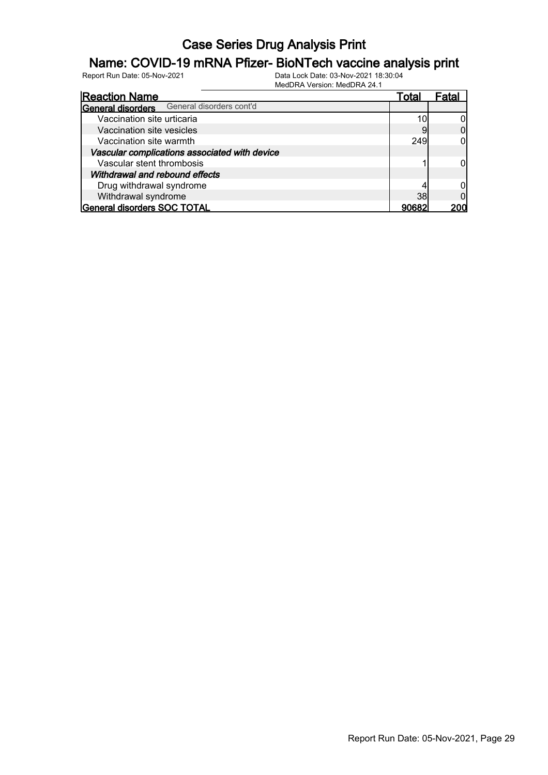## Name: COVID-19 mRNA Pfizer- BioNTech vaccine analysis print

| <b>Reaction Name</b>                          |                          | Total | Fatal |
|-----------------------------------------------|--------------------------|-------|-------|
| General disorders                             | General disorders cont'd |       |       |
| Vaccination site urticaria                    |                          | 10    |       |
| Vaccination site vesicles                     |                          |       |       |
| Vaccination site warmth                       |                          | 249   |       |
| Vascular complications associated with device |                          |       |       |
| Vascular stent thrombosis                     |                          |       |       |
| Withdrawal and rebound effects                |                          |       |       |
| Drug withdrawal syndrome                      |                          |       |       |
| Withdrawal syndrome                           |                          | 38    |       |
| General disorders SOC TOTAL                   |                          | 90682 |       |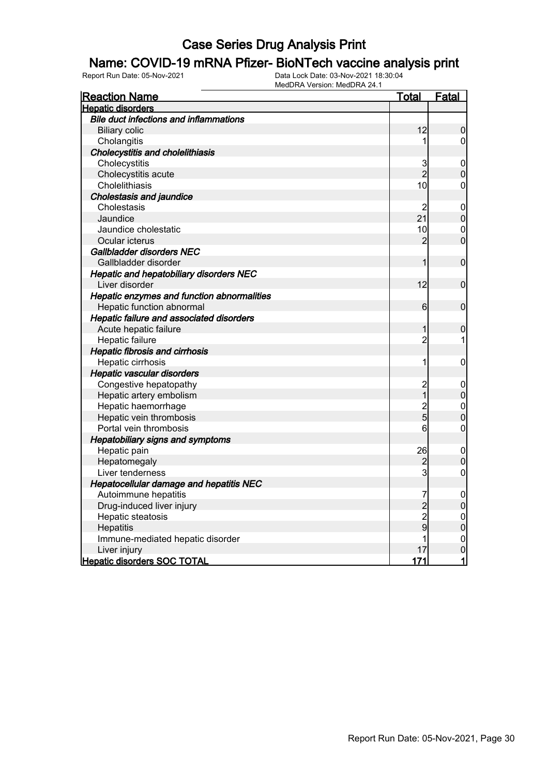#### Name: COVID-19 mRNA Pfizer- BioNTech vaccine analysis print

| <b>Reaction Name</b>                            | <u>Total</u>    | <b>Fatal</b>     |
|-------------------------------------------------|-----------------|------------------|
| <b>Hepatic disorders</b>                        |                 |                  |
| <b>Bile duct infections and inflammations</b>   |                 |                  |
| <b>Biliary colic</b>                            | 12              | $\mathbf 0$      |
| Cholangitis                                     | 1               | $\mathbf 0$      |
| <b>Cholecystitis and cholelithiasis</b>         |                 |                  |
| Cholecystitis                                   | 3               | 0                |
| Cholecystitis acute                             | $\overline{2}$  | $\mathbf 0$      |
| Cholelithiasis                                  | 10              | $\mathbf 0$      |
| <b>Cholestasis and jaundice</b>                 |                 |                  |
| Cholestasis                                     | $\overline{2}$  | $\mathbf 0$      |
| Jaundice                                        | 21              | $\overline{0}$   |
| Jaundice cholestatic                            | 10              | $\mathbf{0}$     |
| Ocular icterus                                  | $\overline{2}$  | $\overline{0}$   |
| Gallbladder disorders NEC                       |                 |                  |
| Gallbladder disorder                            | 1               | $\mathbf 0$      |
| <b>Hepatic and hepatobiliary disorders NEC</b>  |                 |                  |
| Liver disorder                                  | 12              | $\mathbf 0$      |
| Hepatic enzymes and function abnormalities      |                 |                  |
| Hepatic function abnormal                       | $6 \overline{}$ | $\boldsymbol{0}$ |
| <b>Hepatic failure and associated disorders</b> |                 |                  |
| Acute hepatic failure                           | 1               | $\mathbf 0$      |
| Hepatic failure                                 | $\overline{c}$  | 1                |
| <b>Hepatic fibrosis and cirrhosis</b>           |                 |                  |
| Hepatic cirrhosis                               | 1               | $\mathbf 0$      |
| <b>Hepatic vascular disorders</b>               |                 |                  |
| Congestive hepatopathy                          | $\overline{c}$  | $\overline{0}$   |
| Hepatic artery embolism                         | $\mathbf{1}$    | $\mathbf 0$      |
| Hepatic haemorrhage                             | $\overline{c}$  | $\mathbf{0}$     |
| Hepatic vein thrombosis                         | 5               | $\overline{0}$   |
| Portal vein thrombosis                          | 6               | $\mathbf 0$      |
| <b>Hepatobiliary signs and symptoms</b>         |                 |                  |
| Hepatic pain                                    | 26              | $\mathbf 0$      |
| Hepatomegaly                                    | 2               | $\overline{0}$   |
| Liver tenderness                                | 3               | $\mathbf 0$      |
| <b>Hepatocellular damage and hepatitis NEC</b>  |                 |                  |
| Autoimmune hepatitis                            | 7               | $\mathbf 0$      |
| Drug-induced liver injury                       | $\overline{2}$  | $\overline{0}$   |
| Hepatic steatosis                               | $\overline{c}$  |                  |
| Hepatitis                                       | 9               | $0\atop 0$       |
| Immune-mediated hepatic disorder                | 1               | $\mathbf{0}$     |
| Liver injury                                    | 17              | $\overline{0}$   |
| <b>Hepatic disorders SOC TOTAL</b>              | 171             | $\mathbf{1}$     |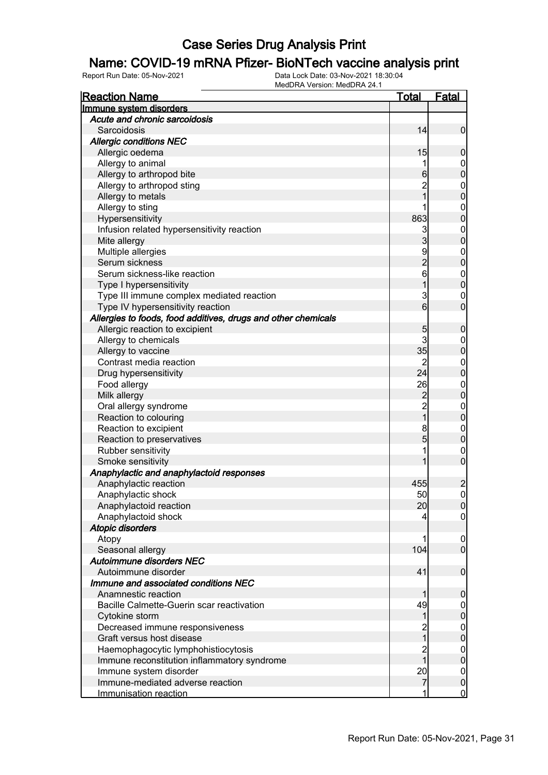## Name: COVID-19 mRNA Pfizer- BioNTech vaccine analysis print

| <b>Reaction Name</b>                                          | Total                   | <b>Fatal</b>     |
|---------------------------------------------------------------|-------------------------|------------------|
| Immune system disorders                                       |                         |                  |
| Acute and chronic sarcoidosis                                 |                         |                  |
| Sarcoidosis                                                   | 14                      | $\mathbf 0$      |
| <b>Allergic conditions NEC</b>                                |                         |                  |
| Allergic oedema                                               | 15                      | $\boldsymbol{0}$ |
| Allergy to animal                                             |                         | $\mathbf 0$      |
| Allergy to arthropod bite                                     | 6                       | $\mathbf 0$      |
| Allergy to arthropod sting                                    | $\overline{c}$          | $\boldsymbol{0}$ |
| Allergy to metals                                             | $\overline{1}$          | $\mathbf 0$      |
| Allergy to sting                                              |                         | $\boldsymbol{0}$ |
| Hypersensitivity                                              | 863                     | $\mathbf 0$      |
| Infusion related hypersensitivity reaction                    | 3                       | $\boldsymbol{0}$ |
| Mite allergy                                                  | $\overline{3}$          | $\mathbf 0$      |
| Multiple allergies                                            |                         | $\boldsymbol{0}$ |
| Serum sickness                                                | 9<br>2<br>6             | $\mathbf 0$      |
| Serum sickness-like reaction                                  |                         | $\boldsymbol{0}$ |
| Type I hypersensitivity                                       | 1                       | $\mathbf 0$      |
| Type III immune complex mediated reaction                     | 3                       | $\mathbf 0$      |
| Type IV hypersensitivity reaction                             | $6 \overline{6}$        | $\mathbf 0$      |
| Allergies to foods, food additives, drugs and other chemicals |                         |                  |
| Allergic reaction to excipient                                | 5                       | $\boldsymbol{0}$ |
| Allergy to chemicals                                          | 3                       | $\mathbf 0$      |
| Allergy to vaccine                                            | 35                      | $\mathbf 0$      |
| Contrast media reaction                                       | $\overline{2}$          | $\boldsymbol{0}$ |
| Drug hypersensitivity                                         | 24                      | $\mathbf 0$      |
| Food allergy                                                  | 26                      | $\boldsymbol{0}$ |
| Milk allergy                                                  |                         | $\mathbf 0$      |
| Oral allergy syndrome                                         | $\frac{2}{2}$           | $\boldsymbol{0}$ |
| Reaction to colouring                                         | $\overline{1}$          | $\mathbf 0$      |
| Reaction to excipient                                         | 8                       | $\boldsymbol{0}$ |
| Reaction to preservatives                                     | 5                       | $\pmb{0}$        |
| Rubber sensitivity                                            |                         | $\boldsymbol{0}$ |
| Smoke sensitivity                                             | 1                       | $\overline{0}$   |
| Anaphylactic and anaphylactoid responses                      |                         |                  |
| Anaphylactic reaction                                         | 455                     | $\overline{c}$   |
| Anaphylactic shock                                            | 50                      | $\mathbf 0$      |
| Anaphylactoid reaction                                        | 20                      | 0                |
| Anaphylactoid shock                                           | 4                       | $\overline{0}$   |
| <b>Atopic disorders</b>                                       |                         |                  |
| Atopy                                                         |                         | $\mathbf 0$      |
| Seasonal allergy                                              | 104                     | $\overline{0}$   |
| Autoimmune disorders NEC                                      |                         |                  |
| Autoimmune disorder                                           | 41                      | $\boldsymbol{0}$ |
| Immune and associated conditions NEC                          |                         |                  |
| Anamnestic reaction                                           | 1                       | $\boldsymbol{0}$ |
| Bacille Calmette-Guerin scar reactivation                     | 49                      | $\overline{0}$   |
| Cytokine storm                                                | 1                       | $\pmb{0}$        |
| Decreased immune responsiveness                               |                         | $\boldsymbol{0}$ |
| Graft versus host disease                                     | $\overline{\mathbf{1}}$ | $\mathbf 0$      |
| Haemophagocytic lymphohistiocytosis                           |                         | $\boldsymbol{0}$ |
| Immune reconstitution inflammatory syndrome                   | 2<br>1                  | $\mathbf 0$      |
| Immune system disorder                                        | 20                      | $\boldsymbol{0}$ |
| Immune-mediated adverse reaction                              | $\overline{7}$          | $\pmb{0}$        |
| Immunisation reaction                                         |                         | $\overline{0}$   |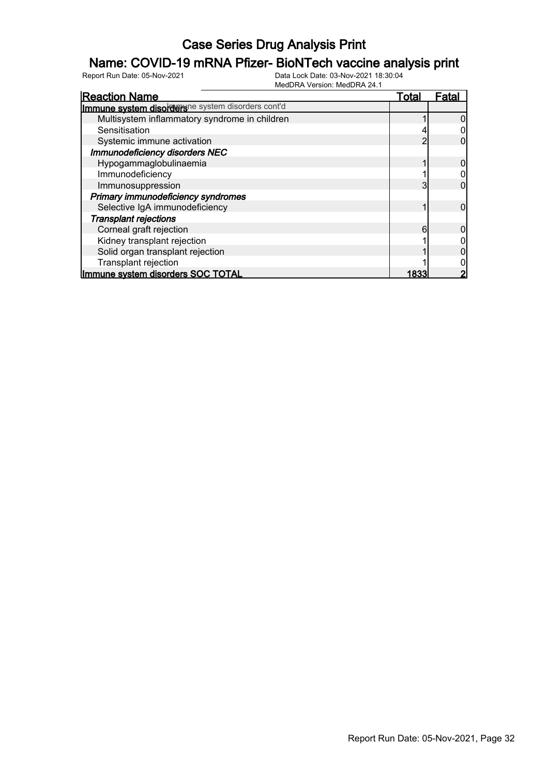## Name: COVID-19 mRNA Pfizer- BioNTech vaccine analysis print

| <b>Reaction Name</b>                              | Total | Fata |
|---------------------------------------------------|-------|------|
| Immune system disordersne system disorders cont'd |       |      |
| Multisystem inflammatory syndrome in children     |       |      |
| Sensitisation                                     |       |      |
| Systemic immune activation                        | າ     |      |
| Immunodeficiency disorders NEC                    |       |      |
| Hypogammaglobulinaemia                            |       |      |
| Immunodeficiency                                  |       |      |
| Immunosuppression                                 | 3     |      |
| Primary immunodeficiency syndromes                |       |      |
| Selective IgA immunodeficiency                    |       |      |
| <b>Transplant rejections</b>                      |       |      |
| Corneal graft rejection                           | 6     |      |
| Kidney transplant rejection                       |       |      |
| Solid organ transplant rejection                  |       |      |
| Transplant rejection                              |       |      |
| Immune system disorders SOC TOTAL                 |       |      |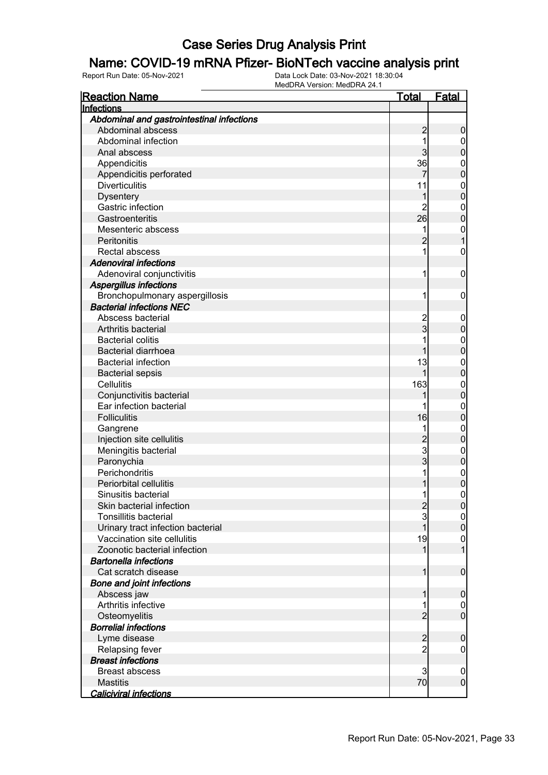#### Name: COVID-19 mRNA Pfizer- BioNTech vaccine analysis print

| <b>Reaction Name</b>                      | <u>Total</u>        | <b>Fatal</b>                       |
|-------------------------------------------|---------------------|------------------------------------|
| Infections                                |                     |                                    |
| Abdominal and gastrointestinal infections |                     |                                    |
| Abdominal abscess                         | $\overline{c}$      | $\boldsymbol{0}$                   |
| Abdominal infection                       | 1                   | $\mathbf 0$                        |
| Anal abscess                              | 3                   | $\pmb{0}$                          |
| Appendicitis                              | 36                  | $\mathbf{0}$                       |
| Appendicitis perforated                   |                     | $\overline{0}$                     |
| <b>Diverticulitis</b>                     | 11                  | $\mathbf{0}$                       |
| <b>Dysentery</b>                          | 1                   | $\overline{0}$                     |
| <b>Gastric infection</b>                  | $\overline{2}$      | $\mathbf{0}$                       |
| Gastroenteritis                           | 26                  | $\overline{0}$                     |
| Mesenteric abscess                        | 1                   | $\mathbf{0}$                       |
| Peritonitis                               | $\overline{2}$      | $\overline{1}$                     |
| Rectal abscess                            | 1                   | $\mathbf 0$                        |
| <b>Adenoviral infections</b>              |                     |                                    |
| Adenoviral conjunctivitis                 | 1                   | $\boldsymbol{0}$                   |
| <b>Aspergillus infections</b>             |                     |                                    |
| Bronchopulmonary aspergillosis            | 1                   | $\boldsymbol{0}$                   |
| <b>Bacterial infections NEC</b>           |                     |                                    |
| Abscess bacterial                         |                     | $\mathbf 0$                        |
| Arthritis bacterial                       | 2<br>3              | $\pmb{0}$                          |
| <b>Bacterial colitis</b>                  |                     | $\mathbf{0}$                       |
| <b>Bacterial diarrhoea</b>                | 1                   | $\overline{0}$                     |
| <b>Bacterial infection</b>                | 13                  | $\mathbf{0}$                       |
| <b>Bacterial sepsis</b>                   | 1                   | $\overline{0}$                     |
| Cellulitis                                | 163                 | $\mathbf{0}$                       |
| Conjunctivitis bacterial                  | 1                   | $\mathbf 0$                        |
| Ear infection bacterial                   |                     | $\mathbf{0}$                       |
| <b>Folliculitis</b>                       | 16                  | $\overline{0}$                     |
| Gangrene                                  | 1                   | $\mathbf{0}$                       |
| Injection site cellulitis                 |                     | $\mathbf 0$                        |
| Meningitis bacterial                      | $\frac{2}{3}$       | $\boldsymbol{0}$                   |
| Paronychia                                |                     | $\mathbf 0$                        |
| Perichondritis                            | 1                   |                                    |
| Periorbital cellulitis                    | 1                   | $\boldsymbol{0}$<br>$\overline{0}$ |
| Sinusitis bacterial                       | 1                   | $\mathbf 0$                        |
| Skin bacterial infection                  |                     |                                    |
| <b>Tonsillitis bacterial</b>              | $\frac{2}{3}$       | 0                                  |
| Urinary tract infection bacterial         | 1                   | $\overline{0}$<br>$\overline{0}$   |
| Vaccination site cellulitis               | 19                  |                                    |
| Zoonotic bacterial infection              | 1                   | $\boldsymbol{0}$<br>$\overline{1}$ |
| <b>Bartonella infections</b>              |                     |                                    |
| Cat scratch disease                       | 1                   | $\boldsymbol{0}$                   |
|                                           |                     |                                    |
| <b>Bone and joint infections</b>          |                     |                                    |
| Abscess jaw<br>Arthritis infective        | 1                   | $\boldsymbol{0}$                   |
|                                           | 1<br>$\overline{2}$ | $\overline{0}$<br>$\boldsymbol{0}$ |
| Osteomyelitis                             |                     |                                    |
| <b>Borrelial infections</b>               |                     |                                    |
| Lyme disease                              | $\overline{c}$      | $\mathbf 0$                        |
| Relapsing fever                           | $\overline{2}$      | $\mathbf 0$                        |
| <b>Breast infections</b>                  |                     |                                    |
| <b>Breast abscess</b>                     | 3                   | $\mathbf 0$                        |
| <b>Mastitis</b>                           | 70                  | $\boldsymbol{0}$                   |
| <b>Caliciviral infections</b>             |                     |                                    |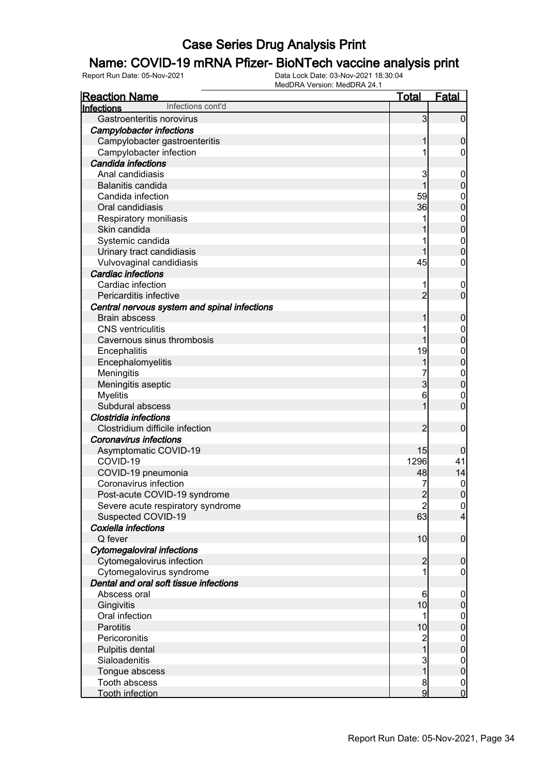# **Name: COVID-19 mRNA Pfizer- BioNTech vaccine analysis print**<br>Report Run Date: 05-Nov-2021

Data Lock Date: 03-Nov-2021 18:30:04 MedDRA Version: MedDRA 24.1

| <b>Reaction Name</b>                         | <u>Total</u>   | Fatal            |
|----------------------------------------------|----------------|------------------|
| Infections cont'd<br>Infections              |                |                  |
| Gastroenteritis norovirus                    | 3              | $\overline{0}$   |
| <b>Campylobacter infections</b>              |                |                  |
| Campylobacter gastroenteritis                | 1              | $\boldsymbol{0}$ |
| Campylobacter infection                      |                | $\overline{0}$   |
| Candida infections                           |                |                  |
| Anal candidiasis                             | 3              | $\mathbf 0$      |
| Balanitis candida                            | 1              | $\pmb{0}$        |
| Candida infection                            | 59             | $\mathbf 0$      |
| Oral candidiasis                             | 36             | $\mathbf 0$      |
| Respiratory moniliasis                       |                | $\mathbf{0}$     |
| Skin candida                                 |                | $\mathbf 0$      |
| Systemic candida                             |                | $\mathbf{0}$     |
| Urinary tract candidiasis                    | 1              | $\mathbf 0$      |
| Vulvovaginal candidiasis                     | 45             | 0                |
| <b>Cardiac infections</b>                    |                |                  |
| Cardiac infection                            |                | $\mathbf 0$      |
| Pericarditis infective                       | $\overline{2}$ | $\mathbf 0$      |
| Central nervous system and spinal infections |                |                  |
| <b>Brain abscess</b>                         | 1              | $\boldsymbol{0}$ |
| <b>CNS</b> ventriculitis                     |                | $\mathbf 0$      |
| Cavernous sinus thrombosis                   | 1              | $\mathbf 0$      |
| Encephalitis                                 | 19             | $\mathbf{0}$     |
| Encephalomyelitis                            | 1              | $\mathbf 0$      |
| Meningitis                                   |                | $\mathbf{0}$     |
| Meningitis aseptic                           | $\overline{3}$ | $\overline{0}$   |
| <b>Myelitis</b>                              | 6              | $\mathbf 0$      |
| Subdural abscess                             | 1              | $\overline{0}$   |
| <b>Clostridia infections</b>                 |                |                  |
| Clostridium difficile infection              | $\overline{2}$ | $\mathbf 0$      |
| <b>Coronavirus infections</b>                |                |                  |
| Asymptomatic COVID-19                        | 15             | $\boldsymbol{0}$ |
| COVID-19                                     | 1296           | 41               |
| COVID-19 pneumonia                           | 48             | 14               |
| Coronavirus infection                        |                | $\mathbf 0$      |
| Post-acute COVID-19 syndrome                 | $\overline{2}$ | $\mathbf 0$      |
| Severe acute respiratory syndrome            | $\mathbf{2}$   | 0                |
| Suspected COVID-19                           | 63             | $\overline{4}$   |
| Coxiella infections                          |                |                  |
| Q fever                                      | 10             | $\boldsymbol{0}$ |
| <b>Cytomegaloviral infections</b>            |                |                  |
| Cytomegalovirus infection                    | $\overline{2}$ | $\mathbf 0$      |
| Cytomegalovirus syndrome                     |                | $\overline{0}$   |
| Dental and oral soft tissue infections       |                |                  |
| Abscess oral                                 | 6              | $\mathbf 0$      |
| Gingivitis                                   | 10             | $\pmb{0}$        |
| Oral infection                               | 1              | $\overline{0}$   |
| Parotitis                                    | 10             | $\mathbf 0$      |
| Pericoronitis                                |                | $\overline{0}$   |
| Pulpitis dental                              | 2<br>1         | $\mathbf 0$      |
| Sialoadenitis                                |                | $\boldsymbol{0}$ |
| Tongue abscess                               | $\frac{3}{1}$  | $\mathbf 0$      |
| Tooth abscess                                | 8              | $\boldsymbol{0}$ |
| <b>Tooth infection</b>                       | $\overline{9}$ | $\overline{0}$   |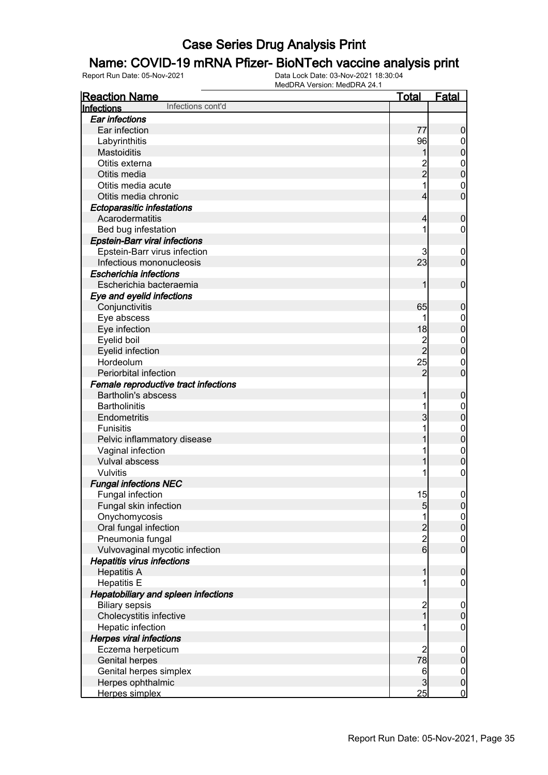#### Name: COVID-19 mRNA Pfizer- BioNTech vaccine analysis print

| <b>Reaction Name</b>                       | <u>Total</u>                                 | <b>Fatal</b>                         |
|--------------------------------------------|----------------------------------------------|--------------------------------------|
| Infections cont'd<br>Infections            |                                              |                                      |
| <b>Ear infections</b>                      |                                              |                                      |
| Ear infection                              | 77                                           | $\boldsymbol{0}$                     |
| Labyrinthitis                              | 96                                           | $\overline{0}$                       |
| <b>Mastoiditis</b>                         | 1                                            | $\mathbf 0$                          |
| Otitis externa                             |                                              | $\mathbf{0}$                         |
| Otitis media                               | 2<br>2                                       | $\overline{0}$                       |
| Otitis media acute                         | 1                                            | $\mathbf{0}$                         |
| Otitis media chronic                       | 4                                            | $\overline{0}$                       |
| <b>Ectoparasitic infestations</b>          |                                              |                                      |
| Acarodermatitis                            | 4                                            | $\mathbf 0$                          |
| Bed bug infestation                        | 1                                            | $\mathbf 0$                          |
| <b>Epstein-Barr viral infections</b>       |                                              |                                      |
| Epstein-Barr virus infection               | 3                                            | $\mathbf 0$                          |
| Infectious mononucleosis                   | 23                                           | $\mathbf 0$                          |
| <b>Escherichia infections</b>              |                                              |                                      |
| Escherichia bacteraemia                    | 1                                            | $\mathbf 0$                          |
| Eye and eyelid infections                  |                                              |                                      |
| Conjunctivitis                             | 65                                           | $\mathbf 0$                          |
| Eye abscess                                | 1                                            | $\boldsymbol{0}$                     |
| Eye infection                              | 18                                           | $\mathbf 0$                          |
| Eyelid boil                                | $\overline{c}$                               | $\mathbf{0}$                         |
| Eyelid infection                           | $_{2}^{-}$                                   | $\mathbf 0$                          |
| Hordeolum                                  | 25                                           | $\mathbf{0}$                         |
| Periorbital infection                      | $\overline{2}$                               | $\overline{0}$                       |
| Female reproductive tract infections       |                                              |                                      |
| <b>Bartholin's abscess</b>                 | 1                                            | $\mathbf 0$                          |
| <b>Bartholinitis</b>                       | 1                                            | $\boldsymbol{0}$                     |
| Endometritis                               | 3                                            | $\mathbf 0$                          |
| <b>Funisitis</b>                           | 1                                            | $\mathbf{0}$                         |
| Pelvic inflammatory disease                |                                              | $\mathbf 0$                          |
| Vaginal infection                          | 1                                            | $\mathbf{0}$                         |
| Vulval abscess                             | 1                                            | $\mathbf 0$                          |
| Vulvitis                                   |                                              | 0                                    |
| <b>Fungal infections NEC</b>               |                                              |                                      |
| Fungal infection                           | 15                                           | $\boldsymbol{0}$                     |
| Fungal skin infection                      | $\overline{5}$                               | 0                                    |
| Onychomycosis                              | 1                                            | $\frac{0}{0}$                        |
| Oral fungal infection                      | $\begin{array}{c}\n2 \\ 2 \\ 6\n\end{array}$ |                                      |
| Pneumonia fungal                           |                                              | $\begin{matrix} 0 \\ 0 \end{matrix}$ |
| Vulvovaginal mycotic infection             |                                              |                                      |
| <b>Hepatitis virus infections</b>          |                                              |                                      |
| <b>Hepatitis A</b>                         | 1                                            | $\boldsymbol{0}$                     |
| <b>Hepatitis E</b>                         | 1                                            | $\mathbf 0$                          |
| <b>Hepatobiliary and spleen infections</b> |                                              |                                      |
| <b>Biliary sepsis</b>                      | $\frac{2}{1}$                                | $\boldsymbol{0}$                     |
| Cholecystitis infective                    |                                              | $\mathbf 0$                          |
| Hepatic infection                          | 1                                            | $\mathbf 0$                          |
| <b>Herpes viral infections</b>             |                                              |                                      |
| Eczema herpeticum                          | 2                                            | $\boldsymbol{0}$                     |
| <b>Genital herpes</b>                      | 78                                           | $\pmb{0}$                            |
| Genital herpes simplex                     | $6\phantom{.}6$                              | $\boldsymbol{0}$                     |
| Herpes ophthalmic                          | $\overline{3}$                               | $\mathbf 0$                          |
| Herpes simplex                             | 25                                           | $\overline{0}$                       |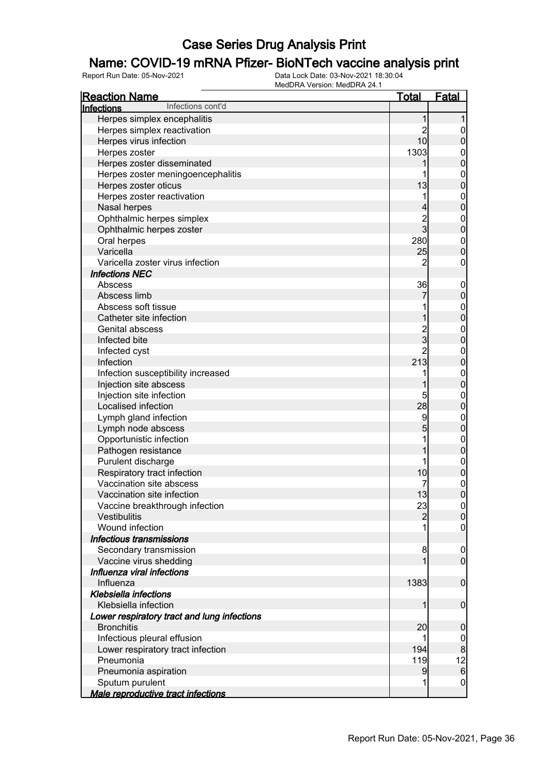## Name: COVID-19 mRNA Pfizer- BioNTech vaccine analysis print

| <b>Reaction Name</b>                        | <u>Total</u>   | <b>Fatal</b>     |
|---------------------------------------------|----------------|------------------|
| Infections cont'd<br>Infections             |                |                  |
| Herpes simplex encephalitis                 |                |                  |
| Herpes simplex reactivation                 | 2              | $\mathbf 0$      |
| Herpes virus infection                      | 10             | 0                |
| Herpes zoster                               | 1303           | $\mathbf{0}$     |
| Herpes zoster disseminated                  |                | $\mathbf 0$      |
| Herpes zoster meningoencephalitis           |                | $\mathbf{0}$     |
| Herpes zoster oticus                        | 13             | $\mathbf{0}$     |
| Herpes zoster reactivation                  | 1              | $\mathbf{0}$     |
| Nasal herpes                                |                | $\mathbf 0$      |
| Ophthalmic herpes simplex                   | $\overline{c}$ | $\boldsymbol{0}$ |
| Ophthalmic herpes zoster                    | $\overline{3}$ | $\mathbf 0$      |
| Oral herpes                                 | 280            | $\boldsymbol{0}$ |
| Varicella                                   | 25             | $\overline{0}$   |
| Varicella zoster virus infection            | $\overline{c}$ | $\mathbf 0$      |
| <b>Infections NEC</b>                       |                |                  |
| Abscess                                     | 36             | $\boldsymbol{0}$ |
| Abscess limb                                |                | $\pmb{0}$        |
| Abscess soft tissue                         |                | $\boldsymbol{0}$ |
| Catheter site infection                     |                | $\mathbf 0$      |
| Genital abscess                             | $\overline{c}$ | $\mathbf{0}$     |
| Infected bite                               | 3              | $\mathbf 0$      |
| Infected cyst                               | $\overline{2}$ | $\mathbf{0}$     |
| Infection                                   | 213            | $\mathbf 0$      |
| Infection susceptibility increased          | 1              | $\mathbf{0}$     |
| Injection site abscess                      |                | $\mathbf 0$      |
| Injection site infection                    | 5              | $\mathbf{0}$     |
| Localised infection                         | 28             | $\mathbf 0$      |
| Lymph gland infection                       | 9              | $\mathbf{0}$     |
| Lymph node abscess                          | 5              | $\mathbf 0$      |
| Opportunistic infection                     | 1              | $\mathbf{0}$     |
| Pathogen resistance                         |                | $\mathbf 0$      |
| Purulent discharge                          | 1              | $\mathbf 0$      |
| Respiratory tract infection                 | 10             | $\mathbf 0$      |
| Vaccination site abscess                    | 7              | $\mathbf{0}$     |
| Vaccination site infection                  | 13             | $\overline{0}$   |
| Vaccine breakthrough infection              | 23             | $\overline{0}$   |
| Vestibulitis                                | $\overline{2}$ | $\overline{0}$   |
| Wound infection                             |                | $\boldsymbol{0}$ |
| Infectious transmissions                    |                |                  |
| Secondary transmission                      | 8              | $\mathbf 0$      |
| Vaccine virus shedding                      | 1              | $\overline{0}$   |
| Influenza viral infections                  |                |                  |
| Influenza                                   | 1383           | $\mathbf 0$      |
| <b>Klebsiella infections</b>                |                |                  |
| Klebsiella infection                        | 1              | $\boldsymbol{0}$ |
| Lower respiratory tract and lung infections |                |                  |
| <b>Bronchitis</b>                           | 20             | 0                |
| Infectious pleural effusion                 |                | $\mathbf 0$      |
| Lower respiratory tract infection           | 194            | 8                |
| Pneumonia                                   | 119            | 12               |
| Pneumonia aspiration                        | 9              | $6\phantom{1}$   |
| Sputum purulent                             | 1              | $\boldsymbol{0}$ |
| Male reproductive tract infections          |                |                  |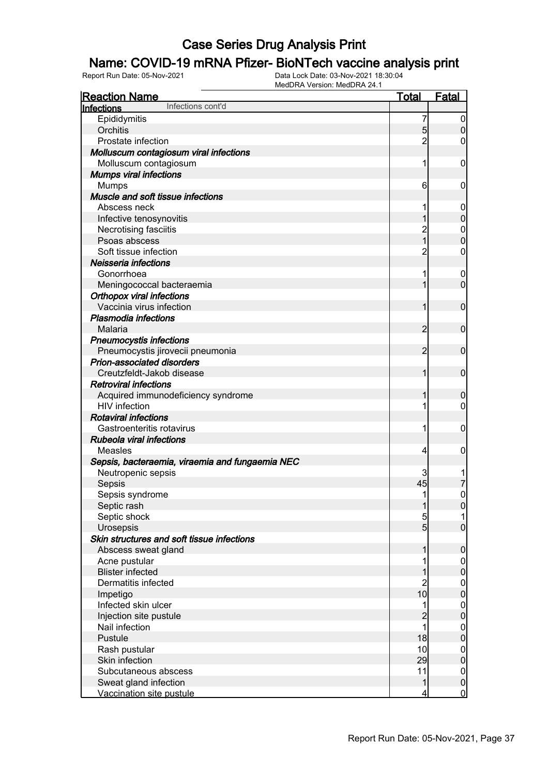### Name: COVID-19 mRNA Pfizer- BioNTech vaccine analysis print

| <b>Reaction Name</b>                            | <u>Total</u>            | <b>Fatal</b>        |
|-------------------------------------------------|-------------------------|---------------------|
| Infections cont'd<br>Infections                 |                         |                     |
| Epididymitis                                    | 7                       | $\boldsymbol{0}$    |
| Orchitis                                        | 5                       | $\boldsymbol{0}$    |
| Prostate infection                              | $\overline{2}$          | 0                   |
| Molluscum contagiosum viral infections          |                         |                     |
| Molluscum contagiosum                           | 1                       | $\mathbf 0$         |
| <b>Mumps viral infections</b>                   |                         |                     |
| <b>Mumps</b>                                    | 6                       | 0                   |
| Muscle and soft tissue infections               |                         |                     |
| Abscess neck                                    | 1                       | 0                   |
| Infective tenosynovitis                         | 1                       | $\mathbf 0$         |
| Necrotising fasciitis                           | $\overline{c}$          | $\mathbf{0}$        |
| Psoas abscess                                   | $\overline{1}$          | $\overline{0}$      |
| Soft tissue infection                           | $\overline{2}$          | 0                   |
| Neisseria infections                            |                         |                     |
| Gonorrhoea                                      | 1                       | $\mathbf 0$         |
| Meningococcal bacteraemia                       | 1                       | $\overline{0}$      |
| <b>Orthopox viral infections</b>                |                         |                     |
| Vaccinia virus infection                        | 1                       | $\mathbf 0$         |
| Plasmodia infections                            |                         |                     |
| Malaria                                         | $\overline{2}$          | $\mathbf 0$         |
| <b>Pneumocystis infections</b>                  |                         |                     |
| Pneumocystis jirovecii pneumonia                | $\overline{2}$          | $\mathbf 0$         |
| Prion-associated disorders                      |                         |                     |
| Creutzfeldt-Jakob disease                       | 1                       | $\mathbf 0$         |
| <b>Retroviral infections</b>                    |                         |                     |
| Acquired immunodeficiency syndrome              | 1                       | $\boldsymbol{0}$    |
| <b>HIV</b> infection                            | 1                       | $\overline{0}$      |
| <b>Rotaviral infections</b>                     |                         |                     |
| Gastroenteritis rotavirus                       | 1                       | $\mathbf 0$         |
| Rubeola viral infections                        |                         |                     |
| Measles                                         | $\vert 4 \vert$         | $\mathbf 0$         |
| Sepsis, bacteraemia, viraemia and fungaemia NEC |                         |                     |
| Neutropenic sepsis                              | 3                       |                     |
| Sepsis                                          | 45                      | 7                   |
| Sepsis syndrome                                 | 1                       | $\mathsf{O}\xspace$ |
| Septic rash                                     | 1                       | 0                   |
| Septic shock                                    | 5                       | 1                   |
| Urosepsis                                       | 5 <sub>5</sub>          | $\boldsymbol{0}$    |
| Skin structures and soft tissue infections      |                         |                     |
| Abscess sweat gland                             | 1                       | $\pmb{0}$           |
| Acne pustular                                   |                         | $\overline{0}$      |
| <b>Blister infected</b>                         |                         | $\pmb{0}$           |
| Dermatitis infected                             | $\overline{c}$          | $\boldsymbol{0}$    |
| Impetigo                                        | 10                      | $\mathbf 0$         |
| Infected skin ulcer                             | 1                       | $\boldsymbol{0}$    |
| Injection site pustule                          | $\overline{c}$          | $\mathbf 0$         |
| Nail infection                                  | 1                       | $\boldsymbol{0}$    |
| Pustule                                         | 18                      | $\mathbf 0$         |
| Rash pustular                                   | 10                      | $\boldsymbol{0}$    |
| Skin infection                                  | 29                      | $\mathbf 0$         |
| Subcutaneous abscess                            | 11                      | $\boldsymbol{0}$    |
| Sweat gland infection                           | $\mathbf 1$             | $\mathbf 0$         |
| Vaccination site pustule                        | $\overline{\mathbf{r}}$ | $\overline{0}$      |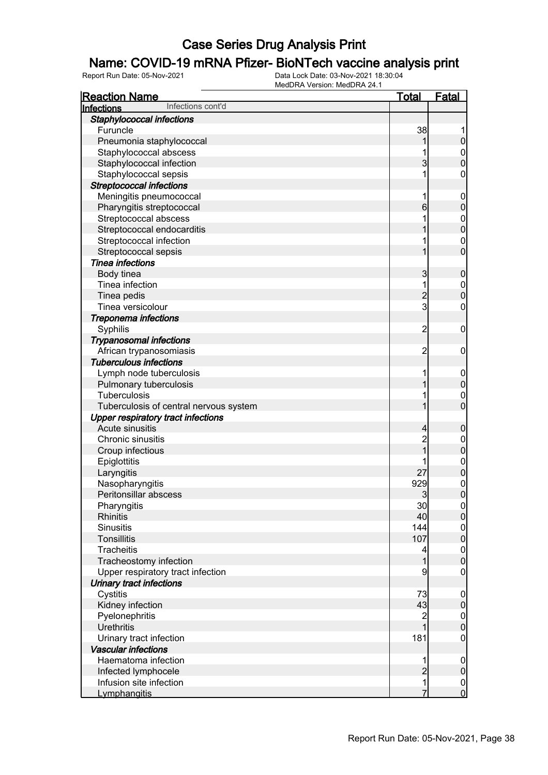#### Name: COVID-19 mRNA Pfizer- BioNTech vaccine analysis print

| <b>Reaction Name</b>                      | <u>Total</u>   | <b>Fatal</b>                     |
|-------------------------------------------|----------------|----------------------------------|
| Infections cont'd<br>Infections           |                |                                  |
| Staphylococcal infections                 |                |                                  |
| Furuncle                                  | 38             |                                  |
| Pneumonia staphylococcal                  |                | 0                                |
| Staphylococcal abscess                    |                | $\mathbf 0$                      |
| Staphylococcal infection                  | 3              | $\overline{0}$                   |
| Staphylococcal sepsis                     | 1              | 0                                |
| <b>Streptococcal infections</b>           |                |                                  |
| Meningitis pneumococcal                   | 1              | $\overline{0}$                   |
| Pharyngitis streptococcal                 | 6              | $\mathbf 0$                      |
| Streptococcal abscess                     |                | $\mathbf{0}$                     |
| Streptococcal endocarditis                |                | $\mathbf{0}$                     |
| Streptococcal infection                   | 1              | $\mathbf 0$                      |
| Streptococcal sepsis                      | 1              | $\overline{0}$                   |
| Tinea infections                          |                |                                  |
| Body tinea                                | 3              | $\boldsymbol{0}$                 |
| Tinea infection                           | 1              | $\mathbf 0$                      |
| Tinea pedis                               | $\overline{c}$ | $\overline{0}$                   |
| Tinea versicolour                         | $\overline{3}$ | 0                                |
| Treponema infections                      |                |                                  |
| Syphilis                                  | $\overline{c}$ | $\mathbf 0$                      |
| <b>Trypanosomal infections</b>            |                |                                  |
| African trypanosomiasis                   | $\overline{c}$ | 0                                |
| <b>Tuberculous infections</b>             |                |                                  |
| Lymph node tuberculosis                   | 1              | $\overline{0}$                   |
| Pulmonary tuberculosis                    |                | $\mathbf 0$                      |
| Tuberculosis                              | 1              | $\mathbf 0$                      |
| Tuberculosis of central nervous system    |                | $\overline{0}$                   |
| <b>Upper respiratory tract infections</b> |                |                                  |
| Acute sinusitis                           | 4              | 0                                |
| Chronic sinusitis                         | $\overline{c}$ | $\mathbf 0$                      |
| Croup infectious                          | 1              | $\mathbf{0}$                     |
| Epiglottitis                              |                | $\mathbf 0$                      |
| Laryngitis                                | 27             | $\mathbf 0$                      |
| Nasopharyngitis                           | 929            | $\mathbf{0}$                     |
| Peritonsillar abscess                     | 3              | $\overline{0}$                   |
| Pharyngitis                               | 30             | $\overline{0}$                   |
| <b>Rhinitis</b>                           | 40             | $\overline{0}$                   |
| <b>Sinusitis</b>                          | 144            | $\mathbf 0$                      |
| <b>Tonsillitis</b>                        | 107            | $\overline{0}$                   |
| Tracheitis                                | 4              | $\mathbf{0}$                     |
| Tracheostomy infection                    | 1              | $\overline{0}$                   |
| Upper respiratory tract infection         | 9              | $\boldsymbol{0}$                 |
| Urinary tract infections                  |                |                                  |
| Cystitis                                  | 73             | $\mathbf 0$                      |
| Kidney infection                          | 43             | $\boldsymbol{0}$                 |
| Pyelonephritis                            | $\overline{c}$ | $\boldsymbol{0}$                 |
| <b>Urethritis</b>                         |                | $\overline{0}$                   |
| Urinary tract infection                   | 181            | $\boldsymbol{0}$                 |
| <b>Vascular infections</b>                |                |                                  |
| Haematoma infection                       |                | $\mathbf 0$                      |
| Infected lymphocele                       | $\overline{c}$ | $\mathsf{O}\xspace$              |
| Infusion site infection                   | $\mathbf{1}$   |                                  |
| Lymphangitis                              | 7              | $\begin{matrix}0\\0\end{matrix}$ |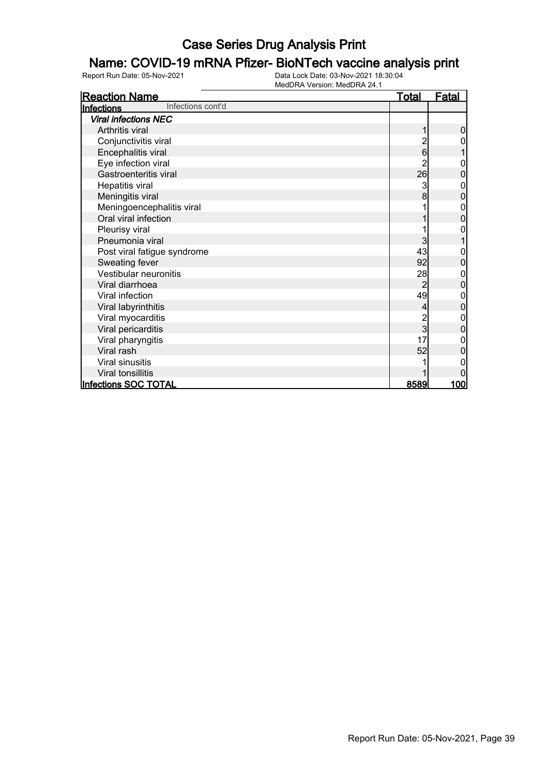### Name: COVID-19 mRNA Pfizer- BioNTech vaccine analysis print

| <b>Reaction Name</b>            | <b>Total</b>   | <b>Fatal</b>   |
|---------------------------------|----------------|----------------|
| Infections cont'd<br>Infections |                |                |
| <b>Viral infections NEC</b>     |                |                |
| Arthritis viral                 |                | 0              |
| Conjunctivitis viral            | 2              | 0              |
| Encephalitis viral              | 6              |                |
| Eye infection viral             |                | 0              |
| Gastroenteritis viral           | 26             | $\overline{0}$ |
| Hepatitis viral                 | 3              | 0              |
| Meningitis viral                | 8              | 0              |
| Meningoencephalitis viral       |                | 0              |
| Oral viral infection            |                | $\overline{0}$ |
| Pleurisy viral                  |                | 0              |
| Pneumonia viral                 | 3              |                |
| Post viral fatigue syndrome     | 43             | 0              |
| Sweating fever                  | 92             | $\overline{0}$ |
| Vestibular neuronitis           | 28             | 0              |
| Viral diarrhoea                 | $\overline{2}$ | 0              |
| Viral infection                 | 49             | 0              |
| Viral labyrinthitis             | $\overline{4}$ | $\mathbf 0$    |
| Viral myocarditis               | 2<br>3         | 0              |
| Viral pericarditis              |                | 0              |
| Viral pharyngitis               | 17             |                |
| Viral rash                      | 52             | 0              |
| Viral sinusitis                 |                |                |
| Viral tonsillitis               |                |                |
| <b>Infections SOC TOTAL</b>     | <u>8589</u>    | <u>100l</u>    |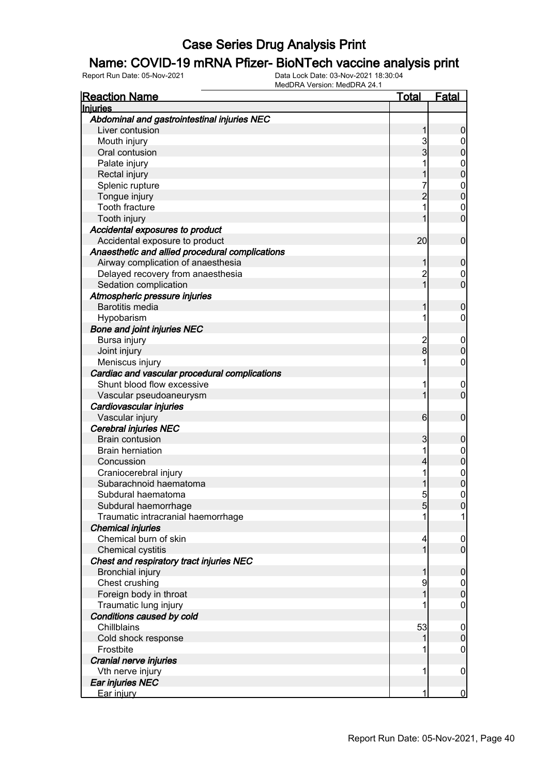#### Name: COVID-19 mRNA Pfizer- BioNTech vaccine analysis print

| <b>Reaction Name</b>                            | <u>Total</u>   | <u>Fatal</u>     |
|-------------------------------------------------|----------------|------------------|
| <b>Injuries</b>                                 |                |                  |
| Abdominal and gastrointestinal injuries NEC     |                |                  |
| Liver contusion                                 |                | 0                |
| Mouth injury                                    | 3              |                  |
| Oral contusion                                  | 3              | 0                |
| Palate injury                                   |                | 0                |
| Rectal injury                                   |                | 0                |
| Splenic rupture                                 |                | $\mathbf{0}$     |
| Tongue injury                                   |                | O                |
| <b>Tooth fracture</b>                           |                | $\mathbf 0$      |
| Tooth injury                                    |                | 0                |
| Accidental exposures to product                 |                |                  |
| Accidental exposure to product                  | 20             | 0                |
| Anaesthetic and allied procedural complications |                |                  |
| Airway complication of anaesthesia              |                | 0                |
| Delayed recovery from anaesthesia               | $\overline{c}$ | 0                |
| Sedation complication                           |                | 0                |
| Atmospheric pressure injuries                   |                |                  |
| <b>Barotitis media</b>                          |                | 0                |
| Hypobarism                                      |                | 0                |
| <b>Bone and joint injuries NEC</b>              |                |                  |
| Bursa injury                                    |                | 0                |
| Joint injury                                    | 2<br>8         | 0                |
| Meniscus injury                                 |                | 0                |
| Cardiac and vascular procedural complications   |                |                  |
| Shunt blood flow excessive                      |                | 0                |
| Vascular pseudoaneurysm                         |                | 0                |
| Cardiovascular injuries                         |                |                  |
| Vascular injury                                 | 6              | 0                |
| Cerebral injuries NEC                           |                |                  |
| <b>Brain contusion</b>                          | 3              | 0                |
| <b>Brain herniation</b>                         |                | $\mathbf 0$      |
| Concussion                                      | 4              | 0                |
| Craniocerebral injury                           | 1              | $\mathbf{0}$     |
| Subarachnoid haematoma                          |                | 0                |
| Subdural haematoma                              | 5              | 0                |
| Subdural haemorrhage                            | Ⴢ              | U                |
| Traumatic intracranial haemorrhage              | 1              |                  |
| <b>Chemical injuries</b>                        |                |                  |
| Chemical burn of skin                           | 4              | $\boldsymbol{0}$ |
| Chemical cystitis                               |                | $\mathbf 0$      |
| Chest and respiratory tract injuries NEC        |                |                  |
| <b>Bronchial injury</b>                         |                | 0                |
| Chest crushing                                  | 9              | $\mathbf 0$      |
| Foreign body in throat                          |                | $\mathbf 0$      |
| Traumatic lung injury                           |                | 0                |
| Conditions caused by cold                       |                |                  |
| Chillblains                                     | 53             | 0                |
| Cold shock response                             |                | $\mathbf 0$      |
| Frostbite                                       |                | 0                |
| Cranial nerve injuries                          |                |                  |
| Vth nerve injury                                | 1              | 0                |
| Ear injuries NEC                                |                |                  |
| Ear injury                                      | 1              | $\overline{0}$   |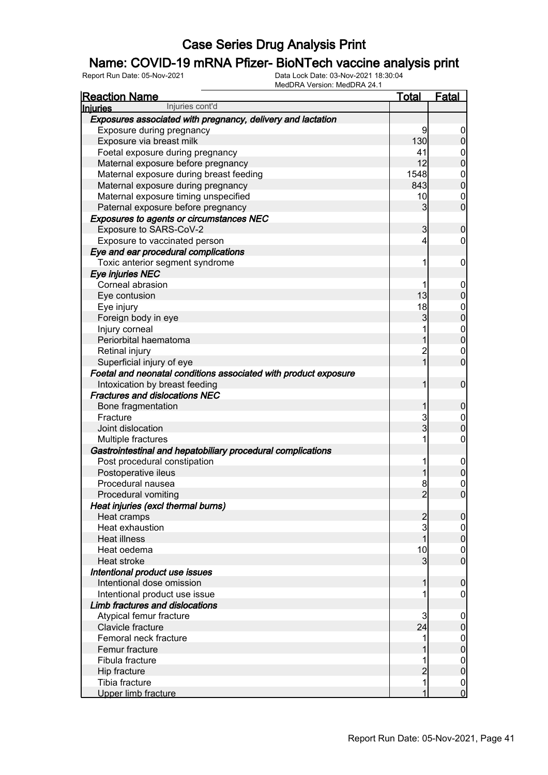### Name: COVID-19 mRNA Pfizer- BioNTech vaccine analysis print

| <b>Reaction Name</b>                                            | Total          | <b>Fatal</b>     |
|-----------------------------------------------------------------|----------------|------------------|
| Injuries cont'd<br><b>Injuries</b>                              |                |                  |
| Exposures associated with pregnancy, delivery and lactation     |                |                  |
| Exposure during pregnancy                                       | 9              | 0                |
| Exposure via breast milk                                        | 130            | 0                |
| Foetal exposure during pregnancy                                | 41             | 0                |
| Maternal exposure before pregnancy                              | 12             | 0                |
| Maternal exposure during breast feeding                         | 1548           | $\mathbf 0$      |
| Maternal exposure during pregnancy                              | 843            | $\overline{0}$   |
| Maternal exposure timing unspecified                            | 10             | $\mathbf 0$      |
| Paternal exposure before pregnancy                              | 3              | 0                |
| Exposures to agents or circumstances NEC                        |                |                  |
| Exposure to SARS-CoV-2                                          | 3              | 0                |
| Exposure to vaccinated person                                   | 4              | 0                |
| Eye and ear procedural complications                            |                |                  |
| Toxic anterior segment syndrome                                 | 1              | 0                |
| Eye injuries NEC                                                |                |                  |
| Corneal abrasion                                                |                | 0                |
| Eye contusion                                                   | 13             | 0                |
| Eye injury                                                      | 18             | 0                |
| Foreign body in eye                                             | 3              | 0                |
| Injury corneal                                                  |                | $\mathbf 0$      |
| Periorbital haematoma                                           |                | O                |
| Retinal injury                                                  | $\overline{c}$ | 0                |
| Superficial injury of eye                                       |                | 0                |
|                                                                 |                |                  |
| Foetal and neonatal conditions associated with product exposure |                |                  |
| Intoxication by breast feeding                                  |                | 0                |
| <b>Fractures and dislocations NEC</b>                           |                |                  |
| Bone fragmentation                                              |                | 0                |
| Fracture                                                        | 3              | $\overline{0}$   |
| Joint dislocation                                               | 3              | 0                |
| Multiple fractures                                              | 1              | 0                |
| Gastrointestinal and hepatobiliary procedural complications     |                |                  |
| Post procedural constipation                                    | 1              | 0                |
| Postoperative ileus                                             |                | 0                |
| Procedural nausea                                               | 8              | 0                |
| Procedural vomiting                                             | $\overline{2}$ | 0                |
| Heat injuries (excl thermal burns)                              |                |                  |
| Heat cramps                                                     | 2              | 0                |
| Heat exhaustion                                                 | 3              | 0                |
| <b>Heat illness</b>                                             |                | 0                |
| Heat oedema                                                     | 10             | 0                |
| Heat stroke                                                     | 3              | 0                |
| Intentional product use issues                                  |                |                  |
| Intentional dose omission                                       |                | 0                |
| Intentional product use issue                                   |                | 0                |
| Limb fractures and dislocations                                 |                |                  |
| Atypical femur fracture                                         | 3              | 0                |
| Clavicle fracture                                               | 24             | 0                |
| Femoral neck fracture                                           | 1              | $\mathbf 0$      |
| Femur fracture                                                  |                | 0                |
| Fibula fracture                                                 |                | $\mathbf 0$      |
| Hip fracture                                                    |                | 0                |
| Tibia fracture                                                  | 1              | $\boldsymbol{0}$ |
| Upper limb fracture                                             | 1              | $\overline{0}$   |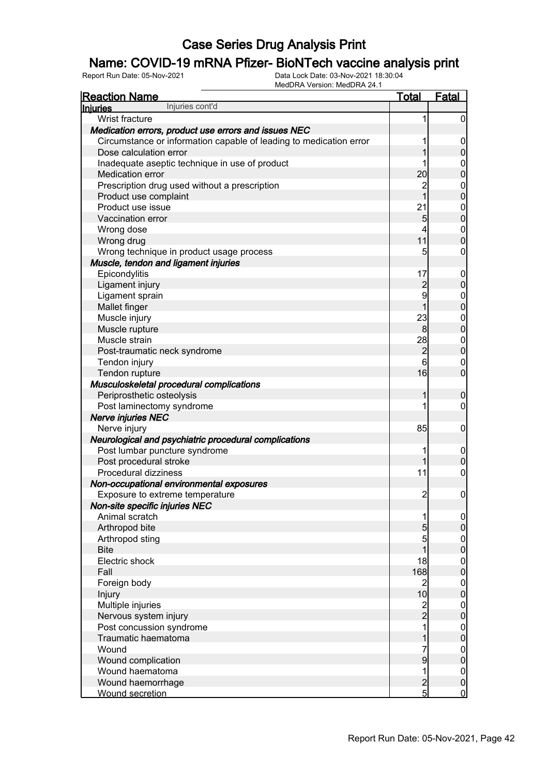### Name: COVID-19 mRNA Pfizer- BioNTech vaccine analysis print

| <b>Reaction Name</b>                                               | <b>Total</b>   | <b>Fatal</b>     |
|--------------------------------------------------------------------|----------------|------------------|
| Injuries cont'd<br>Injuries                                        |                |                  |
| Wrist fracture                                                     | 1              | 0                |
| Medication errors, product use errors and issues NEC               |                |                  |
| Circumstance or information capable of leading to medication error |                | $\boldsymbol{0}$ |
| Dose calculation error                                             |                | 0                |
| Inadequate aseptic technique in use of product                     |                | $\mathbf 0$      |
| Medication error                                                   | 20             | 0                |
| Prescription drug used without a prescription                      | 2              | $\mathbf{0}$     |
| Product use complaint                                              | 1              | 0                |
| Product use issue                                                  | 21             | $\mathbf{0}$     |
| Vaccination error                                                  | 5              | 0                |
| Wrong dose                                                         | 4              | $\mathbf{0}$     |
| Wrong drug                                                         | 11             | 0                |
| Wrong technique in product usage process                           | 5              | 0                |
| Muscle, tendon and ligament injuries                               |                |                  |
| Epicondylitis                                                      | 17             | $\overline{0}$   |
| Ligament injury                                                    | $\overline{c}$ | 0                |
| Ligament sprain                                                    | 9              | $\boldsymbol{0}$ |
| Mallet finger                                                      | 1              | $\mathbf{0}$     |
| Muscle injury                                                      | 23             | $\mathbf 0$      |
| Muscle rupture                                                     | 8              | $\overline{0}$   |
| Muscle strain                                                      | 28             | $\mathbf{0}$     |
| Post-traumatic neck syndrome                                       | $\overline{2}$ | $\overline{0}$   |
| Tendon injury                                                      | 6              | $\mathbf 0$      |
| Tendon rupture                                                     | 16             | $\overline{0}$   |
| Musculoskeletal procedural complications                           |                |                  |
| Periprosthetic osteolysis                                          | 1              | 0                |
| Post laminectomy syndrome                                          | 1              | 0                |
| <b>Nerve injuries NEC</b>                                          |                |                  |
| Nerve injury                                                       | 85             | 0                |
| Neurological and psychiatric procedural complications              |                |                  |
| Post lumbar puncture syndrome                                      | 1              | $\overline{0}$   |
| Post procedural stroke                                             |                | 0                |
| Procedural dizziness                                               | 11             | 0                |
| Non-occupational environmental exposures                           |                |                  |
| Exposure to extreme temperature                                    | $\overline{c}$ | 0                |
| Non-site specific injuries NEC                                     |                |                  |
| Animal scratch                                                     | 11             | $\overline{0}$   |
| Arthropod bite                                                     | 5 <sup>1</sup> | $\overline{0}$   |
| Arthropod sting                                                    | $\overline{5}$ | $\overline{0}$   |
| <b>Bite</b>                                                        | 1              | $\overline{0}$   |
| Electric shock                                                     | 18             | $\mathbf{0}$     |
| Fall                                                               | 168            | $\overline{0}$   |
| Foreign body                                                       | $\overline{2}$ | $\mathbf{0}$     |
| Injury                                                             | 10             | $\mathbf 0$      |
| Multiple injuries                                                  | $\frac{2}{2}$  | $\boldsymbol{0}$ |
| Nervous system injury                                              |                | $\mathbf 0$      |
| Post concussion syndrome                                           | $\mathbf{1}$   | $\boldsymbol{0}$ |
| Traumatic haematoma                                                | 1              | $\mathbf 0$      |
| Wound                                                              | 7              | $\boldsymbol{0}$ |
| Wound complication                                                 | $\overline{9}$ | $\mathbf 0$      |
| Wound haematoma                                                    | 1              | $\boldsymbol{0}$ |
| Wound haemorrhage                                                  | $\overline{2}$ | $\overline{0}$   |
| <b>Wound secretion</b>                                             | $\overline{5}$ | $\mathbf 0$      |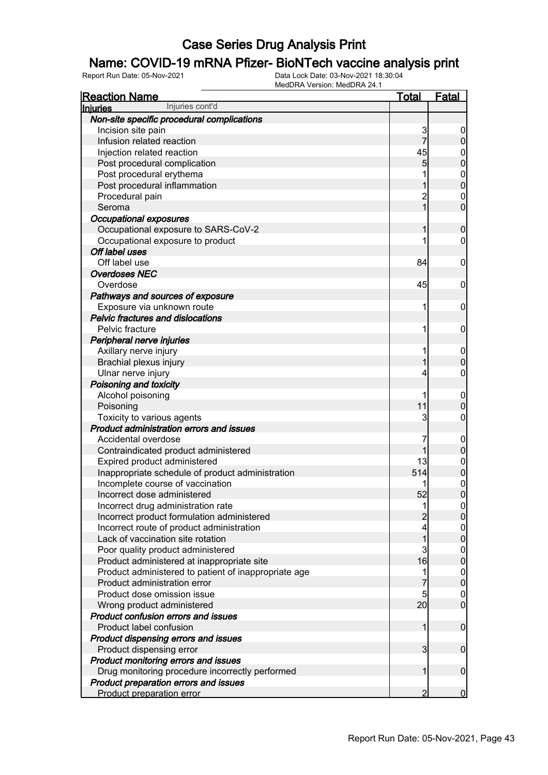### Name: COVID-19 mRNA Pfizer- BioNTech vaccine analysis print

| <b>Reaction Name</b>                                 | <u>Total</u>            | <b>Fatal</b>     |
|------------------------------------------------------|-------------------------|------------------|
| Injuries cont'd<br><b>Injuries</b>                   |                         |                  |
| Non-site specific procedural complications           |                         |                  |
| Incision site pain                                   | 3                       | 0                |
| Infusion related reaction                            | 7                       | 0                |
| Injection related reaction                           | 45                      | $\mathbf 0$      |
| Post procedural complication                         | 5                       | 0                |
| Post procedural erythema                             |                         | $\mathbf{0}$     |
| Post procedural inflammation                         |                         | $\mathbf{0}$     |
| Procedural pain                                      | $\overline{c}$          | $\mathbf{0}$     |
| Seroma                                               | 1                       | $\overline{0}$   |
| <b>Occupational exposures</b>                        |                         |                  |
| Occupational exposure to SARS-CoV-2                  |                         | 0                |
| Occupational exposure to product                     |                         | 0                |
| Off label uses                                       |                         |                  |
| Off label use                                        | 84                      | 0                |
| <b>Overdoses NEC</b>                                 |                         |                  |
| Overdose                                             | 45                      | $\mathbf 0$      |
| Pathways and sources of exposure                     |                         |                  |
| Exposure via unknown route                           | 1                       | $\mathbf 0$      |
| <b>Pelvic fractures and dislocations</b>             |                         |                  |
| Pelvic fracture                                      | 1                       |                  |
|                                                      |                         | 0                |
| Peripheral nerve injuries                            |                         |                  |
| Axillary nerve injury                                | 1                       | $\mathbf 0$      |
| Brachial plexus injury                               |                         | 0                |
| Ulnar nerve injury                                   | 4                       | 0                |
| Poisoning and toxicity                               |                         |                  |
| Alcohol poisoning                                    |                         | $\overline{0}$   |
| Poisoning                                            | 11                      | 0                |
| Toxicity to various agents                           | 3                       | 0                |
| <b>Product administration errors and issues</b>      |                         |                  |
| Accidental overdose                                  | 7                       | $\overline{0}$   |
| Contraindicated product administered                 |                         | 0                |
| Expired product administered                         | 13                      | $\mathbf{0}$     |
| Inappropriate schedule of product administration     | 514                     | $\mathbf 0$      |
| Incomplete course of vaccination                     |                         | $\mathbf 0$      |
| Incorrect dose administered                          | 52                      | $\overline{0}$   |
| Incorrect drug administration rate                   |                         | $\overline{0}$   |
| Incorrect product formulation administered           |                         | 0                |
| Incorrect route of product administration            | 4                       | $\mathbf 0$      |
| Lack of vaccination site rotation                    |                         | 0                |
| Poor quality product administered                    | 3                       | $\boldsymbol{0}$ |
| Product administered at inappropriate site           | 16                      | $\mathbf 0$      |
| Product administered to patient of inappropriate age | 1                       | $\boldsymbol{0}$ |
| Product administration error                         |                         | $\boldsymbol{0}$ |
| Product dose omission issue                          | 5                       | 0                |
| Wrong product administered                           | 20 <sup>°</sup>         | $\overline{0}$   |
| Product confusion errors and issues                  |                         |                  |
| Product label confusion                              | 1                       | $\boldsymbol{0}$ |
| Product dispensing errors and issues                 |                         |                  |
| Product dispensing error                             | $\overline{\mathbf{3}}$ | $\mathbf 0$      |
| Product monitoring errors and issues                 |                         |                  |
| Drug monitoring procedure incorrectly performed      | 1                       | $\boldsymbol{0}$ |
| Product preparation errors and issues                |                         |                  |
| Product preparation error                            | $\overline{2}$          | $\overline{0}$   |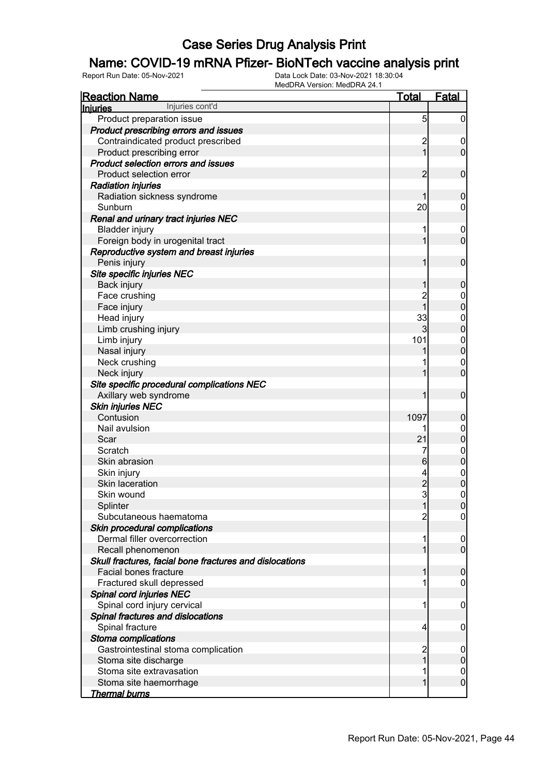### Name: COVID-19 mRNA Pfizer- BioNTech vaccine analysis print

| <b>Reaction Name</b>                                    | <b>Total</b>            | <b>Fatal</b>                       |
|---------------------------------------------------------|-------------------------|------------------------------------|
| Injuries cont'd<br><b>Injuries</b>                      |                         |                                    |
| Product preparation issue                               | 5                       | $\overline{0}$                     |
| Product prescribing errors and issues                   |                         |                                    |
| Contraindicated product prescribed                      | $\overline{\mathbf{c}}$ | $\mathbf 0$                        |
| Product prescribing error                               | $\overline{1}$          | $\mathbf 0$                        |
| <b>Product selection errors and issues</b>              |                         |                                    |
| Product selection error                                 | $\overline{2}$          | $\mathbf 0$                        |
| <b>Radiation injuries</b>                               |                         |                                    |
| Radiation sickness syndrome                             | 1                       | $\boldsymbol{0}$                   |
| Sunburn                                                 | 20                      | $\mathbf 0$                        |
| Renal and urinary tract injuries NEC                    |                         |                                    |
| <b>Bladder injury</b>                                   | 1                       | $\mathbf 0$                        |
| Foreign body in urogenital tract                        | 1                       | $\mathbf 0$                        |
| Reproductive system and breast injuries                 |                         |                                    |
| Penis injury                                            | 1                       | $\mathbf 0$                        |
| Site specific injuries NEC                              |                         |                                    |
| Back injury                                             | 1                       | $\boldsymbol{0}$                   |
| Face crushing                                           | $\overline{c}$          | $\boldsymbol{0}$                   |
| Face injury                                             | $\overline{1}$          | $\mathbf 0$                        |
| Head injury                                             | 33                      |                                    |
| Limb crushing injury                                    | 3                       | $\boldsymbol{0}$<br>$\mathbf 0$    |
|                                                         | 101                     |                                    |
| Limb injury                                             |                         | $\boldsymbol{0}$<br>$\overline{0}$ |
| Nasal injury                                            |                         |                                    |
| Neck crushing                                           |                         | $\mathbf 0$                        |
| Neck injury                                             | 1                       | $\mathbf 0$                        |
| Site specific procedural complications NEC              |                         |                                    |
| Axillary web syndrome                                   | 1                       | $\mathbf 0$                        |
| <b>Skin injuries NEC</b>                                |                         |                                    |
| Contusion                                               | 1097                    | $\boldsymbol{0}$                   |
| Nail avulsion                                           | 1                       | $\boldsymbol{0}$                   |
| Scar                                                    | 21                      | $\mathbf 0$                        |
| Scratch                                                 | 7                       | $0$ 0                              |
| Skin abrasion                                           | $6\phantom{.}$          |                                    |
| Skin injury                                             | 4                       | $\begin{matrix}0\\0\end{matrix}$   |
| Skin laceration                                         | $\frac{2}{3}$           |                                    |
| Skin wound                                              |                         | $\pmb{0}$                          |
| Splinter                                                | 1                       | $\overline{0}$                     |
| Subcutaneous haematoma                                  | 2                       | $\overline{0}$                     |
| Skin procedural complications                           |                         |                                    |
| Dermal filler overcorrection                            |                         | $\mathbf 0$                        |
| Recall phenomenon                                       | 1                       | $\overline{0}$                     |
| Skull fractures, facial bone fractures and dislocations |                         |                                    |
| Facial bones fracture                                   | 1                       | $\mathbf 0$                        |
| Fractured skull depressed                               |                         | 0                                  |
| Spinal cord injuries NEC                                |                         |                                    |
| Spinal cord injury cervical                             | 1                       | $\mathbf 0$                        |
| Spinal fractures and dislocations                       |                         |                                    |
| Spinal fracture                                         | 4                       | 0                                  |
| Stoma complications                                     |                         |                                    |
| Gastrointestinal stoma complication                     | $\overline{c}$          | $\mathbf 0$                        |
| Stoma site discharge                                    | 1                       | $\pmb{0}$                          |
| Stoma site extravasation                                |                         | $\mathbf 0$                        |
| Stoma site haemorrhage                                  | 1                       | $\boldsymbol{0}$                   |
| <u>Thermal burns</u>                                    |                         |                                    |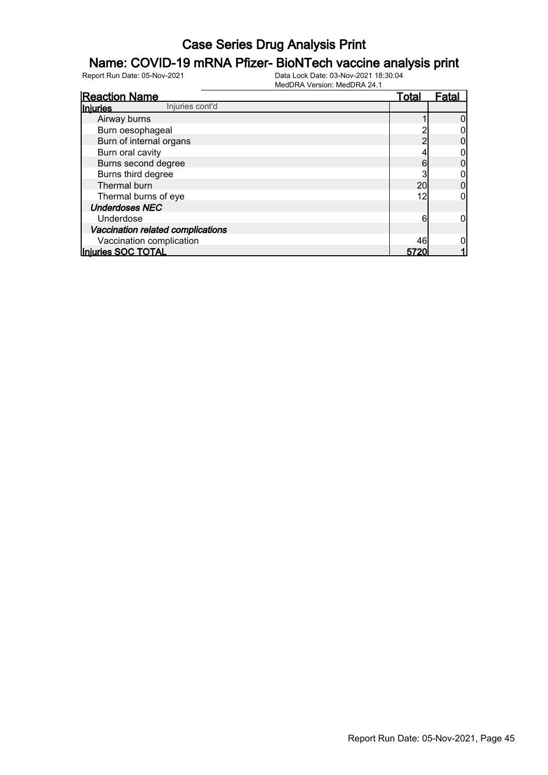### Name: COVID-19 mRNA Pfizer- BioNTech vaccine analysis print

| <b>Reaction Name</b>              | <u>Total</u> | Fatal |
|-----------------------------------|--------------|-------|
| Injuries cont'd<br>Injuries       |              |       |
| Airway burns                      |              |       |
| Burn oesophageal                  |              |       |
| Burn of internal organs           |              |       |
| Burn oral cavity                  |              |       |
| Burns second degree               | 6            |       |
| Burns third degree                |              |       |
| Thermal burn                      | 20           |       |
| Thermal burns of eye              | 12           |       |
| <b>Underdoses NEC</b>             |              |       |
| Underdose                         | 6            |       |
| Vaccination related complications |              |       |
| Vaccination complication          | 46           |       |
| Injuries SOC TOTAL                | 5720         |       |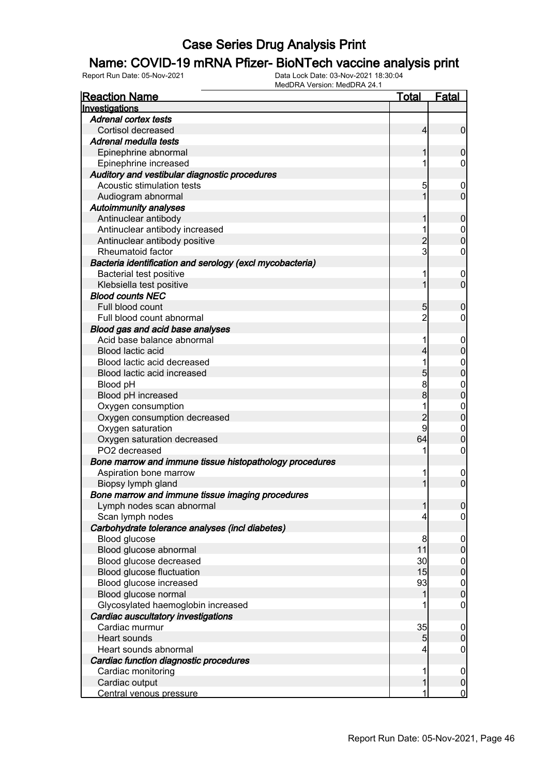#### Name: COVID-19 mRNA Pfizer- BioNTech vaccine analysis print

| <b>Reaction Name</b>                                     | <b>Total</b>   | <b>Fatal</b>               |
|----------------------------------------------------------|----------------|----------------------------|
| Investigations                                           |                |                            |
| <b>Adrenal cortex tests</b>                              |                |                            |
| Cortisol decreased                                       | $\overline{4}$ | $\overline{0}$             |
| Adrenal medulla tests                                    |                |                            |
| Epinephrine abnormal                                     | 1              | $\mathbf 0$                |
| Epinephrine increased                                    | 1              | 0                          |
| Auditory and vestibular diagnostic procedures            |                |                            |
| Acoustic stimulation tests                               | 5              | $\mathbf 0$                |
| Audiogram abnormal                                       | 1              | $\mathbf 0$                |
| <b>Autoimmunity analyses</b>                             |                |                            |
| Antinuclear antibody                                     | 1              | $\mathbf 0$                |
| Antinuclear antibody increased                           | 1              | $\mathbf 0$                |
| Antinuclear antibody positive                            | $\overline{c}$ | $\mathbf 0$                |
| Rheumatoid factor                                        | $\mathsf{3}$   | $\mathbf 0$                |
| Bacteria identification and serology (excl mycobacteria) |                |                            |
| Bacterial test positive                                  | 1              | $\boldsymbol{0}$           |
| Klebsiella test positive                                 | 1              | $\mathbf 0$                |
| <b>Blood counts NEC</b>                                  |                |                            |
| Full blood count                                         | 5              | $\mathbf 0$                |
| Full blood count abnormal                                | $\overline{c}$ | 0                          |
| Blood gas and acid base analyses                         |                |                            |
| Acid base balance abnormal                               | 1              | $\mathbf 0$                |
| Blood lactic acid                                        | 4              | $\mathbf 0$                |
| Blood lactic acid decreased                              | 1              | $\mathbf{0}$               |
| Blood lactic acid increased                              | 5              | $\overline{0}$             |
| Blood pH                                                 | 8              | $\mathbf{0}$               |
| Blood pH increased                                       | $\bf{8}$       | $\overline{0}$             |
| Oxygen consumption                                       | 1              | $\mathbf{0}$               |
| Oxygen consumption decreased                             | $\overline{c}$ | $\overline{0}$             |
| Oxygen saturation                                        | 9              |                            |
|                                                          | 64             | $\mathbf 0$<br>$\mathbf 0$ |
| Oxygen saturation decreased<br>PO2 decreased             |                |                            |
|                                                          |                | $\boldsymbol{0}$           |
| Bone marrow and immune tissue histopathology procedures  |                |                            |
| Aspiration bone marrow                                   | 1<br>1         | $\boldsymbol{0}$           |
| Biopsy lymph gland                                       |                | $\overline{0}$             |
| Bone marrow and immune tissue imaging procedures         |                |                            |
| Lymph nodes scan abnormal                                | 1              | 0                          |
| Scan lymph nodes                                         | 4              | $\overline{0}$             |
| Carbohydrate tolerance analyses (incl diabetes)          |                |                            |
| Blood glucose                                            | 8              | $\mathbf 0$                |
| Blood glucose abnormal                                   | 11             | $\pmb{0}$                  |
| Blood glucose decreased                                  | 30             | $\overline{0}$             |
| Blood glucose fluctuation                                | 15             | $\overline{0}$             |
| Blood glucose increased                                  | 93             | $0\atop 0$                 |
| Blood glucose normal                                     | 1              |                            |
| Glycosylated haemoglobin increased                       |                | $\mathbf 0$                |
| Cardiac auscultatory investigations                      |                |                            |
| Cardiac murmur                                           | 35             | $\mathbf 0$                |
| <b>Heart sounds</b>                                      | 5              | $\pmb{0}$                  |
| Heart sounds abnormal                                    | 4              | $\overline{0}$             |
| Cardiac function diagnostic procedures                   |                |                            |
| Cardiac monitoring                                       | 1              | $\boldsymbol{0}$           |
| Cardiac output                                           | 1              | $\pmb{0}$                  |
| Central venous pressure                                  | 1              | $\overline{0}$             |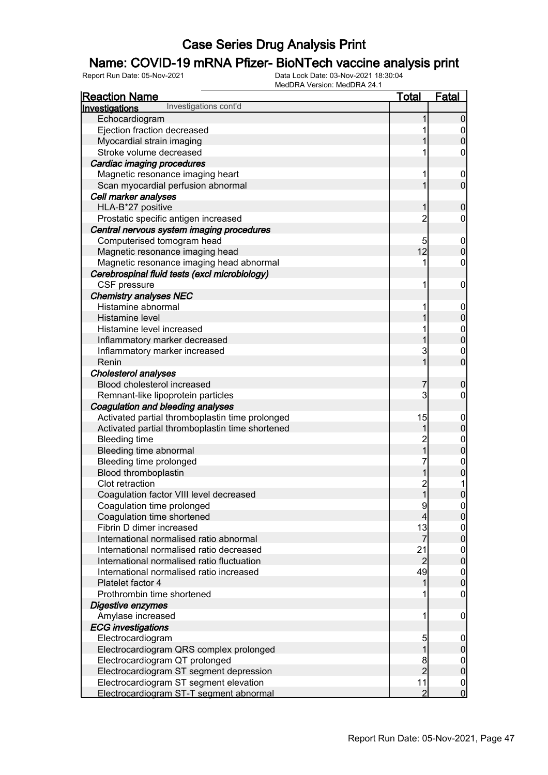### Name: COVID-19 mRNA Pfizer- BioNTech vaccine analysis print

| <b>Reaction Name</b>                            | <u>Total</u>   | Fatal                                |
|-------------------------------------------------|----------------|--------------------------------------|
| Investigations cont'd<br>Investigations         |                |                                      |
| Echocardiogram                                  |                | $\overline{0}$                       |
| Ejection fraction decreased                     |                |                                      |
| Myocardial strain imaging                       |                | $\begin{matrix} 0 \\ 0 \end{matrix}$ |
| Stroke volume decreased                         |                | 0                                    |
| Cardiac imaging procedures                      |                |                                      |
| Magnetic resonance imaging heart                | 1              | $\boldsymbol{0}$                     |
| Scan myocardial perfusion abnormal              | 1              | $\overline{0}$                       |
| Cell marker analyses                            |                |                                      |
| HLA-B*27 positive                               | 1              | $\mathbf 0$                          |
| Prostatic specific antigen increased            | $\overline{2}$ | $\mathbf 0$                          |
| Central nervous system imaging procedures       |                |                                      |
| Computerised tomogram head                      | 5              | $\boldsymbol{0}$                     |
| Magnetic resonance imaging head                 | 12             | $\overline{0}$                       |
| Magnetic resonance imaging head abnormal        | 1              | $\pmb{0}$                            |
| Cerebrospinal fluid tests (excl microbiology)   |                |                                      |
| CSF pressure                                    | 1              | $\mathbf 0$                          |
| <b>Chemistry analyses NEC</b>                   |                |                                      |
| Histamine abnormal                              | 1              | $\boldsymbol{0}$                     |
| Histamine level                                 | 1              | $\mathbf 0$                          |
| Histamine level increased                       | 1              |                                      |
| Inflammatory marker decreased                   | 1              | $\begin{matrix}0\\0\end{matrix}$     |
| Inflammatory marker increased                   | 3              |                                      |
| Renin                                           | $\overline{1}$ | $\begin{matrix}0\\0\end{matrix}$     |
| <b>Cholesterol analyses</b>                     |                |                                      |
| Blood cholesterol increased                     | 7              | $\mathbf 0$                          |
| Remnant-like lipoprotein particles              | 3              | $\overline{0}$                       |
| Coagulation and bleeding analyses               |                |                                      |
| Activated partial thromboplastin time prolonged | 15             | $\boldsymbol{0}$                     |
| Activated partial thromboplastin time shortened | 1              | $\mathbf 0$                          |
| <b>Bleeding time</b>                            |                |                                      |
| Bleeding time abnormal                          | $\frac{2}{1}$  | $0$<br>0                             |
| Bleeding time prolonged                         | 7              |                                      |
| Blood thromboplastin                            | 1              | $0$<br>0                             |
| Clot retraction                                 |                | $\mathbf 1$                          |
| Coagulation factor VIII level decreased         | 2<br>1         | $\overline{0}$                       |
| Coagulation time prolonged                      | $\overline{9}$ | 0                                    |
| Coagulation time shortened                      | $\overline{4}$ | $\overline{0}$                       |
| Fibrin D dimer increased                        | 13             | $\overline{0}$                       |
| International normalised ratio abnormal         | $\overline{7}$ | $\mathbf 0$                          |
| International normalised ratio decreased        | 21             | $\overline{0}$                       |
| International normalised ratio fluctuation      | $\overline{c}$ | $\mathbf 0$                          |
| International normalised ratio increased        | 49             | $\boldsymbol{0}$                     |
| Platelet factor 4                               | 1              | $\mathbf 0$                          |
| Prothrombin time shortened                      |                | $\boldsymbol{0}$                     |
| Digestive enzymes                               |                |                                      |
| Amylase increased                               | 1              | $\mathbf 0$                          |
| <b>ECG</b> investigations                       |                |                                      |
| Electrocardiogram                               | 5              | $\overline{0}$                       |
| Electrocardiogram QRS complex prolonged         | 1              | $\pmb{0}$                            |
| Electrocardiogram QT prolonged                  | 8              | $\overline{0}$                       |
| Electrocardiogram ST segment depression         | $\overline{2}$ | $\mathbf 0$                          |
| Electrocardiogram ST segment elevation          | 11             | $\boldsymbol{0}$                     |
| Electrocardiogram ST-T segment abnormal         | $\overline{2}$ | $\overline{0}$                       |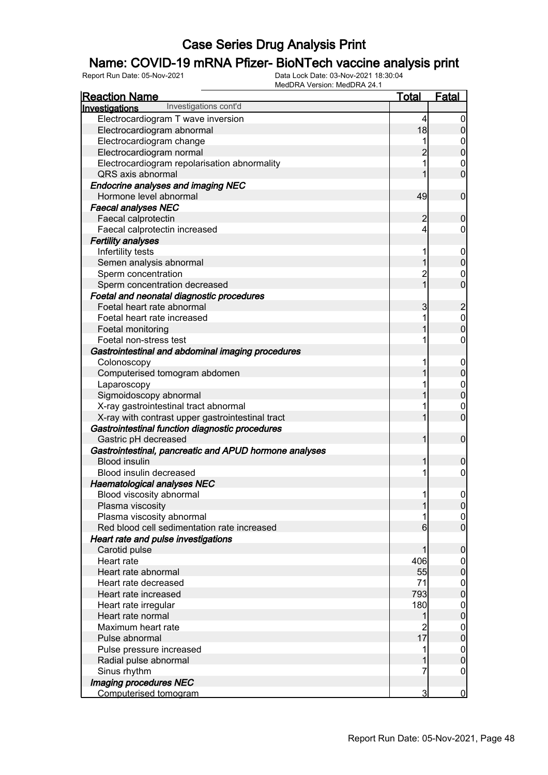### Name: COVID-19 mRNA Pfizer- BioNTech vaccine analysis print

| Investigations<br>Electrocardiogram T wave inversion<br>4<br>0<br>18<br>$\mathsf{O}\xspace$<br>Electrocardiogram abnormal<br>Electrocardiogram change<br>0<br>$\overline{0}$<br>$\overline{2}$<br>Electrocardiogram normal<br>Electrocardiogram repolarisation abnormality<br>0<br>$\overline{0}$<br>QRS axis abnormal<br><b>Endocrine analyses and imaging NEC</b><br>49<br>$\mathbf 0$<br>Hormone level abnormal<br><b>Faecal analyses NEC</b><br>$\overline{2}$<br>$\boldsymbol{0}$<br>Faecal calprotectin<br>Faecal calprotectin increased<br>4<br>0<br><b>Fertility analyses</b><br>Infertility tests<br>1<br>$\mathbf 0$<br>$\boldsymbol{0}$<br>Semen analysis abnormal<br>1<br>$\overline{c}$<br>Sperm concentration<br>0<br>$\overline{1}$<br>$\overline{0}$<br>Sperm concentration decreased<br>Foetal and neonatal diagnostic procedures<br>3<br>$\overline{c}$<br>Foetal heart rate abnormal<br>Foetal heart rate increased<br>$\mathbf{0}$<br>1<br>$\overline{0}$<br>Foetal monitoring<br>0<br>Foetal non-stress test<br>Gastrointestinal and abdominal imaging procedures<br>Colonoscopy<br>$\mathbf 0$<br>$\pmb{0}$<br>Computerised tomogram abdomen<br>$0\atop 0$<br>Laparoscopy<br>Sigmoidoscopy abnormal<br>X-ray gastrointestinal tract abnormal<br>$\mathbf 0$<br>$\overline{0}$<br>X-ray with contrast upper gastrointestinal tract<br>Gastrointestinal function diagnostic procedures<br>$\mathbf 0$<br>Gastric pH decreased<br>1<br>Gastrointestinal, pancreatic and APUD hormone analyses<br><b>Blood insulin</b><br>1<br>$\mathbf 0$<br>Blood insulin decreased<br>1<br>0<br><b>Haematological analyses NEC</b><br>Blood viscosity abnormal<br>1<br>0<br>Plasma viscosity<br> 0 <br>Plasma viscosity abnormal<br>$\overline{0}$<br>$\overline{0}$<br>Red blood cell sedimentation rate increased<br>$6 \mid$<br>Heart rate and pulse investigations<br>$\mathbf 0$<br>Carotid pulse<br>1<br>406<br>Heart rate<br>$\overline{0}$<br>$\overline{0}$<br>55<br>Heart rate abnormal<br>71<br>Heart rate decreased<br>$\boldsymbol{0}$<br>$\overline{0}$<br>793<br>Heart rate increased<br>180<br>Heart rate irregular<br>$\boldsymbol{0}$<br>$\overline{0}$<br>Heart rate normal<br>1<br>Maximum heart rate<br>$\overline{c}$<br>$\boldsymbol{0}$<br>$\overline{17}$<br>$\overline{0}$<br>Pulse abnormal<br>$\boldsymbol{0}$<br>Pulse pressure increased<br>1<br>$\pmb{0}$<br>Radial pulse abnormal | <b>Reaction Name</b>  | <b>Total</b> | <b>Fatal</b> |
|------------------------------------------------------------------------------------------------------------------------------------------------------------------------------------------------------------------------------------------------------------------------------------------------------------------------------------------------------------------------------------------------------------------------------------------------------------------------------------------------------------------------------------------------------------------------------------------------------------------------------------------------------------------------------------------------------------------------------------------------------------------------------------------------------------------------------------------------------------------------------------------------------------------------------------------------------------------------------------------------------------------------------------------------------------------------------------------------------------------------------------------------------------------------------------------------------------------------------------------------------------------------------------------------------------------------------------------------------------------------------------------------------------------------------------------------------------------------------------------------------------------------------------------------------------------------------------------------------------------------------------------------------------------------------------------------------------------------------------------------------------------------------------------------------------------------------------------------------------------------------------------------------------------------------------------------------------------------------------------------------------------------------------------------------------------------------------------------------------------------------------------------------------------------------------------------------------------------------------------------------------------------------------------------------------------------------------------------------------------------------------------------------------------------|-----------------------|--------------|--------------|
|                                                                                                                                                                                                                                                                                                                                                                                                                                                                                                                                                                                                                                                                                                                                                                                                                                                                                                                                                                                                                                                                                                                                                                                                                                                                                                                                                                                                                                                                                                                                                                                                                                                                                                                                                                                                                                                                                                                                                                                                                                                                                                                                                                                                                                                                                                                                                                                                                        | Investigations cont'd |              |              |
|                                                                                                                                                                                                                                                                                                                                                                                                                                                                                                                                                                                                                                                                                                                                                                                                                                                                                                                                                                                                                                                                                                                                                                                                                                                                                                                                                                                                                                                                                                                                                                                                                                                                                                                                                                                                                                                                                                                                                                                                                                                                                                                                                                                                                                                                                                                                                                                                                        |                       |              |              |
|                                                                                                                                                                                                                                                                                                                                                                                                                                                                                                                                                                                                                                                                                                                                                                                                                                                                                                                                                                                                                                                                                                                                                                                                                                                                                                                                                                                                                                                                                                                                                                                                                                                                                                                                                                                                                                                                                                                                                                                                                                                                                                                                                                                                                                                                                                                                                                                                                        |                       |              |              |
|                                                                                                                                                                                                                                                                                                                                                                                                                                                                                                                                                                                                                                                                                                                                                                                                                                                                                                                                                                                                                                                                                                                                                                                                                                                                                                                                                                                                                                                                                                                                                                                                                                                                                                                                                                                                                                                                                                                                                                                                                                                                                                                                                                                                                                                                                                                                                                                                                        |                       |              |              |
|                                                                                                                                                                                                                                                                                                                                                                                                                                                                                                                                                                                                                                                                                                                                                                                                                                                                                                                                                                                                                                                                                                                                                                                                                                                                                                                                                                                                                                                                                                                                                                                                                                                                                                                                                                                                                                                                                                                                                                                                                                                                                                                                                                                                                                                                                                                                                                                                                        |                       |              |              |
|                                                                                                                                                                                                                                                                                                                                                                                                                                                                                                                                                                                                                                                                                                                                                                                                                                                                                                                                                                                                                                                                                                                                                                                                                                                                                                                                                                                                                                                                                                                                                                                                                                                                                                                                                                                                                                                                                                                                                                                                                                                                                                                                                                                                                                                                                                                                                                                                                        |                       |              |              |
|                                                                                                                                                                                                                                                                                                                                                                                                                                                                                                                                                                                                                                                                                                                                                                                                                                                                                                                                                                                                                                                                                                                                                                                                                                                                                                                                                                                                                                                                                                                                                                                                                                                                                                                                                                                                                                                                                                                                                                                                                                                                                                                                                                                                                                                                                                                                                                                                                        |                       |              |              |
|                                                                                                                                                                                                                                                                                                                                                                                                                                                                                                                                                                                                                                                                                                                                                                                                                                                                                                                                                                                                                                                                                                                                                                                                                                                                                                                                                                                                                                                                                                                                                                                                                                                                                                                                                                                                                                                                                                                                                                                                                                                                                                                                                                                                                                                                                                                                                                                                                        |                       |              |              |
|                                                                                                                                                                                                                                                                                                                                                                                                                                                                                                                                                                                                                                                                                                                                                                                                                                                                                                                                                                                                                                                                                                                                                                                                                                                                                                                                                                                                                                                                                                                                                                                                                                                                                                                                                                                                                                                                                                                                                                                                                                                                                                                                                                                                                                                                                                                                                                                                                        |                       |              |              |
|                                                                                                                                                                                                                                                                                                                                                                                                                                                                                                                                                                                                                                                                                                                                                                                                                                                                                                                                                                                                                                                                                                                                                                                                                                                                                                                                                                                                                                                                                                                                                                                                                                                                                                                                                                                                                                                                                                                                                                                                                                                                                                                                                                                                                                                                                                                                                                                                                        |                       |              |              |
|                                                                                                                                                                                                                                                                                                                                                                                                                                                                                                                                                                                                                                                                                                                                                                                                                                                                                                                                                                                                                                                                                                                                                                                                                                                                                                                                                                                                                                                                                                                                                                                                                                                                                                                                                                                                                                                                                                                                                                                                                                                                                                                                                                                                                                                                                                                                                                                                                        |                       |              |              |
|                                                                                                                                                                                                                                                                                                                                                                                                                                                                                                                                                                                                                                                                                                                                                                                                                                                                                                                                                                                                                                                                                                                                                                                                                                                                                                                                                                                                                                                                                                                                                                                                                                                                                                                                                                                                                                                                                                                                                                                                                                                                                                                                                                                                                                                                                                                                                                                                                        |                       |              |              |
|                                                                                                                                                                                                                                                                                                                                                                                                                                                                                                                                                                                                                                                                                                                                                                                                                                                                                                                                                                                                                                                                                                                                                                                                                                                                                                                                                                                                                                                                                                                                                                                                                                                                                                                                                                                                                                                                                                                                                                                                                                                                                                                                                                                                                                                                                                                                                                                                                        |                       |              |              |
|                                                                                                                                                                                                                                                                                                                                                                                                                                                                                                                                                                                                                                                                                                                                                                                                                                                                                                                                                                                                                                                                                                                                                                                                                                                                                                                                                                                                                                                                                                                                                                                                                                                                                                                                                                                                                                                                                                                                                                                                                                                                                                                                                                                                                                                                                                                                                                                                                        |                       |              |              |
|                                                                                                                                                                                                                                                                                                                                                                                                                                                                                                                                                                                                                                                                                                                                                                                                                                                                                                                                                                                                                                                                                                                                                                                                                                                                                                                                                                                                                                                                                                                                                                                                                                                                                                                                                                                                                                                                                                                                                                                                                                                                                                                                                                                                                                                                                                                                                                                                                        |                       |              |              |
|                                                                                                                                                                                                                                                                                                                                                                                                                                                                                                                                                                                                                                                                                                                                                                                                                                                                                                                                                                                                                                                                                                                                                                                                                                                                                                                                                                                                                                                                                                                                                                                                                                                                                                                                                                                                                                                                                                                                                                                                                                                                                                                                                                                                                                                                                                                                                                                                                        |                       |              |              |
|                                                                                                                                                                                                                                                                                                                                                                                                                                                                                                                                                                                                                                                                                                                                                                                                                                                                                                                                                                                                                                                                                                                                                                                                                                                                                                                                                                                                                                                                                                                                                                                                                                                                                                                                                                                                                                                                                                                                                                                                                                                                                                                                                                                                                                                                                                                                                                                                                        |                       |              |              |
|                                                                                                                                                                                                                                                                                                                                                                                                                                                                                                                                                                                                                                                                                                                                                                                                                                                                                                                                                                                                                                                                                                                                                                                                                                                                                                                                                                                                                                                                                                                                                                                                                                                                                                                                                                                                                                                                                                                                                                                                                                                                                                                                                                                                                                                                                                                                                                                                                        |                       |              |              |
|                                                                                                                                                                                                                                                                                                                                                                                                                                                                                                                                                                                                                                                                                                                                                                                                                                                                                                                                                                                                                                                                                                                                                                                                                                                                                                                                                                                                                                                                                                                                                                                                                                                                                                                                                                                                                                                                                                                                                                                                                                                                                                                                                                                                                                                                                                                                                                                                                        |                       |              |              |
|                                                                                                                                                                                                                                                                                                                                                                                                                                                                                                                                                                                                                                                                                                                                                                                                                                                                                                                                                                                                                                                                                                                                                                                                                                                                                                                                                                                                                                                                                                                                                                                                                                                                                                                                                                                                                                                                                                                                                                                                                                                                                                                                                                                                                                                                                                                                                                                                                        |                       |              |              |
|                                                                                                                                                                                                                                                                                                                                                                                                                                                                                                                                                                                                                                                                                                                                                                                                                                                                                                                                                                                                                                                                                                                                                                                                                                                                                                                                                                                                                                                                                                                                                                                                                                                                                                                                                                                                                                                                                                                                                                                                                                                                                                                                                                                                                                                                                                                                                                                                                        |                       |              |              |
|                                                                                                                                                                                                                                                                                                                                                                                                                                                                                                                                                                                                                                                                                                                                                                                                                                                                                                                                                                                                                                                                                                                                                                                                                                                                                                                                                                                                                                                                                                                                                                                                                                                                                                                                                                                                                                                                                                                                                                                                                                                                                                                                                                                                                                                                                                                                                                                                                        |                       |              |              |
|                                                                                                                                                                                                                                                                                                                                                                                                                                                                                                                                                                                                                                                                                                                                                                                                                                                                                                                                                                                                                                                                                                                                                                                                                                                                                                                                                                                                                                                                                                                                                                                                                                                                                                                                                                                                                                                                                                                                                                                                                                                                                                                                                                                                                                                                                                                                                                                                                        |                       |              |              |
|                                                                                                                                                                                                                                                                                                                                                                                                                                                                                                                                                                                                                                                                                                                                                                                                                                                                                                                                                                                                                                                                                                                                                                                                                                                                                                                                                                                                                                                                                                                                                                                                                                                                                                                                                                                                                                                                                                                                                                                                                                                                                                                                                                                                                                                                                                                                                                                                                        |                       |              |              |
|                                                                                                                                                                                                                                                                                                                                                                                                                                                                                                                                                                                                                                                                                                                                                                                                                                                                                                                                                                                                                                                                                                                                                                                                                                                                                                                                                                                                                                                                                                                                                                                                                                                                                                                                                                                                                                                                                                                                                                                                                                                                                                                                                                                                                                                                                                                                                                                                                        |                       |              |              |
|                                                                                                                                                                                                                                                                                                                                                                                                                                                                                                                                                                                                                                                                                                                                                                                                                                                                                                                                                                                                                                                                                                                                                                                                                                                                                                                                                                                                                                                                                                                                                                                                                                                                                                                                                                                                                                                                                                                                                                                                                                                                                                                                                                                                                                                                                                                                                                                                                        |                       |              |              |
|                                                                                                                                                                                                                                                                                                                                                                                                                                                                                                                                                                                                                                                                                                                                                                                                                                                                                                                                                                                                                                                                                                                                                                                                                                                                                                                                                                                                                                                                                                                                                                                                                                                                                                                                                                                                                                                                                                                                                                                                                                                                                                                                                                                                                                                                                                                                                                                                                        |                       |              |              |
|                                                                                                                                                                                                                                                                                                                                                                                                                                                                                                                                                                                                                                                                                                                                                                                                                                                                                                                                                                                                                                                                                                                                                                                                                                                                                                                                                                                                                                                                                                                                                                                                                                                                                                                                                                                                                                                                                                                                                                                                                                                                                                                                                                                                                                                                                                                                                                                                                        |                       |              |              |
|                                                                                                                                                                                                                                                                                                                                                                                                                                                                                                                                                                                                                                                                                                                                                                                                                                                                                                                                                                                                                                                                                                                                                                                                                                                                                                                                                                                                                                                                                                                                                                                                                                                                                                                                                                                                                                                                                                                                                                                                                                                                                                                                                                                                                                                                                                                                                                                                                        |                       |              |              |
|                                                                                                                                                                                                                                                                                                                                                                                                                                                                                                                                                                                                                                                                                                                                                                                                                                                                                                                                                                                                                                                                                                                                                                                                                                                                                                                                                                                                                                                                                                                                                                                                                                                                                                                                                                                                                                                                                                                                                                                                                                                                                                                                                                                                                                                                                                                                                                                                                        |                       |              |              |
|                                                                                                                                                                                                                                                                                                                                                                                                                                                                                                                                                                                                                                                                                                                                                                                                                                                                                                                                                                                                                                                                                                                                                                                                                                                                                                                                                                                                                                                                                                                                                                                                                                                                                                                                                                                                                                                                                                                                                                                                                                                                                                                                                                                                                                                                                                                                                                                                                        |                       |              |              |
|                                                                                                                                                                                                                                                                                                                                                                                                                                                                                                                                                                                                                                                                                                                                                                                                                                                                                                                                                                                                                                                                                                                                                                                                                                                                                                                                                                                                                                                                                                                                                                                                                                                                                                                                                                                                                                                                                                                                                                                                                                                                                                                                                                                                                                                                                                                                                                                                                        |                       |              |              |
|                                                                                                                                                                                                                                                                                                                                                                                                                                                                                                                                                                                                                                                                                                                                                                                                                                                                                                                                                                                                                                                                                                                                                                                                                                                                                                                                                                                                                                                                                                                                                                                                                                                                                                                                                                                                                                                                                                                                                                                                                                                                                                                                                                                                                                                                                                                                                                                                                        |                       |              |              |
|                                                                                                                                                                                                                                                                                                                                                                                                                                                                                                                                                                                                                                                                                                                                                                                                                                                                                                                                                                                                                                                                                                                                                                                                                                                                                                                                                                                                                                                                                                                                                                                                                                                                                                                                                                                                                                                                                                                                                                                                                                                                                                                                                                                                                                                                                                                                                                                                                        |                       |              |              |
|                                                                                                                                                                                                                                                                                                                                                                                                                                                                                                                                                                                                                                                                                                                                                                                                                                                                                                                                                                                                                                                                                                                                                                                                                                                                                                                                                                                                                                                                                                                                                                                                                                                                                                                                                                                                                                                                                                                                                                                                                                                                                                                                                                                                                                                                                                                                                                                                                        |                       |              |              |
|                                                                                                                                                                                                                                                                                                                                                                                                                                                                                                                                                                                                                                                                                                                                                                                                                                                                                                                                                                                                                                                                                                                                                                                                                                                                                                                                                                                                                                                                                                                                                                                                                                                                                                                                                                                                                                                                                                                                                                                                                                                                                                                                                                                                                                                                                                                                                                                                                        |                       |              |              |
|                                                                                                                                                                                                                                                                                                                                                                                                                                                                                                                                                                                                                                                                                                                                                                                                                                                                                                                                                                                                                                                                                                                                                                                                                                                                                                                                                                                                                                                                                                                                                                                                                                                                                                                                                                                                                                                                                                                                                                                                                                                                                                                                                                                                                                                                                                                                                                                                                        |                       |              |              |
|                                                                                                                                                                                                                                                                                                                                                                                                                                                                                                                                                                                                                                                                                                                                                                                                                                                                                                                                                                                                                                                                                                                                                                                                                                                                                                                                                                                                                                                                                                                                                                                                                                                                                                                                                                                                                                                                                                                                                                                                                                                                                                                                                                                                                                                                                                                                                                                                                        |                       |              |              |
|                                                                                                                                                                                                                                                                                                                                                                                                                                                                                                                                                                                                                                                                                                                                                                                                                                                                                                                                                                                                                                                                                                                                                                                                                                                                                                                                                                                                                                                                                                                                                                                                                                                                                                                                                                                                                                                                                                                                                                                                                                                                                                                                                                                                                                                                                                                                                                                                                        |                       |              |              |
|                                                                                                                                                                                                                                                                                                                                                                                                                                                                                                                                                                                                                                                                                                                                                                                                                                                                                                                                                                                                                                                                                                                                                                                                                                                                                                                                                                                                                                                                                                                                                                                                                                                                                                                                                                                                                                                                                                                                                                                                                                                                                                                                                                                                                                                                                                                                                                                                                        |                       |              |              |
|                                                                                                                                                                                                                                                                                                                                                                                                                                                                                                                                                                                                                                                                                                                                                                                                                                                                                                                                                                                                                                                                                                                                                                                                                                                                                                                                                                                                                                                                                                                                                                                                                                                                                                                                                                                                                                                                                                                                                                                                                                                                                                                                                                                                                                                                                                                                                                                                                        |                       |              |              |
|                                                                                                                                                                                                                                                                                                                                                                                                                                                                                                                                                                                                                                                                                                                                                                                                                                                                                                                                                                                                                                                                                                                                                                                                                                                                                                                                                                                                                                                                                                                                                                                                                                                                                                                                                                                                                                                                                                                                                                                                                                                                                                                                                                                                                                                                                                                                                                                                                        |                       |              |              |
|                                                                                                                                                                                                                                                                                                                                                                                                                                                                                                                                                                                                                                                                                                                                                                                                                                                                                                                                                                                                                                                                                                                                                                                                                                                                                                                                                                                                                                                                                                                                                                                                                                                                                                                                                                                                                                                                                                                                                                                                                                                                                                                                                                                                                                                                                                                                                                                                                        |                       |              |              |
|                                                                                                                                                                                                                                                                                                                                                                                                                                                                                                                                                                                                                                                                                                                                                                                                                                                                                                                                                                                                                                                                                                                                                                                                                                                                                                                                                                                                                                                                                                                                                                                                                                                                                                                                                                                                                                                                                                                                                                                                                                                                                                                                                                                                                                                                                                                                                                                                                        |                       |              |              |
|                                                                                                                                                                                                                                                                                                                                                                                                                                                                                                                                                                                                                                                                                                                                                                                                                                                                                                                                                                                                                                                                                                                                                                                                                                                                                                                                                                                                                                                                                                                                                                                                                                                                                                                                                                                                                                                                                                                                                                                                                                                                                                                                                                                                                                                                                                                                                                                                                        |                       |              |              |
|                                                                                                                                                                                                                                                                                                                                                                                                                                                                                                                                                                                                                                                                                                                                                                                                                                                                                                                                                                                                                                                                                                                                                                                                                                                                                                                                                                                                                                                                                                                                                                                                                                                                                                                                                                                                                                                                                                                                                                                                                                                                                                                                                                                                                                                                                                                                                                                                                        |                       |              |              |
|                                                                                                                                                                                                                                                                                                                                                                                                                                                                                                                                                                                                                                                                                                                                                                                                                                                                                                                                                                                                                                                                                                                                                                                                                                                                                                                                                                                                                                                                                                                                                                                                                                                                                                                                                                                                                                                                                                                                                                                                                                                                                                                                                                                                                                                                                                                                                                                                                        |                       |              |              |
|                                                                                                                                                                                                                                                                                                                                                                                                                                                                                                                                                                                                                                                                                                                                                                                                                                                                                                                                                                                                                                                                                                                                                                                                                                                                                                                                                                                                                                                                                                                                                                                                                                                                                                                                                                                                                                                                                                                                                                                                                                                                                                                                                                                                                                                                                                                                                                                                                        |                       |              |              |
|                                                                                                                                                                                                                                                                                                                                                                                                                                                                                                                                                                                                                                                                                                                                                                                                                                                                                                                                                                                                                                                                                                                                                                                                                                                                                                                                                                                                                                                                                                                                                                                                                                                                                                                                                                                                                                                                                                                                                                                                                                                                                                                                                                                                                                                                                                                                                                                                                        |                       |              |              |
|                                                                                                                                                                                                                                                                                                                                                                                                                                                                                                                                                                                                                                                                                                                                                                                                                                                                                                                                                                                                                                                                                                                                                                                                                                                                                                                                                                                                                                                                                                                                                                                                                                                                                                                                                                                                                                                                                                                                                                                                                                                                                                                                                                                                                                                                                                                                                                                                                        |                       |              |              |
|                                                                                                                                                                                                                                                                                                                                                                                                                                                                                                                                                                                                                                                                                                                                                                                                                                                                                                                                                                                                                                                                                                                                                                                                                                                                                                                                                                                                                                                                                                                                                                                                                                                                                                                                                                                                                                                                                                                                                                                                                                                                                                                                                                                                                                                                                                                                                                                                                        |                       |              |              |
|                                                                                                                                                                                                                                                                                                                                                                                                                                                                                                                                                                                                                                                                                                                                                                                                                                                                                                                                                                                                                                                                                                                                                                                                                                                                                                                                                                                                                                                                                                                                                                                                                                                                                                                                                                                                                                                                                                                                                                                                                                                                                                                                                                                                                                                                                                                                                                                                                        | Sinus rhythm          | 7            | $\mathbf 0$  |
| Imaging procedures NEC                                                                                                                                                                                                                                                                                                                                                                                                                                                                                                                                                                                                                                                                                                                                                                                                                                                                                                                                                                                                                                                                                                                                                                                                                                                                                                                                                                                                                                                                                                                                                                                                                                                                                                                                                                                                                                                                                                                                                                                                                                                                                                                                                                                                                                                                                                                                                                                                 |                       |              |              |
| 3<br><b>Computerised tomogram</b><br>$\bf{0}$                                                                                                                                                                                                                                                                                                                                                                                                                                                                                                                                                                                                                                                                                                                                                                                                                                                                                                                                                                                                                                                                                                                                                                                                                                                                                                                                                                                                                                                                                                                                                                                                                                                                                                                                                                                                                                                                                                                                                                                                                                                                                                                                                                                                                                                                                                                                                                          |                       |              |              |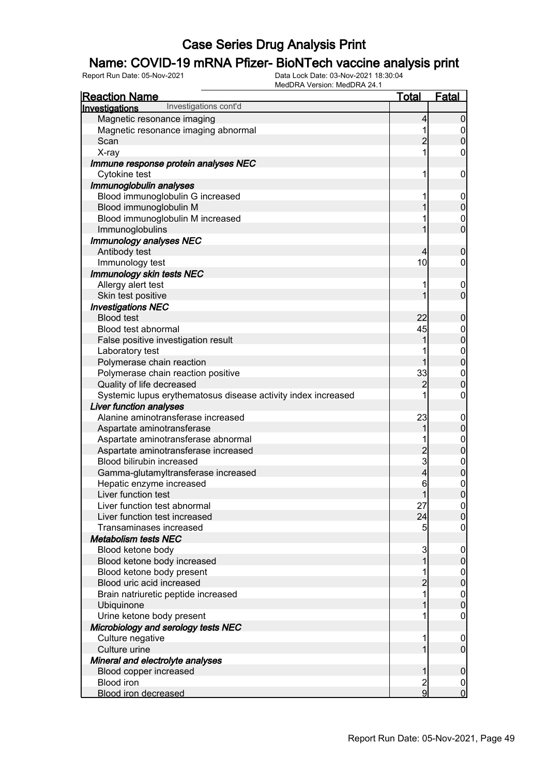### Name: COVID-19 mRNA Pfizer- BioNTech vaccine analysis print

| <b>Reaction Name</b>                                          | <u>Total</u>            | <b>Fatal</b>                         |
|---------------------------------------------------------------|-------------------------|--------------------------------------|
| Investigations cont'd<br>Investigations                       |                         |                                      |
| Magnetic resonance imaging                                    | 4                       | $\mathbf 0$                          |
| Magnetic resonance imaging abnormal                           | 1                       | $\overline{0}$                       |
| Scan                                                          | $\overline{2}$          | $\overline{0}$                       |
| X-ray                                                         | 1                       | 0                                    |
| Immune response protein analyses NEC                          |                         |                                      |
| Cytokine test                                                 | 1                       | $\mathbf 0$                          |
| Immunoglobulin analyses                                       |                         |                                      |
| Blood immunoglobulin G increased                              | 1                       | $\mathbf 0$                          |
| Blood immunoglobulin M                                        | 1                       | $\mathbf 0$                          |
| Blood immunoglobulin M increased                              |                         | $\mathbf 0$                          |
| Immunoglobulins                                               |                         | $\overline{0}$                       |
| Immunology analyses NEC                                       |                         |                                      |
| Antibody test                                                 | 4                       | $\boldsymbol{0}$                     |
| Immunology test                                               | 10                      | 0                                    |
| <b>Immunology skin tests NEC</b>                              |                         |                                      |
| Allergy alert test                                            | 1                       | $\mathbf 0$                          |
| Skin test positive                                            | 1                       | $\overline{0}$                       |
| <b>Investigations NEC</b>                                     |                         |                                      |
| <b>Blood test</b>                                             | 22                      | $\boldsymbol{0}$                     |
| Blood test abnormal                                           | 45                      |                                      |
| False positive investigation result                           | 1                       | $0\atop 0$                           |
| Laboratory test                                               |                         |                                      |
| Polymerase chain reaction                                     | 1                       | $0\atop 0$                           |
| Polymerase chain reaction positive                            | 33                      | $\boldsymbol{0}$                     |
| Quality of life decreased                                     | $\overline{2}$          | $\mathbf 0$                          |
| Systemic lupus erythematosus disease activity index increased |                         | 0                                    |
| <b>Liver function analyses</b>                                |                         |                                      |
| Alanine aminotransferase increased                            | 23                      | $\mathbf 0$                          |
| Aspartate aminotransferase                                    | 1                       | $\pmb{0}$                            |
| Aspartate aminotransferase abnormal                           |                         | $\mathbf{0}$                         |
| Aspartate aminotransferase increased                          | $\overline{c}$          | $\overline{0}$                       |
| Blood bilirubin increased                                     | $\overline{3}$          |                                      |
| Gamma-glutamyltransferase increased                           | $\overline{\mathbf{r}}$ | $0$ 0                                |
| Hepatic enzyme increased                                      | 6                       | $\mathbf{0}$                         |
| Liver function test                                           | 1                       | $\overline{0}$                       |
| Liver function test abnormal                                  | 27                      | 0                                    |
| Liver function test increased                                 | 24                      | $\overline{0}$                       |
| Transaminases increased                                       | 5                       | 0                                    |
| <b>Metabolism tests NEC</b>                                   |                         |                                      |
| Blood ketone body                                             | $\mathbf{3}$            | $\overline{0}$                       |
| Blood ketone body increased                                   | 1                       | $\mathbf 0$                          |
| Blood ketone body present                                     |                         |                                      |
| Blood uric acid increased                                     | $\overline{2}$          | $0\atop 0$                           |
| Brain natriuretic peptide increased                           | 1                       |                                      |
| Ubiquinone                                                    |                         | $\begin{matrix} 0 \\ 0 \end{matrix}$ |
| Urine ketone body present                                     |                         | $\mathbf 0$                          |
| Microbiology and serology tests NEC                           |                         |                                      |
| Culture negative                                              | 1                       | $\mathbf 0$                          |
| Culture urine                                                 |                         | $\overline{0}$                       |
| Mineral and electrolyte analyses                              |                         |                                      |
| Blood copper increased                                        | 1                       | $\boldsymbol{0}$                     |
| <b>Blood iron</b>                                             | $\overline{\mathbf{c}}$ | $\overline{0}$                       |
| <b>Blood iron decreased</b>                                   | $\overline{9}$          | $\overline{0}$                       |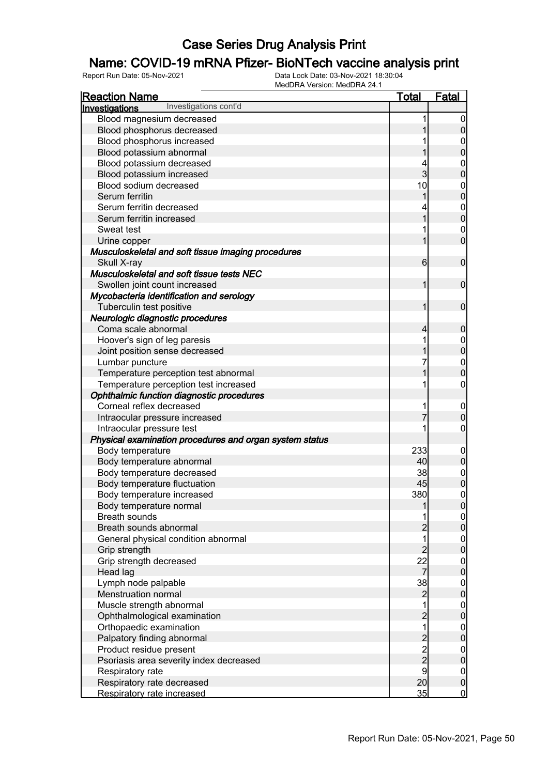### Name: COVID-19 mRNA Pfizer- BioNTech vaccine analysis print

| <u>Reaction Name</u>                                    | <u>Total</u>                               | <u>Fatal</u>                     |
|---------------------------------------------------------|--------------------------------------------|----------------------------------|
| Investigations cont'd<br>Investigations                 |                                            |                                  |
| Blood magnesium decreased                               | 1                                          | $\overline{0}$                   |
| Blood phosphorus decreased                              |                                            | 0                                |
| Blood phosphorus increased                              |                                            | 0                                |
| Blood potassium abnormal                                |                                            | 0                                |
| Blood potassium decreased                               | 4                                          | $\mathbf{0}$                     |
| Blood potassium increased                               | 3                                          | $\overline{0}$                   |
| Blood sodium decreased                                  | 10                                         | $\mathbf{0}$                     |
| Serum ferritin                                          | 1                                          | $\overline{0}$                   |
| Serum ferritin decreased                                | 4                                          |                                  |
| Serum ferritin increased                                | 1                                          | $\begin{matrix}0\\0\end{matrix}$ |
| Sweat test                                              | 1                                          | $\mathbf 0$                      |
| Urine copper                                            | 1                                          | $\overline{0}$                   |
| Musculoskeletal and soft tissue imaging procedures      |                                            |                                  |
| Skull X-ray                                             | 6                                          | $\mathbf 0$                      |
| Musculoskeletal and soft tissue tests NEC               |                                            |                                  |
| Swollen joint count increased                           | 1                                          | $\mathbf 0$                      |
| Mycobacteria identification and serology                |                                            |                                  |
| Tuberculin test positive                                | 1                                          | $\mathbf 0$                      |
| Neurologic diagnostic procedures                        |                                            |                                  |
| Coma scale abnormal                                     | 4                                          | 0                                |
| Hoover's sign of leg paresis                            | 1                                          | $\boldsymbol{0}$                 |
| Joint position sense decreased                          | 1                                          | $\overline{0}$                   |
| Lumbar puncture                                         | 7                                          | $\mathbf{0}$                     |
| Temperature perception test abnormal                    | 1                                          | $\overline{0}$                   |
| Temperature perception test increased                   | 1                                          | $\mathbf 0$                      |
| Ophthalmic function diagnostic procedures               |                                            |                                  |
| Corneal reflex decreased                                | 1                                          | $\boldsymbol{0}$                 |
| Intraocular pressure increased                          | 7                                          | $\overline{0}$                   |
| Intraocular pressure test                               | 1                                          | 0                                |
| Physical examination procedures and organ system status |                                            |                                  |
| Body temperature                                        | 233                                        | $\mathbf 0$                      |
| Body temperature abnormal                               | 40                                         | $\overline{0}$                   |
| Body temperature decreased                              | 38                                         | $\mathbf{0}$                     |
| Body temperature fluctuation                            | 45                                         | $\overline{0}$                   |
| Body temperature increased                              | 380                                        | $\mathbf 0$                      |
| Body temperature normal                                 | 1                                          | 0                                |
| <b>Breath sounds</b>                                    | 1                                          | 0                                |
| Breath sounds abnormal                                  | $\overline{c}$                             | $\boldsymbol{0}$                 |
| General physical condition abnormal                     | $\overline{1}$                             | $\boldsymbol{0}$                 |
| Grip strength                                           | $\overline{c}$                             | $\overline{0}$                   |
| Grip strength decreased                                 | 22                                         | $\boldsymbol{0}$                 |
| Head lag                                                | 7                                          | $\overline{0}$                   |
| Lymph node palpable                                     | 38                                         | $\boldsymbol{0}$                 |
| Menstruation normal                                     | $\overline{c}$                             | $\overline{0}$                   |
| Muscle strength abnormal                                | $\overline{1}$                             | $\boldsymbol{0}$                 |
| Ophthalmological examination                            | $\overline{c}$                             | $\overline{0}$                   |
| Orthopaedic examination                                 | $\overline{1}$                             | $\boldsymbol{0}$                 |
| Palpatory finding abnormal                              | $\begin{array}{c} 2 \\ 2 \\ 2 \end{array}$ | $\overline{0}$                   |
| Product residue present                                 |                                            | $\boldsymbol{0}$                 |
| Psoriasis area severity index decreased                 |                                            | $\overline{0}$                   |
| Respiratory rate                                        | 9                                          | $\boldsymbol{0}$                 |
| Respiratory rate decreased                              | 20                                         | $\mathbf 0$                      |
| Respiratory rate increased                              | 35                                         | $\overline{0}$                   |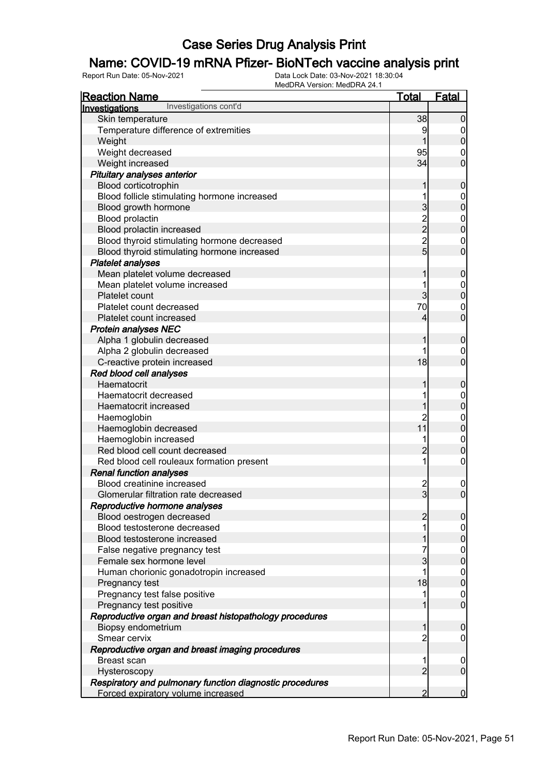### Name: COVID-19 mRNA Pfizer- BioNTech vaccine analysis print

| <b>Reaction Name</b>                                     | <u>Total</u>   | <b>Fatal</b>                         |
|----------------------------------------------------------|----------------|--------------------------------------|
| Investigations cont'd<br>Investigations                  |                |                                      |
| Skin temperature                                         | 38             | $\mathbf 0$                          |
| Temperature difference of extremities                    | 9              | 0                                    |
| Weight                                                   |                | $\mathbf 0$                          |
| Weight decreased                                         | 95             | 0                                    |
| Weight increased                                         | 34             | $\overline{0}$                       |
| Pituitary analyses anterior                              |                |                                      |
| Blood corticotrophin                                     | 1              | $\boldsymbol{0}$                     |
| Blood follicle stimulating hormone increased             |                | $\boldsymbol{0}$                     |
| Blood growth hormone                                     | 3              | $\mathbf 0$                          |
| Blood prolactin                                          |                | $\overline{0}$                       |
| Blood prolactin increased                                | $\frac{2}{2}$  | $\overline{0}$                       |
| Blood thyroid stimulating hormone decreased              | $\overline{2}$ | $\boldsymbol{0}$                     |
| Blood thyroid stimulating hormone increased              | $\overline{5}$ | $\overline{0}$                       |
| <b>Platelet analyses</b>                                 |                |                                      |
| Mean platelet volume decreased                           | 1              | $\boldsymbol{0}$                     |
| Mean platelet volume increased                           |                | $\mathbf{0}$                         |
| Platelet count                                           | 3              | $\mathbf 0$                          |
| Platelet count decreased                                 | 70             | $\boldsymbol{0}$                     |
| Platelet count increased                                 | 4              | $\overline{0}$                       |
| <b>Protein analyses NEC</b>                              |                |                                      |
| Alpha 1 globulin decreased                               | 1              | $\boldsymbol{0}$                     |
| Alpha 2 globulin decreased                               |                | $\mathbf 0$                          |
| C-reactive protein increased                             | 18             | $\overline{0}$                       |
| Red blood cell analyses                                  |                |                                      |
| Haematocrit                                              | 1              | $\boldsymbol{0}$                     |
| Haematocrit decreased                                    |                | $\overline{0}$                       |
| Haematocrit increased                                    |                | $\overline{0}$                       |
| Haemoglobin                                              | $\overline{c}$ |                                      |
| Haemoglobin decreased                                    | 11             | $0\atop 0$                           |
| Haemoglobin increased                                    |                | $\boldsymbol{0}$                     |
| Red blood cell count decreased                           | $\overline{2}$ | $\mathbf 0$                          |
| Red blood cell rouleaux formation present                | 1              | $\boldsymbol{0}$                     |
| <b>Renal function analyses</b>                           |                |                                      |
| Blood creatinine increased                               |                | $\mathbf{0}$                         |
| Glomerular filtration rate decreased                     | $\frac{2}{3}$  | $\mathbf 0$                          |
| Reproductive hormone analyses                            |                |                                      |
| Blood oestrogen decreased                                | $\overline{2}$ | $\overline{0}$                       |
| Blood testosterone decreased                             |                | $\overline{0}$                       |
| Blood testosterone increased                             |                | $\overline{0}$                       |
| False negative pregnancy test                            |                |                                      |
| Female sex hormone level                                 | 3              | $\begin{matrix} 0 \\ 0 \end{matrix}$ |
| Human chorionic gonadotropin increased                   | 1              |                                      |
| Pregnancy test                                           | 18             | $\begin{matrix} 0 \\ 0 \end{matrix}$ |
| Pregnancy test false positive                            | 1              | $\boldsymbol{0}$                     |
| Pregnancy test positive                                  |                | $\overline{0}$                       |
| Reproductive organ and breast histopathology procedures  |                |                                      |
| Biopsy endometrium                                       | 1              | $\boldsymbol{0}$                     |
| Smear cervix                                             | 2              | $\mathbf 0$                          |
| Reproductive organ and breast imaging procedures         |                |                                      |
| <b>Breast scan</b>                                       | 1              | $\mathbf 0$                          |
| Hysteroscopy                                             | $\overline{2}$ | $\overline{0}$                       |
| Respiratory and pulmonary function diagnostic procedures |                |                                      |
| Forced expiratory volume increased                       | 2              | $\mathbf 0$                          |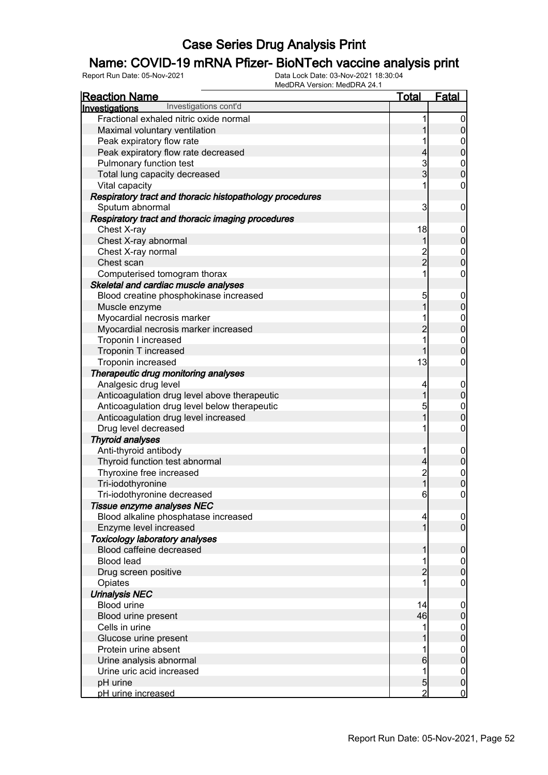### Name: COVID-19 mRNA Pfizer- BioNTech vaccine analysis print

| <u>Reaction Name</u>                                     | <b>Total</b>                          | <b>Fatal</b>     |
|----------------------------------------------------------|---------------------------------------|------------------|
| Investigations cont'd<br>Investigations                  |                                       |                  |
| Fractional exhaled nitric oxide normal                   | 1                                     | $\overline{0}$   |
| Maximal voluntary ventilation                            | 1                                     | $\pmb{0}$        |
| Peak expiratory flow rate                                | 1                                     |                  |
| Peak expiratory flow rate decreased                      | $\overline{4}$                        | $0$ 0            |
| Pulmonary function test                                  |                                       |                  |
| Total lung capacity decreased                            | $\frac{3}{3}$                         | $0\atop 0$       |
| Vital capacity                                           | 1                                     | $\boldsymbol{0}$ |
| Respiratory tract and thoracic histopathology procedures |                                       |                  |
| Sputum abnormal                                          | 3                                     | $\mathbf 0$      |
| Respiratory tract and thoracic imaging procedures        |                                       |                  |
| Chest X-ray                                              | 18                                    | $\mathbf 0$      |
| Chest X-ray abnormal                                     | 1                                     | $\boldsymbol{0}$ |
| Chest X-ray normal                                       |                                       |                  |
| Chest scan                                               | $\frac{2}{2}$                         | $0\atop 0$       |
| Computerised tomogram thorax                             | 1                                     | $\boldsymbol{0}$ |
| Skeletal and cardiac muscle analyses                     |                                       |                  |
| Blood creatine phosphokinase increased                   | 5                                     | $\boldsymbol{0}$ |
| Muscle enzyme                                            | $\overline{1}$                        | $\overline{0}$   |
| Myocardial necrosis marker                               | 1                                     |                  |
| Myocardial necrosis marker increased                     | $\overline{c}$                        | $0\atop 0$       |
| Troponin I increased                                     | 1                                     |                  |
| Troponin T increased                                     | $\overline{1}$                        | $0\atop 0$       |
| Troponin increased                                       | 13                                    | $\boldsymbol{0}$ |
| Therapeutic drug monitoring analyses                     |                                       |                  |
| Analgesic drug level                                     | 4                                     | $\boldsymbol{0}$ |
| Anticoagulation drug level above therapeutic             | $\overline{1}$                        | $\overline{0}$   |
| Anticoagulation drug level below therapeutic             | 5                                     |                  |
| Anticoagulation drug level increased                     | 1                                     | $0\atop 0$       |
| Drug level decreased                                     | 1                                     | $\boldsymbol{0}$ |
| <b>Thyroid analyses</b>                                  |                                       |                  |
| Anti-thyroid antibody                                    | 1                                     | $\boldsymbol{0}$ |
| Thyroid function test abnormal                           | $\overline{4}$                        | $\mathbf 0$      |
| Thyroxine free increased                                 |                                       |                  |
| Tri-iodothyronine                                        | $\begin{array}{c} 2 \\ 1 \end{array}$ | $0$<br>0         |
| Tri-iodothyronine decreased                              | 6                                     | $\pmb{0}$        |
| Tissue enzyme analyses NEC                               |                                       |                  |
| Blood alkaline phosphatase increased                     | $\overline{4}$                        | $\overline{0}$   |
| Enzyme level increased                                   | 1                                     | $\overline{0}$   |
| <b>Toxicology laboratory analyses</b>                    |                                       |                  |
| Blood caffeine decreased                                 | 1                                     | $\boldsymbol{0}$ |
| <b>Blood lead</b>                                        |                                       | $\overline{0}$   |
| Drug screen positive                                     | $\overline{2}$                        | $\pmb{0}$        |
| Opiates                                                  |                                       | 0                |
| <b>Urinalysis NEC</b>                                    |                                       |                  |
| <b>Blood urine</b>                                       | 14                                    | $\mathbf 0$      |
| Blood urine present                                      | 46                                    | $\pmb{0}$        |
| Cells in urine                                           | 1                                     | $\boldsymbol{0}$ |
| Glucose urine present                                    |                                       | $\mathbf 0$      |
| Protein urine absent                                     |                                       | $\boldsymbol{0}$ |
| Urine analysis abnormal                                  | 6                                     | $\mathbf 0$      |
| Urine uric acid increased                                | 1                                     | $\overline{0}$   |
| pH urine                                                 | $\overline{5}$                        | $\pmb{0}$        |
| pH urine increased                                       | $\overline{2}$                        | $\mathbf 0$      |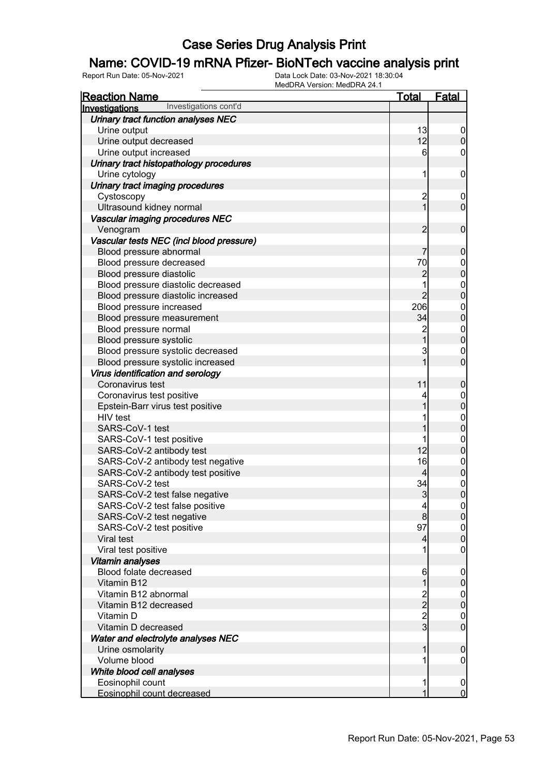### Name: COVID-19 mRNA Pfizer- BioNTech vaccine analysis print

| <b>Reaction Name</b>                     | <u>Total</u>                                     | <b>Fatal</b>                         |
|------------------------------------------|--------------------------------------------------|--------------------------------------|
| Investigations cont'd<br>Investigations  |                                                  |                                      |
| Urinary tract function analyses NEC      |                                                  |                                      |
| Urine output                             | 13                                               | $\overline{0}$                       |
| Urine output decreased                   | 12                                               | $\mathbf 0$                          |
| Urine output increased                   | 6                                                | $\mathbf 0$                          |
| Urinary tract histopathology procedures  |                                                  |                                      |
| Urine cytology                           | 1                                                | $\mathbf 0$                          |
| Urinary tract imaging procedures         |                                                  |                                      |
| Cystoscopy                               | $\overline{c}$                                   | $\mathbf 0$                          |
| Ultrasound kidney normal                 | $\overline{1}$                                   | $\overline{0}$                       |
| Vascular imaging procedures NEC          |                                                  |                                      |
| Venogram                                 | $\overline{2}$                                   | $\boldsymbol{0}$                     |
| Vascular tests NEC (incl blood pressure) |                                                  |                                      |
| Blood pressure abnormal                  | 7                                                | $\mathbf 0$                          |
| Blood pressure decreased                 | 70                                               |                                      |
| Blood pressure diastolic                 | $\overline{c}$                                   | $0\atop 0$                           |
| Blood pressure diastolic decreased       | 1                                                |                                      |
| Blood pressure diastolic increased       | $\overline{2}$                                   | $0\atop 0$                           |
| Blood pressure increased                 | 206                                              |                                      |
| Blood pressure measurement               | 34                                               | $0$ 0                                |
| Blood pressure normal                    | $\overline{c}$                                   |                                      |
| Blood pressure systolic                  | $\overline{1}$                                   | $0\atop 0$                           |
| Blood pressure systolic decreased        | $\mathbf{3}$                                     | $\boldsymbol{0}$                     |
| Blood pressure systolic increased        | 1                                                | $\overline{0}$                       |
| Virus identification and serology        |                                                  |                                      |
| Coronavirus test                         | 11                                               | $\boldsymbol{0}$                     |
| Coronavirus test positive                |                                                  |                                      |
| Epstein-Barr virus test positive         | 1                                                | $0$ 0                                |
| HIV test                                 |                                                  |                                      |
| SARS-CoV-1 test                          | 1                                                | $0$<br>0                             |
| SARS-CoV-1 test positive                 | 1                                                |                                      |
| SARS-CoV-2 antibody test                 | 12                                               | $0$<br>0                             |
| SARS-CoV-2 antibody test negative        | 16                                               |                                      |
| SARS-CoV-2 antibody test positive        | $\overline{4}$                                   | $\begin{matrix} 0 \\ 0 \end{matrix}$ |
| SARS-CoV-2 test                          | 34                                               |                                      |
| SARS-CoV-2 test false negative           | 3                                                | $\begin{matrix}0\\0\end{matrix}$     |
| SARS-CoV-2 test false positive           | $\overline{4}$                                   | $\Omega$                             |
| SARS-CoV-2 test negative                 | 8 <sup>1</sup>                                   | 0                                    |
| SARS-CoV-2 test positive                 | 97                                               | $\boldsymbol{0}$                     |
| Viral test                               | $\overline{4}$                                   | $\mathbf 0$                          |
| Viral test positive                      |                                                  | $\mathbf 0$                          |
| Vitamin analyses                         |                                                  |                                      |
| Blood folate decreased                   | 6                                                | $\mathbf 0$                          |
| Vitamin B12                              | 1                                                | $\pmb{0}$                            |
| Vitamin B12 abnormal                     |                                                  | $\boldsymbol{0}$                     |
| Vitamin B12 decreased                    | $\begin{array}{c}\n 2 \\  2 \\  3\n \end{array}$ | $\mathbf 0$                          |
| Vitamin D                                |                                                  | $\overline{0}$                       |
| Vitamin D decreased                      |                                                  | $\overline{0}$                       |
| Water and electrolyte analyses NEC       |                                                  |                                      |
| Urine osmolarity                         | 1                                                | $\boldsymbol{0}$                     |
| Volume blood                             |                                                  | 0                                    |
| White blood cell analyses                |                                                  |                                      |
| Eosinophil count                         | 1                                                | $\mathbf 0$                          |
| Eosinophil count decreased               | 1                                                | $\overline{0}$                       |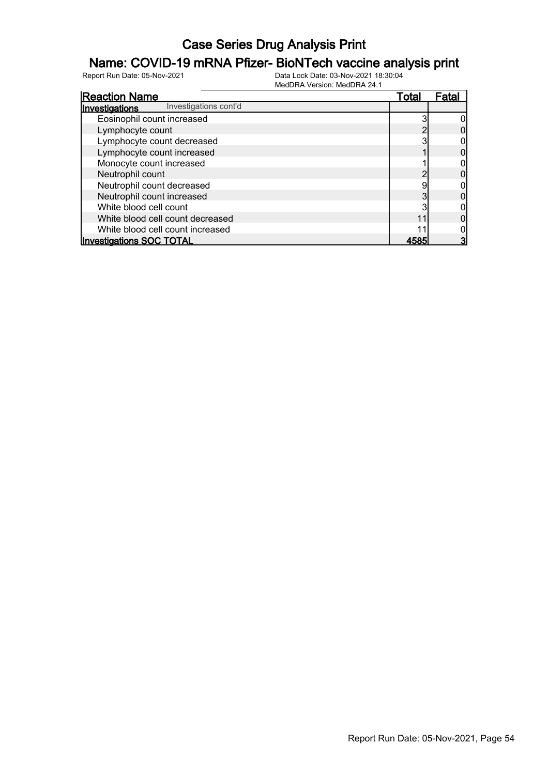#### Name: COVID-19 mRNA Pfizer- BioNTech vaccine analysis print

| <b>Reaction Name</b>                    | Total | Fata |
|-----------------------------------------|-------|------|
| Investigations cont'd<br>Investigations |       |      |
| Eosinophil count increased              |       |      |
| Lymphocyte count                        |       |      |
| Lymphocyte count decreased              |       |      |
| Lymphocyte count increased              |       |      |
| Monocyte count increased                |       |      |
| Neutrophil count                        |       |      |
| Neutrophil count decreased              |       |      |
| Neutrophil count increased              |       |      |
| White blood cell count                  |       |      |
| White blood cell count decreased        |       |      |
| White blood cell count increased        |       |      |
| <b>Investigations SOC TOTAL</b>         |       |      |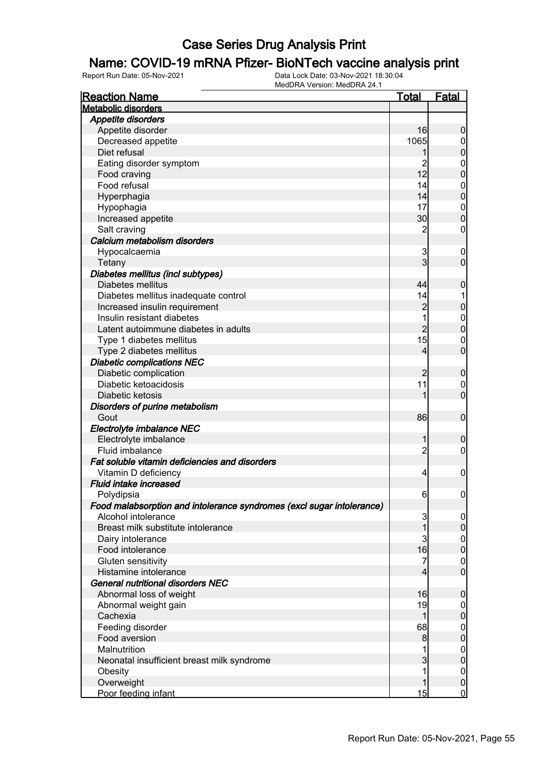### Name: COVID-19 mRNA Pfizer- BioNTech vaccine analysis print

| <b>Reaction Name</b>                                                  | <u>Total</u>   | <b>Fatal</b>     |
|-----------------------------------------------------------------------|----------------|------------------|
| <b>Metabolic disorders</b>                                            |                |                  |
| <b>Appetite disorders</b>                                             |                |                  |
| Appetite disorder                                                     | 16             | $\boldsymbol{0}$ |
| Decreased appetite                                                    | 1065           | $\overline{0}$   |
| Diet refusal                                                          | 1              | $\pmb{0}$        |
| Eating disorder symptom                                               | $\overline{c}$ | $\boldsymbol{0}$ |
| Food craving                                                          | 12             | $\mathbf 0$      |
| Food refusal                                                          | 14             | $\boldsymbol{0}$ |
| Hyperphagia                                                           | 14             | $\mathbf 0$      |
| Hypophagia                                                            | 17             | $\mathbf{0}$     |
| Increased appetite                                                    | 30             | $\mathbf 0$      |
| Salt craving                                                          | 2              | $\boldsymbol{0}$ |
| Calcium metabolism disorders                                          |                |                  |
| Hypocalcaemia                                                         | 3              | $\mathbf 0$      |
| Tetany                                                                | 3              | $\mathbf 0$      |
| Diabetes mellitus (incl subtypes)                                     |                |                  |
| Diabetes mellitus                                                     | 44             | $\boldsymbol{0}$ |
| Diabetes mellitus inadequate control                                  | 14             | 1                |
| Increased insulin requirement                                         | $\overline{c}$ | $\mathbf 0$      |
| Insulin resistant diabetes                                            | 1              | $\boldsymbol{0}$ |
| Latent autoimmune diabetes in adults                                  | $\overline{2}$ | $\mathbf 0$      |
| Type 1 diabetes mellitus                                              | 15             | $\mathbf 0$      |
| Type 2 diabetes mellitus                                              | 4              | $\mathbf 0$      |
| <b>Diabetic complications NEC</b>                                     |                |                  |
| Diabetic complication                                                 | $\overline{c}$ | $\boldsymbol{0}$ |
| Diabetic ketoacidosis                                                 | 11             | $\mathbf 0$      |
| Diabetic ketosis                                                      | 1              | $\mathbf 0$      |
| Disorders of purine metabolism                                        |                |                  |
| Gout                                                                  | 86             | $\boldsymbol{0}$ |
| Electrolyte imbalance NEC                                             |                |                  |
| Electrolyte imbalance                                                 | 1              | $\boldsymbol{0}$ |
| Fluid imbalance                                                       | $\overline{2}$ | $\boldsymbol{0}$ |
| Fat soluble vitamin deficiencies and disorders                        |                |                  |
| Vitamin D deficiency                                                  | $\overline{4}$ | $\mathbf 0$      |
| <b>Fluid intake increased</b>                                         |                |                  |
| Polydipsia                                                            | $6 \,$         | $\mathbf 0$      |
| Food malabsorption and intolerance syndromes (excl sugar intolerance) |                |                  |
| Alcohol intolerance                                                   | 3              | $\overline{0}$   |
| Breast milk substitute intolerance                                    | 1              | $\mathbf 0$      |
| Dairy intolerance                                                     | 3              | $\overline{0}$   |
| Food intolerance                                                      | 16             | $\pmb{0}$        |
| Gluten sensitivity                                                    | 7              | $\boldsymbol{0}$ |
| Histamine intolerance                                                 | 4              | $\mathbf 0$      |
| General nutritional disorders NEC                                     |                |                  |
| Abnormal loss of weight                                               | 16             | $\mathbf 0$      |
| Abnormal weight gain                                                  | 19             | $\overline{0}$   |
| Cachexia                                                              | 1              | $\pmb{0}$        |
| Feeding disorder                                                      | 68             | $\overline{0}$   |
| Food aversion                                                         | 8              | $\mathbf 0$      |
| Malnutrition                                                          |                | $\boldsymbol{0}$ |
| Neonatal insufficient breast milk syndrome                            | 3              | $\mathbf 0$      |
| Obesity                                                               | 1              | $\boldsymbol{0}$ |
| Overweight                                                            | 1              | $\pmb{0}$        |
| Poor feeding infant                                                   | 15             | $\overline{0}$   |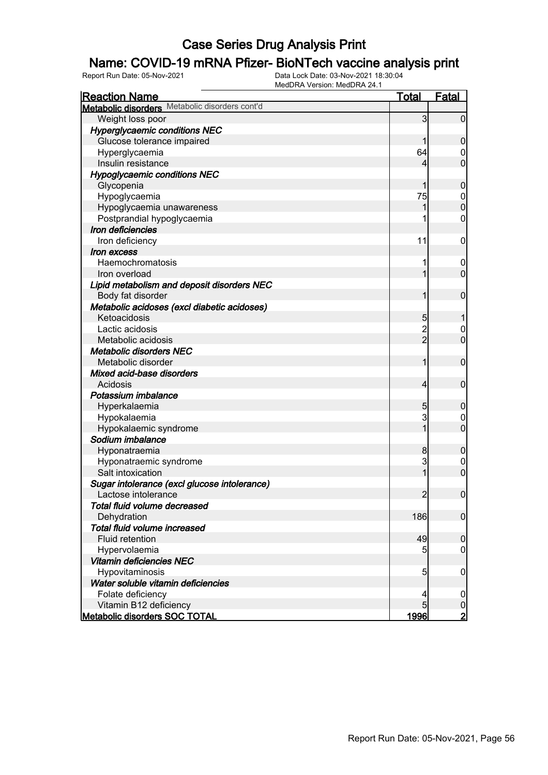### Name: COVID-19 mRNA Pfizer- BioNTech vaccine analysis print

| <b>Reaction Name</b>                           | <u>Total</u>   | <b>Fatal</b>     |
|------------------------------------------------|----------------|------------------|
| Metabolic disorders Metabolic disorders cont'd |                |                  |
| Weight loss poor                               | 3              | $\overline{0}$   |
| <b>Hyperglycaemic conditions NEC</b>           |                |                  |
| Glucose tolerance impaired                     |                | $\mathbf 0$      |
| Hyperglycaemia                                 | 64             | 0                |
| Insulin resistance                             | 4              | $\mathbf 0$      |
| <b>Hypoglycaemic conditions NEC</b>            |                |                  |
| Glycopenia                                     |                | $\mathbf 0$      |
| Hypoglycaemia                                  | 75             | $\mathbf 0$      |
| Hypoglycaemia unawareness                      |                | $\mathbf 0$      |
| Postprandial hypoglycaemia                     |                | 0                |
| Iron deficiencies                              |                |                  |
| Iron deficiency                                | 11             | $\mathbf 0$      |
| <i><b>Iron excess</b></i>                      |                |                  |
| Haemochromatosis                               |                | $\boldsymbol{0}$ |
| Iron overload                                  |                | $\overline{0}$   |
| Lipid metabolism and deposit disorders NEC     |                |                  |
| Body fat disorder                              |                | $\mathbf 0$      |
| Metabolic acidoses (excl diabetic acidoses)    |                |                  |
| Ketoacidosis                                   | 5              |                  |
| Lactic acidosis                                | $\overline{c}$ | 0                |
| Metabolic acidosis                             | $\overline{2}$ | $\mathbf 0$      |
| <b>Metabolic disorders NEC</b>                 |                |                  |
| Metabolic disorder                             | 1              | $\mathbf 0$      |
| Mixed acid-base disorders                      |                |                  |
| Acidosis                                       | 4              | $\mathbf 0$      |
| Potassium imbalance                            |                |                  |
| Hyperkalaemia                                  | 5              | $\mathbf 0$      |
| Hypokalaemia                                   | 3              | 0                |
| Hypokalaemic syndrome                          | 1              | $\mathbf 0$      |
| Sodium imbalance                               |                |                  |
| Hyponatraemia                                  | 8              | $\mathbf 0$      |
| Hyponatraemic syndrome                         | 3              | $\mathbf 0$      |
| Salt intoxication                              | 1              | $\overline{0}$   |
| Sugar intolerance (excl glucose intolerance)   |                |                  |
| Lactose intolerance                            | $\overline{2}$ | $\overline{0}$   |
| Total fluid volume decreased                   |                |                  |
| Dehydration                                    | 186            | $\overline{0}$   |
| Total fluid volume increased                   |                |                  |
| Fluid retention                                | 49             | $\mathbf 0$      |
| Hypervolaemia                                  | 5              | 0                |
| Vitamin deficiencies NEC                       |                |                  |
| Hypovitaminosis                                | $\overline{5}$ | $\mathbf 0$      |
| Water soluble vitamin deficiencies             |                |                  |
| Folate deficiency                              |                | $\boldsymbol{0}$ |
| Vitamin B12 deficiency                         | 5              | 0                |
| <b>Metabolic disorders SOC TOTAL</b>           | 1996           |                  |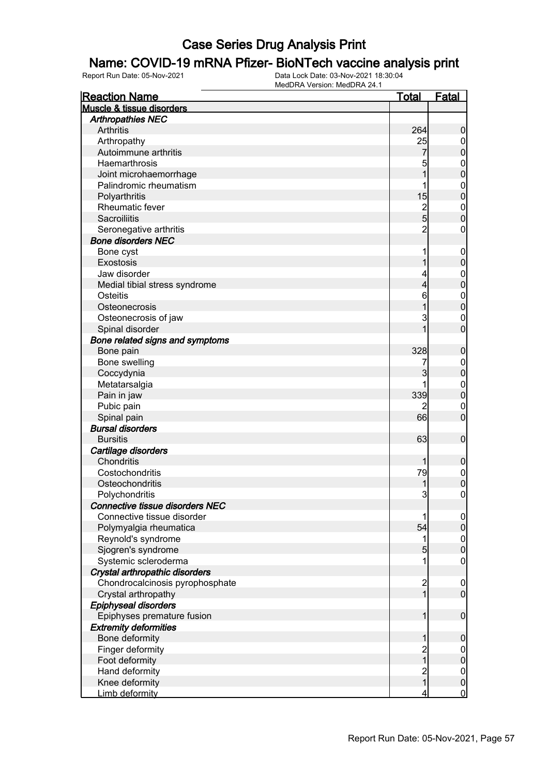#### Name: COVID-19 mRNA Pfizer- BioNTech vaccine analysis print

| <b>Reaction Name</b>            | <b>Total</b>                          | Fatal            |
|---------------------------------|---------------------------------------|------------------|
| Muscle & tissue disorders       |                                       |                  |
| <b>Arthropathies NEC</b>        |                                       |                  |
| Arthritis                       | 264                                   | $\boldsymbol{0}$ |
| Arthropathy                     | 25                                    | $\overline{0}$   |
| Autoimmune arthritis            | 7                                     | $\pmb{0}$        |
| Haemarthrosis                   | 5                                     | $\boldsymbol{0}$ |
| Joint microhaemorrhage          | 1                                     | $\overline{0}$   |
| Palindromic rheumatism          | 1                                     | $\boldsymbol{0}$ |
| Polyarthritis                   | 15                                    | $\overline{0}$   |
| Rheumatic fever                 |                                       | $\mathbf{0}$     |
| <b>Sacroiliitis</b>             | $\frac{2}{5}$                         | $\overline{0}$   |
| Seronegative arthritis          | $\overline{2}$                        | $\boldsymbol{0}$ |
| <b>Bone disorders NEC</b>       |                                       |                  |
| Bone cyst                       | 1                                     | $\boldsymbol{0}$ |
| Exostosis                       | 1                                     | $\mathbf 0$      |
| Jaw disorder                    | 4                                     | $\boldsymbol{0}$ |
| Medial tibial stress syndrome   | 4                                     | $\overline{0}$   |
| Osteitis                        | 6                                     | $\mathbf{0}$     |
| Osteonecrosis                   | 1                                     | $\overline{0}$   |
| Osteonecrosis of jaw            | 3                                     | $\mathbf{0}$     |
| Spinal disorder                 | 1                                     | $\overline{0}$   |
| Bone related signs and symptoms |                                       |                  |
| Bone pain                       | 328                                   | $\boldsymbol{0}$ |
| Bone swelling                   |                                       | $\boldsymbol{0}$ |
| Coccydynia                      | 3                                     | $\mathbf 0$      |
| Metatarsalgia                   |                                       | $\boldsymbol{0}$ |
| Pain in jaw                     | 339                                   | $\overline{0}$   |
| Pubic pain                      |                                       | $\mathbf 0$      |
| Spinal pain                     | 66                                    | $\overline{0}$   |
| <b>Bursal disorders</b>         |                                       |                  |
| <b>Bursitis</b>                 | 63                                    | $\boldsymbol{0}$ |
| Cartilage disorders             |                                       |                  |
| Chondritis                      | 1                                     | $\mathbf 0$      |
| Costochondritis                 | 79                                    | $\boldsymbol{0}$ |
| Osteochondritis                 | 1                                     | $\overline{0}$   |
| Polychondritis                  | 3                                     | $\mathbf 0$      |
| Connective tissue disorders NEC |                                       |                  |
| Connective tissue disorder      | 1                                     | $\overline{0}$   |
| Polymyalgia rheumatica          | 54                                    | $\mathbf 0$      |
| Reynold's syndrome              | 1                                     |                  |
| Sjogren's syndrome              | 5                                     | $0\atop 0$       |
| Systemic scleroderma            | 1                                     | $\boldsymbol{0}$ |
| Crystal arthropathic disorders  |                                       |                  |
| Chondrocalcinosis pyrophosphate |                                       | $\boldsymbol{0}$ |
| Crystal arthropathy             | $\begin{array}{c} 2 \\ 1 \end{array}$ | $\overline{0}$   |
| Epiphyseal disorders            |                                       |                  |
| Epiphyses premature fusion      | 1                                     | $\boldsymbol{0}$ |
| <b>Extremity deformities</b>    |                                       |                  |
| Bone deformity                  | 1                                     | $\boldsymbol{0}$ |
| Finger deformity                |                                       | $\boldsymbol{0}$ |
| Foot deformity                  | $\frac{2}{1}$                         | $\mathbf 0$      |
| Hand deformity                  |                                       | $\boldsymbol{0}$ |
| Knee deformity                  | $\begin{array}{c} 2 \\ 1 \end{array}$ | $\mathbf 0$      |
| Limb deformity                  | $\overline{4}$                        | $\overline{0}$   |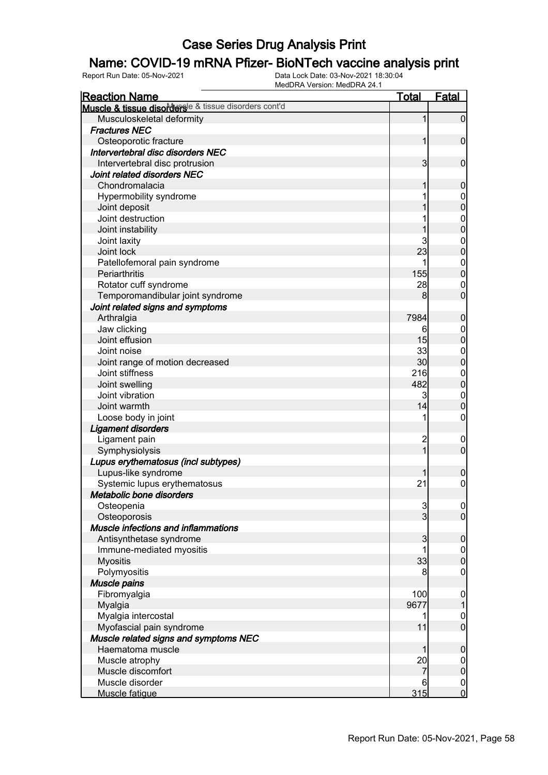### Name: COVID-19 mRNA Pfizer- BioNTech vaccine analysis print

| <b>Reaction Name</b>                                                  | <b>Total</b>            | <b>Fatal</b>     |
|-----------------------------------------------------------------------|-------------------------|------------------|
| Muscle & tissue disorders <sup>le &amp; tissue disorders cont'd</sup> |                         |                  |
| Musculoskeletal deformity                                             | 1                       | $\overline{0}$   |
| <b>Fractures NEC</b>                                                  |                         |                  |
| Osteoporotic fracture                                                 | 1                       | $\mathbf 0$      |
| Intervertebral disc disorders NEC                                     |                         |                  |
| Intervertebral disc protrusion                                        | $\overline{\mathbf{3}}$ | $\mathbf 0$      |
| Joint related disorders NEC                                           |                         |                  |
| Chondromalacia                                                        |                         | $\mathbf 0$      |
| Hypermobility syndrome                                                |                         | $\boldsymbol{0}$ |
| Joint deposit                                                         |                         | $\overline{0}$   |
| Joint destruction                                                     |                         | $\mathbf{0}$     |
| Joint instability                                                     |                         | $\overline{0}$   |
| Joint laxity                                                          | 3                       | $\mathbf{0}$     |
| Joint lock                                                            | 23                      | $\overline{0}$   |
| Patellofemoral pain syndrome                                          |                         | $\mathbf{0}$     |
| Periarthritis                                                         | 155                     | $\overline{0}$   |
| Rotator cuff syndrome                                                 | 28                      | $\mathbf 0$      |
| Temporomandibular joint syndrome                                      | 8                       | $\overline{0}$   |
| Joint related signs and symptoms                                      |                         |                  |
| Arthralgia                                                            | 7984                    | $\boldsymbol{0}$ |
| Jaw clicking                                                          | 6                       | $\mathbf 0$      |
| Joint effusion                                                        | 15                      | $\overline{0}$   |
| Joint noise                                                           | 33                      | $\boldsymbol{0}$ |
| Joint range of motion decreased                                       | 30                      | $\overline{0}$   |
| Joint stiffness                                                       | 216                     | $\boldsymbol{0}$ |
| Joint swelling                                                        | 482                     | $\overline{0}$   |
| Joint vibration                                                       | 3                       | $\boldsymbol{0}$ |
| Joint warmth                                                          | 14                      | $\overline{0}$   |
| Loose body in joint                                                   |                         | 0                |
| <b>Ligament disorders</b>                                             |                         |                  |
| Ligament pain                                                         | $\overline{c}$          | $\overline{0}$   |
| Symphysiolysis                                                        | $\overline{1}$          | $\overline{0}$   |
| Lupus erythematosus (incl subtypes)                                   |                         |                  |
| Lupus-like syndrome                                                   |                         | $\mathbf 0$      |
| Systemic lupus erythematosus                                          | 21                      | $\mathbf 0$      |
| Metabolic bone disorders                                              |                         |                  |
| Osteopenia                                                            | $\overline{3}$          | 0                |
| Osteoporosis                                                          | $\overline{3}$          | $\overline{0}$   |
| Muscle infections and inflammations                                   |                         |                  |
| Antisynthetase syndrome                                               | 3                       | $\boldsymbol{0}$ |
| Immune-mediated myositis                                              |                         | $\boldsymbol{0}$ |
| <b>Myositis</b>                                                       | 33                      | $\overline{0}$   |
| Polymyositis                                                          | 8                       | 0                |
| Muscle pains                                                          |                         |                  |
| Fibromyalgia                                                          | 100                     | $\mathbf 0$      |
| Myalgia                                                               | 9677                    |                  |
| Myalgia intercostal                                                   |                         | $\mathbf 0$      |
| Myofascial pain syndrome                                              | 11                      | $\overline{0}$   |
| Muscle related signs and symptoms NEC                                 |                         |                  |
| Haematoma muscle                                                      |                         | $\boldsymbol{0}$ |
| Muscle atrophy                                                        | 20                      | $\mathbf 0$      |
| Muscle discomfort                                                     | 7                       | $\mathbf 0$      |
| Muscle disorder                                                       | 6                       | $\overline{0}$   |
| Muscle fatigue                                                        | 315                     | $\overline{0}$   |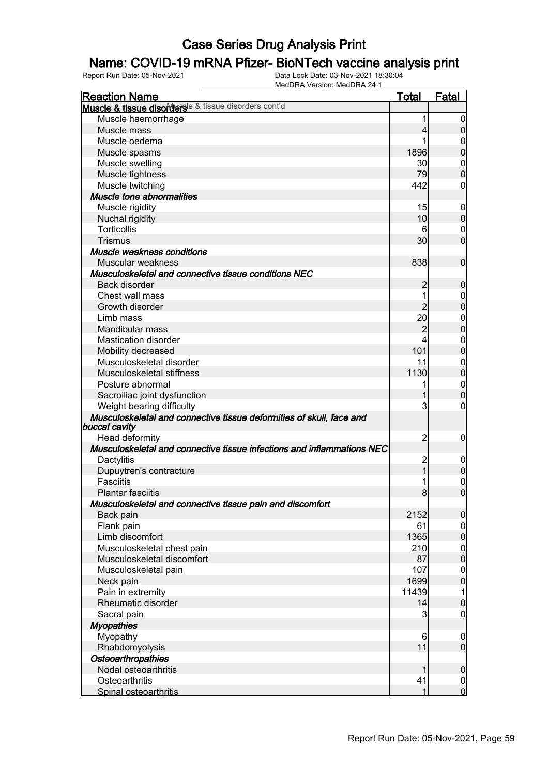#### Name: COVID-19 mRNA Pfizer- BioNTech vaccine analysis print

| <b>Reaction Name</b>                                                                  | <u>Total</u>    | <b>Fatal</b>                     |
|---------------------------------------------------------------------------------------|-----------------|----------------------------------|
| Muscle & tissue disorderse & tissue disorders cont'd                                  |                 |                                  |
| Muscle haemorrhage                                                                    | 1               | $\boldsymbol{0}$                 |
| Muscle mass                                                                           | 4               | $\overline{0}$                   |
| Muscle oedema                                                                         | 1               | 0                                |
| Muscle spasms                                                                         | 1896            | $\mathbf 0$                      |
| Muscle swelling                                                                       | 30 <sub>l</sub> | $\mathbf 0$                      |
| Muscle tightness                                                                      | 79              | $\mathbf 0$                      |
| Muscle twitching                                                                      | 442             | 0                                |
| Muscle tone abnormalities                                                             |                 |                                  |
| Muscle rigidity                                                                       | 15              | $\mathbf 0$                      |
| Nuchal rigidity                                                                       | 10              | $\boldsymbol{0}$                 |
| <b>Torticollis</b>                                                                    | 6               | $\mathbf 0$                      |
| <b>Trismus</b>                                                                        | 30              | $\overline{0}$                   |
| Muscle weakness conditions                                                            |                 |                                  |
| Muscular weakness                                                                     | 838             | $\mathbf 0$                      |
| Musculoskeletal and connective tissue conditions NEC                                  |                 |                                  |
| Back disorder                                                                         | 2               | $\mathbf 0$                      |
| Chest wall mass                                                                       | 1               | $\mathbf 0$                      |
| Growth disorder                                                                       | $\overline{2}$  | $\overline{0}$                   |
|                                                                                       | 20              |                                  |
| Limb mass<br>Mandibular mass                                                          | $\overline{2}$  | $\mathbf{0}$<br>$\overline{0}$   |
|                                                                                       |                 |                                  |
| <b>Mastication disorder</b>                                                           | 4               | $\mathbf{0}$                     |
| Mobility decreased                                                                    | 101             | $\overline{0}$                   |
| Musculoskeletal disorder                                                              | 11              | $\mathbf 0$                      |
| Musculoskeletal stiffness                                                             | 1130            | $\mathbf 0$                      |
| Posture abnormal                                                                      | 1               | $\mathbf{0}$                     |
| Sacroiliac joint dysfunction                                                          | 1               | $\mathbf 0$                      |
| Weight bearing difficulty                                                             | 3               | 0                                |
| Musculoskeletal and connective tissue deformities of skull, face and<br>buccal cavity |                 |                                  |
| Head deformity                                                                        | $\overline{c}$  | $\mathbf 0$                      |
| Musculoskeletal and connective tissue infections and inflammations NEC                |                 |                                  |
| Dactylitis                                                                            |                 | $\mathbf 0$                      |
| Dupuytren's contracture                                                               | $\frac{2}{1}$   | $\mathbf 0$                      |
| <b>Fasciitis</b>                                                                      | 1               |                                  |
| <b>Plantar fasciitis</b>                                                              | 8               | $0\atop 0$                       |
| Musculoskeletal and connective tissue pain and discomfort                             |                 |                                  |
| Back pain                                                                             | 2152            | $\mathbf 0$                      |
| Flank pain                                                                            | 61              |                                  |
| Limb discomfort                                                                       | 1365            | $\overline{0}$<br>$\overline{0}$ |
|                                                                                       | 210             |                                  |
| Musculoskeletal chest pain<br>Musculoskeletal discomfort                              | 87              | $\begin{matrix}0\\0\end{matrix}$ |
|                                                                                       |                 |                                  |
| Musculoskeletal pain                                                                  | 107             | $\mathbf{0}$<br>$\overline{0}$   |
| Neck pain                                                                             | 1699            |                                  |
| Pain in extremity                                                                     | 11439           | 1                                |
| Rheumatic disorder                                                                    | 14              | $\mathbf 0$                      |
| Sacral pain                                                                           | 3               | 0                                |
| <b>Myopathies</b>                                                                     |                 |                                  |
| Myopathy                                                                              | 6               | $\mathbf 0$                      |
| Rhabdomyolysis                                                                        | 11              | $\mathbf 0$                      |
| Osteoarthropathies                                                                    |                 |                                  |
| Nodal osteoarthritis                                                                  |                 | $\mathbf 0$                      |
| Osteoarthritis                                                                        | 41              | $\begin{matrix}0\\0\end{matrix}$ |
| Spinal osteoarthritis                                                                 | 1               |                                  |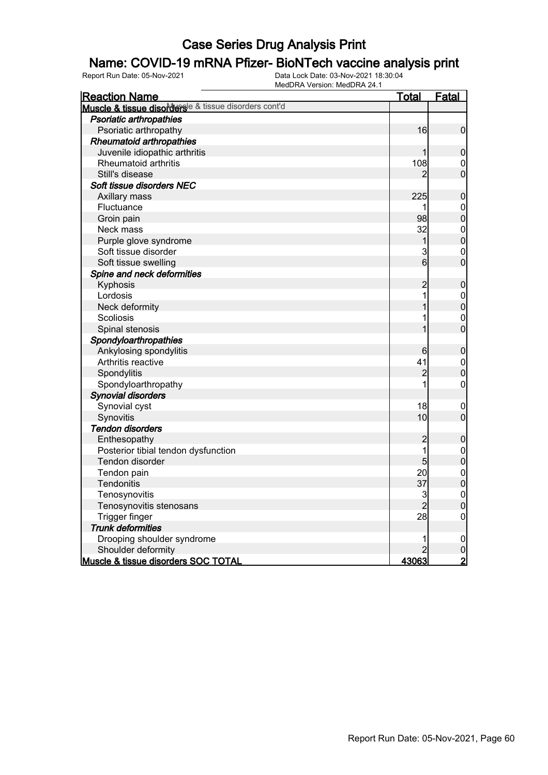### Name: COVID-19 mRNA Pfizer- BioNTech vaccine analysis print

| <b>Reaction Name</b>                                 | <u>Total</u>   | Fatal                                |
|------------------------------------------------------|----------------|--------------------------------------|
| Muscle & tissue disorderse & tissue disorders cont'd |                |                                      |
| Psoriatic arthropathies                              |                |                                      |
| Psoriatic arthropathy                                | 16             | $\overline{0}$                       |
| <b>Rheumatoid arthropathies</b>                      |                |                                      |
| Juvenile idiopathic arthritis                        | 1              | $\overline{0}$                       |
| Rheumatoid arthritis                                 | 108            | 0                                    |
| Still's disease                                      | 2              | $\overline{0}$                       |
| Soft tissue disorders NEC                            |                |                                      |
| Axillary mass                                        | 225            | $\boldsymbol{0}$                     |
| Fluctuance                                           | 1              | $\mathbf{0}$                         |
| Groin pain                                           | 98             | $\overline{0}$                       |
| Neck mass                                            | 32             |                                      |
| Purple glove syndrome                                | $\mathbf 1$    | $\begin{matrix}0\\0\end{matrix}$     |
| Soft tissue disorder                                 | 3              | $\overline{0}$                       |
| Soft tissue swelling                                 | 6              | $\overline{0}$                       |
| Spine and neck deformities                           |                |                                      |
| Kyphosis                                             | $\overline{c}$ | $\boldsymbol{0}$                     |
| Lordosis                                             | 1              |                                      |
| Neck deformity                                       | 1              | $\begin{matrix}0\\0\end{matrix}$     |
| Scoliosis                                            | 1              | $\overline{0}$                       |
| Spinal stenosis                                      | 1              | $\overline{0}$                       |
| Spondyloarthropathies                                |                |                                      |
| Ankylosing spondylitis                               | 6              | $\boldsymbol{0}$                     |
| Arthritis reactive                                   | 41             | $\mathbf{0}$                         |
| Spondylitis                                          | $\overline{c}$ | $\overline{0}$                       |
| Spondyloarthropathy                                  | 1              | $\overline{0}$                       |
| <b>Synovial disorders</b>                            |                |                                      |
| Synovial cyst                                        | 18             | $\mathbf 0$                          |
| Synovitis                                            | 10             | $\overline{0}$                       |
| <b>Tendon disorders</b>                              |                |                                      |
| Enthesopathy                                         | $\overline{c}$ | $\pmb{0}$                            |
| Posterior tibial tendon dysfunction                  | 1              |                                      |
| Tendon disorder                                      | 5              | $\begin{matrix} 0 \\ 0 \end{matrix}$ |
| Tendon pain                                          | 20             |                                      |
| Tendonitis                                           | 37             | $\begin{matrix} 0 \\ 0 \end{matrix}$ |
| Tenosynovitis                                        | 3              | $\mathbf{0}$                         |
| Tenosynovitis stenosans                              | $\overline{2}$ | $\overline{0}$                       |
| Trigger finger                                       | 28             | $\overline{0}$                       |
| <b>Trunk deformities</b>                             |                |                                      |
| Drooping shoulder syndrome                           | 1              | $\mathbf 0$                          |
| Shoulder deformity                                   | 2              | $\frac{0}{2}$                        |
| Muscle & tissue disorders SOC TOTAL                  | <u>43063</u>   |                                      |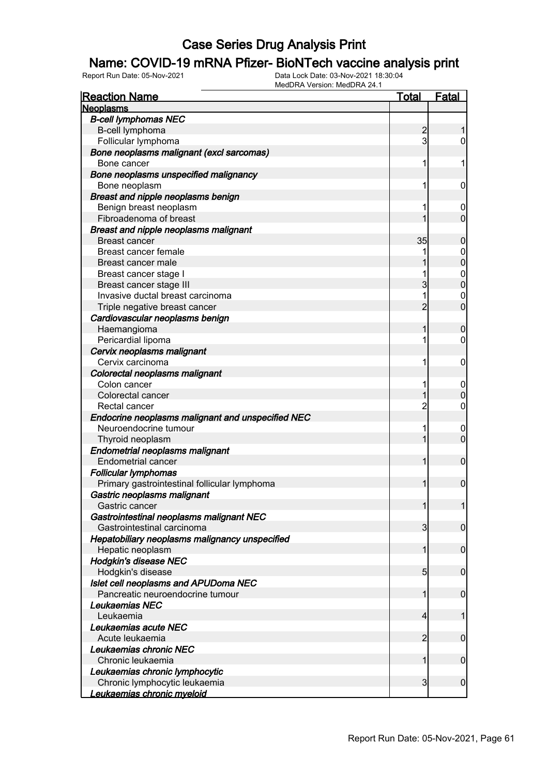### Name: COVID-19 mRNA Pfizer- BioNTech vaccine analysis print

| <u>Reaction Name</u>                              | <u>Total</u>            | <b>Fatal</b>     |
|---------------------------------------------------|-------------------------|------------------|
| <b>Neoplasms</b>                                  |                         |                  |
| <b>B-cell lymphomas NEC</b>                       |                         |                  |
| B-cell lymphoma                                   | $\overline{c}$          |                  |
| Follicular lymphoma                               | 3                       | 0                |
| Bone neoplasms malignant (excl sarcomas)          |                         |                  |
| Bone cancer                                       | 1                       | 1                |
| Bone neoplasms unspecified malignancy             |                         |                  |
| Bone neoplasm                                     | 1                       | 0                |
| Breast and nipple neoplasms benign                |                         |                  |
| Benign breast neoplasm                            | 1                       | $\boldsymbol{0}$ |
| Fibroadenoma of breast                            |                         | $\overline{0}$   |
| <b>Breast and nipple neoplasms malignant</b>      |                         |                  |
| <b>Breast cancer</b>                              | 35                      | 0                |
| Breast cancer female                              |                         | $\mathbf 0$      |
| Breast cancer male                                |                         | 0                |
| Breast cancer stage I                             |                         | $\mathbf{0}$     |
| Breast cancer stage III                           | 3                       | 0                |
| Invasive ductal breast carcinoma                  | 1                       | 0                |
| Triple negative breast cancer                     | $\overline{2}$          | $\overline{0}$   |
| Cardiovascular neoplasms benign                   |                         |                  |
| Haemangioma                                       |                         | 0                |
| Pericardial lipoma                                | 1                       | 0                |
| Cervix neoplasms malignant                        |                         |                  |
| Cervix carcinoma                                  | 1                       | 0                |
| Colorectal neoplasms malignant                    |                         |                  |
| Colon cancer                                      | 1                       | $\overline{0}$   |
| Colorectal cancer                                 |                         | 0                |
| Rectal cancer                                     | $\overline{c}$          | 0                |
| Endocrine neoplasms malignant and unspecified NEC |                         |                  |
| Neuroendocrine tumour                             | 1                       | $\mathbf 0$      |
| Thyroid neoplasm                                  | 1                       | $\mathbf 0$      |
| <b>Endometrial neoplasms malignant</b>            |                         |                  |
| <b>Endometrial cancer</b>                         | 1                       | $\mathbf 0$      |
| <b>Follicular lymphomas</b>                       |                         |                  |
| Primary gastrointestinal follicular lymphoma      | 1                       | $\mathbf 0$      |
| Gastric neoplasms malignant                       |                         |                  |
| Gastric cancer                                    |                         | 1                |
| Gastrointestinal neoplasms malignant NEC          |                         |                  |
| Gastrointestinal carcinoma                        | $\overline{\mathbf{3}}$ | $\overline{0}$   |
| Hepatobiliary neoplasms malignancy unspecified    |                         |                  |
| Hepatic neoplasm                                  | 1                       | $\overline{0}$   |
| <b>Hodgkin's disease NEC</b>                      |                         |                  |
| Hodgkin's disease                                 | $5\overline{)}$         | $\mathbf 0$      |
| Islet cell neoplasms and APUDoma NEC              |                         |                  |
| Pancreatic neuroendocrine tumour                  | 1                       | $\mathbf 0$      |
| Leukaemias NEC                                    |                         |                  |
| Leukaemia                                         | 4                       | 1                |
| Leukaemias acute NEC                              |                         |                  |
| Acute leukaemia                                   | $\overline{2}$          | $\mathbf 0$      |
| Leukaemias chronic NEC                            |                         |                  |
| Chronic leukaemia                                 | 1                       | $\mathbf 0$      |
| Leukaemias chronic lymphocytic                    |                         |                  |
| Chronic lymphocytic leukaemia                     | $\overline{\mathbf{3}}$ | $\boldsymbol{0}$ |
| Leukaemias chronic myeloid                        |                         |                  |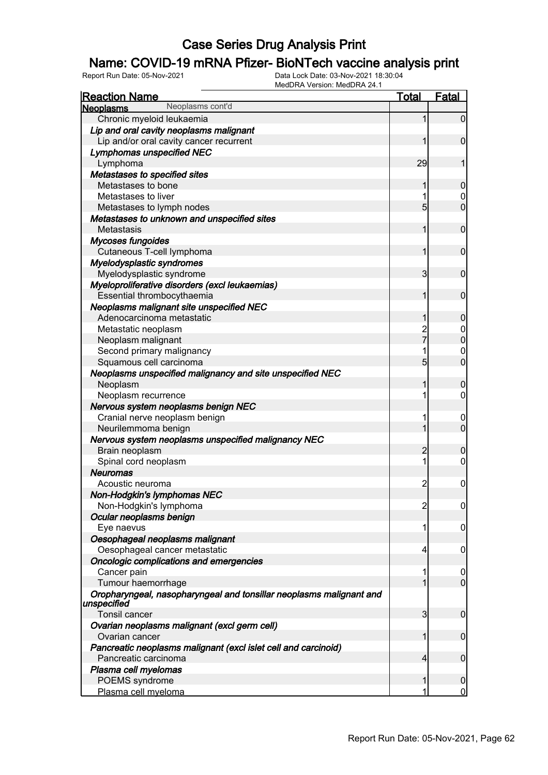### Name: COVID-19 mRNA Pfizer- BioNTech vaccine analysis print

| <b>Reaction Name</b>                                                               | <b>Total</b>   | <b>Fatal</b>     |
|------------------------------------------------------------------------------------|----------------|------------------|
| Neoplasms cont'd<br><b>Neoplasms</b>                                               |                |                  |
| Chronic myeloid leukaemia                                                          | 1              | $\overline{0}$   |
| Lip and oral cavity neoplasms malignant                                            |                |                  |
| Lip and/or oral cavity cancer recurrent                                            |                | $\mathbf 0$      |
| <b>Lymphomas unspecified NEC</b>                                                   |                |                  |
| Lymphoma                                                                           | 29             | 1                |
| Metastases to specified sites                                                      |                |                  |
| Metastases to bone                                                                 | 1              | $\mathbf 0$      |
| Metastases to liver                                                                |                | 0                |
| Metastases to lymph nodes                                                          | 5              | $\mathbf 0$      |
| Metastases to unknown and unspecified sites                                        |                |                  |
| Metastasis                                                                         | 1              | $\mathbf 0$      |
| <b>Mycoses fungoides</b>                                                           |                |                  |
| Cutaneous T-cell lymphoma                                                          | 1              | $\mathbf 0$      |
| Myelodysplastic syndromes                                                          |                |                  |
| Myelodysplastic syndrome                                                           | $\overline{3}$ | $\mathbf 0$      |
| Myeloproliferative disorders (excl leukaemias)                                     |                |                  |
| Essential thrombocythaemia                                                         | 1              | $\mathbf 0$      |
| Neoplasms malignant site unspecified NEC                                           |                |                  |
| Adenocarcinoma metastatic                                                          | 1              | $\mathbf 0$      |
| Metastatic neoplasm                                                                |                | $\boldsymbol{0}$ |
| Neoplasm malignant                                                                 | 2<br>7         | $\overline{0}$   |
| Second primary malignancy                                                          |                | $\mathbf{0}$     |
| Squamous cell carcinoma                                                            | 5              | $\mathbf 0$      |
| Neoplasms unspecified malignancy and site unspecified NEC                          |                |                  |
| Neoplasm                                                                           | 1              | $\boldsymbol{0}$ |
| Neoplasm recurrence                                                                | 1              | $\mathbf 0$      |
| Nervous system neoplasms benign NEC                                                |                |                  |
| Cranial nerve neoplasm benign                                                      |                | $\mathbf 0$      |
| Neurilemmoma benign                                                                | 1              | $\mathbf 0$      |
| Nervous system neoplasms unspecified malignancy NEC                                |                |                  |
| Brain neoplasm                                                                     | $\overline{c}$ | $\boldsymbol{0}$ |
| Spinal cord neoplasm                                                               | 1              | $\boldsymbol{0}$ |
| <b>Neuromas</b>                                                                    |                |                  |
| Acoustic neuroma                                                                   | $\overline{c}$ | $\mathbf 0$      |
| Non-Hodgkin's lymphomas NEC                                                        |                |                  |
| Non-Hodgkin's lymphoma                                                             | $\overline{c}$ | $\overline{0}$   |
| Ocular neoplasms benign                                                            |                |                  |
| Eye naevus                                                                         | 1              | 0                |
| Oesophageal neoplasms malignant                                                    |                |                  |
| Oesophageal cancer metastatic                                                      | 4              | $\mathbf 0$      |
| <b>Oncologic complications and emergencies</b>                                     |                |                  |
| Cancer pain                                                                        | 1              | $\mathbf 0$      |
| Tumour haemorrhage                                                                 |                | $\mathbf 0$      |
| Oropharyngeal, nasopharyngeal and tonsillar neoplasms malignant and<br>unspecified |                |                  |
| Tonsil cancer                                                                      | 3              | $\mathbf 0$      |
| Ovarian neoplasms malignant (excl germ cell)                                       |                |                  |
| Ovarian cancer                                                                     | 1              | $\boldsymbol{0}$ |
| Pancreatic neoplasms malignant (excl islet cell and carcinoid)                     |                |                  |
| Pancreatic carcinoma                                                               | 4              | $\mathbf 0$      |
| Plasma cell myelomas                                                               |                |                  |
| POEMS syndrome                                                                     | 1              | $\boldsymbol{0}$ |
| Plasma cell myeloma                                                                |                | $\overline{0}$   |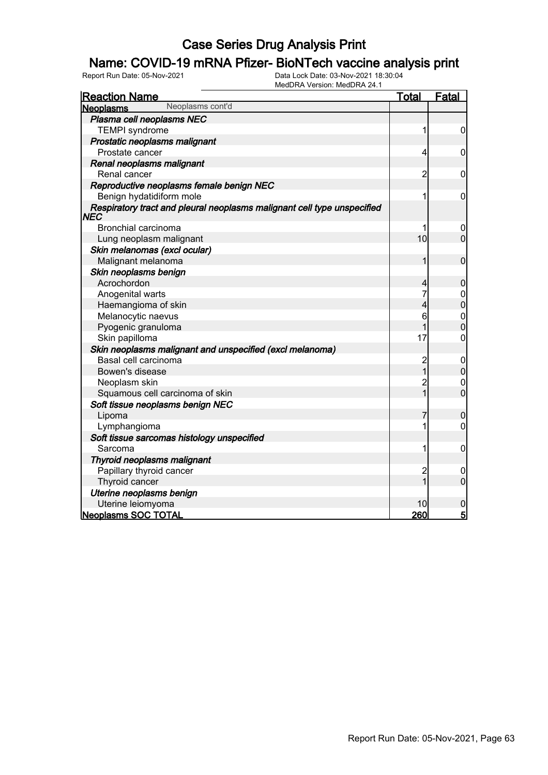### Name: COVID-19 mRNA Pfizer- BioNTech vaccine analysis print

| <b>Reaction Name</b>                                                                  | Total          | <b>Fatal</b>     |
|---------------------------------------------------------------------------------------|----------------|------------------|
| Neoplasms cont'd<br><b>Neoplasms</b>                                                  |                |                  |
| Plasma cell neoplasms NEC                                                             |                |                  |
| <b>TEMPI</b> syndrome                                                                 | 1              | 0                |
| Prostatic neoplasms malignant                                                         |                |                  |
| Prostate cancer                                                                       | 4              | 0                |
| Renal neoplasms malignant                                                             |                |                  |
| Renal cancer                                                                          | $\overline{c}$ | 0                |
| Reproductive neoplasms female benign NEC                                              |                |                  |
| Benign hydatidiform mole                                                              | 1              | $\mathbf 0$      |
| Respiratory tract and pleural neoplasms malignant cell type unspecified<br><b>NEC</b> |                |                  |
| Bronchial carcinoma                                                                   | 1              | 0                |
| Lung neoplasm malignant                                                               | 10             | $\overline{0}$   |
| Skin melanomas (excl ocular)                                                          |                |                  |
| Malignant melanoma                                                                    | 1              | $\mathbf 0$      |
| Skin neoplasms benign                                                                 |                |                  |
| Acrochordon                                                                           | 4              | $\boldsymbol{0}$ |
| Anogenital warts                                                                      | 7              | $\mathbf 0$      |
| Haemangioma of skin                                                                   | 4              | $\overline{0}$   |
| Melanocytic naevus                                                                    | 6              | $\mathbf{0}$     |
| Pyogenic granuloma                                                                    |                | $\overline{0}$   |
| Skin papilloma                                                                        | 17             | 0                |
| Skin neoplasms malignant and unspecified (excl melanoma)                              |                |                  |
| Basal cell carcinoma                                                                  | $\overline{c}$ | $\mathbf 0$      |
| Bowen's disease                                                                       | $\overline{1}$ | $\mathbf 0$      |
| Neoplasm skin                                                                         | $\overline{c}$ | $\mathbf 0$      |
| Squamous cell carcinoma of skin                                                       | $\overline{1}$ | $\overline{0}$   |
| Soft tissue neoplasms benign NEC                                                      |                |                  |
| Lipoma                                                                                | 7              | 0                |
| Lymphangioma                                                                          | 1              | 0                |
| Soft tissue sarcomas histology unspecified                                            |                |                  |
| Sarcoma                                                                               | 1              | 0                |
| Thyroid neoplasms malignant                                                           |                |                  |
| Papillary thyroid cancer                                                              | $\overline{c}$ | 0                |
| Thyroid cancer                                                                        | 1              | $\overline{0}$   |
| Uterine neoplasms benign                                                              |                |                  |
| Uterine leiomyoma                                                                     | 10             | 0                |
| <b>Neoplasms SOC TOTAL</b>                                                            | 260            | $\overline{5}$   |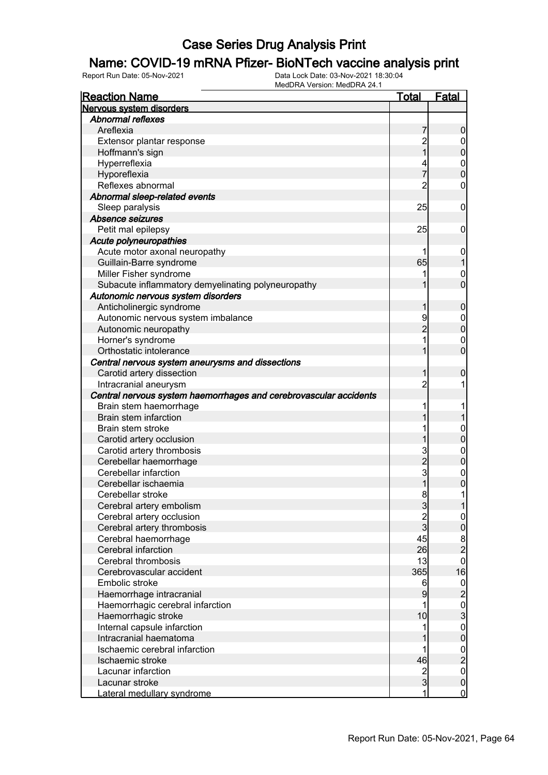#### Name: COVID-19 mRNA Pfizer- BioNTech vaccine analysis print

| <b>Reaction Name</b>                                              | <b>Total</b>   | Fatal                                            |
|-------------------------------------------------------------------|----------------|--------------------------------------------------|
| Nervous system disorders                                          |                |                                                  |
| <b>Abnormal reflexes</b>                                          |                |                                                  |
| Areflexia                                                         | 7              | $\boldsymbol{0}$                                 |
| Extensor plantar response                                         |                | $\mathbf 0$                                      |
| Hoffmann's sign                                                   | 2<br>1         | $\overline{0}$                                   |
| Hyperreflexia                                                     |                |                                                  |
| Hyporeflexia                                                      | 7              | $\begin{matrix}0\\0\end{matrix}$                 |
| Reflexes abnormal                                                 | $\overline{2}$ | $\mathbf 0$                                      |
| Abnormal sleep-related events                                     |                |                                                  |
| Sleep paralysis                                                   | 25             | $\boldsymbol{0}$                                 |
| Absence seizures                                                  |                |                                                  |
| Petit mal epilepsy                                                | 25             | $\mathbf 0$                                      |
| Acute polyneuropathies                                            |                |                                                  |
| Acute motor axonal neuropathy                                     | 1              | $\mathbf 0$                                      |
| Guillain-Barre syndrome                                           | 65             | 1                                                |
| Miller Fisher syndrome                                            | 1              | $\mathbf 0$                                      |
| Subacute inflammatory demyelinating polyneuropathy                | 1              | $\overline{0}$                                   |
| Autonomic nervous system disorders                                |                |                                                  |
| Anticholinergic syndrome                                          | 1              | $\mathbf 0$                                      |
| Autonomic nervous system imbalance                                | 9              | $\boldsymbol{0}$                                 |
| Autonomic neuropathy                                              | $\overline{2}$ | $\overline{0}$                                   |
| Horner's syndrome                                                 | 1              | $\mathbf 0$                                      |
| Orthostatic intolerance                                           | 1              | $\overline{0}$                                   |
| Central nervous system aneurysms and dissections                  |                |                                                  |
| Carotid artery dissection                                         | 1              | $\mathbf 0$                                      |
| Intracranial aneurysm                                             | $\overline{2}$ | 1                                                |
| Central nervous system haemorrhages and cerebrovascular accidents |                |                                                  |
| Brain stem haemorrhage                                            | 1              | 1                                                |
| <b>Brain stem infarction</b>                                      | 1              | 1                                                |
| Brain stem stroke                                                 | 1              | $\mathbf{0}$                                     |
| Carotid artery occlusion                                          | 1              | $\overline{0}$                                   |
| Carotid artery thrombosis                                         |                |                                                  |
| Cerebellar haemorrhage                                            | $\frac{3}{2}$  | $\mathbf{0}$<br>$\overline{0}$                   |
| Cerebellar infarction                                             |                |                                                  |
| Cerebellar ischaemia                                              | $\overline{1}$ | $\mathbf{0}$<br>0                                |
|                                                                   | 8 <sup>1</sup> |                                                  |
| Cerebellar stroke                                                 |                | 1                                                |
| Cerebral artery embolism                                          | $\mathbf{3}$   | 1                                                |
| Cerebral artery occlusion                                         | $\frac{2}{3}$  | $\overline{0}$                                   |
| Cerebral artery thrombosis                                        |                | $\overline{0}$                                   |
| Cerebral haemorrhage                                              | 45             | $\frac{8}{2}$                                    |
| Cerebral infarction                                               | 26             |                                                  |
| Cerebral thrombosis                                               | 13             | $\overline{0}$                                   |
| Cerebrovascular accident                                          | 365            | 16                                               |
| Embolic stroke                                                    | 6              |                                                  |
| Haemorrhage intracranial                                          | 9              |                                                  |
| Haemorrhagic cerebral infarction                                  | 1              | $\begin{bmatrix} 0 \\ 2 \\ 0 \\ 3 \end{bmatrix}$ |
| Haemorrhagic stroke                                               | 10             |                                                  |
| Internal capsule infarction                                       | 1              | $\begin{matrix} 0 \\ 0 \end{matrix}$             |
| Intracranial haematoma                                            |                |                                                  |
| Ischaemic cerebral infarction                                     | 1              |                                                  |
| Ischaemic stroke                                                  | 46             |                                                  |
| Lacunar infarction                                                | $\frac{2}{3}$  | $\begin{array}{c}\n0 \\ 0 \\ 0\n\end{array}$     |
| Lacunar stroke                                                    |                |                                                  |
| Lateral medullary syndrome                                        | $\mathbf{1}$   | $\overline{0}$                                   |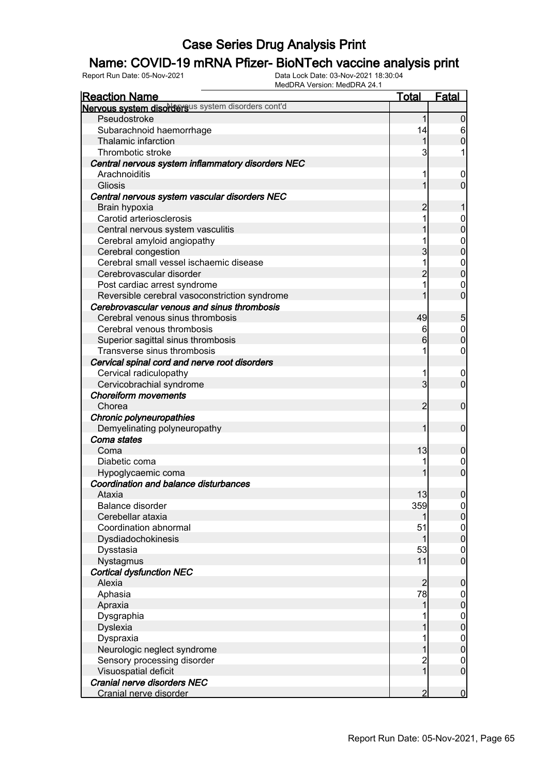### Name: COVID-19 mRNA Pfizer- BioNTech vaccine analysis print

| MEQURA VEISION. MEQURA 24.1<br><b>Reaction Name</b> | <u>Total</u>                     | <b>Fatal</b>     |
|-----------------------------------------------------|----------------------------------|------------------|
| Nervous system disordersus system disorders cont'd  |                                  |                  |
| Pseudostroke                                        | 1                                | 0                |
| Subarachnoid haemorrhage                            | 14                               | 6                |
| Thalamic infarction                                 | 1                                | $\overline{0}$   |
| Thrombotic stroke                                   | 3                                |                  |
| Central nervous system inflammatory disorders NEC   |                                  |                  |
| Arachnoiditis                                       |                                  | 0                |
| <b>Gliosis</b>                                      |                                  | 0                |
| Central nervous system vascular disorders NEC       |                                  |                  |
| Brain hypoxia                                       | 2                                |                  |
| Carotid arteriosclerosis                            |                                  | 0                |
| Central nervous system vasculitis                   |                                  | 0                |
| Cerebral amyloid angiopathy                         |                                  | 0                |
| Cerebral congestion                                 | 3                                | 0                |
| Cerebral small vessel ischaemic disease             | 1                                | $\mathbf 0$      |
| Cerebrovascular disorder                            | $\overline{2}$                   | 0                |
| Post cardiac arrest syndrome                        | 1                                | 0                |
| Reversible cerebral vasoconstriction syndrome       |                                  | 0                |
| Cerebrovascular venous and sinus thrombosis         |                                  |                  |
| Cerebral venous sinus thrombosis                    | 49                               | 5                |
| Cerebral venous thrombosis                          | 6                                | $\mathbf 0$      |
| Superior sagittal sinus thrombosis                  | 6                                | $\overline{0}$   |
| Transverse sinus thrombosis                         |                                  | 0                |
| Cervical spinal cord and nerve root disorders       |                                  |                  |
| Cervical radiculopathy                              | 1                                | $\boldsymbol{0}$ |
| Cervicobrachial syndrome                            | 3                                | $\mathbf 0$      |
| <b>Choreiform movements</b>                         |                                  |                  |
| Chorea                                              | 2                                | 0                |
| Chronic polyneuropathies                            |                                  |                  |
| Demyelinating polyneuropathy                        | 1                                | 0                |
| Coma states                                         |                                  |                  |
| Coma                                                | 13                               | 0                |
| Diabetic coma                                       |                                  | 0                |
| Hypoglycaemic coma                                  |                                  | $\overline{0}$   |
| Coordination and balance disturbances               |                                  |                  |
| Ataxia                                              | 13                               | $\mathbf{0}$     |
| Balance disorder                                    | 359                              | 0                |
| Cerebellar ataxia                                   |                                  | $\overline{0}$   |
| Coordination abnormal                               | 51                               | $\boldsymbol{0}$ |
| Dysdiadochokinesis                                  |                                  | $\overline{0}$   |
| Dysstasia                                           | 53                               | 0                |
| Nystagmus                                           | 11                               | 0                |
| <b>Cortical dysfunction NEC</b>                     |                                  |                  |
| Alexia                                              | 2                                | 0                |
| Aphasia                                             | 78                               |                  |
| Apraxia                                             | 1                                | 0                |
| Dysgraphia                                          |                                  |                  |
| <b>Dyslexia</b>                                     |                                  | $0\atop 0$       |
|                                                     |                                  |                  |
| Dyspraxia                                           |                                  | $0\atop 0$       |
| Neurologic neglect syndrome                         |                                  |                  |
| Sensory processing disorder                         | $\overline{c}$<br>$\overline{1}$ | 0<br>$\mathbf 0$ |
| Visuospatial deficit<br>Cranial nerve disorders NEC |                                  |                  |
| Cranial nerve disorder                              | 2                                | $\overline{0}$   |
|                                                     |                                  |                  |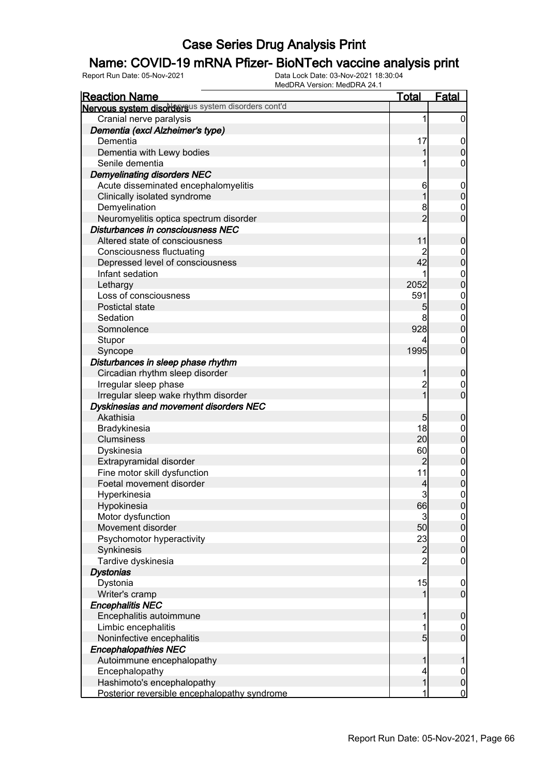### Name: COVID-19 mRNA Pfizer- BioNTech vaccine analysis print

| <u>Reaction Name</u>                               | <u>Total</u>   | <b>Fatal</b>                         |
|----------------------------------------------------|----------------|--------------------------------------|
| Nervous system disordersus system disorders cont'd |                |                                      |
| Cranial nerve paralysis                            | 1              | $\overline{0}$                       |
| Dementia (excl Alzheimer's type)                   |                |                                      |
| Dementia                                           | 17             | $\overline{0}$                       |
| Dementia with Lewy bodies                          | 1              | $\mathbf 0$                          |
| Senile dementia                                    | 1              | $\mathsf{O}\xspace$                  |
| <b>Demyelinating disorders NEC</b>                 |                |                                      |
| Acute disseminated encephalomyelitis               | 6              | $\boldsymbol{0}$                     |
| Clinically isolated syndrome                       | 1              | $\mathbf 0$                          |
| Demyelination                                      | 8              | $\boldsymbol{0}$                     |
| Neuromyelitis optica spectrum disorder             | $\overline{2}$ | $\overline{0}$                       |
| Disturbances in consciousness NEC                  |                |                                      |
| Altered state of consciousness                     | 11             | $\boldsymbol{0}$                     |
| <b>Consciousness fluctuating</b>                   |                |                                      |
| Depressed level of consciousness                   | 42             | $0$<br>0                             |
| Infant sedation                                    | 1              |                                      |
| Lethargy                                           | 2052           | $0\atop 0$                           |
| Loss of consciousness                              | 591            |                                      |
| Postictal state                                    | 5              | $0\atop 0$                           |
| Sedation                                           | 8              |                                      |
| Somnolence                                         | 928            | $0\atop 0$                           |
| Stupor                                             | 4              | $\mathbf{0}$                         |
| Syncope                                            | 1995           | $\overline{0}$                       |
| Disturbances in sleep phase rhythm                 |                |                                      |
| Circadian rhythm sleep disorder                    | 1              | $\boldsymbol{0}$                     |
| Irregular sleep phase                              | $\overline{c}$ |                                      |
| Irregular sleep wake rhythm disorder               | $\overline{1}$ | $\begin{matrix} 0 \\ 0 \end{matrix}$ |
| Dyskinesias and movement disorders NEC             |                |                                      |
| Akathisia                                          | 5              | $\boldsymbol{0}$                     |
| Bradykinesia                                       | 18             |                                      |
| <b>Clumsiness</b>                                  | 20             | $\boldsymbol{0}$<br>$\mathbf 0$      |
| Dyskinesia                                         | 60             |                                      |
| Extrapyramidal disorder                            | $\overline{2}$ | $0$<br>0                             |
| Fine motor skill dysfunction                       | 11             |                                      |
| Foetal movement disorder                           | 4              | $0\atop 0$                           |
| Hyperkinesia                                       | $\overline{3}$ | $\overline{0}$                       |
| Hypokinesia                                        | 66             |                                      |
| Motor dysfunction                                  | $\overline{3}$ | 0                                    |
| Movement disorder                                  | 50             | 0 <br>$\mathbf 0$                    |
| Psychomotor hyperactivity                          | 23             |                                      |
| Synkinesis                                         |                | $\boldsymbol{0}$<br>$\mathbf 0$      |
| Tardive dyskinesia                                 | $\frac{2}{2}$  | $\mathbf 0$                          |
| <b>Dystonias</b>                                   |                |                                      |
| Dystonia                                           | 15             |                                      |
| Writer's cramp                                     | 1              | $\boldsymbol{0}$<br>$\boldsymbol{0}$ |
| <b>Encephalitis NEC</b>                            |                |                                      |
| Encephalitis autoimmune                            | 1              |                                      |
|                                                    | 1              | $\boldsymbol{0}$                     |
| Limbic encephalitis<br>Noninfective encephalitis   | $\overline{5}$ | $\overline{0}$<br>$\overline{0}$     |
|                                                    |                |                                      |
| <b>Encephalopathies NEC</b>                        |                |                                      |
| Autoimmune encephalopathy                          | 1              | 1                                    |
| Encephalopathy                                     | 4              | $\overline{0}$                       |
| Hashimoto's encephalopathy                         | 1              | $\pmb{0}$<br>$\overline{0}$          |
| Posterior reversible encephalopathy syndrome       | 1              |                                      |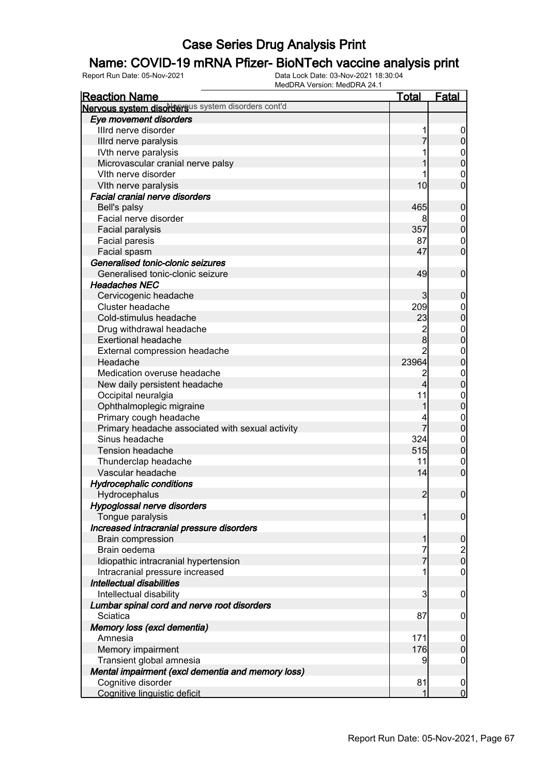### Name: COVID-19 mRNA Pfizer- BioNTech vaccine analysis print

| <b>Reaction Name</b>                               | <u>Total</u>    | <b>Fatal</b>                           |
|----------------------------------------------------|-----------------|----------------------------------------|
| Nervous system disordersus system disorders cont'd |                 |                                        |
| Eye movement disorders                             |                 |                                        |
| Illrd nerve disorder                               | 1               | $\overline{0}$                         |
| Illrd nerve paralysis                              |                 | $\boldsymbol{0}$                       |
| IVth nerve paralysis                               |                 | $\mathbf{0}$                           |
| Microvascular cranial nerve palsy                  |                 | $\overline{0}$                         |
| Vith nerve disorder                                |                 | $\mathbf{0}$                           |
| VIth nerve paralysis                               | 10 <sub>l</sub> | $\overline{0}$                         |
| <b>Facial cranial nerve disorders</b>              |                 |                                        |
| Bell's palsy                                       | 465             | $\mathbf 0$                            |
| Facial nerve disorder                              |                 |                                        |
| Facial paralysis                                   | 357             | $0\atop 0$                             |
| Facial paresis                                     | 87              | $\mathbf{0}$                           |
| Facial spasm                                       | 47              | $\overline{0}$                         |
| Generalised tonic-clonic seizures                  |                 |                                        |
| Generalised tonic-clonic seizure                   | 49              | $\mathbf 0$                            |
| <b>Headaches NEC</b>                               |                 |                                        |
| Cervicogenic headache                              | 3               | $\mathbf 0$                            |
| Cluster headache                                   | 209             |                                        |
| Cold-stimulus headache                             | 23              | $0\atop 0$                             |
| Drug withdrawal headache                           | $\overline{c}$  |                                        |
| <b>Exertional headache</b>                         | $\bf{8}$        | $0\atop 0$                             |
| External compression headache                      | $\overline{2}$  | $\mathbf{0}$                           |
| Headache                                           | 23964           | $\overline{0}$                         |
| Medication overuse headache                        | 2               | $\mathbf{0}$                           |
| New daily persistent headache                      | 4               | $\overline{0}$                         |
| Occipital neuralgia                                | 11              |                                        |
| Ophthalmoplegic migraine                           | 1               | $0\atop 0$                             |
| Primary cough headache                             | 4               |                                        |
| Primary headache associated with sexual activity   | 7               | $0\atop 0$                             |
| Sinus headache                                     | 324             | $\mathbf{0}$                           |
| <b>Tension headache</b>                            | 515             | $\overline{0}$                         |
| Thunderclap headache                               | 11              | $\mathbf{0}$                           |
| Vascular headache                                  | 14              | $\overline{0}$                         |
| <b>Hydrocephalic conditions</b>                    |                 |                                        |
| Hydrocephalus                                      | $\overline{2}$  | $\boldsymbol{0}$                       |
| Hypoglossal nerve disorders                        |                 |                                        |
| Tongue paralysis                                   | $\mathbf{1}$    | $\mathbf 0$                            |
| Increased intracranial pressure disorders          |                 |                                        |
| <b>Brain compression</b>                           | 1               | $\mathbf 0$                            |
| Brain oedema                                       | 7               |                                        |
| Idiopathic intracranial hypertension               | 7               | $\begin{bmatrix} 2 \\ 0 \end{bmatrix}$ |
| Intracranial pressure increased                    | 1               | $\mathbf 0$                            |
| Intellectual disabilities                          |                 |                                        |
| Intellectual disability                            | 3               | $\mathbf 0$                            |
| Lumbar spinal cord and nerve root disorders        |                 |                                        |
| Sciatica                                           | 87              | $\mathbf 0$                            |
| Memory loss (excl dementia)                        |                 |                                        |
| Amnesia                                            | 171             | 0                                      |
| Memory impairment                                  | 176             | $\boldsymbol{0}$                       |
| Transient global amnesia                           | 9               | $\mathbf 0$                            |
| Mental impairment (excl dementia and memory loss)  |                 |                                        |
| Cognitive disorder                                 | 81              |                                        |
| Cognitive linguistic deficit                       | 1               | $\mathbf 0$<br>$\overline{0}$          |
|                                                    |                 |                                        |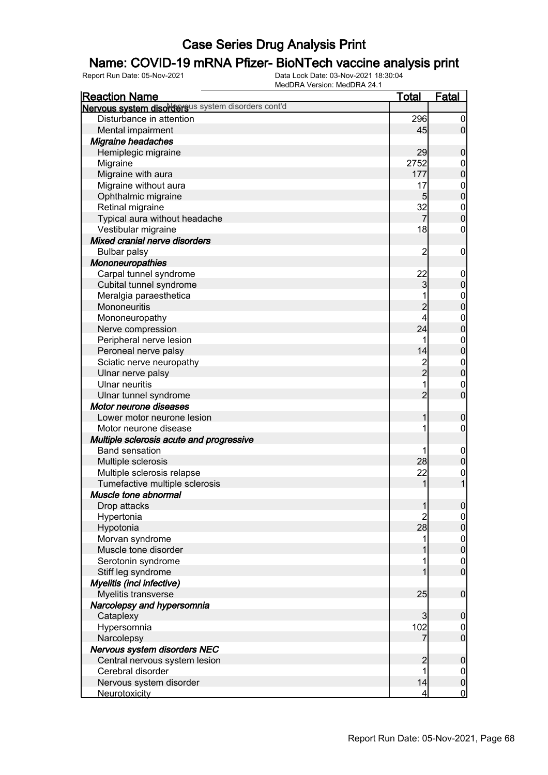### Name: COVID-19 mRNA Pfizer- BioNTech vaccine analysis print

| <b>Reaction Name</b>                               | <b>Total</b>   | Fatal                                |
|----------------------------------------------------|----------------|--------------------------------------|
| Nervous system disordersus system disorders cont'd |                |                                      |
| Disturbance in attention                           | 296            | $\mathbf 0$                          |
| Mental impairment                                  | 45             | $\overline{0}$                       |
| <b>Migraine headaches</b>                          |                |                                      |
| Hemiplegic migraine                                | 29             | $\boldsymbol{0}$                     |
| Migraine                                           | 2752           |                                      |
| Migraine with aura                                 | 177            | $0\atop 0$                           |
| Migraine without aura                              | 17             |                                      |
| Ophthalmic migraine                                | 5 <sub>5</sub> | $0\atop 0$                           |
| Retinal migraine                                   | 32             |                                      |
| Typical aura without headache                      | 7              | $\begin{matrix}0\\0\end{matrix}$     |
| Vestibular migraine                                | 18             | $\mathbf 0$                          |
| Mixed cranial nerve disorders                      |                |                                      |
| <b>Bulbar palsy</b>                                | $\overline{c}$ | $\mathbf 0$                          |
| Mononeuropathies                                   |                |                                      |
| Carpal tunnel syndrome                             | 22             | $\mathbf 0$                          |
| Cubital tunnel syndrome                            | 3              | $\mathbf 0$                          |
| Meralgia paraesthetica                             |                |                                      |
| Mononeuritis                                       | $\overline{c}$ | $0\atop 0$                           |
| Mononeuropathy                                     | 4              |                                      |
| Nerve compression                                  | 24             | $0\atop 0$                           |
| Peripheral nerve lesion                            |                |                                      |
| Peroneal nerve palsy                               | 14             | $0\atop 0$                           |
| Sciatic nerve neuropathy                           |                |                                      |
| Ulnar nerve palsy                                  | 2<br>2         | $0\atop 0$                           |
| <b>Ulnar neuritis</b>                              |                | $\mathbf 0$                          |
| Ulnar tunnel syndrome                              | $\overline{2}$ | $\mathbf 0$                          |
| Motor neurone diseases                             |                |                                      |
| Lower motor neurone lesion                         | 1              | $\boldsymbol{0}$                     |
| Motor neurone disease                              |                | $\mathbf 0$                          |
| Multiple sclerosis acute and progressive           |                |                                      |
| <b>Band sensation</b>                              |                | $\mathbf 0$                          |
| Multiple sclerosis                                 | 28             | $\pmb{0}$                            |
| Multiple sclerosis relapse                         | 22             | $\boldsymbol{0}$                     |
| Tumefactive multiple sclerosis                     | 1              | $\overline{1}$                       |
| Muscle tone abnormal                               |                |                                      |
| Drop attacks                                       | 1              | $\overline{0}$                       |
| Hypertonia                                         | $\overline{c}$ |                                      |
| Hypotonia                                          | 28             | $\begin{matrix} 0 \\ 0 \end{matrix}$ |
| Morvan syndrome                                    | 1              |                                      |
| Muscle tone disorder                               |                | $0\atop 0$                           |
| Serotonin syndrome                                 |                |                                      |
| Stiff leg syndrome                                 |                | $\begin{matrix} 0 \\ 0 \end{matrix}$ |
| Myelitis (incl infective)                          |                |                                      |
| Myelitis transverse                                | 25             | $\boldsymbol{0}$                     |
| Narcolepsy and hypersomnia                         |                |                                      |
| Cataplexy                                          | 3              | $\boldsymbol{0}$                     |
| Hypersomnia                                        | 102            | $\mathbf 0$                          |
| Narcolepsy                                         | 7              | $\overline{0}$                       |
| Nervous system disorders NEC                       |                |                                      |
| Central nervous system lesion                      | $\overline{c}$ | $\boldsymbol{0}$                     |
| Cerebral disorder                                  |                | $\boldsymbol{0}$                     |
| Nervous system disorder                            | 14             | $\mathbf 0$                          |
| <b>Neurotoxicity</b>                               | 4              | $\overline{0}$                       |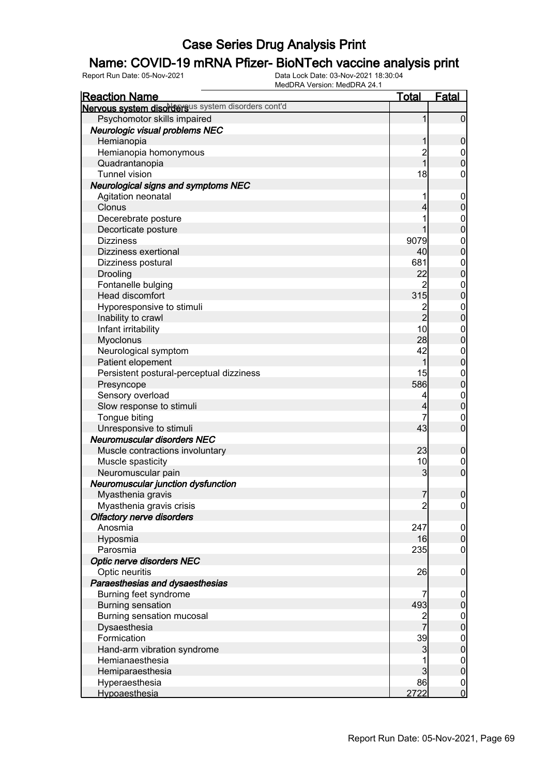### Name: COVID-19 mRNA Pfizer- BioNTech vaccine analysis print

| <u>Reaction Name</u>                               | <u>Total</u>   | <b>Fatal</b>     |
|----------------------------------------------------|----------------|------------------|
| Nervous system disordersus system disorders cont'd |                |                  |
| Psychomotor skills impaired                        | 1              | $\overline{0}$   |
| Neurologic visual problems NEC                     |                |                  |
| Hemianopia                                         | 1              | $\boldsymbol{0}$ |
| Hemianopia homonymous                              |                |                  |
| Quadrantanopia                                     | 2<br>1         | $0\atop 0$       |
| <b>Tunnel vision</b>                               | 18             | $\boldsymbol{0}$ |
| <b>Neurological signs and symptoms NEC</b>         |                |                  |
| Agitation neonatal                                 | 1              | $\boldsymbol{0}$ |
| Clonus                                             | 4              | $\mathbf 0$      |
| Decerebrate posture                                | 1              |                  |
| Decorticate posture                                | 1              | $0\atop 0$       |
| <b>Dizziness</b>                                   | 9079           |                  |
| Dizziness exertional                               | 40             | $0\atop 0$       |
| Dizziness postural                                 | 681            |                  |
| Drooling                                           | 22             | $0\atop 0$       |
| Fontanelle bulging                                 | 2              |                  |
| Head discomfort                                    | 315            | $0\atop 0$       |
| Hyporesponsive to stimuli                          |                |                  |
| Inability to crawl                                 | $\frac{2}{2}$  | $0\atop 0$       |
| Infant irritability                                | 10             |                  |
| Myoclonus                                          | 28             | $0\atop 0$       |
| Neurological symptom                               | 42             |                  |
| Patient elopement                                  | 1              | $0\atop 0$       |
| Persistent postural-perceptual dizziness           | 15             |                  |
| Presyncope                                         | 586            | $0\atop 0$       |
| Sensory overload                                   | 4              |                  |
| Slow response to stimuli                           | 4              | $0\atop 0$       |
| Tongue biting                                      | 7              | $\boldsymbol{0}$ |
| Unresponsive to stimuli                            | 43             | $\overline{0}$   |
| <b>Neuromuscular disorders NEC</b>                 |                |                  |
| Muscle contractions involuntary                    | 23             | $\mathbf 0$      |
| Muscle spasticity                                  | 10             | $\overline{0}$   |
| Neuromuscular pain                                 | 3              | $\overline{0}$   |
| Neuromuscular junction dysfunction                 |                |                  |
| Myasthenia gravis                                  | $\overline{7}$ | $\mathbf 0$      |
| Myasthenia gravis crisis                           | $\overline{c}$ | 0                |
| <b>Olfactory nerve disorders</b>                   |                |                  |
| Anosmia                                            | 247            | $\boldsymbol{0}$ |
| Hyposmia                                           | 16             | $\pmb{0}$        |
| Parosmia                                           | 235            | $\mathbf 0$      |
| Optic nerve disorders NEC                          |                |                  |
| Optic neuritis                                     | 26             | $\mathbf 0$      |
| Paraesthesias and dysaesthesias                    |                |                  |
| Burning feet syndrome                              | 7              | $\mathbf 0$      |
| <b>Burning sensation</b>                           | 493            | $\pmb{0}$        |
| Burning sensation mucosal                          |                | $\boldsymbol{0}$ |
| Dysaesthesia                                       | 2<br>7         | $\mathbf 0$      |
| Formication                                        | 39             | $\boldsymbol{0}$ |
| Hand-arm vibration syndrome                        | 3              | $\mathbf 0$      |
| Hemianaesthesia                                    |                | $\boldsymbol{0}$ |
| Hemiparaesthesia                                   | $\overline{3}$ | $\mathbf 0$      |
| Hyperaesthesia                                     | 86             | $\boldsymbol{0}$ |
| Hypoaesthesia                                      | 2722           | $\overline{0}$   |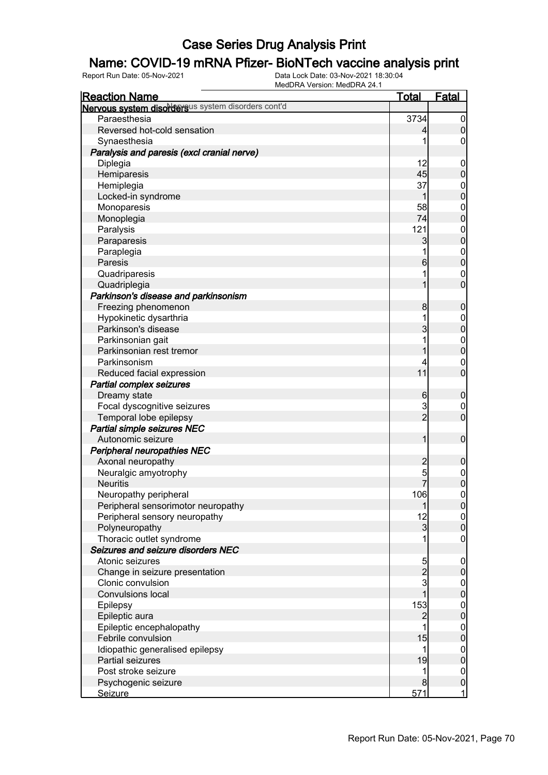### Name: COVID-19 mRNA Pfizer- BioNTech vaccine analysis print

| <b>Reaction Name</b>                               | <u>Total</u>        | <b>Fatal</b>                         |
|----------------------------------------------------|---------------------|--------------------------------------|
| Nervous system disordersus system disorders cont'd |                     |                                      |
| Paraesthesia                                       | 3734                | $\overline{0}$                       |
| Reversed hot-cold sensation                        | 4                   | $\pmb{0}$                            |
| Synaesthesia                                       | 1                   | 0                                    |
| Paralysis and paresis (excl cranial nerve)         |                     |                                      |
| Diplegia                                           | 12                  | $\mathbf 0$                          |
| Hemiparesis                                        | 45                  | $\pmb{0}$                            |
| Hemiplegia                                         | 37                  | $\boldsymbol{0}$                     |
| Locked-in syndrome                                 | 1                   | $\mathbf 0$                          |
| Monoparesis                                        | 58                  |                                      |
| Monoplegia                                         | 74                  | $0\atop 0$                           |
| Paralysis                                          | 121                 |                                      |
| Paraparesis                                        | 3                   | $0$<br>0                             |
| Paraplegia                                         | 1                   |                                      |
| Paresis                                            | 6                   | $0$<br>0                             |
| Quadriparesis                                      | 1                   | $\mathbf 0$                          |
| Quadriplegia                                       | 1                   | $\overline{0}$                       |
| Parkinson's disease and parkinsonism               |                     |                                      |
| Freezing phenomenon                                | 8                   | $\boldsymbol{0}$                     |
| Hypokinetic dysarthria                             | 1                   | $\boldsymbol{0}$                     |
| Parkinson's disease                                | 3                   | $\mathbf 0$                          |
| Parkinsonian gait                                  | 1                   |                                      |
| Parkinsonian rest tremor                           | 1                   | $0\atop 0$                           |
| Parkinsonism                                       | 4                   | $\mathbf 0$                          |
| Reduced facial expression                          | 11                  | $\overline{0}$                       |
|                                                    |                     |                                      |
| Partial complex seizures                           |                     |                                      |
| Dreamy state                                       | 6                   | $\boldsymbol{0}$                     |
| Focal dyscognitive seizures                        | 3<br>$\overline{2}$ | $\mathbf 0$<br>$\overline{0}$        |
| Temporal lobe epilepsy                             |                     |                                      |
| Partial simple seizures NEC                        |                     |                                      |
| Autonomic seizure                                  | 1                   | $\boldsymbol{0}$                     |
| Peripheral neuropathies NEC                        |                     |                                      |
| Axonal neuropathy                                  | $\overline{c}$      | $\boldsymbol{0}$                     |
| Neuralgic amyotrophy                               | 5<br>$\overline{7}$ | $0$<br>0                             |
| <b>Neuritis</b>                                    |                     |                                      |
| Neuropathy peripheral                              | 106                 | $\mathbf 0$                          |
| Peripheral sensorimotor neuropathy                 | $\mathbf{1}$        | 0                                    |
| Peripheral sensory neuropathy                      | 12                  | 0                                    |
| Polyneuropathy                                     | $\mathbf{3}$        | $\overline{0}$                       |
| Thoracic outlet syndrome                           |                     | $\mathbf 0$                          |
| Seizures and seizure disorders NEC                 |                     |                                      |
| Atonic seizures                                    | $\frac{5}{2}$       | $\mathbf 0$                          |
| Change in seizure presentation                     |                     | $\pmb{0}$                            |
| Clonic convulsion                                  |                     | $\begin{matrix} 0 \\ 0 \end{matrix}$ |
| <b>Convulsions local</b>                           | $\overline{1}$      |                                      |
| Epilepsy                                           | 153                 | $0$ 0                                |
| Epileptic aura                                     | $\overline{c}$      |                                      |
| Epileptic encephalopathy                           | 1                   | $\boldsymbol{0}$                     |
| Febrile convulsion                                 | 15                  | $\mathbf{0}$                         |
| Idiopathic generalised epilepsy                    | 1                   | $\boldsymbol{0}$                     |
| Partial seizures                                   | 19                  | $\mathbf 0$                          |
| Post stroke seizure                                | 1                   | $\overline{0}$                       |
| Psychogenic seizure                                | 8                   | $\mathbf 0$                          |
| <b>Seizure</b>                                     | 571                 | $\mathbf{1}$                         |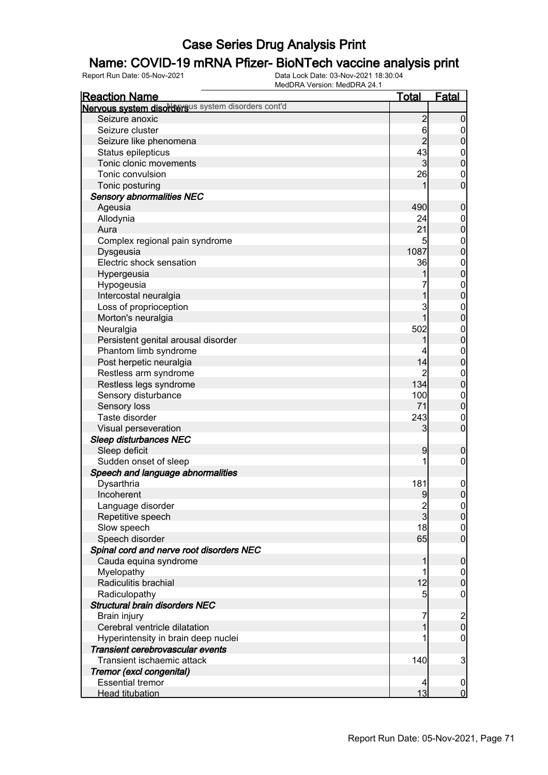### Name: COVID-19 mRNA Pfizer- BioNTech vaccine analysis print

| Nervous system disordersus system disorders cont'd<br>$\overline{c}$<br>Seizure anoxic<br>$6\overline{6}$<br>Seizure cluster<br>$\overline{2}$<br>Seizure like phenomena<br>43<br>Status epilepticus<br>$\boldsymbol{0}$<br>$\mathbf 0$<br>Tonic clonic movements<br>$\overline{3}$<br>Tonic convulsion<br>26<br>$\mathbf 0$<br>$\mathbf 0$<br>Tonic posturing<br><b>Sensory abnormalities NEC</b><br>Ageusia<br>490<br>$\mathbf 0$<br>Allodynia<br>24<br>$\mathbf 0$<br>$\mathbf 0$<br>21<br>Aura<br>Complex regional pain syndrome<br>5<br>$\mathbf 0$<br>$\mathbf 0$<br>1087<br>Dysgeusia<br>Electric shock sensation<br>36<br>$\boldsymbol{0}$<br>$\mathbf 0$<br>Hypergeusia<br>Hypogeusia<br>$\boldsymbol{0}$<br>$\mathbf 0$<br>Intercostal neuralgia<br>3<br>Loss of proprioception<br>$\mathbf{0}$<br>$\mathbf 0$<br>1<br>Morton's neuralgia<br>Neuralgia<br>502<br>$\boldsymbol{0}$<br>$\mathbf 0$<br>Persistent genital arousal disorder<br>Phantom limb syndrome<br>$\boldsymbol{0}$<br>$\mathbf 0$<br>14<br>Post herpetic neuralgia<br>Restless arm syndrome<br>2<br>$\mathbf 0$<br>134<br>$\mathbf 0$<br>Restless legs syndrome<br>Sensory disturbance<br>100<br>$\mathbf 0$<br>$\mathbf 0$<br>71<br>Sensory loss<br>Taste disorder<br>243<br>$\mathbf 0$<br>$\mathbf 0$<br>Visual perseveration<br>3<br><b>Sleep disturbances NEC</b><br>Sleep deficit<br>9<br>$\boldsymbol{0}$<br>Sudden onset of sleep<br>$\mathbf 0$<br>Speech and language abnormalities<br>Dysarthria<br>181<br>$\mathbf{0}$<br>$\mathbf 0$<br>Incoherent<br>9<br>Language disorder<br>$\frac{2}{3}$<br> 0 <br> 0 <br>Repetitive speech<br>18<br>Slow speech<br>$\overline{0}$<br>$\mathbf{0}$<br>Speech disorder<br>65<br>Spinal cord and nerve root disorders NEC<br>Cauda equina syndrome<br>$\boldsymbol{0}$<br>1<br>Myelopathy<br>1<br>$\overline{0}$<br>$\pmb{0}$<br>12<br>Radiculitis brachial<br>Radiculopathy<br>5<br>$\mathbf 0$<br><b>Structural brain disorders NEC</b><br>$\begin{array}{c} 2 \\ 0 \end{array}$<br>Brain injury<br>7<br>Cerebral ventricle dilatation<br>$\mathbf 0$<br>Hyperintensity in brain deep nuclei<br>Transient cerebrovascular events<br>3<br>Transient ischaemic attack<br>140<br>Tremor (excl congenital)<br><b>Essential tremor</b><br>4<br>$\overline{0}$ | <b>Reaction Name</b>   | <b>Total</b> | <b>Fatal</b>   |
|----------------------------------------------------------------------------------------------------------------------------------------------------------------------------------------------------------------------------------------------------------------------------------------------------------------------------------------------------------------------------------------------------------------------------------------------------------------------------------------------------------------------------------------------------------------------------------------------------------------------------------------------------------------------------------------------------------------------------------------------------------------------------------------------------------------------------------------------------------------------------------------------------------------------------------------------------------------------------------------------------------------------------------------------------------------------------------------------------------------------------------------------------------------------------------------------------------------------------------------------------------------------------------------------------------------------------------------------------------------------------------------------------------------------------------------------------------------------------------------------------------------------------------------------------------------------------------------------------------------------------------------------------------------------------------------------------------------------------------------------------------------------------------------------------------------------------------------------------------------------------------------------------------------------------------------------------------------------------------------------------------------------------------------------------------------------------------------------------------------------------------------------------------------------------------------------------------------------------------------------------------------------------------------|------------------------|--------------|----------------|
|                                                                                                                                                                                                                                                                                                                                                                                                                                                                                                                                                                                                                                                                                                                                                                                                                                                                                                                                                                                                                                                                                                                                                                                                                                                                                                                                                                                                                                                                                                                                                                                                                                                                                                                                                                                                                                                                                                                                                                                                                                                                                                                                                                                                                                                                                        |                        |              |                |
|                                                                                                                                                                                                                                                                                                                                                                                                                                                                                                                                                                                                                                                                                                                                                                                                                                                                                                                                                                                                                                                                                                                                                                                                                                                                                                                                                                                                                                                                                                                                                                                                                                                                                                                                                                                                                                                                                                                                                                                                                                                                                                                                                                                                                                                                                        |                        |              | $\mathbf 0$    |
|                                                                                                                                                                                                                                                                                                                                                                                                                                                                                                                                                                                                                                                                                                                                                                                                                                                                                                                                                                                                                                                                                                                                                                                                                                                                                                                                                                                                                                                                                                                                                                                                                                                                                                                                                                                                                                                                                                                                                                                                                                                                                                                                                                                                                                                                                        |                        |              | 0              |
|                                                                                                                                                                                                                                                                                                                                                                                                                                                                                                                                                                                                                                                                                                                                                                                                                                                                                                                                                                                                                                                                                                                                                                                                                                                                                                                                                                                                                                                                                                                                                                                                                                                                                                                                                                                                                                                                                                                                                                                                                                                                                                                                                                                                                                                                                        |                        |              | $\pmb{0}$      |
|                                                                                                                                                                                                                                                                                                                                                                                                                                                                                                                                                                                                                                                                                                                                                                                                                                                                                                                                                                                                                                                                                                                                                                                                                                                                                                                                                                                                                                                                                                                                                                                                                                                                                                                                                                                                                                                                                                                                                                                                                                                                                                                                                                                                                                                                                        |                        |              |                |
|                                                                                                                                                                                                                                                                                                                                                                                                                                                                                                                                                                                                                                                                                                                                                                                                                                                                                                                                                                                                                                                                                                                                                                                                                                                                                                                                                                                                                                                                                                                                                                                                                                                                                                                                                                                                                                                                                                                                                                                                                                                                                                                                                                                                                                                                                        |                        |              |                |
|                                                                                                                                                                                                                                                                                                                                                                                                                                                                                                                                                                                                                                                                                                                                                                                                                                                                                                                                                                                                                                                                                                                                                                                                                                                                                                                                                                                                                                                                                                                                                                                                                                                                                                                                                                                                                                                                                                                                                                                                                                                                                                                                                                                                                                                                                        |                        |              |                |
|                                                                                                                                                                                                                                                                                                                                                                                                                                                                                                                                                                                                                                                                                                                                                                                                                                                                                                                                                                                                                                                                                                                                                                                                                                                                                                                                                                                                                                                                                                                                                                                                                                                                                                                                                                                                                                                                                                                                                                                                                                                                                                                                                                                                                                                                                        |                        |              |                |
|                                                                                                                                                                                                                                                                                                                                                                                                                                                                                                                                                                                                                                                                                                                                                                                                                                                                                                                                                                                                                                                                                                                                                                                                                                                                                                                                                                                                                                                                                                                                                                                                                                                                                                                                                                                                                                                                                                                                                                                                                                                                                                                                                                                                                                                                                        |                        |              |                |
|                                                                                                                                                                                                                                                                                                                                                                                                                                                                                                                                                                                                                                                                                                                                                                                                                                                                                                                                                                                                                                                                                                                                                                                                                                                                                                                                                                                                                                                                                                                                                                                                                                                                                                                                                                                                                                                                                                                                                                                                                                                                                                                                                                                                                                                                                        |                        |              |                |
|                                                                                                                                                                                                                                                                                                                                                                                                                                                                                                                                                                                                                                                                                                                                                                                                                                                                                                                                                                                                                                                                                                                                                                                                                                                                                                                                                                                                                                                                                                                                                                                                                                                                                                                                                                                                                                                                                                                                                                                                                                                                                                                                                                                                                                                                                        |                        |              |                |
|                                                                                                                                                                                                                                                                                                                                                                                                                                                                                                                                                                                                                                                                                                                                                                                                                                                                                                                                                                                                                                                                                                                                                                                                                                                                                                                                                                                                                                                                                                                                                                                                                                                                                                                                                                                                                                                                                                                                                                                                                                                                                                                                                                                                                                                                                        |                        |              |                |
|                                                                                                                                                                                                                                                                                                                                                                                                                                                                                                                                                                                                                                                                                                                                                                                                                                                                                                                                                                                                                                                                                                                                                                                                                                                                                                                                                                                                                                                                                                                                                                                                                                                                                                                                                                                                                                                                                                                                                                                                                                                                                                                                                                                                                                                                                        |                        |              |                |
|                                                                                                                                                                                                                                                                                                                                                                                                                                                                                                                                                                                                                                                                                                                                                                                                                                                                                                                                                                                                                                                                                                                                                                                                                                                                                                                                                                                                                                                                                                                                                                                                                                                                                                                                                                                                                                                                                                                                                                                                                                                                                                                                                                                                                                                                                        |                        |              |                |
|                                                                                                                                                                                                                                                                                                                                                                                                                                                                                                                                                                                                                                                                                                                                                                                                                                                                                                                                                                                                                                                                                                                                                                                                                                                                                                                                                                                                                                                                                                                                                                                                                                                                                                                                                                                                                                                                                                                                                                                                                                                                                                                                                                                                                                                                                        |                        |              |                |
|                                                                                                                                                                                                                                                                                                                                                                                                                                                                                                                                                                                                                                                                                                                                                                                                                                                                                                                                                                                                                                                                                                                                                                                                                                                                                                                                                                                                                                                                                                                                                                                                                                                                                                                                                                                                                                                                                                                                                                                                                                                                                                                                                                                                                                                                                        |                        |              |                |
|                                                                                                                                                                                                                                                                                                                                                                                                                                                                                                                                                                                                                                                                                                                                                                                                                                                                                                                                                                                                                                                                                                                                                                                                                                                                                                                                                                                                                                                                                                                                                                                                                                                                                                                                                                                                                                                                                                                                                                                                                                                                                                                                                                                                                                                                                        |                        |              |                |
|                                                                                                                                                                                                                                                                                                                                                                                                                                                                                                                                                                                                                                                                                                                                                                                                                                                                                                                                                                                                                                                                                                                                                                                                                                                                                                                                                                                                                                                                                                                                                                                                                                                                                                                                                                                                                                                                                                                                                                                                                                                                                                                                                                                                                                                                                        |                        |              |                |
|                                                                                                                                                                                                                                                                                                                                                                                                                                                                                                                                                                                                                                                                                                                                                                                                                                                                                                                                                                                                                                                                                                                                                                                                                                                                                                                                                                                                                                                                                                                                                                                                                                                                                                                                                                                                                                                                                                                                                                                                                                                                                                                                                                                                                                                                                        |                        |              |                |
|                                                                                                                                                                                                                                                                                                                                                                                                                                                                                                                                                                                                                                                                                                                                                                                                                                                                                                                                                                                                                                                                                                                                                                                                                                                                                                                                                                                                                                                                                                                                                                                                                                                                                                                                                                                                                                                                                                                                                                                                                                                                                                                                                                                                                                                                                        |                        |              |                |
|                                                                                                                                                                                                                                                                                                                                                                                                                                                                                                                                                                                                                                                                                                                                                                                                                                                                                                                                                                                                                                                                                                                                                                                                                                                                                                                                                                                                                                                                                                                                                                                                                                                                                                                                                                                                                                                                                                                                                                                                                                                                                                                                                                                                                                                                                        |                        |              |                |
|                                                                                                                                                                                                                                                                                                                                                                                                                                                                                                                                                                                                                                                                                                                                                                                                                                                                                                                                                                                                                                                                                                                                                                                                                                                                                                                                                                                                                                                                                                                                                                                                                                                                                                                                                                                                                                                                                                                                                                                                                                                                                                                                                                                                                                                                                        |                        |              |                |
|                                                                                                                                                                                                                                                                                                                                                                                                                                                                                                                                                                                                                                                                                                                                                                                                                                                                                                                                                                                                                                                                                                                                                                                                                                                                                                                                                                                                                                                                                                                                                                                                                                                                                                                                                                                                                                                                                                                                                                                                                                                                                                                                                                                                                                                                                        |                        |              |                |
|                                                                                                                                                                                                                                                                                                                                                                                                                                                                                                                                                                                                                                                                                                                                                                                                                                                                                                                                                                                                                                                                                                                                                                                                                                                                                                                                                                                                                                                                                                                                                                                                                                                                                                                                                                                                                                                                                                                                                                                                                                                                                                                                                                                                                                                                                        |                        |              |                |
|                                                                                                                                                                                                                                                                                                                                                                                                                                                                                                                                                                                                                                                                                                                                                                                                                                                                                                                                                                                                                                                                                                                                                                                                                                                                                                                                                                                                                                                                                                                                                                                                                                                                                                                                                                                                                                                                                                                                                                                                                                                                                                                                                                                                                                                                                        |                        |              |                |
|                                                                                                                                                                                                                                                                                                                                                                                                                                                                                                                                                                                                                                                                                                                                                                                                                                                                                                                                                                                                                                                                                                                                                                                                                                                                                                                                                                                                                                                                                                                                                                                                                                                                                                                                                                                                                                                                                                                                                                                                                                                                                                                                                                                                                                                                                        |                        |              |                |
|                                                                                                                                                                                                                                                                                                                                                                                                                                                                                                                                                                                                                                                                                                                                                                                                                                                                                                                                                                                                                                                                                                                                                                                                                                                                                                                                                                                                                                                                                                                                                                                                                                                                                                                                                                                                                                                                                                                                                                                                                                                                                                                                                                                                                                                                                        |                        |              |                |
|                                                                                                                                                                                                                                                                                                                                                                                                                                                                                                                                                                                                                                                                                                                                                                                                                                                                                                                                                                                                                                                                                                                                                                                                                                                                                                                                                                                                                                                                                                                                                                                                                                                                                                                                                                                                                                                                                                                                                                                                                                                                                                                                                                                                                                                                                        |                        |              |                |
|                                                                                                                                                                                                                                                                                                                                                                                                                                                                                                                                                                                                                                                                                                                                                                                                                                                                                                                                                                                                                                                                                                                                                                                                                                                                                                                                                                                                                                                                                                                                                                                                                                                                                                                                                                                                                                                                                                                                                                                                                                                                                                                                                                                                                                                                                        |                        |              |                |
|                                                                                                                                                                                                                                                                                                                                                                                                                                                                                                                                                                                                                                                                                                                                                                                                                                                                                                                                                                                                                                                                                                                                                                                                                                                                                                                                                                                                                                                                                                                                                                                                                                                                                                                                                                                                                                                                                                                                                                                                                                                                                                                                                                                                                                                                                        |                        |              |                |
|                                                                                                                                                                                                                                                                                                                                                                                                                                                                                                                                                                                                                                                                                                                                                                                                                                                                                                                                                                                                                                                                                                                                                                                                                                                                                                                                                                                                                                                                                                                                                                                                                                                                                                                                                                                                                                                                                                                                                                                                                                                                                                                                                                                                                                                                                        |                        |              |                |
|                                                                                                                                                                                                                                                                                                                                                                                                                                                                                                                                                                                                                                                                                                                                                                                                                                                                                                                                                                                                                                                                                                                                                                                                                                                                                                                                                                                                                                                                                                                                                                                                                                                                                                                                                                                                                                                                                                                                                                                                                                                                                                                                                                                                                                                                                        |                        |              |                |
|                                                                                                                                                                                                                                                                                                                                                                                                                                                                                                                                                                                                                                                                                                                                                                                                                                                                                                                                                                                                                                                                                                                                                                                                                                                                                                                                                                                                                                                                                                                                                                                                                                                                                                                                                                                                                                                                                                                                                                                                                                                                                                                                                                                                                                                                                        |                        |              |                |
|                                                                                                                                                                                                                                                                                                                                                                                                                                                                                                                                                                                                                                                                                                                                                                                                                                                                                                                                                                                                                                                                                                                                                                                                                                                                                                                                                                                                                                                                                                                                                                                                                                                                                                                                                                                                                                                                                                                                                                                                                                                                                                                                                                                                                                                                                        |                        |              |                |
|                                                                                                                                                                                                                                                                                                                                                                                                                                                                                                                                                                                                                                                                                                                                                                                                                                                                                                                                                                                                                                                                                                                                                                                                                                                                                                                                                                                                                                                                                                                                                                                                                                                                                                                                                                                                                                                                                                                                                                                                                                                                                                                                                                                                                                                                                        |                        |              |                |
|                                                                                                                                                                                                                                                                                                                                                                                                                                                                                                                                                                                                                                                                                                                                                                                                                                                                                                                                                                                                                                                                                                                                                                                                                                                                                                                                                                                                                                                                                                                                                                                                                                                                                                                                                                                                                                                                                                                                                                                                                                                                                                                                                                                                                                                                                        |                        |              |                |
|                                                                                                                                                                                                                                                                                                                                                                                                                                                                                                                                                                                                                                                                                                                                                                                                                                                                                                                                                                                                                                                                                                                                                                                                                                                                                                                                                                                                                                                                                                                                                                                                                                                                                                                                                                                                                                                                                                                                                                                                                                                                                                                                                                                                                                                                                        |                        |              |                |
|                                                                                                                                                                                                                                                                                                                                                                                                                                                                                                                                                                                                                                                                                                                                                                                                                                                                                                                                                                                                                                                                                                                                                                                                                                                                                                                                                                                                                                                                                                                                                                                                                                                                                                                                                                                                                                                                                                                                                                                                                                                                                                                                                                                                                                                                                        |                        |              |                |
|                                                                                                                                                                                                                                                                                                                                                                                                                                                                                                                                                                                                                                                                                                                                                                                                                                                                                                                                                                                                                                                                                                                                                                                                                                                                                                                                                                                                                                                                                                                                                                                                                                                                                                                                                                                                                                                                                                                                                                                                                                                                                                                                                                                                                                                                                        |                        |              |                |
|                                                                                                                                                                                                                                                                                                                                                                                                                                                                                                                                                                                                                                                                                                                                                                                                                                                                                                                                                                                                                                                                                                                                                                                                                                                                                                                                                                                                                                                                                                                                                                                                                                                                                                                                                                                                                                                                                                                                                                                                                                                                                                                                                                                                                                                                                        |                        |              |                |
|                                                                                                                                                                                                                                                                                                                                                                                                                                                                                                                                                                                                                                                                                                                                                                                                                                                                                                                                                                                                                                                                                                                                                                                                                                                                                                                                                                                                                                                                                                                                                                                                                                                                                                                                                                                                                                                                                                                                                                                                                                                                                                                                                                                                                                                                                        |                        |              |                |
|                                                                                                                                                                                                                                                                                                                                                                                                                                                                                                                                                                                                                                                                                                                                                                                                                                                                                                                                                                                                                                                                                                                                                                                                                                                                                                                                                                                                                                                                                                                                                                                                                                                                                                                                                                                                                                                                                                                                                                                                                                                                                                                                                                                                                                                                                        |                        |              |                |
|                                                                                                                                                                                                                                                                                                                                                                                                                                                                                                                                                                                                                                                                                                                                                                                                                                                                                                                                                                                                                                                                                                                                                                                                                                                                                                                                                                                                                                                                                                                                                                                                                                                                                                                                                                                                                                                                                                                                                                                                                                                                                                                                                                                                                                                                                        |                        |              |                |
|                                                                                                                                                                                                                                                                                                                                                                                                                                                                                                                                                                                                                                                                                                                                                                                                                                                                                                                                                                                                                                                                                                                                                                                                                                                                                                                                                                                                                                                                                                                                                                                                                                                                                                                                                                                                                                                                                                                                                                                                                                                                                                                                                                                                                                                                                        |                        |              |                |
|                                                                                                                                                                                                                                                                                                                                                                                                                                                                                                                                                                                                                                                                                                                                                                                                                                                                                                                                                                                                                                                                                                                                                                                                                                                                                                                                                                                                                                                                                                                                                                                                                                                                                                                                                                                                                                                                                                                                                                                                                                                                                                                                                                                                                                                                                        |                        |              |                |
|                                                                                                                                                                                                                                                                                                                                                                                                                                                                                                                                                                                                                                                                                                                                                                                                                                                                                                                                                                                                                                                                                                                                                                                                                                                                                                                                                                                                                                                                                                                                                                                                                                                                                                                                                                                                                                                                                                                                                                                                                                                                                                                                                                                                                                                                                        |                        |              |                |
|                                                                                                                                                                                                                                                                                                                                                                                                                                                                                                                                                                                                                                                                                                                                                                                                                                                                                                                                                                                                                                                                                                                                                                                                                                                                                                                                                                                                                                                                                                                                                                                                                                                                                                                                                                                                                                                                                                                                                                                                                                                                                                                                                                                                                                                                                        |                        |              |                |
|                                                                                                                                                                                                                                                                                                                                                                                                                                                                                                                                                                                                                                                                                                                                                                                                                                                                                                                                                                                                                                                                                                                                                                                                                                                                                                                                                                                                                                                                                                                                                                                                                                                                                                                                                                                                                                                                                                                                                                                                                                                                                                                                                                                                                                                                                        |                        |              |                |
|                                                                                                                                                                                                                                                                                                                                                                                                                                                                                                                                                                                                                                                                                                                                                                                                                                                                                                                                                                                                                                                                                                                                                                                                                                                                                                                                                                                                                                                                                                                                                                                                                                                                                                                                                                                                                                                                                                                                                                                                                                                                                                                                                                                                                                                                                        |                        |              |                |
|                                                                                                                                                                                                                                                                                                                                                                                                                                                                                                                                                                                                                                                                                                                                                                                                                                                                                                                                                                                                                                                                                                                                                                                                                                                                                                                                                                                                                                                                                                                                                                                                                                                                                                                                                                                                                                                                                                                                                                                                                                                                                                                                                                                                                                                                                        |                        |              |                |
|                                                                                                                                                                                                                                                                                                                                                                                                                                                                                                                                                                                                                                                                                                                                                                                                                                                                                                                                                                                                                                                                                                                                                                                                                                                                                                                                                                                                                                                                                                                                                                                                                                                                                                                                                                                                                                                                                                                                                                                                                                                                                                                                                                                                                                                                                        |                        |              |                |
|                                                                                                                                                                                                                                                                                                                                                                                                                                                                                                                                                                                                                                                                                                                                                                                                                                                                                                                                                                                                                                                                                                                                                                                                                                                                                                                                                                                                                                                                                                                                                                                                                                                                                                                                                                                                                                                                                                                                                                                                                                                                                                                                                                                                                                                                                        |                        |              |                |
|                                                                                                                                                                                                                                                                                                                                                                                                                                                                                                                                                                                                                                                                                                                                                                                                                                                                                                                                                                                                                                                                                                                                                                                                                                                                                                                                                                                                                                                                                                                                                                                                                                                                                                                                                                                                                                                                                                                                                                                                                                                                                                                                                                                                                                                                                        |                        |              |                |
|                                                                                                                                                                                                                                                                                                                                                                                                                                                                                                                                                                                                                                                                                                                                                                                                                                                                                                                                                                                                                                                                                                                                                                                                                                                                                                                                                                                                                                                                                                                                                                                                                                                                                                                                                                                                                                                                                                                                                                                                                                                                                                                                                                                                                                                                                        | <b>Head titubation</b> | 13           | $\overline{0}$ |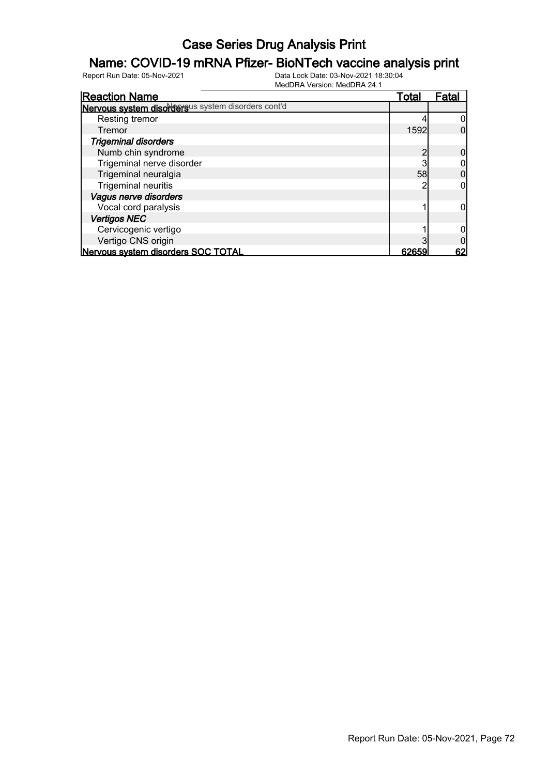### Name: COVID-19 mRNA Pfizer- BioNTech vaccine analysis print

| <b>Reaction Name</b>                               | <u>Total</u> | Fatal |
|----------------------------------------------------|--------------|-------|
| Nervous system disordersus system disorders cont'd |              |       |
| Resting tremor                                     |              |       |
| Tremor                                             | 1592         |       |
| <b>Trigeminal disorders</b>                        |              |       |
| Numb chin syndrome                                 |              |       |
| Trigeminal nerve disorder                          |              |       |
| Trigeminal neuralgia                               | 58           |       |
| <b>Trigeminal neuritis</b>                         |              |       |
| Vagus nerve disorders                              |              |       |
| Vocal cord paralysis                               |              |       |
| <b>Vertigos NEC</b>                                |              |       |
| Cervicogenic vertigo                               |              |       |
| Vertigo CNS origin                                 |              |       |
| Nervous system disorders SOC TOTAL                 | 62659        | 62    |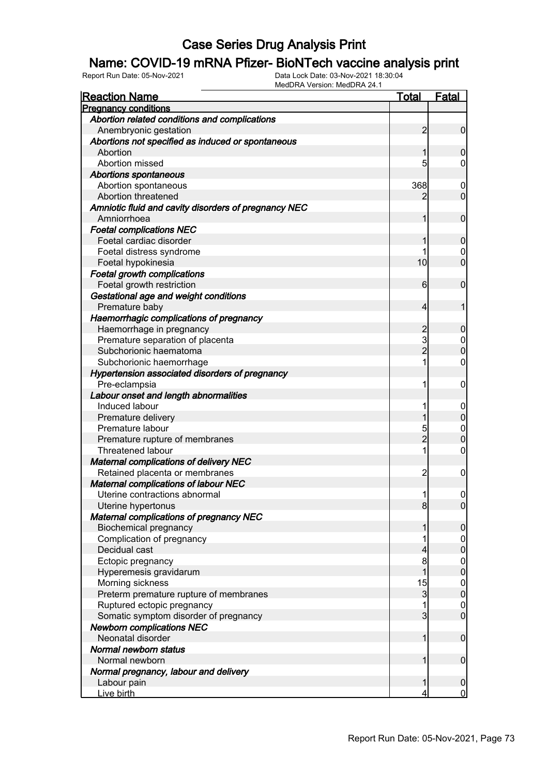#### Name: COVID-19 mRNA Pfizer- BioNTech vaccine analysis print

| <u>Reaction Name</u>                                                 | Total              | <u>Fatal</u>                       |
|----------------------------------------------------------------------|--------------------|------------------------------------|
| <b>Pregnancy conditions</b>                                          |                    |                                    |
| Abortion related conditions and complications                        |                    |                                    |
| Anembryonic gestation                                                | $\overline{2}$     | $\overline{0}$                     |
| Abortions not specified as induced or spontaneous                    |                    |                                    |
| Abortion                                                             | 1                  | 0                                  |
| Abortion missed                                                      | 5                  | 0                                  |
| <b>Abortions spontaneous</b>                                         |                    |                                    |
| Abortion spontaneous                                                 | 368                | $\mathbf 0$                        |
| Abortion threatened                                                  | 2                  | $\mathbf 0$                        |
| Amniotic fluid and cavity disorders of pregnancy NEC                 |                    |                                    |
| Amniorrhoea                                                          | 1                  | $\mathbf 0$                        |
| <b>Foetal complications NEC</b>                                      |                    |                                    |
| Foetal cardiac disorder                                              | 1                  | 0                                  |
| Foetal distress syndrome                                             | 1                  | 0                                  |
| Foetal hypokinesia                                                   | 10                 | $\overline{0}$                     |
| <b>Foetal growth complications</b>                                   |                    |                                    |
| Foetal growth restriction                                            | 6                  | $\mathbf 0$                        |
| Gestational age and weight conditions                                |                    |                                    |
| Premature baby                                                       | 4                  | 1                                  |
| Haemorrhagic complications of pregnancy                              |                    |                                    |
| Haemorrhage in pregnancy                                             | $\overline{c}$     | 0                                  |
| Premature separation of placenta                                     | 3                  | $\boldsymbol{0}$                   |
| Subchorionic haematoma                                               | $\overline{2}$     | $\overline{0}$                     |
| Subchorionic haemorrhage                                             | 1                  | $\mathbf 0$                        |
| Hypertension associated disorders of pregnancy                       |                    |                                    |
| Pre-eclampsia                                                        | 1                  | 0                                  |
| Labour onset and length abnormalities                                |                    |                                    |
| Induced labour                                                       | 1                  | $\overline{0}$                     |
| Premature delivery                                                   | 1                  | $\mathbf 0$                        |
| Premature labour                                                     | 5                  | $\mathbf{0}$                       |
| Premature rupture of membranes                                       | $\overline{2}$     | $\overline{0}$                     |
| <b>Threatened labour</b>                                             | 1                  | $\mathbf 0$                        |
| <b>Maternal complications of delivery NEC</b>                        |                    |                                    |
| Retained placenta or membranes                                       | $\overline{c}$     | 0                                  |
| <b>Maternal complications of labour NEC</b>                          |                    |                                    |
| Uterine contractions abnormal                                        | 1                  | $\mathbf 0$                        |
| Uterine hypertonus                                                   | 8                  | 0                                  |
| <b>Maternal complications of pregnancy NEC</b>                       |                    |                                    |
| <b>Biochemical pregnancy</b>                                         | 1                  | $\overline{0}$                     |
| Complication of pregnancy                                            | 1                  | $\overline{0}$                     |
| Decidual cast                                                        | 4                  | $\boldsymbol{0}$                   |
| Ectopic pregnancy                                                    | 8<br>1             | $\boldsymbol{0}$<br>$\overline{0}$ |
| Hyperemesis gravidarum<br>Morning sickness                           |                    |                                    |
|                                                                      | 15<br>$\mathbf{3}$ | $0\atop 0$                         |
| Preterm premature rupture of membranes<br>Ruptured ectopic pregnancy | 1                  |                                    |
| Somatic symptom disorder of pregnancy                                | $\overline{3}$     | $\mathbf{0}$<br>$\overline{0}$     |
| <b>Newborn complications NEC</b>                                     |                    |                                    |
| Neonatal disorder                                                    | 1                  | $\mathbf 0$                        |
| Normal newborn status                                                |                    |                                    |
| Normal newborn                                                       | 1                  | $\boldsymbol{0}$                   |
| Normal pregnancy, labour and delivery                                |                    |                                    |
| Labour pain                                                          | 1                  | $\boldsymbol{0}$                   |
| Live birth                                                           | 4                  | $\overline{0}$                     |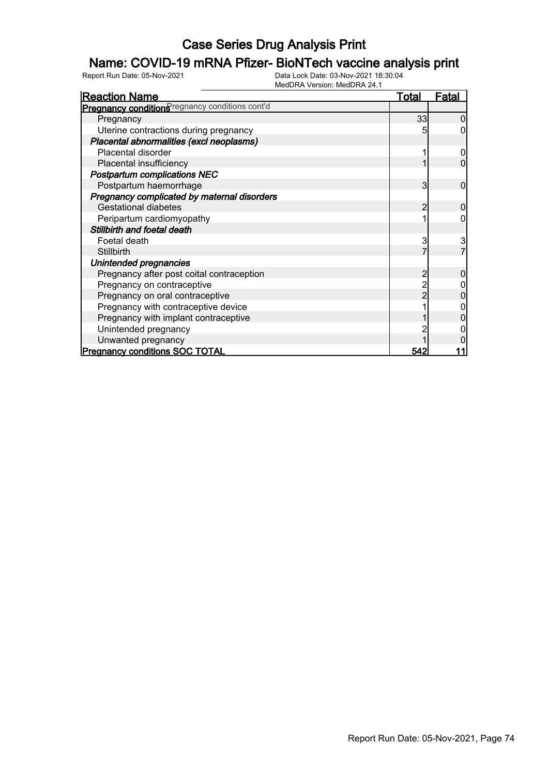### Name: COVID-19 mRNA Pfizer- BioNTech vaccine analysis print

| <b>Reaction Name</b>                            | Total | <b>Fatal</b> |
|-------------------------------------------------|-------|--------------|
| Pregnancy conditions regnancy conditions cont'd |       |              |
| Pregnancy                                       | 33    | 0            |
| Uterine contractions during pregnancy           |       |              |
| Placental abnormalities (excl neoplasms)        |       |              |
| Placental disorder                              |       |              |
| Placental insufficiency                         |       | 0            |
| <b>Postpartum complications NEC</b>             |       |              |
| Postpartum haemorrhage                          | 3     | 0            |
| Pregnancy complicated by maternal disorders     |       |              |
| <b>Gestational diabetes</b>                     |       | 0            |
| Peripartum cardiomyopathy                       |       |              |
| Stillbirth and foetal death                     |       |              |
| Foetal death                                    | 3     | 3            |
| Stillbirth                                      |       |              |
| Unintended pregnancies                          |       |              |
| Pregnancy after post coital contraception       |       |              |
| Pregnancy on contraceptive                      |       |              |
| Pregnancy on oral contraceptive                 |       |              |
| Pregnancy with contraceptive device             |       |              |
| Pregnancy with implant contraceptive            |       |              |
| Unintended pregnancy                            |       |              |
| Unwanted pregnancy                              |       |              |
| <b>Pregnancy conditions SOC TOTAL</b>           | 542   |              |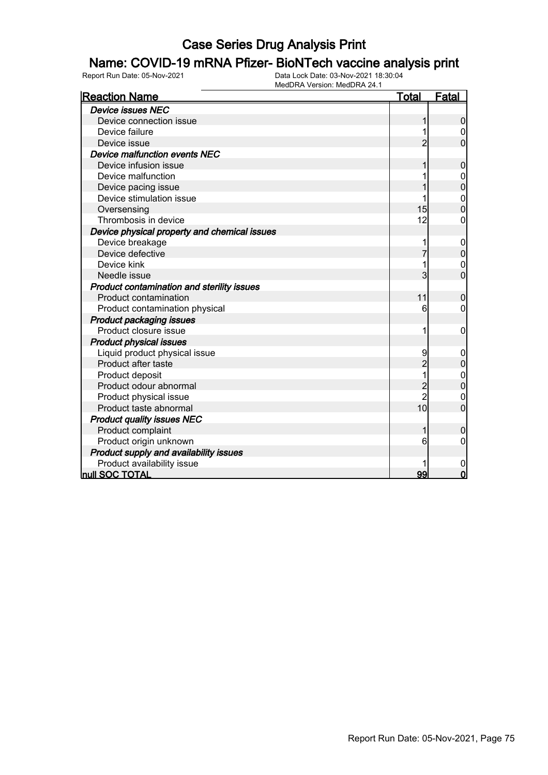#### Name: COVID-19 mRNA Pfizer- BioNTech vaccine analysis print

| <b>Reaction Name</b>                         | <u>Total</u>   | <b>Fatal</b>     |
|----------------------------------------------|----------------|------------------|
| <b>Device issues NEC</b>                     |                |                  |
| Device connection issue                      |                | 0                |
| Device failure                               |                | 0                |
| Device issue                                 | $\overline{c}$ | 0                |
| Device malfunction events NEC                |                |                  |
| Device infusion issue                        | 1              | $\mathbf 0$      |
| Device malfunction                           |                | $\mathbf{0}$     |
| Device pacing issue                          |                | $\overline{0}$   |
| Device stimulation issue                     |                | $\mathbf 0$      |
| Oversensing                                  | 15             | $\overline{0}$   |
| Thrombosis in device                         | 12             | 0                |
| Device physical property and chemical issues |                |                  |
| Device breakage                              | 1              | 0                |
| Device defective                             | 7              | 0                |
| Device kink                                  | 1              | 0                |
| Needle issue                                 | 3              | $\overline{0}$   |
| Product contamination and sterility issues   |                |                  |
| <b>Product contamination</b>                 | 11             | $\boldsymbol{0}$ |
| Product contamination physical               | 6              | 0                |
| <b>Product packaging issues</b>              |                |                  |
| Product closure issue                        | 1              | 0                |
| <b>Product physical issues</b>               |                |                  |
| Liquid product physical issue                | 9              | 0                |
| Product after taste                          | $\overline{2}$ | 0                |
| Product deposit                              | 1              | $\mathbf{0}$     |
| Product odour abnormal                       | $\overline{c}$ | $\overline{0}$   |
| Product physical issue                       | $\overline{2}$ | 0                |
| Product taste abnormal                       | 10             | $\overline{0}$   |
| <b>Product quality issues NEC</b>            |                |                  |
| Product complaint                            | 1              | 0                |
| Product origin unknown                       | 6              | 0                |
| Product supply and availability issues       |                |                  |
| Product availability issue                   |                | 0                |
| <b>null SOC TOTAL</b>                        | 99             | $\mathbf 0$      |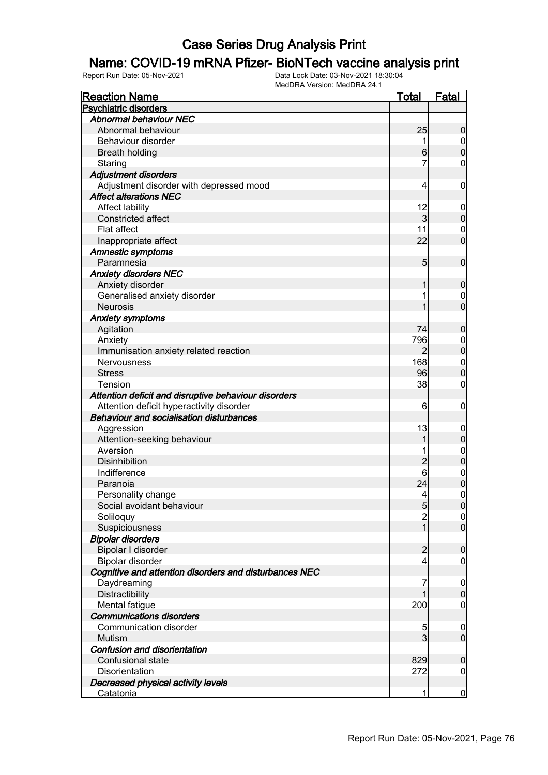#### Name: COVID-19 mRNA Pfizer- BioNTech vaccine analysis print

| <b>Reaction Name</b>                                   | <b>Total</b>    | <b>Fatal</b>     |
|--------------------------------------------------------|-----------------|------------------|
| <b>Psychiatric disorders</b>                           |                 |                  |
| <b>Abnormal behaviour NEC</b>                          |                 |                  |
| Abnormal behaviour                                     | 25              | $\overline{0}$   |
| Behaviour disorder                                     |                 | $\overline{0}$   |
| <b>Breath holding</b>                                  | $6 \,$          | $\mathbf 0$      |
| Staring                                                | 7               | 0                |
| <b>Adjustment disorders</b>                            |                 |                  |
| Adjustment disorder with depressed mood                | 4               | $\mathbf 0$      |
| <b>Affect alterations NEC</b>                          |                 |                  |
| Affect lability                                        | 12              | $\boldsymbol{0}$ |
| <b>Constricted affect</b>                              | $\overline{3}$  | $\mathbf 0$      |
| <b>Flat affect</b>                                     | 11              | $\mathbf 0$      |
| Inappropriate affect                                   | 22              | $\mathbf 0$      |
| <b>Amnestic symptoms</b>                               |                 |                  |
| Paramnesia                                             | 5 <sub>5</sub>  | $\mathbf 0$      |
| <b>Anxiety disorders NEC</b>                           |                 |                  |
| Anxiety disorder                                       |                 | $\mathbf 0$      |
| Generalised anxiety disorder                           |                 | $\mathbf 0$      |
| <b>Neurosis</b>                                        |                 | $\overline{0}$   |
| <b>Anxiety symptoms</b>                                |                 |                  |
| Agitation                                              | 74              | $\mathbf 0$      |
| Anxiety                                                | 796             | $\boldsymbol{0}$ |
| Immunisation anxiety related reaction                  | $\overline{2}$  | $\mathbf 0$      |
| Nervousness                                            | 168             | $\mathbf 0$      |
| <b>Stress</b>                                          | 96              | $\overline{0}$   |
| <b>Tension</b>                                         | 38              | 0                |
| Attention deficit and disruptive behaviour disorders   |                 |                  |
| Attention deficit hyperactivity disorder               | 6               | $\mathbf 0$      |
| <b>Behaviour and socialisation disturbances</b>        |                 |                  |
| Aggression                                             | 13              | $\overline{0}$   |
| Attention-seeking behaviour                            | 1               | $\boldsymbol{0}$ |
| Aversion                                               |                 | $\boldsymbol{0}$ |
| Disinhibition                                          | $\overline{c}$  | $\mathbf 0$      |
| Indifference                                           | 6               | $\boldsymbol{0}$ |
| Paranoia                                               | 24              | $\overline{0}$   |
| Personality change                                     | $\vert 4 \vert$ | $\overline{0}$   |
| Social avoidant behaviour                              | $\overline{5}$  | 0                |
| Soliloquy                                              | $\overline{2}$  | 0                |
| Suspiciousness                                         | 1               | $\overline{0}$   |
| <b>Bipolar disorders</b>                               |                 |                  |
| Bipolar I disorder                                     | $\overline{2}$  | $\boldsymbol{0}$ |
| Bipolar disorder                                       | 4               | 0                |
| Cognitive and attention disorders and disturbances NEC |                 |                  |
| Daydreaming                                            |                 | $\overline{0}$   |
| Distractibility                                        |                 | $\mathbf 0$      |
| Mental fatigue                                         | 200             | 0                |
| <b>Communications disorders</b>                        |                 |                  |
| Communication disorder                                 | 5               | $\overline{0}$   |
| Mutism                                                 | $\overline{3}$  | $\overline{0}$   |
| Confusion and disorientation                           |                 |                  |
| Confusional state                                      | 829             | $\mathbf 0$      |
| Disorientation                                         | 272             | $\overline{0}$   |
| Decreased physical activity levels                     |                 |                  |
| <u>Catatonia</u>                                       | 1               | $\overline{0}$   |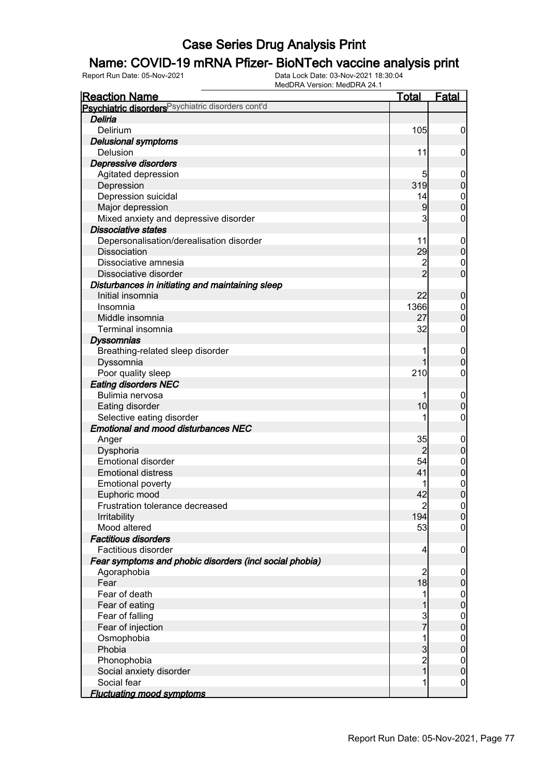### Name: COVID-19 mRNA Pfizer- BioNTech vaccine analysis print

| <u>Reaction Name</u>                                          | <b>Total</b>    | <b>Fatal</b>                     |
|---------------------------------------------------------------|-----------------|----------------------------------|
| Psychiatric disorders <sup>Psychiatric disorders cont'd</sup> |                 |                                  |
| Deliria                                                       |                 |                                  |
| Delirium                                                      | 105             | $\boldsymbol{0}$                 |
| <b>Delusional symptoms</b>                                    |                 |                                  |
| Delusion                                                      | 11              | $\mathbf 0$                      |
| Depressive disorders                                          |                 |                                  |
| Agitated depression                                           | 5               | $\mathbf 0$                      |
| Depression                                                    | 319             | $\pmb{0}$                        |
| Depression suicidal                                           | 14              | $\boldsymbol{0}$                 |
| Major depression                                              | 9               | $\overline{0}$                   |
| Mixed anxiety and depressive disorder                         | 3               | $\mathbf 0$                      |
| <b>Dissociative states</b>                                    |                 |                                  |
| Depersonalisation/derealisation disorder                      | 11              | $\mathbf 0$                      |
| <b>Dissociation</b>                                           | 29              | $\pmb{0}$                        |
| Dissociative amnesia                                          | $\overline{c}$  | $\mathbf 0$                      |
| Dissociative disorder                                         | $\overline{2}$  | $\overline{0}$                   |
| Disturbances in initiating and maintaining sleep              |                 |                                  |
| Initial insomnia                                              | 22              | $\boldsymbol{0}$                 |
| Insomnia                                                      | 1366            | $\overline{0}$                   |
| Middle insomnia                                               | 27              | $\mathbf 0$                      |
| Terminal insomnia                                             | 32              | $\boldsymbol{0}$                 |
| <b>Dyssomnias</b>                                             |                 |                                  |
| Breathing-related sleep disorder                              | 1               | $\mathbf 0$                      |
| Dyssomnia                                                     | 1               | $\boldsymbol{0}$                 |
| Poor quality sleep                                            | 210             | $\boldsymbol{0}$                 |
| <b>Eating disorders NEC</b>                                   |                 |                                  |
| Bulimia nervosa                                               |                 | $\mathbf 0$                      |
| Eating disorder                                               | 10              | $\mathbf 0$                      |
| Selective eating disorder                                     |                 | $\boldsymbol{0}$                 |
| <b>Emotional and mood disturbances NEC</b>                    |                 |                                  |
| Anger                                                         | 35              | $\mathbf 0$                      |
| Dysphoria                                                     | $\overline{2}$  | $\pmb{0}$                        |
| <b>Emotional disorder</b>                                     | 54              | $\overline{0}$                   |
| <b>Emotional distress</b>                                     | 41              | $\mathbf 0$                      |
| <b>Emotional poverty</b>                                      |                 |                                  |
| Euphoric mood                                                 | 42              | $\begin{matrix}0\\0\end{matrix}$ |
| Frustration tolerance decreased                               | $\overline{c}$  | 0                                |
| Irritability                                                  | 194             | $\mathbf 0$                      |
| Mood altered                                                  | 53              | $\mathbf 0$                      |
| <b>Factitious disorders</b>                                   |                 |                                  |
| Factitious disorder                                           | $\vert 4 \vert$ | $\mathbf 0$                      |
| Fear symptoms and phobic disorders (incl social phobia)       |                 |                                  |
| Agoraphobia                                                   | $\overline{2}$  | $\boldsymbol{0}$                 |
| Fear                                                          | 18              | $\pmb{0}$                        |
| Fear of death                                                 | 1               | $\boldsymbol{0}$                 |
| Fear of eating                                                | 1               | $\mathbf 0$                      |
| Fear of falling                                               |                 | $\boldsymbol{0}$                 |
| Fear of injection                                             | $\frac{3}{7}$   | $\mathbf 0$                      |
| Osmophobia                                                    | 1               | $\boldsymbol{0}$                 |
| Phobia                                                        | $\mathbf{3}$    | $\mathbf 0$                      |
| Phonophobia                                                   | $\overline{c}$  | $\boldsymbol{0}$                 |
| Social anxiety disorder                                       | $\overline{1}$  | $\mathbf 0$                      |
| Social fear                                                   | 1               | $\mathbf 0$                      |
| <b>Fluctuating mood symptoms</b>                              |                 |                                  |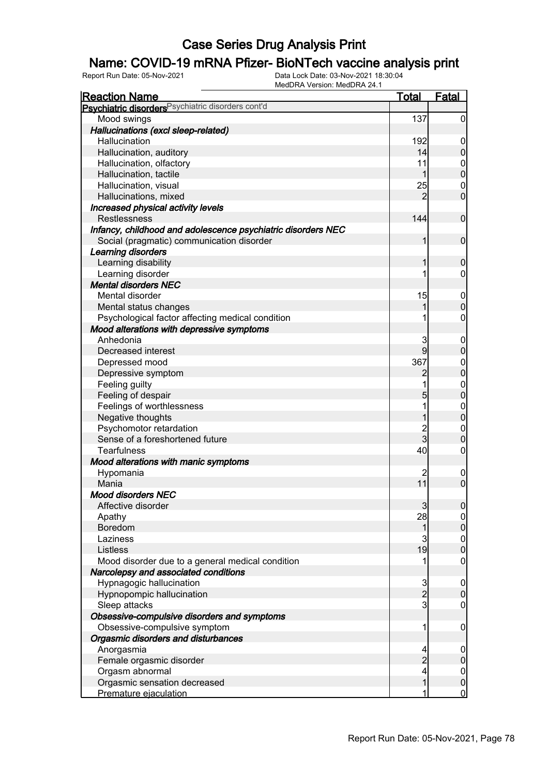### Name: COVID-19 mRNA Pfizer- BioNTech vaccine analysis print

| <b>Reaction Name</b>                                         | <u>Total</u>   | <b>Fatal</b>                     |
|--------------------------------------------------------------|----------------|----------------------------------|
| Psychiatric disorders Psychiatric disorders cont'd           |                |                                  |
| Mood swings                                                  | 137            | $\overline{0}$                   |
| Hallucinations (excl sleep-related)                          |                |                                  |
| Hallucination                                                | 192            | $\overline{0}$                   |
| Hallucination, auditory                                      | 14             | $\pmb{0}$                        |
| Hallucination, olfactory                                     | 11             |                                  |
| Hallucination, tactile                                       | $\mathbf{1}$   | $0\atop 0$                       |
| Hallucination, visual                                        | 25             | $\boldsymbol{0}$                 |
| Hallucinations, mixed                                        | 2              | $\overline{0}$                   |
| Increased physical activity levels                           |                |                                  |
| <b>Restlessness</b>                                          | 144            | $\mathbf 0$                      |
| Infancy, childhood and adolescence psychiatric disorders NEC |                |                                  |
| Social (pragmatic) communication disorder                    | 1              | $\mathbf 0$                      |
| Learning disorders                                           |                |                                  |
| Learning disability                                          | 1              | $\mathbf 0$                      |
| Learning disorder                                            | 1              | $\overline{0}$                   |
| <b>Mental disorders NEC</b>                                  |                |                                  |
| Mental disorder                                              | 15             | $\boldsymbol{0}$                 |
| Mental status changes                                        | 1              | $\mathbf 0$                      |
| Psychological factor affecting medical condition             | 1              | $\pmb{0}$                        |
| Mood alterations with depressive symptoms                    |                |                                  |
| Anhedonia                                                    | 3              | $\boldsymbol{0}$                 |
| Decreased interest                                           | 9              | $\mathbf 0$                      |
| Depressed mood                                               | 367            |                                  |
| Depressive symptom                                           |                | $0\atop 0$                       |
| Feeling guilty                                               | 1              |                                  |
| Feeling of despair                                           | 5              | $\begin{matrix}0\\0\end{matrix}$ |
| Feelings of worthlessness                                    | 1              |                                  |
| Negative thoughts                                            | 1              | $\begin{matrix}0\\0\end{matrix}$ |
| Psychomotor retardation                                      | 2<br>3         | $\mathbf{0}$                     |
| Sense of a foreshortened future                              |                | $\mathbf 0$                      |
| <b>Tearfulness</b>                                           | 40             | $\pmb{0}$                        |
| Mood alterations with manic symptoms                         |                |                                  |
| Hypomania                                                    |                | $\mathbf 0$                      |
| Mania                                                        | 11             | $\overline{0}$                   |
| <b>Mood disorders NEC</b>                                    |                |                                  |
| Affective disorder                                           | $\mathbf{3}$   | 0                                |
| Apathy                                                       | 28             | $\overline{0}$                   |
| Boredom                                                      | $\mathbf{1}$   | $\pmb{0}$                        |
| Laziness                                                     | 3              | $\boldsymbol{0}$                 |
| Listless                                                     | 19             | $\overline{0}$                   |
| Mood disorder due to a general medical condition             | 1              | $\mathbf 0$                      |
| Narcolepsy and associated conditions                         |                |                                  |
| Hypnagogic hallucination                                     | $\frac{3}{2}$  | $\boldsymbol{0}$                 |
| Hypnopompic hallucination                                    |                | $\pmb{0}$                        |
| Sleep attacks                                                | $\overline{3}$ | $\mathbf 0$                      |
| Obsessive-compulsive disorders and symptoms                  |                |                                  |
| Obsessive-compulsive symptom                                 | 1              | $\mathbf 0$                      |
| Orgasmic disorders and disturbances                          |                |                                  |
| Anorgasmia                                                   | 4              | $\mathbf 0$                      |
| Female orgasmic disorder                                     | $\overline{c}$ | $\pmb{0}$                        |
| Orgasm abnormal                                              | 4              | $\boldsymbol{0}$                 |
| Orgasmic sensation decreased                                 | $\mathbf{1}$   | $\pmb{0}$                        |
| Premature ejaculation                                        | 1              | $\overline{0}$                   |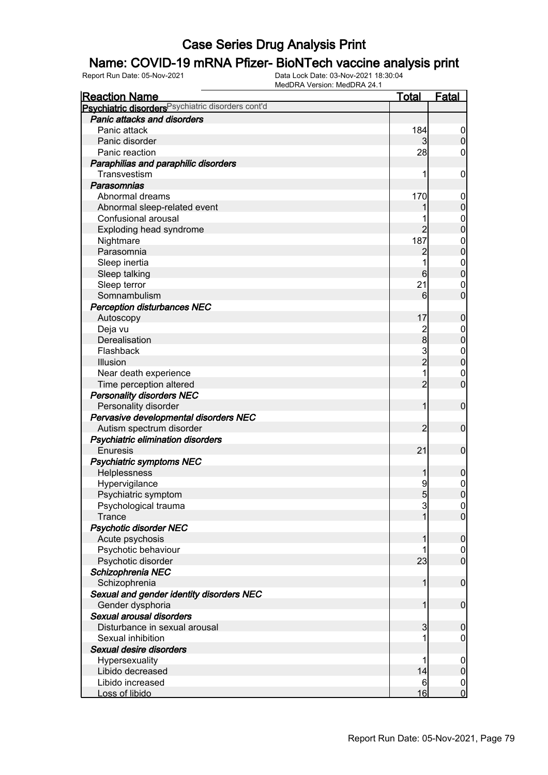### Name: COVID-19 mRNA Pfizer- BioNTech vaccine analysis print

| <b>Reaction Name</b>                                          | <u>Total</u>    | <b>Fatal</b>             |
|---------------------------------------------------------------|-----------------|--------------------------|
| Psychiatric disorders <sup>Psychiatric disorders cont'd</sup> |                 |                          |
| Panic attacks and disorders                                   |                 |                          |
| Panic attack                                                  | 184             | $\overline{0}$           |
| Panic disorder                                                |                 | $\mathbf 0$              |
| Panic reaction                                                | 28              | 0                        |
| Paraphilias and paraphilic disorders                          |                 |                          |
| Transvestism                                                  | 1               | $\mathbf 0$              |
| <b>Parasomnias</b>                                            |                 |                          |
| Abnormal dreams                                               | 170             | $\mathbf 0$              |
| Abnormal sleep-related event                                  |                 | $\pmb{0}$                |
| Confusional arousal                                           |                 | $\boldsymbol{0}$         |
| Exploding head syndrome                                       | $\overline{2}$  | $\overline{0}$           |
| Nightmare                                                     | 187             | $\boldsymbol{0}$         |
| Parasomnia                                                    | $\overline{c}$  | $\mathbf 0$              |
| Sleep inertia                                                 |                 | $\mathbf{0}$             |
| Sleep talking                                                 | 6               | $\mathbf 0$              |
| Sleep terror                                                  | 21              | $\mathbf 0$              |
| Somnambulism                                                  | 6               | $\mathbf 0$              |
| <b>Perception disturbances NEC</b>                            |                 |                          |
| Autoscopy                                                     | 17              | $\boldsymbol{0}$         |
| Deja vu                                                       | $\frac{2}{8}$   | $\mathbf 0$              |
| Derealisation                                                 |                 | $\mathbf 0$              |
| Flashback                                                     | $\frac{3}{2}$   | $\boldsymbol{0}$         |
| Illusion                                                      |                 | $\mathbf 0$              |
| Near death experience                                         | 1               | $\mathbf 0$              |
| Time perception altered                                       | $\overline{2}$  | $\mathbf 0$              |
| <b>Personality disorders NEC</b>                              |                 |                          |
| Personality disorder                                          | 1               | $\boldsymbol{0}$         |
| Pervasive developmental disorders NEC                         |                 |                          |
| Autism spectrum disorder                                      | 2               | $\mathbf 0$              |
| Psychiatric elimination disorders                             |                 |                          |
| <b>Enuresis</b>                                               | 21              | $\mathbf 0$              |
| <b>Psychiatric symptoms NEC</b>                               |                 |                          |
| Helplessness                                                  | 1               | $\boldsymbol{0}$         |
| Hypervigilance                                                | 9               | $0\atop 0$               |
| Psychiatric symptom                                           | $5\overline{)}$ |                          |
| Psychological trauma                                          | 3               | 0                        |
| Trance                                                        | 1               | $\overline{0}$           |
| <b>Psychotic disorder NEC</b>                                 |                 |                          |
| Acute psychosis                                               |                 | $\boldsymbol{0}$         |
| Psychotic behaviour                                           |                 | $\overline{0}$           |
| Psychotic disorder                                            | 23              | $\overline{0}$           |
| Schizophrenia NEC                                             |                 |                          |
| Schizophrenia                                                 | 1               | $\boldsymbol{0}$         |
| Sexual and gender identity disorders NEC                      |                 |                          |
| Gender dysphoria<br>Sexual arousal disorders                  | 1               | $\boldsymbol{0}$         |
|                                                               |                 |                          |
| Disturbance in sexual arousal<br>Sexual inhibition            | 3               | $\mathbf 0$              |
| Sexual desire disorders                                       |                 | $\mathbf 0$              |
|                                                               | 1               |                          |
| Hypersexuality<br>Libido decreased                            | 14              | $\mathbf 0$<br>$\pmb{0}$ |
| Libido increased                                              | 6               | $\mathbf 0$              |
| Loss of libido                                                | 16              | $\mathbf 0$              |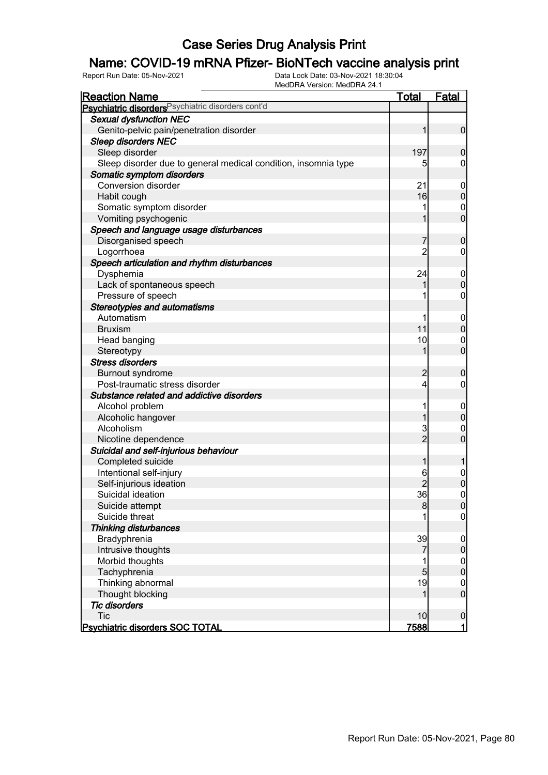### Name: COVID-19 mRNA Pfizer- BioNTech vaccine analysis print

| <b>IVICULITA VEISIUII. IVICULITA 24. I</b><br><b>Reaction Name</b> | <b>Total</b>   | Fatal                            |
|--------------------------------------------------------------------|----------------|----------------------------------|
| Psychiatric disorders <sup>Psychiatric disorders cont'd</sup>      |                |                                  |
| <b>Sexual dysfunction NEC</b>                                      |                |                                  |
| Genito-pelvic pain/penetration disorder                            | 1              | $\overline{0}$                   |
| <b>Sleep disorders NEC</b>                                         |                |                                  |
| Sleep disorder                                                     | 197            | $\mathbf 0$                      |
| Sleep disorder due to general medical condition, insomnia type     | 5              | 0                                |
| Somatic symptom disorders                                          |                |                                  |
| <b>Conversion disorder</b>                                         | 21             | 0                                |
| Habit cough                                                        | 16             | $\overline{0}$                   |
| Somatic symptom disorder                                           |                | $\mathbf 0$                      |
| Vomiting psychogenic                                               | 1              | $\overline{0}$                   |
| Speech and language usage disturbances                             |                |                                  |
| Disorganised speech                                                |                | $\mathbf 0$                      |
| Logorrhoea                                                         | $\overline{2}$ | 0                                |
| Speech articulation and rhythm disturbances                        |                |                                  |
| Dysphemia                                                          | 24             | 0                                |
| Lack of spontaneous speech                                         | 1              | $\mathbf 0$                      |
| Pressure of speech                                                 |                | 0                                |
| <b>Stereotypies and automatisms</b>                                |                |                                  |
| Automatism                                                         |                | $\mathbf 0$                      |
| <b>Bruxism</b>                                                     | 11             | $\mathbf 0$                      |
| Head banging                                                       | 10             | $\mathbf 0$                      |
| Stereotypy                                                         | 1              | $\overline{0}$                   |
| <b>Stress disorders</b>                                            |                |                                  |
| <b>Burnout syndrome</b>                                            | 2              | $\mathbf 0$                      |
| Post-traumatic stress disorder                                     | 4              | 0                                |
| Substance related and addictive disorders                          |                |                                  |
| Alcohol problem                                                    |                | $\mathbf 0$                      |
| Alcoholic hangover                                                 | 1              | $\mathbf 0$                      |
| Alcoholism                                                         | 3              | 0                                |
| Nicotine dependence                                                | $\overline{2}$ | $\overline{0}$                   |
| Suicidal and self-injurious behaviour                              |                |                                  |
| Completed suicide                                                  | 1              |                                  |
| Intentional self-injury                                            | 6              | 0                                |
| Self-injurious ideation                                            |                | $\mathbf 0$                      |
| Suicidal ideation                                                  | 36             | $\mathbf 0$                      |
| Suicide attempt                                                    | 8              | $\overline{0}$                   |
| Suicide threat                                                     |                | $\overline{0}$                   |
| <b>Thinking disturbances</b>                                       |                |                                  |
| Bradyphrenia                                                       | 39             | $\mathbf 0$                      |
| Intrusive thoughts                                                 | 7              | $\mathbf 0$                      |
| Morbid thoughts                                                    |                |                                  |
| Tachyphrenia                                                       | 5              | $\begin{matrix}0\\0\end{matrix}$ |
| Thinking abnormal                                                  | 19             | $\mathbf 0$                      |
| Thought blocking                                                   | 1              | $\overline{0}$                   |
| <b>Tic disorders</b>                                               |                |                                  |
| <b>Tic</b>                                                         | 10             | $\mathbf 0$                      |
| <b>Psychiatric disorders SOC TOTAL</b>                             | 7588           | $\mathbf{1}$                     |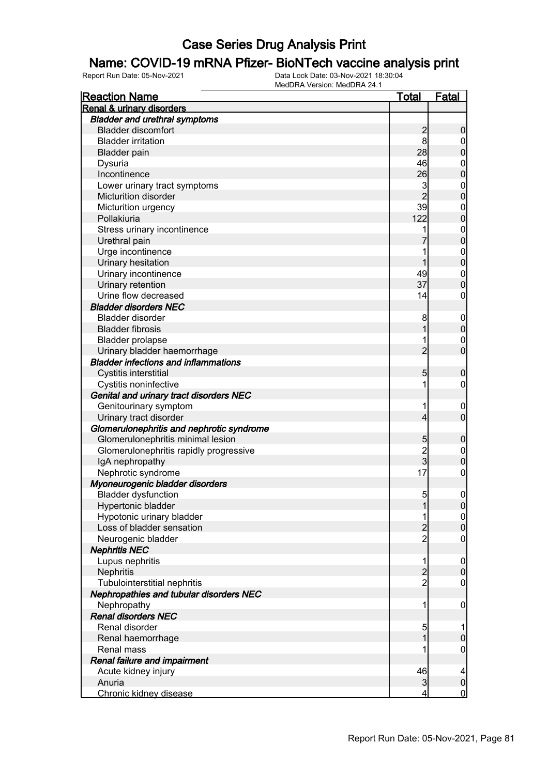### Name: COVID-19 mRNA Pfizer- BioNTech vaccine analysis print

| <b>Reaction Name</b>                        | <u>Total</u>   | <b>Fatal</b>                     |
|---------------------------------------------|----------------|----------------------------------|
| Renal & urinary disorders                   |                |                                  |
| <b>Bladder and urethral symptoms</b>        |                |                                  |
| <b>Bladder discomfort</b>                   |                | $\boldsymbol{0}$                 |
| <b>Bladder irritation</b>                   | $\frac{2}{8}$  |                                  |
| <b>Bladder pain</b>                         | 28             | $0\atop 0$                       |
| Dysuria                                     | 46             |                                  |
| Incontinence                                | 26             | $0\atop 0$                       |
| Lower urinary tract symptoms                | 3              |                                  |
| Micturition disorder                        | $\overline{2}$ | $\begin{matrix}0\\0\end{matrix}$ |
| Micturition urgency                         | 39             |                                  |
| Pollakiuria                                 | 122            | $\begin{matrix}0\\0\end{matrix}$ |
| Stress urinary incontinence                 | 1              |                                  |
| Urethral pain                               |                | $\begin{matrix}0\\0\end{matrix}$ |
| Urge incontinence                           | 1              |                                  |
| Urinary hesitation                          | 1              | $\begin{matrix}0\\0\end{matrix}$ |
| Urinary incontinence                        | 49             |                                  |
| Urinary retention                           | 37             | $\begin{matrix}0\\0\end{matrix}$ |
| Urine flow decreased                        | 14             | $\mathbf 0$                      |
| <b>Bladder disorders NEC</b>                |                |                                  |
| <b>Bladder disorder</b>                     | 8              |                                  |
| <b>Bladder fibrosis</b>                     | 1              | $0\atop 0$                       |
|                                             |                |                                  |
| <b>Bladder prolapse</b>                     | 1              | $\begin{matrix}0\\0\end{matrix}$ |
| Urinary bladder haemorrhage                 | $\overline{2}$ |                                  |
| <b>Bladder infections and inflammations</b> |                |                                  |
| Cystitis interstitial                       | 5              | $\boldsymbol{0}$                 |
| Cystitis noninfective                       | 1              | $\mathbf 0$                      |
| Genital and urinary tract disorders NEC     |                |                                  |
| Genitourinary symptom                       | 1              | $\mathbf 0$                      |
| Urinary tract disorder                      | 4              | $\overline{0}$                   |
| Glomerulonephritis and nephrotic syndrome   |                |                                  |
| Glomerulonephritis minimal lesion           | 5              | $\boldsymbol{0}$                 |
| Glomerulonephritis rapidly progressive      | $\frac{2}{3}$  | $\begin{matrix}0\\0\end{matrix}$ |
| IgA nephropathy                             |                |                                  |
| Nephrotic syndrome                          | 17             | $\pmb{0}$                        |
| Myoneurogenic bladder disorders             |                |                                  |
| <b>Bladder dysfunction</b>                  | 5 <sub>5</sub> | $\boldsymbol{0}$                 |
| Hypertonic bladder                          | 1              | 0                                |
| Hypotonic urinary bladder                   | 1              | $\overline{0}$                   |
| Loss of bladder sensation                   | $\overline{c}$ | $\boldsymbol{0}$                 |
| Neurogenic bladder                          | $\overline{2}$ | $\mathbf 0$                      |
| <b>Nephritis NEC</b>                        |                |                                  |
| Lupus nephritis                             | 1              | $\mathbf 0$                      |
| Nephritis                                   | $\frac{2}{2}$  | $\boldsymbol{0}$                 |
| Tubulointerstitial nephritis                |                | $\boldsymbol{0}$                 |
| Nephropathies and tubular disorders NEC     |                |                                  |
| Nephropathy                                 | 1              | $\mathbf 0$                      |
| <b>Renal disorders NEC</b>                  |                |                                  |
| Renal disorder                              | 5              | 1                                |
| Renal haemorrhage                           | 1              | $\boldsymbol{0}$                 |
| <b>Renal mass</b>                           |                | $\mathbf 0$                      |
| Renal failure and impairment                |                |                                  |
| Acute kidney injury                         | 46             | 4                                |
| Anuria                                      | $\mathbf{3}$   | $\pmb{0}$                        |
| Chronic kidney disease                      | 4              | $\overline{0}$                   |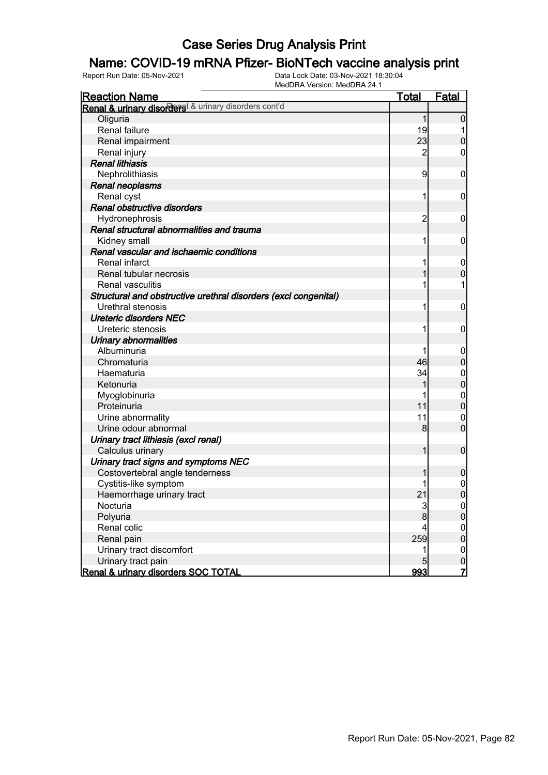### Name: COVID-19 mRNA Pfizer- BioNTech vaccine analysis print

| <b>Reaction Name</b>                                            | <b>Total</b>    | Fatal            |
|-----------------------------------------------------------------|-----------------|------------------|
| Renal & urinary disorders & urinary disorders cont'd            |                 |                  |
| Oliguria                                                        | $\mathbf{1}$    | $\overline{0}$   |
| Renal failure                                                   | 19              |                  |
| Renal impairment                                                | 23              | $\overline{0}$   |
| Renal injury                                                    | $\overline{c}$  | 0                |
| <b>Renal lithiasis</b>                                          |                 |                  |
| Nephrolithiasis                                                 | 9               | $\mathbf 0$      |
| Renal neoplasms                                                 |                 |                  |
| Renal cyst                                                      | 1               | $\mathbf 0$      |
| Renal obstructive disorders                                     |                 |                  |
| Hydronephrosis                                                  | $\overline{c}$  | $\mathbf 0$      |
| Renal structural abnormalities and trauma                       |                 |                  |
| Kidney small                                                    | 1               | $\mathbf 0$      |
| Renal vascular and ischaemic conditions                         |                 |                  |
| Renal infarct                                                   |                 | $\mathbf 0$      |
| Renal tubular necrosis                                          |                 | $\mathbf 0$      |
| <b>Renal vasculitis</b>                                         |                 |                  |
| Structural and obstructive urethral disorders (excl congenital) |                 |                  |
| Urethral stenosis                                               |                 | $\mathbf 0$      |
| <b>Ureteric disorders NEC</b>                                   |                 |                  |
| Ureteric stenosis                                               |                 | $\mathbf 0$      |
| <b>Urinary abnormalities</b>                                    |                 |                  |
| Albuminuria                                                     |                 | $\mathbf 0$      |
| Chromaturia                                                     | 46              | $\boldsymbol{0}$ |
| Haematuria                                                      | 34              | $\mathbf 0$      |
| Ketonuria                                                       |                 | $\mathbf 0$      |
| Myoglobinuria                                                   |                 | $\mathbf 0$      |
| Proteinuria                                                     | 11              | $\mathbf 0$      |
| Urine abnormality                                               | 11              | $\mathbf 0$      |
| Urine odour abnormal                                            | 8               | $\mathbf 0$      |
| Urinary tract lithiasis (excl renal)                            |                 |                  |
| Calculus urinary                                                | $\mathbf{1}$    | $\mathbf 0$      |
| Urinary tract signs and symptoms NEC                            |                 |                  |
| Costovertebral angle tenderness                                 |                 | $\boldsymbol{0}$ |
| Cystitis-like symptom                                           |                 | $\mathbf 0$      |
| Haemorrhage urinary tract                                       | 21              | $\overline{0}$   |
| Nocturia                                                        | 3               | 0                |
| Polyuria                                                        | 8               | $\overline{0}$   |
| Renal colic                                                     |                 | $\mathbf 0$      |
| Renal pain                                                      | 259             | $\mathbf 0$      |
| Urinary tract discomfort                                        |                 | $\overline{0}$   |
| Urinary tract pain                                              | $5\overline{)}$ | $\mathbf 0$      |
| Renal & urinary disorders SOC TOTAL                             | 993             | $\overline{7}$   |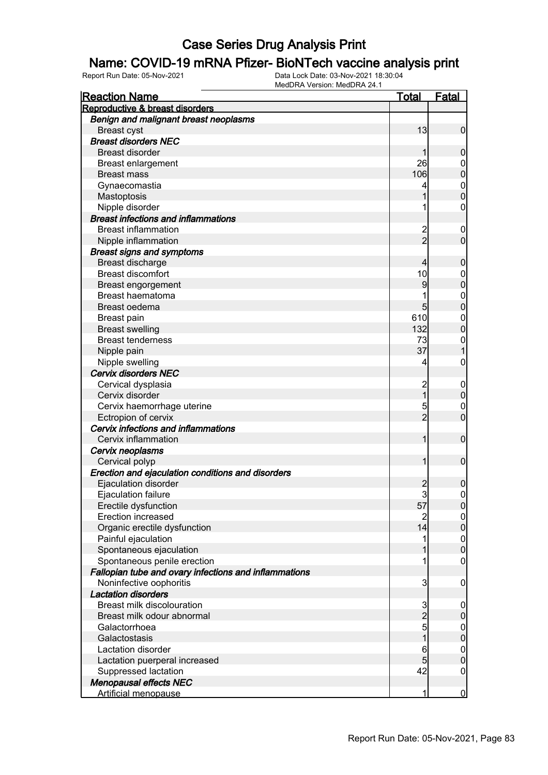#### Name: COVID-19 mRNA Pfizer- BioNTech vaccine analysis print

| <b>Reaction Name</b>                                  | <b>Total</b>   | <b>Fatal</b>     |
|-------------------------------------------------------|----------------|------------------|
| Reproductive & breast disorders                       |                |                  |
| Benign and malignant breast neoplasms                 |                |                  |
| <b>Breast cyst</b>                                    | 13             | $\overline{0}$   |
| <b>Breast disorders NEC</b>                           |                |                  |
| <b>Breast disorder</b>                                | 1              | $\mathbf 0$      |
| <b>Breast enlargement</b>                             | 26             | $\mathbf 0$      |
| <b>Breast mass</b>                                    | 106            | $\mathbf 0$      |
| Gynaecomastia                                         |                | $\boldsymbol{0}$ |
| Mastoptosis                                           | 1              | $\overline{0}$   |
| Nipple disorder                                       |                | $\boldsymbol{0}$ |
| <b>Breast infections and inflammations</b>            |                |                  |
| <b>Breast inflammation</b>                            |                | $\mathbf 0$      |
| Nipple inflammation                                   | 2<br>2         | $\mathbf 0$      |
| <b>Breast signs and symptoms</b>                      |                |                  |
| Breast discharge                                      | 4              | $\mathbf 0$      |
| <b>Breast discomfort</b>                              | 10             | $\boldsymbol{0}$ |
| Breast engorgement                                    | 9              | $\mathbf 0$      |
| Breast haematoma                                      |                | $\mathbf{0}$     |
| Breast oedema                                         | 5              | $\mathbf 0$      |
| Breast pain                                           | 610            | $\mathbf{0}$     |
| <b>Breast swelling</b>                                | 132            | $\overline{0}$   |
| <b>Breast tenderness</b>                              | 73             | $\mathbf{0}$     |
| Nipple pain                                           | 37             | $\mathbf{1}$     |
| Nipple swelling                                       | 4              | $\mathbf 0$      |
| <b>Cervix disorders NEC</b>                           |                |                  |
| Cervical dysplasia                                    | $\overline{c}$ | $\mathbf 0$      |
| Cervix disorder                                       | $\overline{1}$ | $\pmb{0}$        |
| Cervix haemorrhage uterine                            | 5              | $\mathbf 0$      |
| Ectropion of cervix                                   | $\overline{2}$ | $\mathbf 0$      |
| Cervix infections and inflammations                   |                |                  |
| Cervix inflammation                                   | 1              | $\boldsymbol{0}$ |
| Cervix neoplasms                                      |                |                  |
| Cervical polyp                                        | 1              | $\boldsymbol{0}$ |
| Erection and ejaculation conditions and disorders     |                |                  |
| Ejaculation disorder                                  | $\overline{c}$ | 0                |
| Ejaculation failure                                   | $\overline{3}$ | $\mathbf 0$      |
| Erectile dysfunction                                  | 57             | 0                |
| <b>Erection increased</b>                             | $\overline{2}$ | $\overline{0}$   |
| Organic erectile dysfunction                          | 14             | $\overline{0}$   |
| Painful ejaculation                                   | 1              | $\boldsymbol{0}$ |
| Spontaneous ejaculation                               | 1              | $\mathbf 0$      |
| Spontaneous penile erection                           | 1              | $\mathbf 0$      |
| Fallopian tube and ovary infections and inflammations |                |                  |
| Noninfective oophoritis                               | 3              | $\mathbf 0$      |
| <b>Lactation disorders</b>                            |                |                  |
| <b>Breast milk discolouration</b>                     |                | $\mathbf 0$      |
| Breast milk odour abnormal                            | $\frac{3}{2}$  | $\boldsymbol{0}$ |
| Galactorrhoea                                         |                | $\boldsymbol{0}$ |
| Galactostasis                                         | 1              | $\mathbf 0$      |
| Lactation disorder                                    | 6              | $\boldsymbol{0}$ |
| Lactation puerperal increased                         | 5              | $\mathbf 0$      |
| Suppressed lactation                                  | 42             | $\mathbf 0$      |
| <b>Menopausal effects NEC</b>                         |                |                  |
| <b>Artificial menopause</b>                           | 1              | $\overline{0}$   |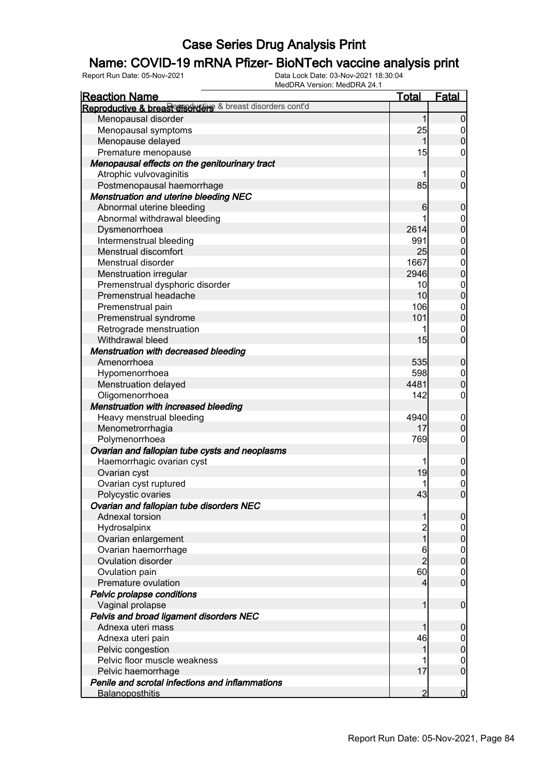### Name: COVID-19 mRNA Pfizer- BioNTech vaccine analysis print

| <u>Reaction Name</u>                                      | <b>Total</b>   | <b>Fatal</b>                         |
|-----------------------------------------------------------|----------------|--------------------------------------|
| Reproductive & breast disorders & breast disorders cont'd |                |                                      |
| Menopausal disorder                                       | 1              | $\overline{0}$                       |
| Menopausal symptoms                                       | 25             | $\overline{0}$                       |
| Menopause delayed                                         | 1              | $\pmb{0}$                            |
| Premature menopause                                       | 15             | $\mathbf 0$                          |
| Menopausal effects on the genitourinary tract             |                |                                      |
| Atrophic vulvovaginitis                                   | 1              | $\boldsymbol{0}$                     |
| Postmenopausal haemorrhage                                | 85             | $\mathbf 0$                          |
| <b>Menstruation and uterine bleeding NEC</b>              |                |                                      |
| Abnormal uterine bleeding                                 | 6              | $\boldsymbol{0}$                     |
| Abnormal withdrawal bleeding                              |                |                                      |
| Dysmenorrhoea                                             | 2614           | $0\atop 0$                           |
| Intermenstrual bleeding                                   | 991            |                                      |
| Menstrual discomfort                                      | 25             | $0$<br>0                             |
| Menstrual disorder                                        | 1667           |                                      |
| Menstruation irregular                                    | 2946           | $0$<br>0                             |
| Premenstrual dysphoric disorder                           | 10             |                                      |
| Premenstrual headache                                     | 10             | $0$<br>0                             |
| Premenstrual pain                                         | 106            |                                      |
| Premenstrual syndrome                                     | 101            | $0$<br>0                             |
| Retrograde menstruation                                   | 1              | $\mathbf{0}$                         |
| Withdrawal bleed                                          | 15             | $\overline{0}$                       |
| <b>Menstruation with decreased bleeding</b>               |                |                                      |
| Amenorrhoea                                               | 535            | $\boldsymbol{0}$                     |
| Hypomenorrhoea                                            | 598            | $\boldsymbol{0}$                     |
| Menstruation delayed                                      | 4481           | $\overline{0}$                       |
| Oligomenorrhoea                                           | 142            | $\mathbf 0$                          |
| <b>Menstruation with increased bleeding</b>               |                |                                      |
| Heavy menstrual bleeding                                  | 4940           | $\mathbf 0$                          |
| Menometrorrhagia                                          | 17             | $\pmb{0}$                            |
| Polymenorrhoea                                            | 769            | $\mathbf 0$                          |
| Ovarian and fallopian tube cysts and neoplasms            |                |                                      |
| Haemorrhagic ovarian cyst                                 | 1              |                                      |
| Ovarian cyst                                              | 19             | $\begin{matrix} 0 \\ 0 \end{matrix}$ |
| Ovarian cyst ruptured                                     |                |                                      |
| Polycystic ovaries                                        | 43             | $\begin{matrix} 0 \\ 0 \end{matrix}$ |
| Ovarian and fallopian tube disorders NEC                  |                |                                      |
| Adnexal torsion                                           | 1              | $\overline{0}$                       |
| Hydrosalpinx                                              |                | $\overline{0}$                       |
| Ovarian enlargement                                       | 2<br>1         | $\mathbf 0$                          |
| Ovarian haemorrhage                                       | 6              |                                      |
| Ovulation disorder                                        | $\overline{2}$ | $\begin{matrix} 0 \\ 0 \end{matrix}$ |
| Ovulation pain                                            | 60             | $\boldsymbol{0}$                     |
| Premature ovulation                                       | $\overline{4}$ | $\overline{0}$                       |
| Pelvic prolapse conditions                                |                |                                      |
| Vaginal prolapse                                          | 1              | $\boldsymbol{0}$                     |
| Pelvis and broad ligament disorders NEC                   |                |                                      |
| Adnexa uteri mass                                         | 1              | $\mathbf 0$                          |
| Adnexa uteri pain                                         | 46             | $\overline{0}$                       |
| Pelvic congestion                                         | 1              | $\mathbf 0$                          |
| Pelvic floor muscle weakness                              |                | $\boldsymbol{0}$                     |
| Pelvic haemorrhage                                        | 17             | $\mathbf 0$                          |
| Penile and scrotal infections and inflammations           |                |                                      |
| <b>Balanoposthitis</b>                                    | $\overline{2}$ | $\overline{0}$                       |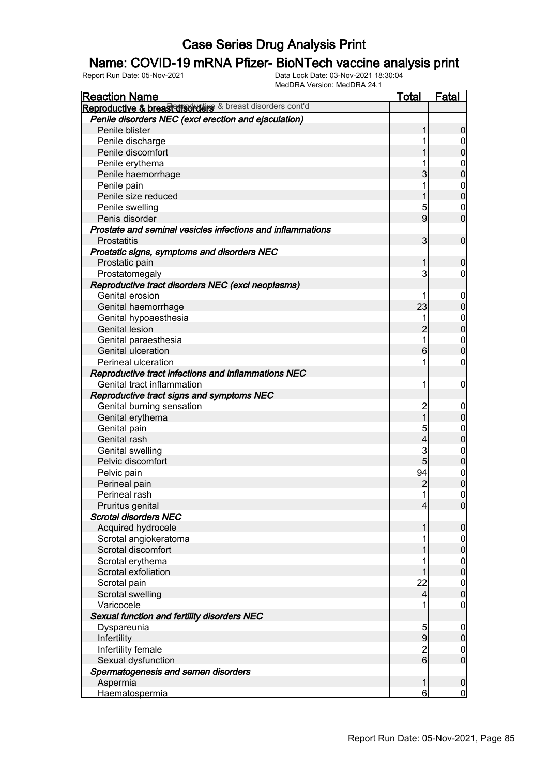### Name: COVID-19 mRNA Pfizer- BioNTech vaccine analysis print

| <b>Reaction Name</b>                                       | <b>Total</b>                     | <b>Fatal</b>     |
|------------------------------------------------------------|----------------------------------|------------------|
| Reproductive & breast disordars & breast disorders cont'd  |                                  |                  |
| Penile disorders NEC (excl erection and ejaculation)       |                                  |                  |
| Penile blister                                             | 1                                | $\boldsymbol{0}$ |
| Penile discharge                                           |                                  | $\boldsymbol{0}$ |
| Penile discomfort                                          |                                  | $\pmb{0}$        |
| Penile erythema                                            |                                  | $\mathbf 0$      |
| Penile haemorrhage                                         | 3                                | $\mathbf 0$      |
| Penile pain                                                | 1                                | $\boldsymbol{0}$ |
| Penile size reduced                                        | 1                                | $\overline{0}$   |
| Penile swelling                                            | 5                                | $\mathbf 0$      |
| Penis disorder                                             | 9                                | $\mathbf 0$      |
| Prostate and seminal vesicles infections and inflammations |                                  |                  |
| <b>Prostatitis</b>                                         | 3                                | $\boldsymbol{0}$ |
| Prostatic signs, symptoms and disorders NEC                |                                  |                  |
| Prostatic pain                                             | 1                                | $\boldsymbol{0}$ |
| Prostatomegaly                                             | 3                                | $\overline{0}$   |
| Reproductive tract disorders NEC (excl neoplasms)          |                                  |                  |
| Genital erosion                                            |                                  | $\boldsymbol{0}$ |
| Genital haemorrhage                                        | 23                               | $\pmb{0}$        |
| Genital hypoaesthesia                                      | 1                                | $\boldsymbol{0}$ |
| <b>Genital lesion</b>                                      | $\overline{2}$                   | $\mathbf 0$      |
| Genital paraesthesia                                       | 1                                | $\mathbf{0}$     |
| Genital ulceration                                         | 6                                | $\overline{0}$   |
| Perineal ulceration                                        |                                  | $\mathbf 0$      |
| Reproductive tract infections and inflammations NEC        |                                  |                  |
| Genital tract inflammation                                 | 1                                | $\mathbf 0$      |
|                                                            |                                  |                  |
| Reproductive tract signs and symptoms NEC                  |                                  |                  |
| Genital burning sensation                                  | $\overline{c}$<br>$\overline{1}$ | $\mathbf 0$      |
| Genital erythema                                           |                                  | $\boldsymbol{0}$ |
| Genital pain                                               | 5                                | $\mathbf 0$      |
| Genital rash                                               | 4                                | $\mathbf 0$      |
| Genital swelling                                           | 3                                | $\mathbf{0}$     |
| Pelvic discomfort                                          | 5                                | $\mathbf 0$      |
| Pelvic pain                                                | 94                               | $\boldsymbol{0}$ |
| Perineal pain                                              | $\overline{c}$                   | $\overline{0}$   |
| Perineal rash                                              | $\mathbf{1}$                     | $\mathbf 0$      |
| Pruritus genital                                           | $\overline{4}$                   | $\overline{0}$   |
| <b>Scrotal disorders NEC</b>                               |                                  |                  |
| Acquired hydrocele                                         | 1                                | $\mathbf 0$      |
| Scrotal angiokeratoma                                      |                                  | $\overline{0}$   |
| Scrotal discomfort                                         |                                  | $\pmb{0}$        |
| Scrotal erythema                                           |                                  | $\boldsymbol{0}$ |
| Scrotal exfoliation                                        | 1                                | $\mathbf 0$      |
| Scrotal pain                                               | 22                               | $\boldsymbol{0}$ |
| Scrotal swelling                                           | $\overline{4}$                   | $\mathbf 0$      |
| Varicocele                                                 |                                  | $\mathbf 0$      |
| Sexual function and fertility disorders NEC                |                                  |                  |
| Dyspareunia                                                | 5                                | $\mathbf 0$      |
| Infertility                                                | 9                                | $\pmb{0}$        |
| Infertility female                                         | $\overline{c}$                   | $\overline{0}$   |
| Sexual dysfunction                                         | $\overline{6}$                   | $\boldsymbol{0}$ |
| Spermatogenesis and semen disorders                        |                                  |                  |
| Aspermia                                                   | 1                                | $\boldsymbol{0}$ |
| Haematospermia                                             | 6                                | $\overline{0}$   |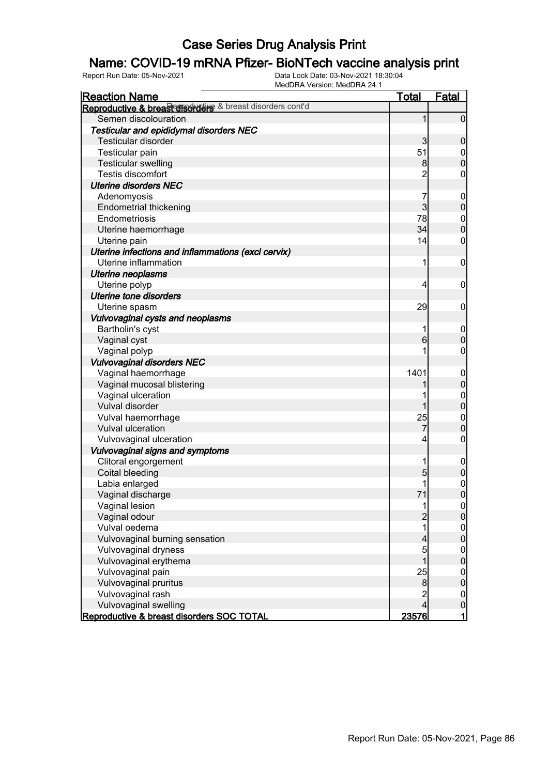### Name: COVID-19 mRNA Pfizer- BioNTech vaccine analysis print

| <b>Reaction Name</b>                                       | <b>Total</b>   | <b>Fatal</b>               |
|------------------------------------------------------------|----------------|----------------------------|
| Reproductive & breast disordance & breast disorders cont'd |                |                            |
| Semen discolouration                                       | 1              | $\overline{0}$             |
| Testicular and epididymal disorders NEC                    |                |                            |
| <b>Testicular disorder</b>                                 | $\overline{3}$ | $\mathbf 0$                |
| Testicular pain                                            | 51             | $\mathbf 0$                |
| <b>Testicular swelling</b>                                 | 8 <sup>0</sup> | $\overline{0}$             |
| Testis discomfort                                          | $\overline{c}$ | 0                          |
| <b>Uterine disorders NEC</b>                               |                |                            |
| Adenomyosis                                                | 7              | $\mathbf 0$                |
| <b>Endometrial thickening</b>                              | $\overline{3}$ | $\mathbf 0$                |
| Endometriosis                                              | 78             | $\boldsymbol{0}$           |
| Uterine haemorrhage                                        | 34             | $\overline{0}$             |
| Uterine pain                                               | 14             | 0                          |
| Uterine infections and inflammations (excl cervix)         |                |                            |
| Uterine inflammation                                       | 1              | $\boldsymbol{0}$           |
| <b>Uterine neoplasms</b>                                   |                |                            |
| Uterine polyp                                              | 4              | $\mathbf 0$                |
| <b>Uterine tone disorders</b>                              |                |                            |
| Uterine spasm                                              | 29             | $\mathbf 0$                |
| Vulvovaginal cysts and neoplasms                           |                |                            |
| Bartholin's cyst                                           |                | $\mathbf 0$                |
| Vaginal cyst                                               | $6 \mid$       | $\mathbf 0$                |
| Vaginal polyp                                              |                | 0                          |
| <b>Vulvovaginal disorders NEC</b>                          |                |                            |
| Vaginal haemorrhage                                        | 1401           | $\mathbf 0$                |
| Vaginal mucosal blistering                                 |                | $\mathbf 0$                |
| Vaginal ulceration                                         |                | $\boldsymbol{0}$           |
| Vulval disorder                                            |                | $\overline{0}$             |
| Vulval haemorrhage                                         | 25             | $\mathbf{0}$               |
| Vulval ulceration                                          | 7              | $\overline{0}$             |
| Vulvovaginal ulceration                                    | 4              | $\mathbf 0$                |
| Vulvovaginal signs and symptoms                            |                |                            |
| Clitoral engorgement                                       |                | $\mathbf 0$                |
| Coital bleeding                                            | 5              | $\mathbf 0$                |
| Labia enlarged                                             |                | $\mathbf 0$                |
| Vaginal discharge                                          | 71             | $\overline{0}$             |
| Vaginal lesion                                             |                | $\overline{0}$             |
| Vaginal odour                                              | $\overline{c}$ | $\overline{0}$             |
| Vulval oedema                                              |                | $\boldsymbol{0}$           |
| Vulvovaginal burning sensation                             | 4              | $\overline{0}$             |
| Vulvovaginal dryness                                       | 5              | $\boldsymbol{0}$           |
| Vulvovaginal erythema                                      |                | $\overline{0}$             |
| Vulvovaginal pain                                          | 25             | $\boldsymbol{0}$           |
| Vulvovaginal pruritus                                      | 8              | $\overline{0}$             |
| Vulvovaginal rash                                          | $\overline{c}$ |                            |
| Vulvovaginal swelling                                      | 4              | $\mathbf 0$<br>$\mathbf 0$ |
| Reproductive & breast disorders SOC TOTAL                  | 23576          | 1                          |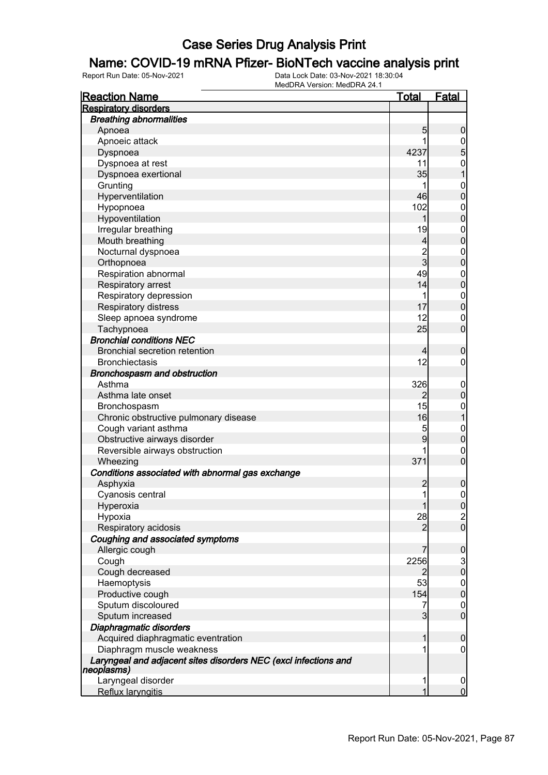#### Name: COVID-19 mRNA Pfizer- BioNTech vaccine analysis print

| <b>Reaction Name</b>                                                          | <u>Total</u>   | <b>Fatal</b>                         |
|-------------------------------------------------------------------------------|----------------|--------------------------------------|
| <b>Respiratory disorders</b>                                                  |                |                                      |
| <b>Breathing abnormalities</b>                                                |                |                                      |
| Apnoea                                                                        | 5              | $\boldsymbol{0}$                     |
| Apnoeic attack                                                                | 1              |                                      |
| Dyspnoea                                                                      | 4237           | $\frac{0}{5}$                        |
| Dyspnoea at rest                                                              | 11             |                                      |
| Dyspnoea exertional                                                           | 35             | $\begin{matrix} 0 \\ 1 \end{matrix}$ |
| Grunting                                                                      |                |                                      |
| Hyperventilation                                                              | 46             | $0$<br>0                             |
| Hypopnoea                                                                     | 102            | $\boldsymbol{0}$                     |
| Hypoventilation                                                               | 1              | $\overline{0}$                       |
| Irregular breathing                                                           | 19             |                                      |
| Mouth breathing                                                               | $\overline{4}$ | $0$<br>0                             |
| Nocturnal dyspnoea                                                            |                | $\boldsymbol{0}$                     |
| Orthopnoea                                                                    | $\frac{2}{3}$  | $\overline{0}$                       |
| Respiration abnormal                                                          | 49             | $\boldsymbol{0}$                     |
| Respiratory arrest                                                            | 14             | $\mathbf 0$                          |
| Respiratory depression                                                        | 1              |                                      |
| Respiratory distress                                                          | 17             | $0$<br>0                             |
| Sleep apnoea syndrome                                                         | 12             | $\mathbf 0$                          |
| Tachypnoea                                                                    | 25             | $\overline{0}$                       |
| <b>Bronchial conditions NEC</b>                                               |                |                                      |
| <b>Bronchial secretion retention</b>                                          | $\overline{4}$ |                                      |
| <b>Bronchiectasis</b>                                                         | 12             | $\boldsymbol{0}$                     |
|                                                                               |                | $\boldsymbol{0}$                     |
| Bronchospasm and obstruction                                                  |                |                                      |
| Asthma                                                                        | 326            | $\mathbf 0$                          |
| Asthma late onset                                                             | $\overline{2}$ | $\pmb{0}$                            |
| Bronchospasm                                                                  | 15             | $\boldsymbol{0}$                     |
| Chronic obstructive pulmonary disease                                         | 16             | $\overline{1}$                       |
| Cough variant asthma                                                          | 5              | $\mathbf{0}$                         |
| Obstructive airways disorder                                                  | 9              | $\mathbf 0$                          |
| Reversible airways obstruction                                                |                | $\mathbf{0}$                         |
| Wheezing                                                                      | 371            | $\overline{0}$                       |
| Conditions associated with abnormal gas exchange                              |                |                                      |
| Asphyxia                                                                      | $\overline{c}$ | $\boldsymbol{0}$                     |
| Cyanosis central                                                              | $\mathbf{1}$   | $\boldsymbol{0}$                     |
| Hyperoxia                                                                     | 1              | 0                                    |
| Hypoxia                                                                       | 28             | $\frac{2}{0}$                        |
| Respiratory acidosis                                                          | $\overline{2}$ |                                      |
| Coughing and associated symptoms                                              |                |                                      |
| Allergic cough                                                                | 7              | $\boldsymbol{0}$                     |
| Cough                                                                         | 2256           | $\frac{3}{0}$                        |
| Cough decreased                                                               | $\overline{2}$ |                                      |
| Haemoptysis                                                                   | 53             | $\boldsymbol{0}$                     |
| Productive cough                                                              | 154            | $\pmb{0}$                            |
| Sputum discoloured                                                            | 7              | $\mathbf 0$                          |
| Sputum increased                                                              | $\overline{3}$ | $\mathbf 0$                          |
| Diaphragmatic disorders                                                       |                |                                      |
| Acquired diaphragmatic eventration                                            | 1              | $\boldsymbol{0}$                     |
| Diaphragm muscle weakness                                                     |                | $\overline{0}$                       |
| Laryngeal and adjacent sites disorders NEC (excl infections and<br>neoplasms) |                |                                      |
| Laryngeal disorder                                                            | 1              | $\overline{0}$                       |
| Reflux laryngitis                                                             |                | $\overline{0}$                       |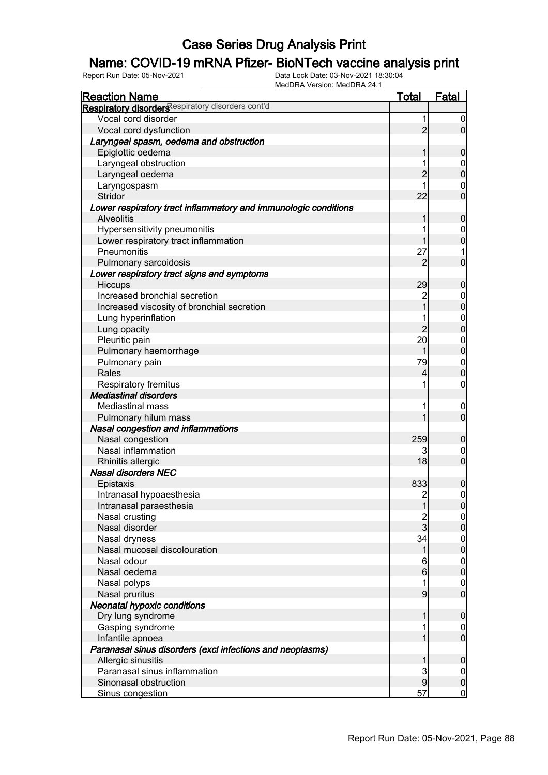### Name: COVID-19 mRNA Pfizer- BioNTech vaccine analysis print

| <b>Reaction Name</b>                                            | <b>Total</b>   | <b>Fatal</b>                       |
|-----------------------------------------------------------------|----------------|------------------------------------|
| Respiratory disorders espiratory disorders cont'd               |                |                                    |
| Vocal cord disorder                                             | 1              | $\boldsymbol{0}$                   |
| Vocal cord dysfunction                                          | $\overline{2}$ | $\overline{0}$                     |
| Laryngeal spasm, oedema and obstruction                         |                |                                    |
| Epiglottic oedema                                               | 1              | $\mathbf 0$                        |
| Laryngeal obstruction                                           |                | $\mathbf 0$                        |
| Laryngeal oedema                                                | $\overline{c}$ | $\mathbf 0$                        |
| Laryngospasm                                                    |                | $\mathbf 0$                        |
| Stridor                                                         | 22             | $\overline{0}$                     |
| Lower respiratory tract inflammatory and immunologic conditions |                |                                    |
| <b>Alveolitis</b>                                               | 1              | $\mathbf 0$                        |
| Hypersensitivity pneumonitis                                    |                | $\mathbf 0$                        |
| Lower respiratory tract inflammation                            | 1              | $\mathbf 0$                        |
| Pneumonitis                                                     | 27             | 1                                  |
| Pulmonary sarcoidosis                                           | $\overline{2}$ | $\mathbf 0$                        |
| Lower respiratory tract signs and symptoms                      |                |                                    |
| Hiccups                                                         | 29             | $\mathbf 0$                        |
| Increased bronchial secretion                                   |                | $\boldsymbol{0}$                   |
| Increased viscosity of bronchial secretion                      | 2<br>1         | $\mathbf 0$                        |
| Lung hyperinflation                                             |                | $\mathbf{0}$                       |
| Lung opacity                                                    | $\overline{2}$ | $\overline{0}$                     |
| Pleuritic pain                                                  | 20             | $\mathbf{0}$                       |
| Pulmonary haemorrhage                                           | 1              | $\overline{0}$                     |
| Pulmonary pain                                                  | 79             | $\mathbf{0}$                       |
| Rales                                                           | 4              | $\overline{0}$                     |
| Respiratory fremitus                                            | 1              | $\boldsymbol{0}$                   |
| <b>Mediastinal disorders</b>                                    |                |                                    |
| <b>Mediastinal mass</b>                                         |                | $\mathbf 0$                        |
| Pulmonary hilum mass                                            | 1              | $\mathbf 0$                        |
| <b>Nasal congestion and inflammations</b>                       |                |                                    |
| Nasal congestion                                                | 259            | $\mathbf 0$                        |
| Nasal inflammation                                              | 3              | $\mathbf 0$                        |
| Rhinitis allergic                                               | 18             | $\overline{0}$                     |
| <b>Nasal disorders NEC</b>                                      |                |                                    |
| Epistaxis                                                       | 833            | $\boldsymbol{0}$                   |
| Intranasal hypoaesthesia                                        | $\overline{2}$ | $\mathbf 0$                        |
| Intranasal paraesthesia                                         | 1              |                                    |
| Nasal crusting                                                  |                | 0 <br>$\overline{0}$               |
| Nasal disorder                                                  | 2<br>3         | $\pmb{0}$                          |
| Nasal dryness                                                   | 34             |                                    |
| Nasal mucosal discolouration                                    | $\mathbf 1$    | $\boldsymbol{0}$<br>$\overline{0}$ |
| Nasal odour                                                     | 6              |                                    |
| Nasal oedema                                                    | $6 \,$         | $\boldsymbol{0}$<br>$\mathbf 0$    |
|                                                                 | 1              |                                    |
| Nasal polyps                                                    | 9              | $\overline{0}$<br>$\overline{0}$   |
| Nasal pruritus                                                  |                |                                    |
| <b>Neonatal hypoxic conditions</b>                              |                |                                    |
| Dry lung syndrome                                               | 1              | $\boldsymbol{0}$                   |
| Gasping syndrome                                                |                | $\overline{0}$                     |
| Infantile apnoea                                                |                | $\boldsymbol{0}$                   |
| Paranasal sinus disorders (excl infections and neoplasms)       |                |                                    |
| Allergic sinusitis                                              | 1              | $\mathbf 0$                        |
| Paranasal sinus inflammation                                    | 3              | $\overline{0}$                     |
| Sinonasal obstruction                                           | 9              | $\pmb{0}$                          |
| Sinus congestion                                                | 57             | $\overline{0}$                     |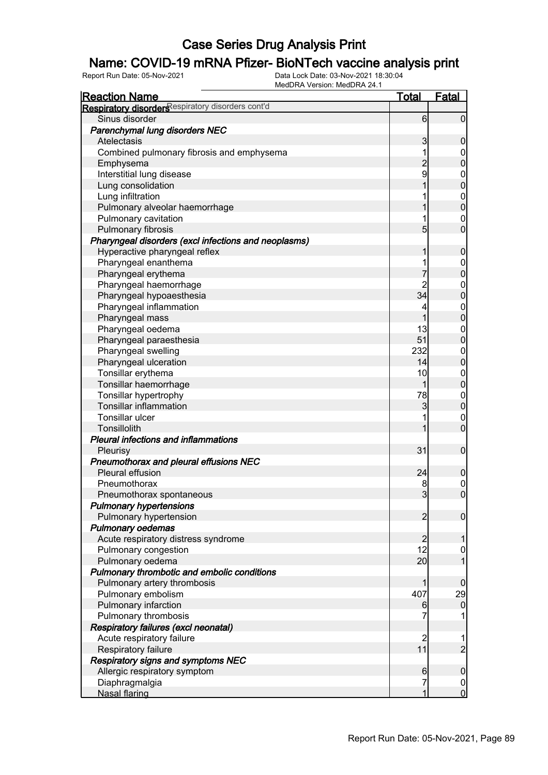### Name: COVID-19 mRNA Pfizer- BioNTech vaccine analysis print

| <b>Reaction Name</b>                                 | <b>Total</b>     | <b>Fatal</b>     |
|------------------------------------------------------|------------------|------------------|
| Respiratory disorders espiratory disorders cont'd    |                  |                  |
| Sinus disorder                                       | $6 \overline{6}$ | $\overline{0}$   |
| Parenchymal lung disorders NEC                       |                  |                  |
| Atelectasis                                          | 3                | $\mathbf 0$      |
| Combined pulmonary fibrosis and emphysema            | 1                | $\overline{0}$   |
| Emphysema                                            | $\overline{c}$   | $\overline{0}$   |
| Interstitial lung disease                            | 9                | $0\atop 0$       |
| Lung consolidation                                   |                  |                  |
| Lung infiltration                                    |                  | $0\atop 0$       |
| Pulmonary alveolar haemorrhage                       |                  |                  |
| Pulmonary cavitation                                 |                  | $\mathbf 0$      |
| <b>Pulmonary fibrosis</b>                            | 5                | $\overline{0}$   |
| Pharyngeal disorders (excl infections and neoplasms) |                  |                  |
| Hyperactive pharyngeal reflex                        | 1                | $\boldsymbol{0}$ |
| Pharyngeal enanthema                                 |                  | $\boldsymbol{0}$ |
| Pharyngeal erythema                                  | 7                | $\overline{0}$   |
| Pharyngeal haemorrhage                               | $\overline{c}$   | $0$<br>0         |
| Pharyngeal hypoaesthesia                             | 34               |                  |
| Pharyngeal inflammation                              | 4                |                  |
| Pharyngeal mass                                      | 1                | $0\atop 0$       |
| Pharyngeal oedema                                    | 13               | $\boldsymbol{0}$ |
| Pharyngeal paraesthesia                              | 51               | $\overline{0}$   |
| Pharyngeal swelling                                  | 232              | $\boldsymbol{0}$ |
| Pharyngeal ulceration                                | 14               | $\overline{0}$   |
| Tonsillar erythema                                   | 10               | $\mathbf{0}$     |
| Tonsillar haemorrhage                                | 1                | $\overline{0}$   |
| Tonsillar hypertrophy                                | 78               | $\mathbf{0}$     |
| <b>Tonsillar inflammation</b>                        | 3                | $\overline{0}$   |
| Tonsillar ulcer                                      |                  | $\mathbf 0$      |
| Tonsillolith                                         |                  | $\mathbf 0$      |
| <b>Pleural infections and inflammations</b>          |                  |                  |
| Pleurisy                                             | 31               | $\boldsymbol{0}$ |
| Pneumothorax and pleural effusions NEC               |                  |                  |
| Pleural effusion                                     | 24               | $\boldsymbol{0}$ |
| Pneumothorax                                         | 8                |                  |
| Pneumothorax spontaneous                             | $\overline{3}$   | $0\atop 0$       |
| <b>Pulmonary hypertensions</b>                       |                  |                  |
| Pulmonary hypertension                               | $\overline{2}$   | $\mathbf 0$      |
| <b>Pulmonary oedemas</b>                             |                  |                  |
| Acute respiratory distress syndrome                  | $\overline{2}$   | 1                |
| Pulmonary congestion                                 | 12               | $\mathbf 0$      |
| Pulmonary oedema                                     | 20               | 1                |
| Pulmonary thrombotic and embolic conditions          |                  |                  |
| Pulmonary artery thrombosis                          | 1                | $\mathbf 0$      |
| Pulmonary embolism                                   | 407              | 29               |
| Pulmonary infarction                                 | 6                | $\mathbf 0$      |
| Pulmonary thrombosis                                 | 7                |                  |
| Respiratory failures (excl neonatal)                 |                  |                  |
| Acute respiratory failure                            | $\overline{c}$   |                  |
| Respiratory failure                                  | 11               | $\overline{c}$   |
| <b>Respiratory signs and symptoms NEC</b>            |                  |                  |
| Allergic respiratory symptom                         | $6 \overline{}$  | $\boldsymbol{0}$ |
| Diaphragmalgia                                       | 7                | $\overline{0}$   |
| <b>Nasal flaring</b>                                 | 1                | $\overline{0}$   |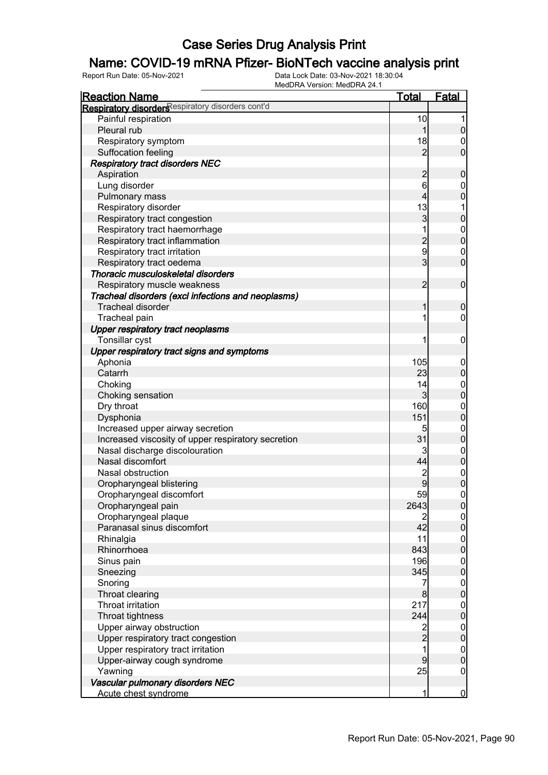### Name: COVID-19 mRNA Pfizer- BioNTech vaccine analysis print

| <b>Reaction Name</b>                               | <u>Total</u>   | <b>Fatal</b>     |
|----------------------------------------------------|----------------|------------------|
| Respiratory disorders espiratory disorders cont'd  |                |                  |
| Painful respiration                                | 10             | 1                |
| Pleural rub                                        | 1              | $\pmb{0}$        |
| Respiratory symptom                                | 18             | $\overline{0}$   |
| Suffocation feeling                                | $\overline{2}$ | $\mathbf 0$      |
| <b>Respiratory tract disorders NEC</b>             |                |                  |
| Aspiration                                         | $\overline{c}$ | $\boldsymbol{0}$ |
| Lung disorder                                      | 6              | $\mathbf 0$      |
| Pulmonary mass                                     | 4              | $\overline{0}$   |
| Respiratory disorder                               | 13             | 1                |
| Respiratory tract congestion                       | $\mathbf{3}$   | $\pmb{0}$        |
| Respiratory tract haemorrhage                      | 1              | $0$<br>0         |
| Respiratory tract inflammation                     | $\frac{2}{9}$  |                  |
| Respiratory tract irritation                       |                | $\mathbf 0$      |
| Respiratory tract oedema                           | $\overline{3}$ | $\overline{0}$   |
| Thoracic musculoskeletal disorders                 |                |                  |
| Respiratory muscle weakness                        | $\overline{2}$ | $\boldsymbol{0}$ |
| Tracheal disorders (excl infections and neoplasms) |                |                  |
| <b>Tracheal disorder</b>                           | 1              | $\boldsymbol{0}$ |
| Tracheal pain                                      | 1              | $\mathbf 0$      |
| Upper respiratory tract neoplasms                  |                |                  |
| Tonsillar cyst                                     | 1              | $\boldsymbol{0}$ |
| Upper respiratory tract signs and symptoms         |                |                  |
| Aphonia                                            | 105            | $\mathbf 0$      |
| Catarrh                                            | 23             | $\pmb{0}$        |
| Choking                                            | 14             | $\boldsymbol{0}$ |
| Choking sensation                                  | $\overline{3}$ | $\overline{0}$   |
| Dry throat                                         | 160            | $\boldsymbol{0}$ |
| Dysphonia                                          | 151            | $\overline{0}$   |
| Increased upper airway secretion                   | 5              | $\mathbf{0}$     |
| Increased viscosity of upper respiratory secretion | 31             | $\overline{0}$   |
| Nasal discharge discolouration                     | 3              | $0$ 0            |
| Nasal discomfort                                   | 44             |                  |
| Nasal obstruction                                  | $\overline{c}$ | $0$<br>0         |
| Oropharyngeal blistering                           | 9              |                  |
| Oropharyngeal discomfort                           | 59             | $\pmb{0}$        |
| Oropharyngeal pain                                 | 2643           | 0                |
| Oropharyngeal plaque                               | 2              | $\overline{0}$   |
| Paranasal sinus discomfort                         | 42             | $\mathbf 0$      |
| Rhinalgia                                          | 11             | $0\atop 0$       |
| Rhinorrhoea                                        | 843            |                  |
| Sinus pain                                         | 196            | $\boldsymbol{0}$ |
| Sneezing                                           | 345            | $\mathbf 0$      |
| Snoring                                            | 7              | $\boldsymbol{0}$ |
| Throat clearing                                    | 8              | $\mathbf 0$      |
| Throat irritation                                  | 217            | $\boldsymbol{0}$ |
| Throat tightness                                   | 244            | $\mathbf 0$      |
| Upper airway obstruction                           | 2<br>2         | $\boldsymbol{0}$ |
| Upper respiratory tract congestion                 |                | $\overline{0}$   |
| Upper respiratory tract irritation                 | 1              | $\boldsymbol{0}$ |
| Upper-airway cough syndrome                        | 9              | $\overline{0}$   |
| Yawning                                            | 25             | $\mathbf 0$      |
| Vascular pulmonary disorders NEC                   |                |                  |
| Acute chest syndrome                               | 1              | $\overline{0}$   |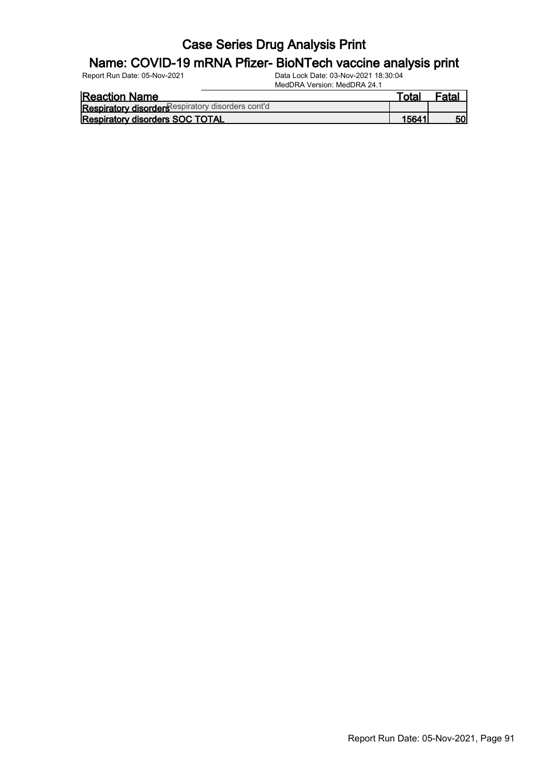#### Name: COVID-19 mRNA Pfizer- BioNTech vaccine analysis print

| <b>Reaction Name</b>                              | Гоtаl | <sup>⊏</sup> ata. |
|---------------------------------------------------|-------|-------------------|
| Respiratory disorder Respiratory disorders cont'd |       |                   |
| <b>Respiratory disorders SOC TOTAL</b>            | 15641 | 50                |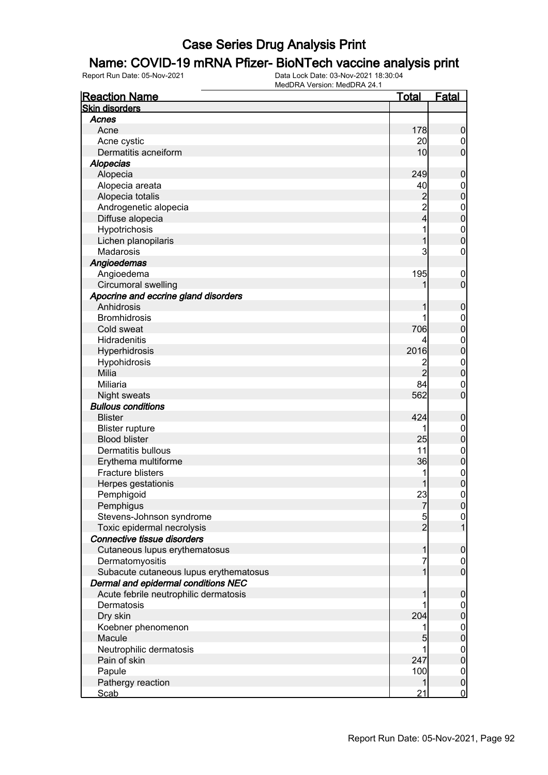### Name: COVID-19 mRNA Pfizer- BioNTech vaccine analysis print

| <b>Reaction Name</b>                   | <u>Total</u>    | Fatal                                  |
|----------------------------------------|-----------------|----------------------------------------|
| <b>Skin disorders</b>                  |                 |                                        |
| Acnes                                  |                 |                                        |
| Acne                                   | 178             | $\boldsymbol{0}$                       |
| Acne cystic                            | 20              | $\boldsymbol{0}$                       |
| Dermatitis acneiform                   | 10 <sub>l</sub> | $\overline{0}$                         |
| <b>Alopecias</b>                       |                 |                                        |
| Alopecia                               | 249             | $\boldsymbol{0}$                       |
| Alopecia areata                        | 40              |                                        |
| Alopecia totalis                       |                 | $\begin{matrix}0\\0\end{matrix}$       |
| Androgenetic alopecia                  | $\frac{2}{2}$   |                                        |
| Diffuse alopecia                       | $\frac{1}{4}$   | $\begin{matrix}0\\0\end{matrix}$       |
| Hypotrichosis                          | 1               |                                        |
| Lichen planopilaris                    | 1               | $\begin{matrix}0\\0\end{matrix}$       |
| Madarosis                              | 3               | $\pmb{0}$                              |
| Angioedemas                            |                 |                                        |
| Angioedema                             | 195             | $\boldsymbol{0}$                       |
| <b>Circumoral swelling</b>             |                 | $\overline{0}$                         |
| Apocrine and eccrine gland disorders   |                 |                                        |
| Anhidrosis                             | 1               | $\boldsymbol{0}$                       |
| <b>Bromhidrosis</b>                    | 1               |                                        |
| Cold sweat                             | 706             | $\begin{matrix}0\\0\end{matrix}$       |
| Hidradenitis                           |                 |                                        |
| Hyperhidrosis                          | 2016            | $\begin{matrix}0\\0\end{matrix}$       |
| Hypohidrosis                           | $\overline{c}$  |                                        |
| Milia                                  | $\overline{2}$  | $\begin{matrix}0\\0\end{matrix}$       |
| Miliaria                               | 84              |                                        |
| <b>Night sweats</b>                    | 562             | $\begin{matrix}0\\0\end{matrix}$       |
| <b>Bullous conditions</b>              |                 |                                        |
| <b>Blister</b>                         | 424             | $\boldsymbol{0}$                       |
| <b>Blister rupture</b>                 | 1               |                                        |
| <b>Blood blister</b>                   | 25              | $0\atop 0$                             |
| Dermatitis bullous                     | 11              |                                        |
| Erythema multiforme                    | 36              | $0\atop 0$                             |
| <b>Fracture blisters</b>               | 1               |                                        |
| Herpes gestationis                     |                 | $\begin{matrix}0\\0\end{matrix}$       |
| Pemphigoid                             | 23              | $\overline{0}$                         |
| Pemphigus                              | $\overline{7}$  | 0                                      |
| Stevens-Johnson syndrome               |                 |                                        |
| Toxic epidermal necrolysis             | $\frac{5}{2}$   | $\begin{bmatrix} 0 \\ 1 \end{bmatrix}$ |
| Connective tissue disorders            |                 |                                        |
| Cutaneous lupus erythematosus          | 1               | $\boldsymbol{0}$                       |
| Dermatomyositis                        | 7               |                                        |
| Subacute cutaneous lupus erythematosus | $\mathbf{1}$    | $\begin{matrix} 0 \\ 0 \end{matrix}$   |
| Dermal and epidermal conditions NEC    |                 |                                        |
| Acute febrile neutrophilic dermatosis  | 1               | $\boldsymbol{0}$                       |
| Dermatosis                             |                 |                                        |
| Dry skin                               | 204             | $0\atop 0$                             |
| Koebner phenomenon                     | 1               |                                        |
| Macule                                 | 5               | $0\atop 0$                             |
| Neutrophilic dermatosis                |                 |                                        |
| Pain of skin                           | 247             | $0\atop 0$                             |
| Papule                                 | 100             | $\boldsymbol{0}$                       |
| Pathergy reaction                      | 1               | $\mathbf 0$                            |
| <b>Scab</b>                            | 21              | $\mathbf 0$                            |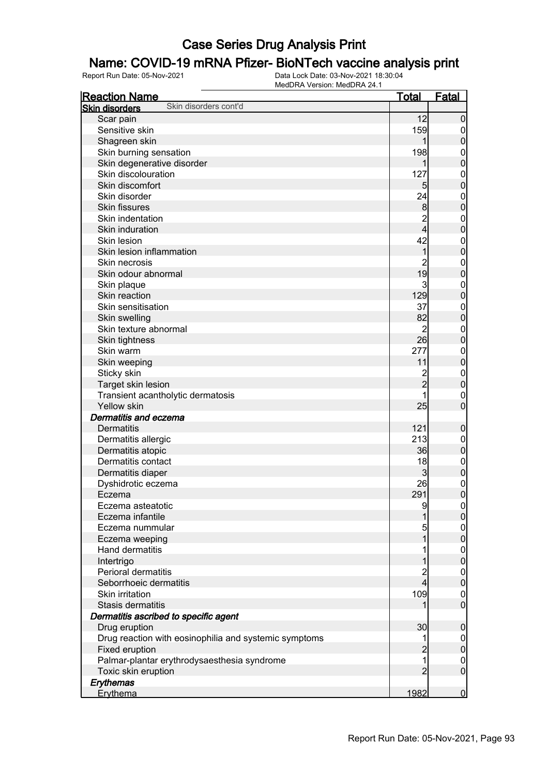### Name: COVID-19 mRNA Pfizer- BioNTech vaccine analysis print

| <b>Reaction Name</b>                                  | <u>Total</u>    | <b>Fatal</b>                     |
|-------------------------------------------------------|-----------------|----------------------------------|
| Skin disorders cont'd<br><b>Skin disorders</b>        |                 |                                  |
| Scar pain                                             | 12              | $\mathbf 0$                      |
| Sensitive skin                                        | 159             | $\boldsymbol{0}$                 |
| Shagreen skin                                         | 1               | $\mathbf 0$                      |
| Skin burning sensation                                | 198             | $\boldsymbol{0}$                 |
| Skin degenerative disorder                            | 1               | $\overline{0}$                   |
| Skin discolouration                                   | 127             | $\mathbf{0}$                     |
| Skin discomfort                                       | $5\overline{)}$ | $\overline{0}$                   |
| Skin disorder                                         | 24              | $\mathbf{0}$                     |
| <b>Skin fissures</b>                                  | $\bf{8}$        | $\overline{0}$                   |
| Skin indentation                                      | $\overline{c}$  | $\boldsymbol{0}$                 |
| Skin induration                                       | $\overline{4}$  | $\overline{0}$                   |
| Skin lesion                                           | 42              | $\mathbf{0}$                     |
| Skin lesion inflammation                              | $\overline{1}$  | $\overline{0}$                   |
| Skin necrosis                                         | $\overline{2}$  | $\mathbf{0}$                     |
| Skin odour abnormal                                   | 19              | $\overline{0}$                   |
| Skin plaque                                           | 3               | $\mathbf{0}$                     |
| Skin reaction                                         | 129             | $\overline{0}$                   |
| Skin sensitisation                                    | 37              | $\mathbf{0}$                     |
| Skin swelling                                         | 82              | $\overline{0}$                   |
| Skin texture abnormal                                 | $\overline{2}$  | $\mathbf{0}$                     |
| Skin tightness                                        | 26              | $\overline{0}$                   |
| Skin warm                                             | 277             | $\mathbf{0}$                     |
| Skin weeping                                          | 11              | $\overline{0}$                   |
| Sticky skin                                           |                 |                                  |
| Target skin lesion                                    | 2<br>2          | $0\atop 0$                       |
| Transient acantholytic dermatosis                     | 1               |                                  |
| Yellow skin                                           | 25              | $\mathbf{0}$<br>$\overline{0}$   |
| Dermatitis and eczema                                 |                 |                                  |
| <b>Dermatitis</b>                                     | 121             |                                  |
| Dermatitis allergic                                   | 213             | $\boldsymbol{0}$                 |
| Dermatitis atopic                                     | 36              | $\boldsymbol{0}$<br>$\mathbf 0$  |
| Dermatitis contact                                    | 18              |                                  |
| Dermatitis diaper                                     | 3               | $\boldsymbol{0}$<br>$\mathbf 0$  |
| Dyshidrotic eczema                                    | 26              |                                  |
| Eczema                                                | 291             | $\begin{matrix}0\\0\end{matrix}$ |
| Eczema asteatotic                                     |                 |                                  |
| Eczema infantile                                      | 9<br>1          | $\Omega$<br>$\overline{0}$       |
| Eczema nummular                                       | 5               |                                  |
| Eczema weeping                                        | 1               | $\overline{0}$<br>$\mathbf 0$    |
| Hand dermatitis                                       | 1               |                                  |
| Intertrigo                                            | 1               | $\overline{0}$<br>$\mathbf 0$    |
| Perioral dermatitis                                   | $\overline{c}$  |                                  |
| Seborrhoeic dermatitis                                | $\overline{4}$  | $\overline{0}$<br>$\mathbf 0$    |
| Skin irritation                                       | 109             |                                  |
| Stasis dermatitis                                     | 1               | $\boldsymbol{0}$<br>$\mathbf 0$  |
|                                                       |                 |                                  |
| Dermatitis ascribed to specific agent                 |                 |                                  |
| Drug eruption                                         | 30              | $\boldsymbol{0}$                 |
| Drug reaction with eosinophilia and systemic symptoms | 1               | $\overline{0}$                   |
| Fixed eruption                                        | $\overline{c}$  | $\pmb{0}$                        |
| Palmar-plantar erythrodysaesthesia syndrome           | 1               | $\boldsymbol{0}$                 |
| Toxic skin eruption                                   | $\overline{2}$  | $\mathbf 0$                      |
| Erythemas                                             |                 |                                  |
| Erythema                                              | 1982            | $\overline{0}$                   |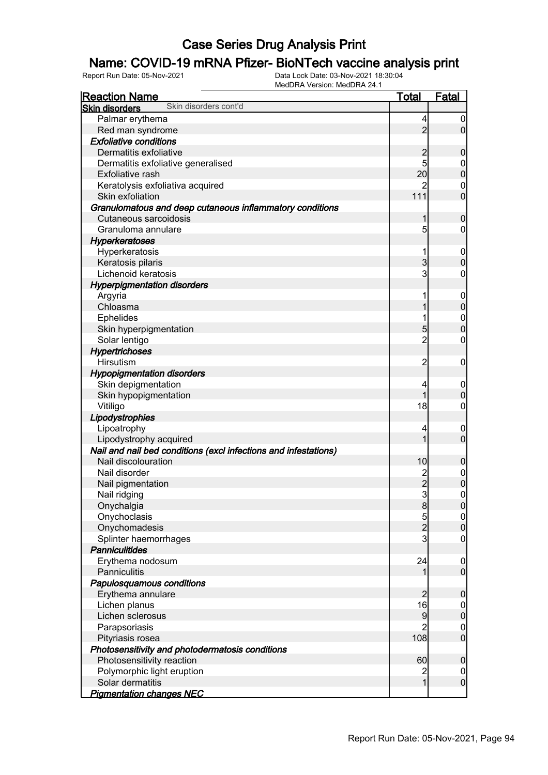### Name: COVID-19 mRNA Pfizer- BioNTech vaccine analysis print

| <b>Reaction Name</b>                                            | <b>Total</b>   | Fatal                         |
|-----------------------------------------------------------------|----------------|-------------------------------|
| Skin disorders cont'd<br><b>Skin disorders</b>                  |                |                               |
| Palmar erythema                                                 | 4              | $\boldsymbol{0}$              |
| Red man syndrome                                                | $\overline{2}$ | $\overline{0}$                |
| <b>Exfoliative conditions</b>                                   |                |                               |
| Dermatitis exfoliative                                          | $\overline{c}$ | $\boldsymbol{0}$              |
| Dermatitis exfoliative generalised                              | 5              | $\boldsymbol{0}$              |
| Exfoliative rash                                                | 20             | $\mathbf 0$                   |
| Keratolysis exfoliativa acquired                                | 2              | $\mathbf 0$                   |
| Skin exfoliation                                                | 111            | $\mathbf 0$                   |
| Granulomatous and deep cutaneous inflammatory conditions        |                |                               |
| Cutaneous sarcoidosis                                           | 1              | $\boldsymbol{0}$              |
| Granuloma annulare                                              | 5              | 0                             |
| <b>Hyperkeratoses</b>                                           |                |                               |
| Hyperkeratosis                                                  |                | $\mathbf 0$                   |
| Keratosis pilaris                                               | $\overline{3}$ | $\mathbf 0$                   |
| Lichenoid keratosis                                             | 3              | 0                             |
| <b>Hyperpigmentation disorders</b>                              |                |                               |
| Argyria                                                         |                | $\mathbf 0$                   |
| Chloasma                                                        |                | $\mathbf 0$                   |
| Ephelides                                                       |                | $\mathbf 0$                   |
| Skin hyperpigmentation                                          | $\overline{5}$ | $\mathbf 0$                   |
| Solar lentigo                                                   | $\overline{c}$ | $\mathbf 0$                   |
| Hypertrichoses                                                  |                |                               |
| Hirsutism                                                       | $\overline{c}$ | $\mathbf 0$                   |
| <b>Hypopigmentation disorders</b>                               |                |                               |
| Skin depigmentation                                             | 4              | $\mathbf 0$                   |
| Skin hypopigmentation                                           |                | $\mathbf 0$                   |
| Vitiligo                                                        | 18             | 0                             |
| Lipodystrophies                                                 |                |                               |
| Lipoatrophy                                                     | 4              | $\mathbf 0$                   |
| Lipodystrophy acquired                                          |                | $\mathbf 0$                   |
| Nail and nail bed conditions (excl infections and infestations) |                |                               |
| Nail discolouration                                             | 10             | $\mathbf 0$                   |
| Nail disorder                                                   |                | $\boldsymbol{0}$              |
| Nail pigmentation                                               | $\overline{c}$ | $\overline{0}$                |
| Nail ridging                                                    | $\overline{3}$ | $\mathbf 0$                   |
| Onychalgia                                                      | $\bf{8}$       | 0                             |
| Onychoclasis                                                    | $\overline{5}$ | 0                             |
| Onychomadesis                                                   | $\overline{c}$ | $\overline{0}$                |
| Splinter haemorrhages                                           | $\mathbf{3}$   | $\mathbf 0$                   |
| <b>Panniculitides</b>                                           |                |                               |
| Erythema nodosum<br>Panniculitis                                | 24             | $\mathbf 0$<br>$\overline{0}$ |
|                                                                 |                |                               |
| Papulosquamous conditions<br>Erythema annulare                  | $\overline{2}$ | $\mathbf 0$                   |
| Lichen planus                                                   | 16             |                               |
| Lichen sclerosus                                                | 9              | $\overline{0}$<br>$\mathbf 0$ |
| Parapsoriasis                                                   | $\overline{c}$ | $\mathbf 0$                   |
| Pityriasis rosea                                                | 108            | $\overline{0}$                |
| Photosensitivity and photodermatosis conditions                 |                |                               |
| Photosensitivity reaction                                       | 60             | $\mathbf 0$                   |
| Polymorphic light eruption                                      | $\overline{c}$ | $\overline{0}$                |
| Solar dermatitis                                                | $\overline{1}$ | $\mathbf 0$                   |
| <b>Pigmentation changes NEC</b>                                 |                |                               |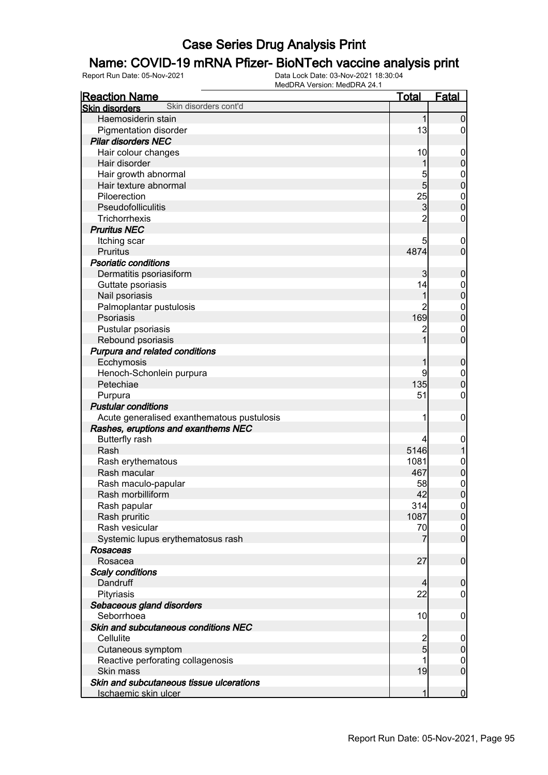#### Name: COVID-19 mRNA Pfizer- BioNTech vaccine analysis print

| <b>Reaction Name</b>                           | <b>Total</b>   | <b>Fatal</b>     |
|------------------------------------------------|----------------|------------------|
| Skin disorders cont'd<br><b>Skin disorders</b> |                |                  |
| Haemosiderin stain                             | $\mathbf{1}$   | $\mathbf 0$      |
| Pigmentation disorder                          | 13             | $\overline{0}$   |
| <b>Pilar disorders NEC</b>                     |                |                  |
| Hair colour changes                            | 10             | $\mathbf 0$      |
| Hair disorder                                  | 1              | $\pmb{0}$        |
| Hair growth abnormal                           | 5              | $\boldsymbol{0}$ |
| Hair texture abnormal                          | $\overline{5}$ | $\mathbf 0$      |
| Piloerection                                   | 25             | $\boldsymbol{0}$ |
| Pseudofolliculitis                             | 3              | $\mathbf 0$      |
| Trichorrhexis                                  | $\overline{2}$ | $\boldsymbol{0}$ |
| <b>Pruritus NEC</b>                            |                |                  |
| Itching scar                                   | 5              | $\mathbf 0$      |
| <b>Pruritus</b>                                | 4874           | $\mathbf 0$      |
| <b>Psoriatic conditions</b>                    |                |                  |
| Dermatitis psoriasiform                        | 3              | $\mathbf 0$      |
| Guttate psoriasis                              | 14             | $\mathbf 0$      |
| Nail psoriasis                                 | 1              | $\mathbf 0$      |
| Palmoplantar pustulosis                        | 2              | $\mathbf{0}$     |
| Psoriasis                                      | 169            | $\mathbf 0$      |
| Pustular psoriasis                             |                | $\mathbf 0$      |
| Rebound psoriasis                              |                | $\overline{0}$   |
| Purpura and related conditions                 |                |                  |
| Ecchymosis                                     | 1              | $\boldsymbol{0}$ |
| Henoch-Schonlein purpura                       | 9              | $\mathbf 0$      |
| Petechiae                                      | 135            | $\mathbf 0$      |
| Purpura                                        | 51             | $\boldsymbol{0}$ |
| <b>Pustular conditions</b>                     |                |                  |
| Acute generalised exanthematous pustulosis     | 1              | $\mathbf 0$      |
| Rashes, eruptions and exanthems NEC            |                |                  |
| <b>Butterfly rash</b>                          | 4              | $\boldsymbol{0}$ |
| Rash                                           | 5146           | 1                |
| Rash erythematous                              | 1081           | $\boldsymbol{0}$ |
| Rash macular                                   | 467            | $\pmb{0}$        |
| Rash maculo-papular                            | 58             | $\mathbf{0}$     |
| Rash morbilliform                              | 42             | $\overline{0}$   |
| Rash papular                                   | 314            | 0                |
| Rash pruritic                                  | 1087           | 0                |
| Rash vesicular                                 | 70             | $\overline{0}$   |
| Systemic lupus erythematosus rash              | 7              | $\overline{0}$   |
| <b>Rosaceas</b>                                |                |                  |
| Rosacea                                        | 27             | $\boldsymbol{0}$ |
| <b>Scaly conditions</b>                        |                |                  |
| Dandruff                                       | $\overline{4}$ | $\boldsymbol{0}$ |
| Pityriasis                                     | 22             | $\boldsymbol{0}$ |
| Sebaceous gland disorders                      |                |                  |
| Seborrhoea                                     | 10             | $\mathbf 0$      |
| Skin and subcutaneous conditions NEC           |                |                  |
| Cellulite                                      |                | $\mathbf 0$      |
| Cutaneous symptom                              | $\frac{2}{5}$  | $\mathbf 0$      |
| Reactive perforating collagenosis              | 1              | $\overline{0}$   |
| Skin mass                                      | 19             | $\boldsymbol{0}$ |
| Skin and subcutaneous tissue ulcerations       |                |                  |
| Ischaemic skin ulcer                           |                | $\overline{0}$   |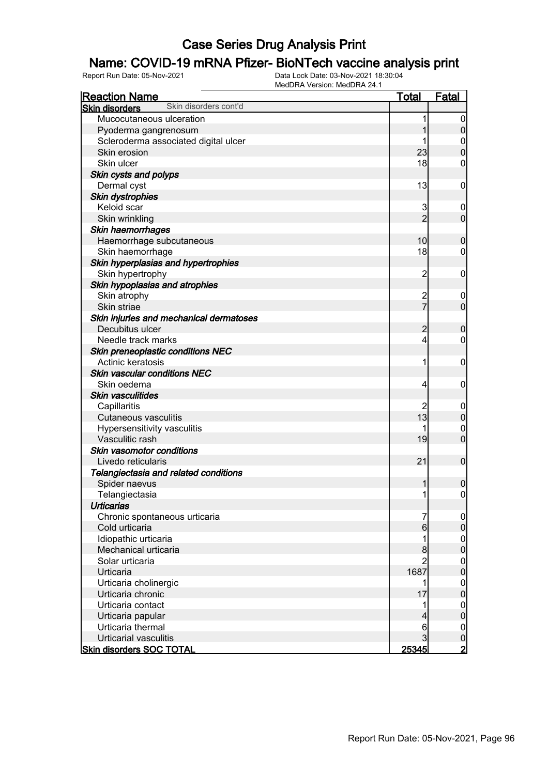### Name: COVID-19 mRNA Pfizer- BioNTech vaccine analysis print

| <b>Reaction Name</b>                           | <u>Total</u>            | Fatal            |
|------------------------------------------------|-------------------------|------------------|
| Skin disorders cont'd<br><b>Skin disorders</b> |                         |                  |
| Mucocutaneous ulceration                       |                         | $\boldsymbol{0}$ |
| Pyoderma gangrenosum                           |                         | $\mathbf 0$      |
| Scleroderma associated digital ulcer           |                         | 0                |
| Skin erosion                                   | 23                      | $\overline{0}$   |
| Skin ulcer                                     | 18                      | 0                |
| Skin cysts and polyps                          |                         |                  |
| Dermal cyst                                    | 13                      | $\mathbf 0$      |
| <b>Skin dystrophies</b>                        |                         |                  |
| Keloid scar                                    | 3                       | $\boldsymbol{0}$ |
| Skin wrinkling                                 | $\overline{2}$          | $\mathbf 0$      |
| Skin haemorrhages                              |                         |                  |
| Haemorrhage subcutaneous                       | 10                      | $\boldsymbol{0}$ |
| Skin haemorrhage                               | 18                      | 0                |
| Skin hyperplasias and hypertrophies            |                         |                  |
| Skin hypertrophy                               | $\overline{2}$          | $\mathbf 0$      |
| Skin hypoplasias and atrophies                 |                         |                  |
| Skin atrophy                                   | $\overline{\mathbf{c}}$ | $\boldsymbol{0}$ |
| Skin striae                                    | $\overline{7}$          | $\mathbf 0$      |
| Skin injuries and mechanical dermatoses        |                         |                  |
| Decubitus ulcer                                | $\overline{2}$          | $\mathbf 0$      |
| Needle track marks                             | 4                       | 0                |
| Skin preneoplastic conditions NEC              |                         |                  |
| Actinic keratosis                              | 1                       | $\mathbf 0$      |
| Skin vascular conditions NEC                   |                         |                  |
| Skin oedema                                    | 4                       | $\mathbf 0$      |
| <b>Skin vasculitides</b>                       |                         |                  |
| Capillaritis                                   | $\overline{c}$          | $\mathbf 0$      |
| <b>Cutaneous vasculitis</b>                    | 13                      | $\boldsymbol{0}$ |
| Hypersensitivity vasculitis                    |                         | $\mathbf 0$      |
| Vasculitic rash                                | 19                      | $\overline{0}$   |
| Skin vasomotor conditions                      |                         |                  |
| Livedo reticularis                             | 21                      | $\boldsymbol{0}$ |
| Telangiectasia and related conditions          |                         |                  |
| Spider naevus                                  | 1                       | $\boldsymbol{0}$ |
| Telangiectasia                                 | 1                       | $\overline{0}$   |
| <b>Urticarias</b>                              |                         |                  |
| Chronic spontaneous urticaria                  | 7                       | $\overline{0}$   |
| Cold urticaria                                 | $6 \overline{}$         | $\mathbf 0$      |
| Idiopathic urticaria                           |                         | $\boldsymbol{0}$ |
| Mechanical urticaria                           | 8                       | $\overline{0}$   |
| Solar urticaria                                | 2                       | $\mathbf{0}$     |
| Urticaria                                      | 1687                    | $\overline{0}$   |
| Urticaria cholinergic                          | 1                       | $\mathbf{0}$     |
| Urticaria chronic                              | 17                      | $\overline{0}$   |
| Urticaria contact                              |                         | $\mathbf{0}$     |
| Urticaria papular                              | 4                       | $\overline{0}$   |
| Urticaria thermal                              | 6                       | $\boldsymbol{0}$ |
| Urticarial vasculitis                          | 3                       | $\mathbf 0$      |
| <b>Skin disorders SOC TOTAL</b>                | 25345                   | $\overline{2}$   |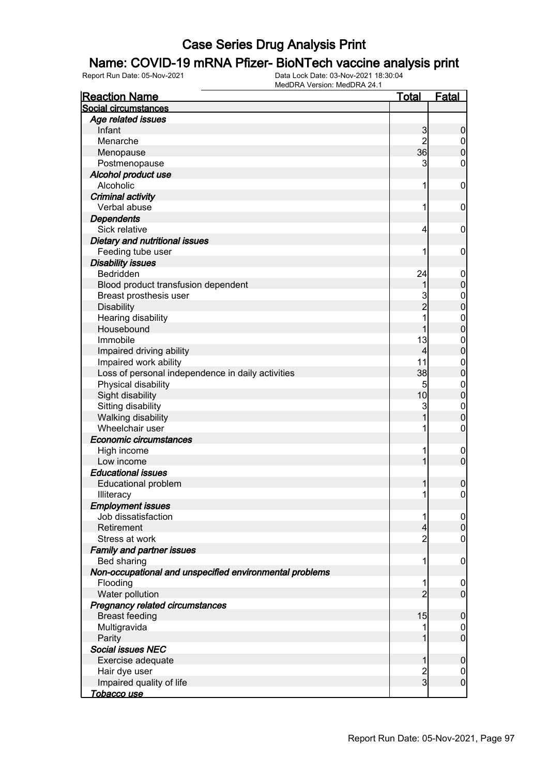#### Name: COVID-19 mRNA Pfizer- BioNTech vaccine analysis print

| <b>Reaction Name</b>                                    | Total                    | <b>Fatal</b>                     |
|---------------------------------------------------------|--------------------------|----------------------------------|
| Social circumstances                                    |                          |                                  |
| Age related issues                                      |                          |                                  |
| Infant                                                  | $\mathbf{3}$             | $\boldsymbol{0}$                 |
| Menarche                                                | $\overline{2}$           | $\overline{0}$                   |
| Menopause                                               | 36                       | $\mathbf 0$                      |
| Postmenopause                                           | 3                        | $\mathbf 0$                      |
| Alcohol product use                                     |                          |                                  |
| Alcoholic                                               | 1                        | $\mathbf 0$                      |
| <b>Criminal activity</b>                                |                          |                                  |
| Verbal abuse                                            | 1                        | $\mathbf 0$                      |
| <b>Dependents</b>                                       |                          |                                  |
| Sick relative                                           | $\overline{4}$           | $\mathbf 0$                      |
| Dietary and nutritional issues                          |                          |                                  |
| Feeding tube user                                       | 1                        | $\mathbf 0$                      |
| <b>Disability issues</b>                                |                          |                                  |
| Bedridden                                               | 24                       | $\mathbf 0$                      |
| Blood product transfusion dependent                     | 1                        | $\mathbf 0$                      |
| Breast prosthesis user                                  | 3                        |                                  |
| <b>Disability</b>                                       | $\overline{c}$           | $\begin{matrix}0\\0\end{matrix}$ |
| Hearing disability                                      | 1                        | $\mathbf{0}$                     |
| Housebound                                              | 1                        | $\overline{0}$                   |
| Immobile                                                | 13                       | $\mathbf{0}$                     |
| Impaired driving ability                                | $\overline{4}$           | $\overline{0}$                   |
| Impaired work ability                                   | 11                       | $\mathbf{0}$                     |
| Loss of personal independence in daily activities       | 38                       | $\mathbf 0$                      |
| Physical disability                                     | 5                        | $\boldsymbol{0}$                 |
| Sight disability                                        | 10                       | $\mathbf 0$                      |
| Sitting disability                                      | $\mathbf{3}$             |                                  |
|                                                         | 1                        | $\mathbf{0}$<br>$\mathbf 0$      |
| Walking disability<br>Wheelchair user                   | 1                        |                                  |
|                                                         |                          | $\boldsymbol{0}$                 |
| Economic circumstances                                  |                          |                                  |
| High income                                             | 1                        | $\mathbf 0$                      |
| Low income                                              | 1                        | $\mathbf 0$                      |
| <b>Educational issues</b>                               |                          |                                  |
| <b>Educational problem</b>                              | 1                        | $\boldsymbol{0}$                 |
| Illiteracy                                              | 1                        | $\mathsf{O}\xspace$              |
| <b>Employment issues</b>                                |                          |                                  |
| Job dissatisfaction                                     | 1                        | $\overline{0}$                   |
| Retirement                                              | $\overline{\mathcal{L}}$ | $\pmb{0}$                        |
| Stress at work                                          | $\overline{c}$           | $\mathbf 0$                      |
| <b>Family and partner issues</b>                        |                          |                                  |
| Bed sharing                                             | 1                        | $\mathbf 0$                      |
| Non-occupational and unspecified environmental problems |                          |                                  |
| Flooding                                                | 1                        | $\mathbf 0$                      |
| Water pollution                                         | $\overline{2}$           | $\overline{0}$                   |
| Pregnancy related circumstances                         |                          |                                  |
| <b>Breast feeding</b>                                   | 15                       | $\mathbf 0$                      |
| Multigravida                                            |                          | $\overline{0}$                   |
| Parity                                                  | 1                        | $\mathbf 0$                      |
| <b>Social issues NEC</b>                                |                          |                                  |
| Exercise adequate                                       | 1                        | $\mathbf 0$                      |
| Hair dye user                                           | $\frac{2}{3}$            | $\overline{0}$                   |
| Impaired quality of life                                |                          | $\boldsymbol{0}$                 |
| Tobacco use                                             |                          |                                  |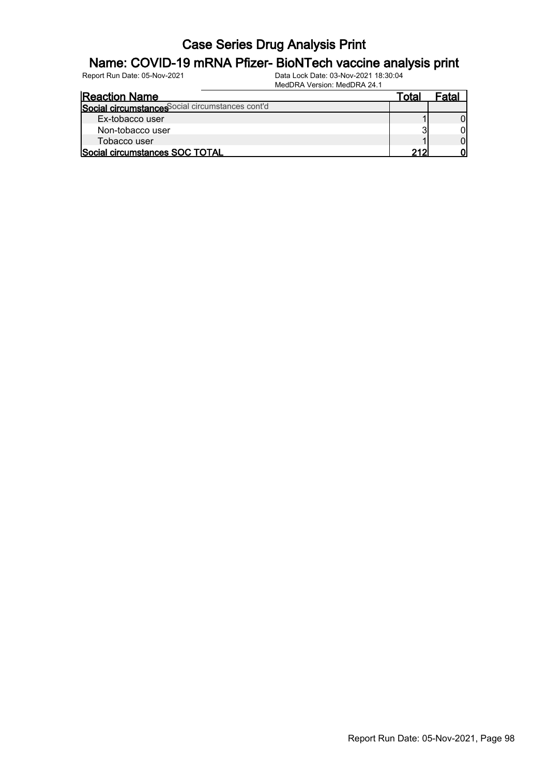#### Name: COVID-19 mRNA Pfizer- BioNTech vaccine analysis print

| <b>Reaction Name</b>                             | ™ota | <sup>≂</sup> ata⊾ |
|--------------------------------------------------|------|-------------------|
| Social circumstances Social circumstances cont'd |      |                   |
| Ex-tobacco user                                  |      |                   |
| Non-tobacco user                                 |      |                   |
| Tobacco user                                     |      |                   |
| Social circumstances SOC TOTAL                   | າ1າ  |                   |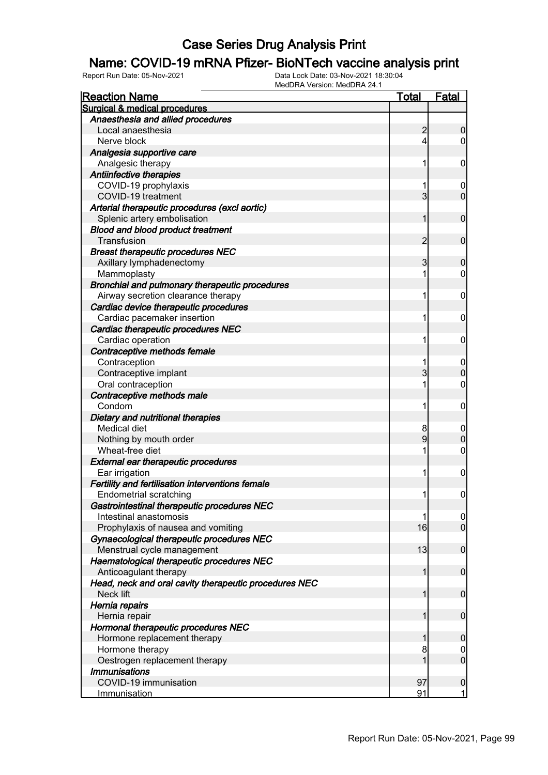#### Name: COVID-19 mRNA Pfizer- BioNTech vaccine analysis print

| <b>Reaction Name</b>                                  | <b>Total</b>   | <b>Fatal</b>     |
|-------------------------------------------------------|----------------|------------------|
| Surgical & medical procedures                         |                |                  |
| Anaesthesia and allied procedures                     |                |                  |
| Local anaesthesia                                     | $\overline{a}$ | $\boldsymbol{0}$ |
| Nerve block                                           | 4              | $\overline{0}$   |
| Analgesia supportive care                             |                |                  |
| Analgesic therapy                                     | 1              | $\mathbf 0$      |
| Antiinfective therapies                               |                |                  |
| COVID-19 prophylaxis                                  | 1              | $\boldsymbol{0}$ |
| COVID-19 treatment                                    | $\overline{3}$ | $\mathbf 0$      |
| Arterial therapeutic procedures (excl aortic)         |                |                  |
| Splenic artery embolisation                           | 1              | $\mathbf 0$      |
| <b>Blood and blood product treatment</b>              |                |                  |
| Transfusion                                           | $\overline{2}$ | $\mathbf 0$      |
| <b>Breast therapeutic procedures NEC</b>              |                |                  |
| Axillary lymphadenectomy                              | 3              | $\boldsymbol{0}$ |
| Mammoplasty                                           | 1              | $\mathbf 0$      |
| Bronchial and pulmonary therapeutic procedures        |                |                  |
| Airway secretion clearance therapy                    | 1              | $\mathbf 0$      |
| Cardiac device therapeutic procedures                 |                |                  |
| Cardiac pacemaker insertion                           | 1              | $\mathbf 0$      |
| Cardiac therapeutic procedures NEC                    |                |                  |
| Cardiac operation                                     | 1              | $\mathbf 0$      |
| Contraceptive methods female                          |                |                  |
| Contraception                                         | 1              | $\boldsymbol{0}$ |
| Contraceptive implant                                 | 3              | $\boldsymbol{0}$ |
| Oral contraception                                    | 1              | $\mathbf 0$      |
| Contraceptive methods male                            |                |                  |
| Condom                                                | 1              | $\mathbf 0$      |
| Dietary and nutritional therapies                     |                |                  |
| <b>Medical diet</b>                                   | 8              | $\boldsymbol{0}$ |
| Nothing by mouth order                                | 9              | $\boldsymbol{0}$ |
| Wheat-free diet                                       | 1              | $\mathbf 0$      |
| <b>External ear therapeutic procedures</b>            |                |                  |
| Ear irrigation                                        | 1              | $\mathbf 0$      |
| Fertility and fertilisation interventions female      |                |                  |
| <b>Endometrial scratching</b>                         | 1              | $\boldsymbol{0}$ |
| Gastrointestinal therapeutic procedures NEC           |                |                  |
| Intestinal anastomosis                                | 1              | 0                |
| Prophylaxis of nausea and vomiting                    | 16             | $\overline{0}$   |
| Gynaecological therapeutic procedures NEC             |                |                  |
| Menstrual cycle management                            | 13             | $\boldsymbol{0}$ |
| Haematological therapeutic procedures NEC             |                |                  |
| Anticoagulant therapy                                 | 1              | $\boldsymbol{0}$ |
| Head, neck and oral cavity therapeutic procedures NEC |                |                  |
| Neck lift                                             | 1              | $\boldsymbol{0}$ |
| Hernia repairs                                        |                |                  |
| Hernia repair                                         | 1              | $\boldsymbol{0}$ |
| Hormonal therapeutic procedures NEC                   |                |                  |
| Hormone replacement therapy                           | 1              | $\mathbf 0$      |
| Hormone therapy                                       | 8              | $\overline{0}$   |
| Oestrogen replacement therapy                         | 1              | $\mathbf 0$      |
| <b>Immunisations</b>                                  |                |                  |
| COVID-19 immunisation                                 | 97             | $\mathbf 0$      |
| Immunisation                                          | 91             | $\mathbf{1}$     |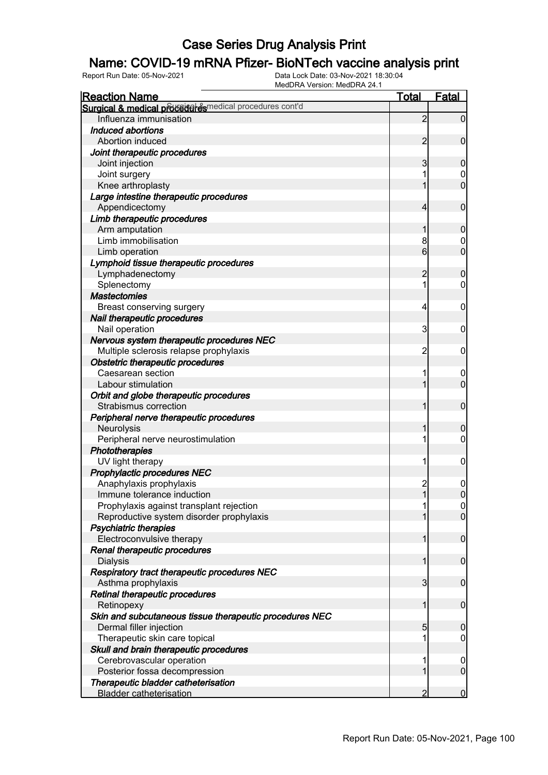### Name: COVID-19 mRNA Pfizer- BioNTech vaccine analysis print

| <b>Reaction Name</b>                                     | <u>Total</u>   | <u>Fatal</u>     |
|----------------------------------------------------------|----------------|------------------|
| Surgical & medical proceed esmedical procedures cont'd   |                |                  |
| Influenza immunisation                                   | $\overline{2}$ | $\overline{0}$   |
| Induced abortions                                        |                |                  |
| Abortion induced                                         | 2              | $\mathbf 0$      |
| Joint therapeutic procedures                             |                |                  |
| Joint injection                                          | 3              | $\mathbf 0$      |
| Joint surgery                                            |                | 0                |
| Knee arthroplasty                                        |                | $\overline{0}$   |
| Large intestine therapeutic procedures<br>Appendicectomy | 4              | $\mathbf 0$      |
| Limb therapeutic procedures                              |                |                  |
| Arm amputation                                           |                | $\mathbf 0$      |
| Limb immobilisation                                      | 8              | 0                |
| Limb operation                                           | 6              | $\overline{0}$   |
| Lymphoid tissue therapeutic procedures                   |                |                  |
| Lymphadenectomy                                          | 2              | $\mathbf 0$      |
| Splenectomy                                              |                | 0                |
| <b>Mastectomies</b>                                      |                |                  |
| Breast conserving surgery                                | 4              | 0                |
| Nail therapeutic procedures                              |                |                  |
| Nail operation                                           | 3              | 0                |
| Nervous system therapeutic procedures NEC                |                |                  |
| Multiple sclerosis relapse prophylaxis                   | $\overline{c}$ | 0                |
| Obstetric therapeutic procedures                         |                |                  |
| Caesarean section                                        |                | $\boldsymbol{0}$ |
| Labour stimulation                                       |                | $\overline{0}$   |
| Orbit and globe therapeutic procedures                   |                |                  |
| Strabismus correction                                    |                | $\mathbf 0$      |
| Peripheral nerve therapeutic procedures                  |                |                  |
| Neurolysis                                               |                | 0                |
| Peripheral nerve neurostimulation                        |                | 0                |
| Phototherapies                                           |                |                  |
| UV light therapy                                         |                | 0                |
| Prophylactic procedures NEC                              |                |                  |
| Anaphylaxis prophylaxis                                  | $\overline{c}$ | 0                |
| Immune tolerance induction                               | $\mathbf{1}$   | $\overline{0}$   |
| Prophylaxis against transplant rejection                 |                | 0                |
| Reproductive system disorder prophylaxis                 |                | $\overline{0}$   |
| <b>Psychiatric therapies</b>                             |                |                  |
| Electroconvulsive therapy                                |                | $\mathbf 0$      |
| Renal therapeutic procedures                             |                |                  |
| <b>Dialysis</b>                                          |                | $\mathbf 0$      |
| Respiratory tract therapeutic procedures NEC             |                |                  |
| Asthma prophylaxis                                       | 3              | $\mathbf 0$      |
| Retinal therapeutic procedures                           |                |                  |
| Retinopexy                                               |                | $\mathbf 0$      |
| Skin and subcutaneous tissue therapeutic procedures NEC  |                |                  |
| Dermal filler injection                                  | 5              | $\boldsymbol{0}$ |
| Therapeutic skin care topical                            |                | 0                |
| Skull and brain therapeutic procedures                   |                |                  |
| Cerebrovascular operation                                |                | $\mathbf 0$      |
| Posterior fossa decompression                            |                | $\mathbf 0$      |
| Therapeutic bladder catheterisation                      |                |                  |
| <b>Bladder catheterisation</b>                           |                | 0                |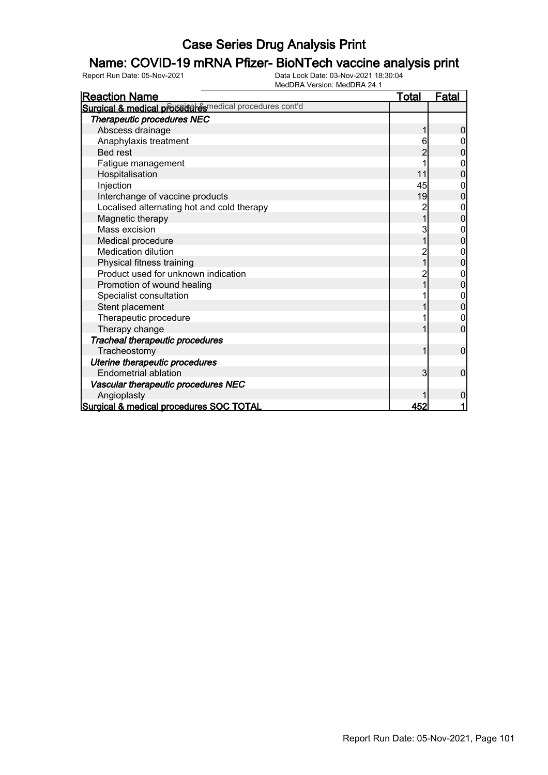### Name: COVID-19 mRNA Pfizer- BioNTech vaccine analysis print

| <b>Reaction Name</b>                                   | <u>Total</u> | <u>Fatal</u>   |
|--------------------------------------------------------|--------------|----------------|
| Surgical & medical proceed esmedical procedures cont'd |              |                |
| Therapeutic procedures NEC                             |              |                |
| Abscess drainage                                       |              | 0              |
| Anaphylaxis treatment                                  | 6            |                |
| <b>Bed rest</b>                                        | 2            | $\Omega$       |
| Fatigue management                                     |              | 0              |
| Hospitalisation                                        | 11           | 0              |
| Injection                                              | 45           | 0              |
| Interchange of vaccine products                        | 19           | $\overline{0}$ |
| Localised alternating hot and cold therapy             | 2            | 0              |
| Magnetic therapy                                       |              | 0              |
| Mass excision                                          | 3            | 0              |
| Medical procedure                                      |              | 0              |
| <b>Medication dilution</b>                             | 2            | 0              |
| Physical fitness training                              |              | 0              |
| Product used for unknown indication                    | 2            | 0              |
| Promotion of wound healing                             |              | 0              |
| Specialist consultation                                |              | 0              |
| Stent placement                                        |              | 0              |
| Therapeutic procedure                                  |              | 0              |
| Therapy change                                         |              | 0              |
| Tracheal therapeutic procedures                        |              |                |
| Tracheostomy                                           | 1            | 0              |
| Uterine therapeutic procedures                         |              |                |
| Endometrial ablation                                   | 3            | 0              |
| Vascular therapeutic procedures NEC                    |              |                |
| Angioplasty                                            |              | 0              |
| Surgical & medical procedures SOC TOTAL                | 452          | 1              |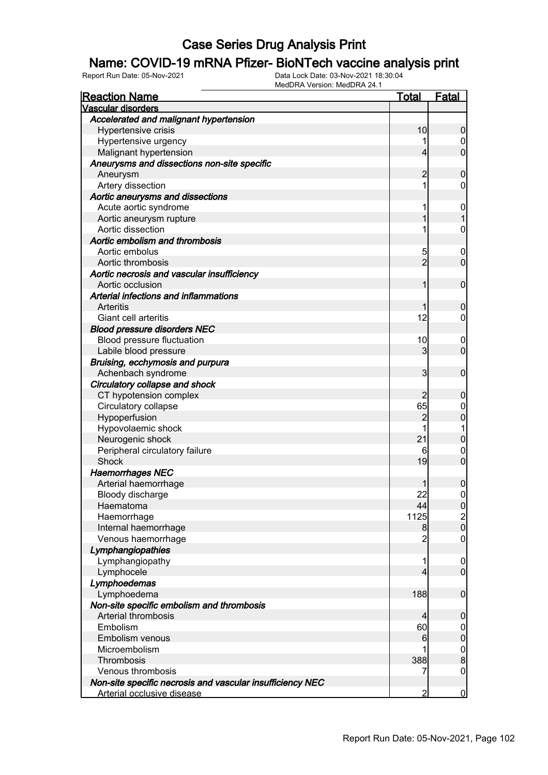### Name: COVID-19 mRNA Pfizer- BioNTech vaccine analysis print

| <b>Reaction Name</b>                                      | <u>Total</u>   | <b>Fatal</b>     |
|-----------------------------------------------------------|----------------|------------------|
| Vascular disorders                                        |                |                  |
| Accelerated and malignant hypertension                    |                |                  |
| Hypertensive crisis                                       | 10             | 0                |
| Hypertensive urgency                                      |                | $\boldsymbol{0}$ |
| Malignant hypertension                                    | 4              | $\overline{0}$   |
| Aneurysms and dissections non-site specific               |                |                  |
| Aneurysm                                                  | 2              | 0                |
| Artery dissection                                         | 1              | 0                |
| Aortic aneurysms and dissections                          |                |                  |
| Acute aortic syndrome                                     | 1              | $\mathbf 0$      |
| Aortic aneurysm rupture                                   |                |                  |
| Aortic dissection                                         | 1              | 0                |
| Aortic embolism and thrombosis                            |                |                  |
| Aortic embolus                                            | 5              | $\overline{0}$   |
| Aortic thrombosis                                         | $\overline{2}$ | $\overline{0}$   |
| Aortic necrosis and vascular insufficiency                |                |                  |
| Aortic occlusion                                          | 1              | $\mathbf 0$      |
| Arterial infections and inflammations                     |                |                  |
| Arteritis                                                 |                | 0                |
| Giant cell arteritis                                      | 12             | 0                |
| <b>Blood pressure disorders NEC</b>                       |                |                  |
| Blood pressure fluctuation                                | 10             | $\overline{0}$   |
| Labile blood pressure                                     | 3              | $\overline{0}$   |
| Bruising, ecchymosis and purpura                          |                |                  |
| Achenbach syndrome                                        | 3              | $\mathbf 0$      |
| Circulatory collapse and shock                            |                |                  |
| CT hypotension complex                                    |                | 0                |
| Circulatory collapse                                      | 65             | 0                |
| Hypoperfusion                                             | 2              | 0                |
| Hypovolaemic shock                                        |                | 1                |
| Neurogenic shock                                          | 21             | 0                |
| Peripheral circulatory failure                            | 6              | 0                |
| Shock                                                     | 19             | $\overline{0}$   |
| <b>Haemorrhages NEC</b>                                   |                |                  |
| Arterial haemorrhage                                      |                | 0                |
| Bloody discharge                                          | 22             | $\mathbf{0}$     |
| Haematoma                                                 | 44             | <sup>0</sup>     |
| Haemorrhage                                               | 1125           | $\frac{2}{0}$    |
| Internal haemorrhage                                      | 8              |                  |
| Venous haemorrhage                                        | $\overline{2}$ | $\boldsymbol{0}$ |
| Lymphangiopathies                                         |                |                  |
| Lymphangiopathy                                           | 1              | $\mathbf 0$      |
| Lymphocele                                                | 4              | $\overline{0}$   |
| Lymphoedemas                                              |                |                  |
| Lymphoedema                                               | 188            | $\mathbf 0$      |
| Non-site specific embolism and thrombosis                 |                |                  |
| Arterial thrombosis                                       | 4              | 0                |
| Embolism                                                  | 60             | 0                |
| Embolism venous                                           | 6              | $\mathbf 0$      |
| Microembolism                                             |                | $\mathbf 0$      |
| Thrombosis                                                | 388            | 8                |
| Venous thrombosis                                         | 7              | $\boldsymbol{0}$ |
| Non-site specific necrosis and vascular insufficiency NEC |                |                  |
| Arterial occlusive disease                                | $\overline{2}$ | $\bf{0}$         |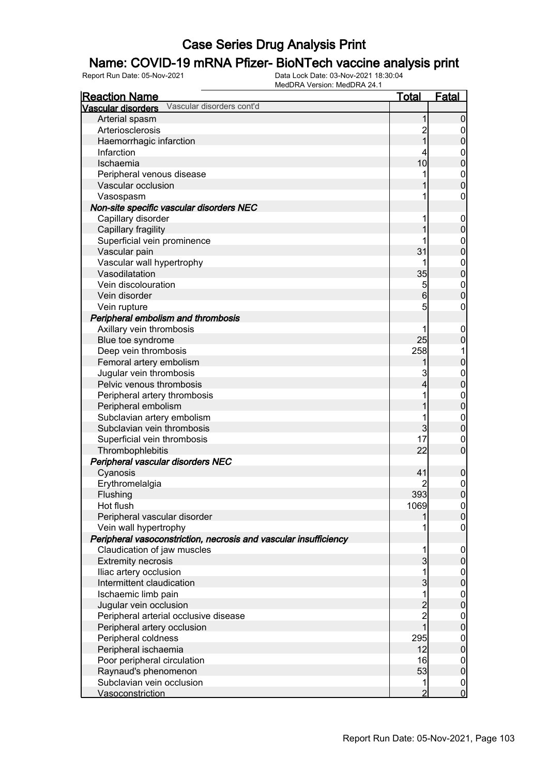### Name: COVID-19 mRNA Pfizer- BioNTech vaccine analysis print

| <b>Reaction Name</b>                                             | <u>Total</u>   | <u>Fatal</u>                         |
|------------------------------------------------------------------|----------------|--------------------------------------|
| Vascular disorders cont'd<br><b>Vascular disorders</b>           |                |                                      |
| Arterial spasm                                                   | 1              | $\mathbf 0$                          |
| Arteriosclerosis                                                 | $\overline{2}$ | $\mathbf 0$                          |
| Haemorrhagic infarction                                          | $\overline{1}$ | $\overline{0}$                       |
| Infarction                                                       | 4              |                                      |
| Ischaemia                                                        | 10             | $0\atop 0$                           |
| Peripheral venous disease                                        | 1              |                                      |
| Vascular occlusion                                               |                | $\begin{matrix}0\\0\end{matrix}$     |
| Vasospasm                                                        | 1              | $\mathbf 0$                          |
| Non-site specific vascular disorders NEC                         |                |                                      |
| Capillary disorder                                               | 1              | $\boldsymbol{0}$                     |
| Capillary fragility                                              | 1              | $\mathbf 0$                          |
| Superficial vein prominence                                      | 1              |                                      |
| Vascular pain                                                    | 31             | 0<br>0                               |
| Vascular wall hypertrophy                                        | 1              |                                      |
| Vasodilatation                                                   | 35             | $\begin{matrix}0\\0\end{matrix}$     |
| Vein discolouration                                              | 5              |                                      |
| Vein disorder                                                    | 6              | $\begin{matrix}0\\0\end{matrix}$     |
| Vein rupture                                                     | 5              | $\mathbf 0$                          |
| Peripheral embolism and thrombosis                               |                |                                      |
| Axillary vein thrombosis                                         | 1              | $\boldsymbol{0}$                     |
| Blue toe syndrome                                                | 25             | $\overline{0}$                       |
| Deep vein thrombosis                                             | 258            | 1                                    |
| Femoral artery embolism                                          |                | $\mathbf 0$                          |
| Jugular vein thrombosis                                          | 3              |                                      |
| Pelvic venous thrombosis                                         | 4              | $\begin{matrix}0\\0\end{matrix}$     |
| Peripheral artery thrombosis                                     | 1              |                                      |
| Peripheral embolism                                              | 1              | $\begin{matrix}0\\0\end{matrix}$     |
|                                                                  | 1              |                                      |
| Subclavian artery embolism<br>Subclavian vein thrombosis         | 3              | $\begin{matrix}0\\0\end{matrix}$     |
|                                                                  | 17             |                                      |
| Superficial vein thrombosis                                      | 22             | $\mathbf{0}$<br>$\overline{0}$       |
| Thrombophlebitis                                                 |                |                                      |
| Peripheral vascular disorders NEC                                |                |                                      |
| Cyanosis                                                         | 41             | $\boldsymbol{0}$                     |
| Erythromelalgia                                                  |                | $\begin{matrix}0\\0\end{matrix}$     |
| Flushing                                                         | 393            |                                      |
| Hot flush                                                        | 1069           | $\Omega$                             |
| Peripheral vascular disorder                                     | 1              | $\overline{0}$                       |
| Vein wall hypertrophy                                            | 1              | $\overline{0}$                       |
| Peripheral vasoconstriction, necrosis and vascular insufficiency |                |                                      |
| Claudication of jaw muscles                                      | 1              | $\boldsymbol{0}$                     |
| <b>Extremity necrosis</b>                                        | $\overline{3}$ | $\overline{0}$                       |
| Iliac artery occlusion                                           | 1              | $\boldsymbol{0}$                     |
| Intermittent claudication                                        | $\overline{3}$ | $\overline{0}$                       |
| Ischaemic limb pain                                              | 1              | $\boldsymbol{0}$                     |
| Jugular vein occlusion                                           | $\frac{2}{2}$  | $\overline{0}$                       |
| Peripheral arterial occlusive disease                            |                | $\begin{matrix} 0 \\ 0 \end{matrix}$ |
| Peripheral artery occlusion                                      | $\overline{1}$ |                                      |
| Peripheral coldness                                              | 295            | $\boldsymbol{0}$                     |
| Peripheral ischaemia                                             | 12             | $\overline{0}$                       |
| Poor peripheral circulation                                      | 16             | $\boldsymbol{0}$                     |
| Raynaud's phenomenon                                             | 53             | $\pmb{0}$                            |
| Subclavian vein occlusion                                        | 1              | $\boldsymbol{0}$                     |
| Vasoconstriction                                                 | $\overline{2}$ | $\overline{0}$                       |